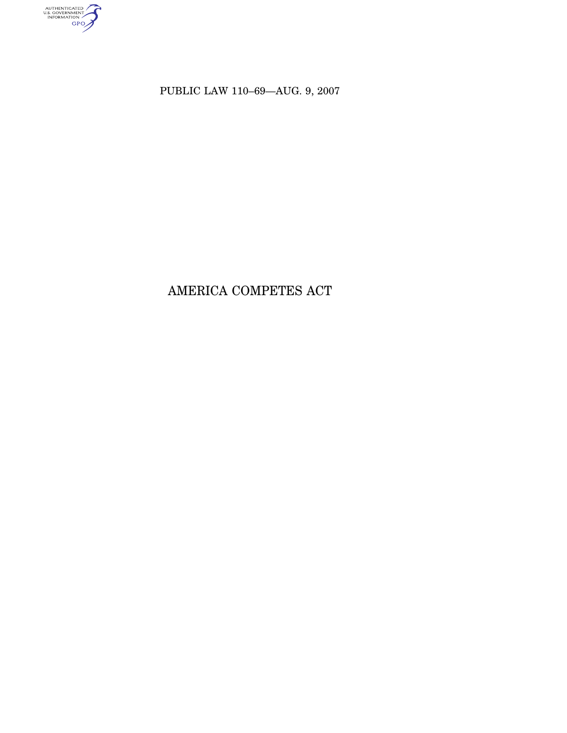AUTHENTICATED

PUBLIC LAW 110–69—AUG. 9, 2007

# AMERICA COMPETES ACT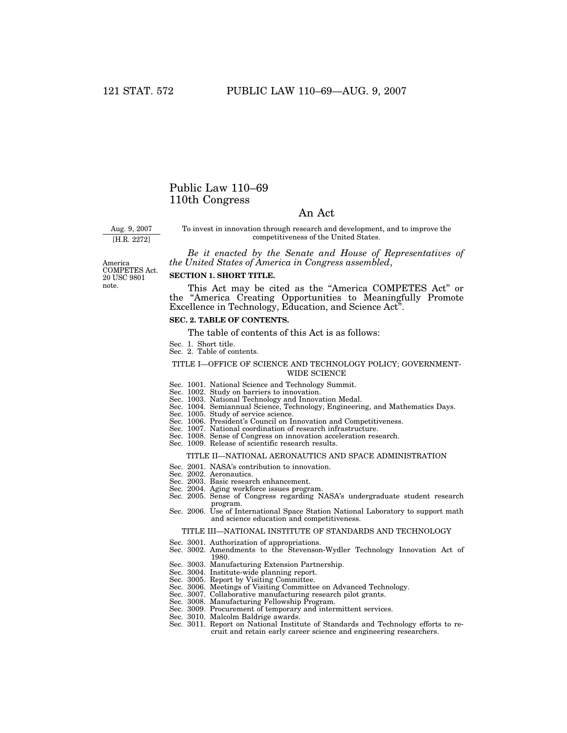# Public Law 110–69 110th Congress

# An Act

Aug. 9, 2007

[H.R. 2272]

To invest in innovation through research and development, and to improve the competitiveness of the United States.

*Be it enacted by the Senate and House of Representatives of the United States of America in Congress assembled*,

America COMPETES Act. 20 USC 9801 note.

### **SECTION 1. SHORT TITLE.**

This Act may be cited as the ''America COMPETES Act'' or the ''America Creating Opportunities to Meaningfully Promote Excellence in Technology, Education, and Science Act''.

# **SEC. 2. TABLE OF CONTENTS.**

The table of contents of this Act is as follows:

- Sec. 1. Short title. Sec. 2. Table of contents.
- 

### TITLE I—OFFICE OF SCIENCE AND TECHNOLOGY POLICY; GOVERNMENT-WIDE SCIENCE

- Sec. 1001. National Science and Technology Summit.
- Sec. 1002. Study on barriers to innovation.
- 
- Sec. 1003. National Technology and Innovation Medal. Sec. 1004. Semiannual Science, Technology, Engineering, and Mathematics Days.
- Sec. 1005. Study of service science.
- Sec. 1006. President's Council on Innovation and Competitiveness.
- Sec. 1007. National coordination of research infrastructure.
- Sec. 1008. Sense of Congress on innovation acceleration research. Sec. 1009. Release of scientific research results.
- 

### TITLE II—NATIONAL AERONAUTICS AND SPACE ADMINISTRATION

- Sec. 2001. NASA's contribution to innovation.
- Sec. 2002. Aeronautics.
- Sec. 2003. Basic research enhancement.
- 
- Sec. 2004. Aging workforce issues program. Sec. 2005. Sense of Congress regarding NASA's undergraduate student research program.
- Sec. 2006. Use of International Space Station National Laboratory to support math and science education and competitiveness.

### TITLE III—NATIONAL INSTITUTE OF STANDARDS AND TECHNOLOGY

- Sec. 3001. Authorization of appropriations.
- Sec. 3002. Amendments to the Stevenson-Wydler Technology Innovation Act of 1980.
- Sec. 3003. Manufacturing Extension Partnership.
- Sec. 3004. Institute-wide planning report.
- Sec. 3005. Report by Visiting Committee.
- Sec. 3006. Meetings of Visiting Committee on Advanced Technology.
- Sec. 3007. Collaborative manufacturing research pilot grants.
- Sec. 3008. Manufacturing Fellowship Program.
- Sec. 3009. Procurement of temporary and intermittent services.
- Sec. 3010. Malcolm Baldrige awards.
- Sec. 3011. Report on National Institute of Standards and Technology efforts to recruit and retain early career science and engineering researchers.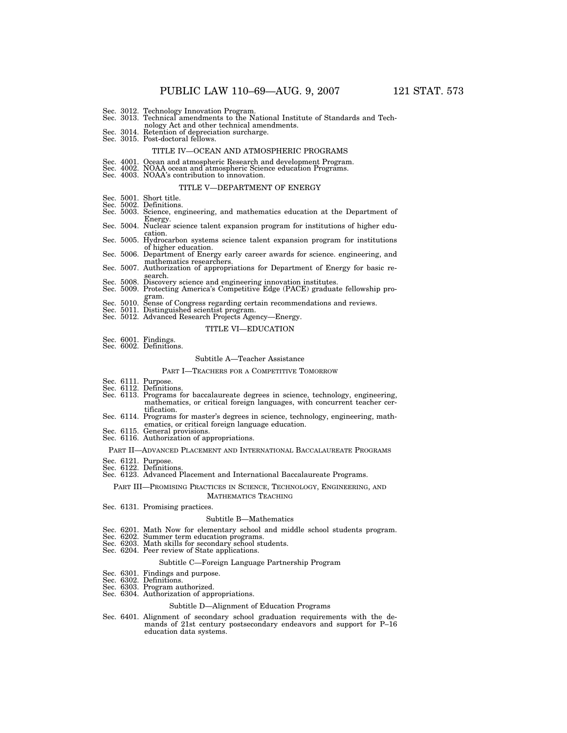- Sec. 3012. Technology Innovation Program. Sec. 3013. Technical amendments to the National Institute of Standards and Tech-
- nology Act and other technical amendments. Sec. 3014. Retention of depreciation surcharge.
- Sec. 3014. Retention of depreciation surcharge.<br>Sec. 3015. Post-doctoral fellows.

### TITLE IV—OCEAN AND ATMOSPHERIC PROGRAMS

- Sec. 4001. Ocean and atmospheric Research and development Program. Sec. 4002. NOAA ocean and atmospheric Science education Programs.
- Sec. 4003. NOAA's contribution to innovation.

### TITLE V—DEPARTMENT OF ENERGY

- Sec. 5001. Short title.
- Sec. 5002. Definitions. Sec. 5003. Science, engineering, and mathematics education at the Department of Energy.<br>Sec. 5004. Nuclear science talent expansion program for institutions of higher edu-
- cation.
- Sec. 5005. Hydrocarbon systems science talent expansion program for institutions Sec. 5006. Department of Energy early career awards for science. engineering, and
- mathematics researchers. Sec. 5007. Authorization of appropriations for Department of Energy for basic re-
- search. Sec. 5008. Discovery science and engineering innovation institutes. Sec. 5009. Protecting America's Competitive Edge (PACE) graduate fellowship pro-
- 
- gram. Sec. 5010. Sense of Congress regarding certain recommendations and reviews. Sec. 5011. Distinguished scientist program.
- 
- Sec. 5012. Advanced Research Projects Agency—Energy.

## TITLE VI—EDUCATION

Sec. 6001. Findings. Sec. 6002. Definitions.

#### Subtitle A—Teacher Assistance

#### PART I—TEACHERS FOR A COMPETITIVE TOMORROW

- Sec. 6111. Purpose.
- Sec. 6112. Definitions.
- Sec. 6113. Programs for baccalaureate degrees in science, technology, engineering, mathematics, or critical foreign languages, with concurrent teacher certification.
- Sec. 6114. Programs for master's degrees in science, technology, engineering, mathematics, or critical foreign language education. Sec. 6115. General provisions. Sec. 6116. Authorization of appropriations.
- 

#### PART II—ADVANCED PLACEMENT AND INTERNATIONAL BACCALAUREATE PROGRAMS

- 
- Sec. 6121. Purpose. Sec. 6122. Definitions.

## Sec. 6123. Advanced Placement and International Baccalaureate Programs.

PART III—PROMISING PRACTICES IN SCIENCE, TECHNOLOGY, ENGINEERING, AND MATHEMATICS TEACHING

Sec. 6131. Promising practices.

#### Subtitle B—Mathematics

- Sec. 6201. Math Now for elementary school and middle school students program.
- Sec. 6202. Summer term education programs. Sec. 6203. Math skills for secondary school students. Sec. 6204. Peer review of State applications.
- 
- 

### Subtitle C—Foreign Language Partnership Program

- Sec. 6301. Findings and purpose. Sec. 6302. Definitions.
- 
- Sec. 6303. Program authorized.
- Sec. 6304. Authorization of appropriations.

### Subtitle D—Alignment of Education Programs

Sec. 6401. Alignment of secondary school graduation requirements with the demands of 21st century postsecondary endeavors and support for P–16 education data systems.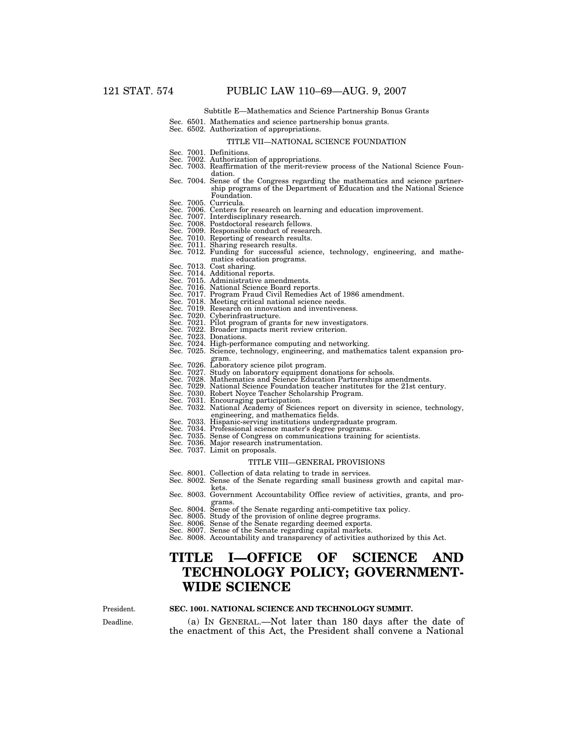Subtitle E—Mathematics and Science Partnership Bonus Grants

### Sec. 6501. Mathematics and science partnership bonus grants.

Sec. 6502. Authorization of appropriations.

### TITLE VII—NATIONAL SCIENCE FOUNDATION

- Sec. 7001. Definitions.
- 
- Sec. 7002. Authorization of appropriations. Sec. 7003. Reaffirmation of the merit-review process of the National Science Foundation.
- Sec. 7004. Sense of the Congress regarding the mathematics and science partnership programs of the Department of Education and the National Science Foundation.<br>Curricula.
- Sec. 7005.
- Sec. 7006. Centers for research on learning and education improvement.
- Sec. 7007. Interdisciplinary research.
- Sec. 7008. Postdoctoral research fellows.
- Sec. 7009. Responsible conduct of research. Sec. 7010. Reporting of research results.
- 
- 
- Sec. 7011. Sharing research results. Sec. 7012. Funding for successful science, technology, engineering, and mathematics education programs.
- Sec. 7013. Cost sharing.
- 
- Sec. 7014. Additional reports. Sec. 7015. Administrative amendments.
- Sec. 7016. National Science Board reports.
- Sec. 7017. Program Fraud Civil Remedies Act of 1986 amendment. Sec. 7018. Meeting critical national science needs.
- 
- Sec. 7019. Research on innovation and inventiveness. Sec. 7020. Cyberinfrastructure.
- 
- Sec. 7021. Pilot program of grants for new investigators. Sec. 7022. Broader impacts merit review criterion.
- Sec. 7023. Donations.
- 
- Sec. 7024. High-performance computing and networking. 7025. Science, technology, engineering, and mathematics talent expansion pro-
- 
- 
- gram. Sec. 7026. Laboratory science pilot program. Sec. 7027. Study on laboratory equipment donations for schools. Sec. 7028. Mathematics and Science Education Partnerships amendments.
- Sec. 7029. National Science Foundation teacher institutes for the 21st century. Sec. 7030. Robert Noyce Teacher Scholarship Program.
- 
- 
- Sec. 7031. Encouraging participation. Sec. 7032. National Academy of Sciences report on diversity in science, technology, engineering, and mathematics fields.
- Sec. 7033. Hispanic-serving institutions undergraduate program.
- Sec. 7034. Professional science master's degree programs.
- Sec. 7035. Sense of Congress on communications training for scientists. Sec. 7036. Major research instrumentation.
	-
	- Sec. 7037. Limit on proposals.

#### TITLE VIII—GENERAL PROVISIONS

- Sec. 8001. Collection of data relating to trade in services.
- Sec. 8002. Sense of the Senate regarding small business growth and capital markets.
- Sec. 8003. Government Accountability Office review of activities, grants, and programs. Sec. 8004. Sense of the Senate regarding anti-competitive tax policy. Sec. 8005. Study of the provision of online degree programs.
- 
- 
- Sec. 8006. Sense of the Senate regarding deemed exports. Sec. 8007. Sense of the Senate regarding capital markets.
- 
- Sec. 8008. Accountability and transparency of activities authorized by this Act.

# **TITLE I—OFFICE OF SCIENCE AND TECHNOLOGY POLICY; GOVERNMENT-WIDE SCIENCE**

Deadline. President.

### **SEC. 1001. NATIONAL SCIENCE AND TECHNOLOGY SUMMIT.**

(a) IN GENERAL.—Not later than 180 days after the date of the enactment of this Act, the President shall convene a National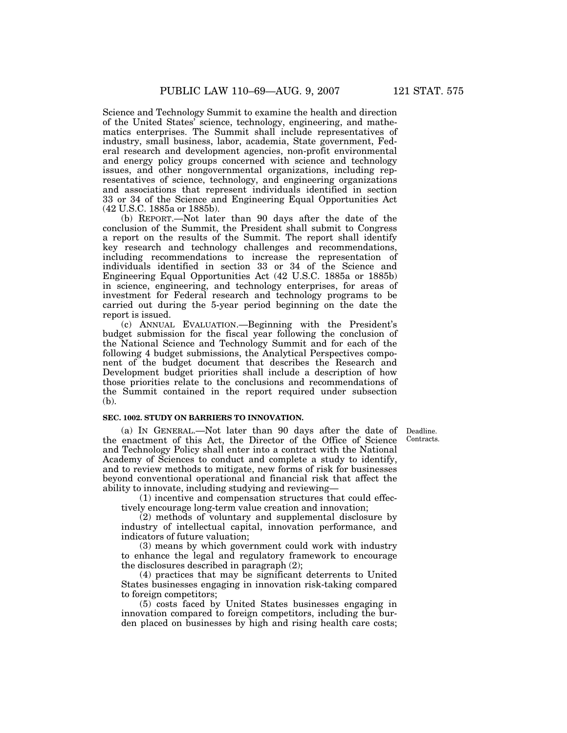Science and Technology Summit to examine the health and direction of the United States' science, technology, engineering, and mathematics enterprises. The Summit shall include representatives of industry, small business, labor, academia, State government, Federal research and development agencies, non-profit environmental and energy policy groups concerned with science and technology issues, and other nongovernmental organizations, including representatives of science, technology, and engineering organizations and associations that represent individuals identified in section 33 or 34 of the Science and Engineering Equal Opportunities Act (42 U.S.C. 1885a or 1885b).

(b) REPORT.—Not later than 90 days after the date of the conclusion of the Summit, the President shall submit to Congress a report on the results of the Summit. The report shall identify key research and technology challenges and recommendations, including recommendations to increase the representation of individuals identified in section 33 or 34 of the Science and Engineering Equal Opportunities Act (42 U.S.C. 1885a or 1885b) in science, engineering, and technology enterprises, for areas of investment for Federal research and technology programs to be carried out during the 5-year period beginning on the date the report is issued.

(c) ANNUAL EVALUATION.—Beginning with the President's budget submission for the fiscal year following the conclusion of the National Science and Technology Summit and for each of the following 4 budget submissions, the Analytical Perspectives component of the budget document that describes the Research and Development budget priorities shall include a description of how those priorities relate to the conclusions and recommendations of the Summit contained in the report required under subsection (b).

### **SEC. 1002. STUDY ON BARRIERS TO INNOVATION.**

Contracts.

(a) IN GENERAL.—Not later than 90 days after the date of Deadline. the enactment of this Act, the Director of the Office of Science and Technology Policy shall enter into a contract with the National Academy of Sciences to conduct and complete a study to identify, and to review methods to mitigate, new forms of risk for businesses beyond conventional operational and financial risk that affect the ability to innovate, including studying and reviewing—

(1) incentive and compensation structures that could effectively encourage long-term value creation and innovation;

(2) methods of voluntary and supplemental disclosure by industry of intellectual capital, innovation performance, and indicators of future valuation;

(3) means by which government could work with industry to enhance the legal and regulatory framework to encourage the disclosures described in paragraph (2);

(4) practices that may be significant deterrents to United States businesses engaging in innovation risk-taking compared to foreign competitors;

(5) costs faced by United States businesses engaging in innovation compared to foreign competitors, including the burden placed on businesses by high and rising health care costs;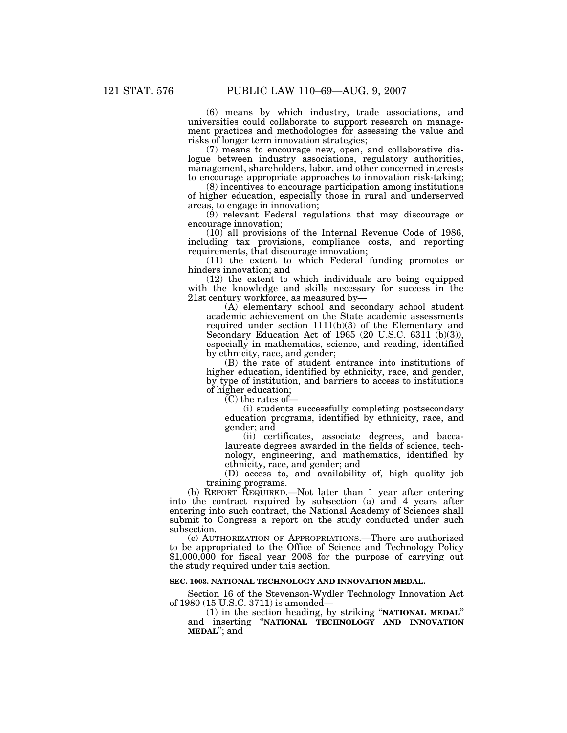(6) means by which industry, trade associations, and universities could collaborate to support research on management practices and methodologies for assessing the value and risks of longer term innovation strategies;

(7) means to encourage new, open, and collaborative dialogue between industry associations, regulatory authorities, management, shareholders, labor, and other concerned interests to encourage appropriate approaches to innovation risk-taking;

(8) incentives to encourage participation among institutions of higher education, especially those in rural and underserved areas, to engage in innovation;

(9) relevant Federal regulations that may discourage or encourage innovation;

(10) all provisions of the Internal Revenue Code of 1986, including tax provisions, compliance costs, and reporting requirements, that discourage innovation;

(11) the extent to which Federal funding promotes or hinders innovation; and

(12) the extent to which individuals are being equipped with the knowledge and skills necessary for success in the 21st century workforce, as measured by—

(A) elementary school and secondary school student academic achievement on the State academic assessments required under section 1111(b)(3) of the Elementary and Secondary Education Act of 1965 (20 U.S.C. 6311 (b)(3)), especially in mathematics, science, and reading, identified by ethnicity, race, and gender;

(B) the rate of student entrance into institutions of higher education, identified by ethnicity, race, and gender, by type of institution, and barriers to access to institutions of higher education;

(C) the rates of—

(i) students successfully completing postsecondary education programs, identified by ethnicity, race, and gender; and

(ii) certificates, associate degrees, and baccalaureate degrees awarded in the fields of science, technology, engineering, and mathematics, identified by ethnicity, race, and gender; and

(D) access to, and availability of, high quality job training programs.

(b) REPORT REQUIRED.—Not later than 1 year after entering into the contract required by subsection (a) and 4 years after entering into such contract, the National Academy of Sciences shall submit to Congress a report on the study conducted under such subsection.

(c) AUTHORIZATION OF APPROPRIATIONS.—There are authorized to be appropriated to the Office of Science and Technology Policy \$1,000,000 for fiscal year 2008 for the purpose of carrying out the study required under this section.

### **SEC. 1003. NATIONAL TECHNOLOGY AND INNOVATION MEDAL.**

Section 16 of the Stevenson-Wydler Technology Innovation Act of 1980 (15 U.S.C. 3711) is amended—

(1) in the section heading, by striking ''**NATIONAL MEDAL**'' and inserting ''**NATIONAL TECHNOLOGY AND INNOVATION MEDAL**''; and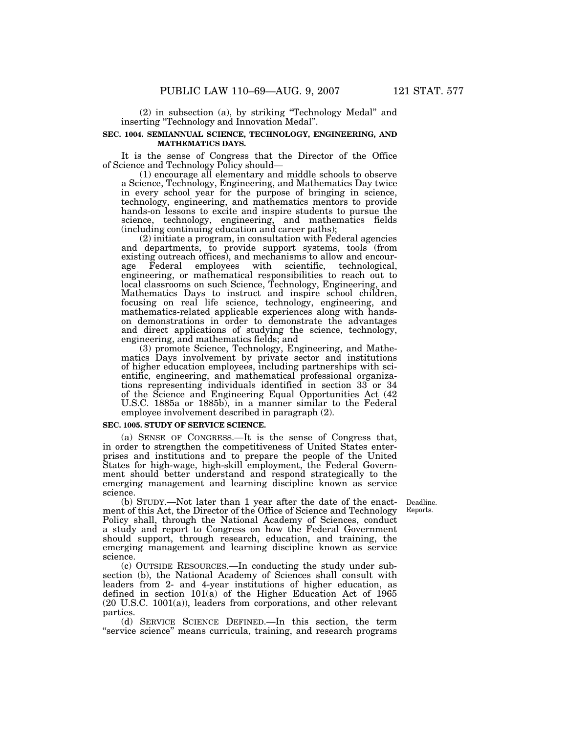(2) in subsection (a), by striking ''Technology Medal'' and inserting ''Technology and Innovation Medal''.

### **SEC. 1004. SEMIANNUAL SCIENCE, TECHNOLOGY, ENGINEERING, AND MATHEMATICS DAYS.**

It is the sense of Congress that the Director of the Office of Science and Technology Policy should—

(1) encourage all elementary and middle schools to observe a Science, Technology, Engineering, and Mathematics Day twice in every school year for the purpose of bringing in science, technology, engineering, and mathematics mentors to provide hands-on lessons to excite and inspire students to pursue the science, technology, engineering, and mathematics fields (including continuing education and career paths);

(2) initiate a program, in consultation with Federal agencies and departments, to provide support systems, tools (from existing outreach offices), and mechanisms to allow and encourage Federal employees with scientific, technological, age Federal employees with scientific, technological, engineering, or mathematical responsibilities to reach out to local classrooms on such Science, Technology, Engineering, and Mathematics Days to instruct and inspire school children, focusing on real life science, technology, engineering, and mathematics-related applicable experiences along with handson demonstrations in order to demonstrate the advantages and direct applications of studying the science, technology, engineering, and mathematics fields; and

(3) promote Science, Technology, Engineering, and Mathematics Days involvement by private sector and institutions of higher education employees, including partnerships with scientific, engineering, and mathematical professional organizations representing individuals identified in section 33 or 34 of the Science and Engineering Equal Opportunities Act (42 U.S.C. 1885a or 1885b), in a manner similar to the Federal employee involvement described in paragraph (2).

### **SEC. 1005. STUDY OF SERVICE SCIENCE.**

(a) SENSE OF CONGRESS.—It is the sense of Congress that, in order to strengthen the competitiveness of United States enterprises and institutions and to prepare the people of the United States for high-wage, high-skill employment, the Federal Government should better understand and respond strategically to the emerging management and learning discipline known as service science.

> Deadline. Reports.

(b) STUDY.—Not later than 1 year after the date of the enactment of this Act, the Director of the Office of Science and Technology Policy shall, through the National Academy of Sciences, conduct a study and report to Congress on how the Federal Government should support, through research, education, and training, the emerging management and learning discipline known as service science.

(c) OUTSIDE RESOURCES.—In conducting the study under subsection (b), the National Academy of Sciences shall consult with leaders from 2- and 4-year institutions of higher education, as defined in section 101(a) of the Higher Education Act of 1965 (20 U.S.C. 1001(a)), leaders from corporations, and other relevant parties.

(d) SERVICE SCIENCE DEFINED.—In this section, the term "service science" means curricula, training, and research programs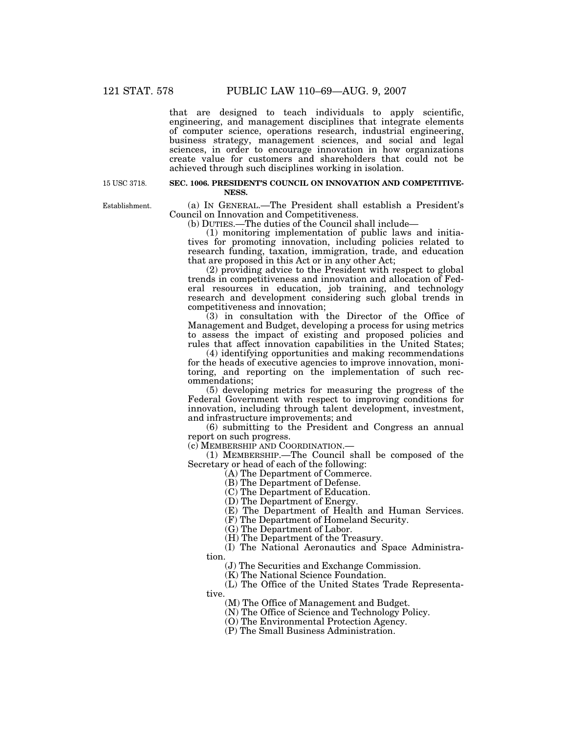that are designed to teach individuals to apply scientific, engineering, and management disciplines that integrate elements of computer science, operations research, industrial engineering, business strategy, management sciences, and social and legal sciences, in order to encourage innovation in how organizations create value for customers and shareholders that could not be achieved through such disciplines working in isolation.

15 USC 3718.

### **SEC. 1006. PRESIDENT'S COUNCIL ON INNOVATION AND COMPETITIVE-NESS.**

Establishment.

(a) IN GENERAL.—The President shall establish a President's Council on Innovation and Competitiveness.

(b) DUTIES.—The duties of the Council shall include—

(1) monitoring implementation of public laws and initiatives for promoting innovation, including policies related to research funding, taxation, immigration, trade, and education that are proposed in this Act or in any other Act;

(2) providing advice to the President with respect to global trends in competitiveness and innovation and allocation of Federal resources in education, job training, and technology research and development considering such global trends in competitiveness and innovation;

 $(3)$  in consultation with the Director of the Office of Management and Budget, developing a process for using metrics to assess the impact of existing and proposed policies and rules that affect innovation capabilities in the United States;

(4) identifying opportunities and making recommendations for the heads of executive agencies to improve innovation, monitoring, and reporting on the implementation of such recommendations;

(5) developing metrics for measuring the progress of the Federal Government with respect to improving conditions for innovation, including through talent development, investment, and infrastructure improvements; and

(6) submitting to the President and Congress an annual report on such progress.

(c) MEMBERSHIP AND COORDINATION.—

(1) MEMBERSHIP.—The Council shall be composed of the Secretary or head of each of the following:

(A) The Department of Commerce.

(B) The Department of Defense.

(C) The Department of Education.

(D) The Department of Energy.

(E) The Department of Health and Human Services.

(F) The Department of Homeland Security.

(G) The Department of Labor.

(H) The Department of the Treasury.

(I) The National Aeronautics and Space Administration.

(J) The Securities and Exchange Commission.

(K) The National Science Foundation.

(L) The Office of the United States Trade Representative.

(M) The Office of Management and Budget.

(N) The Office of Science and Technology Policy.

(O) The Environmental Protection Agency.

(P) The Small Business Administration.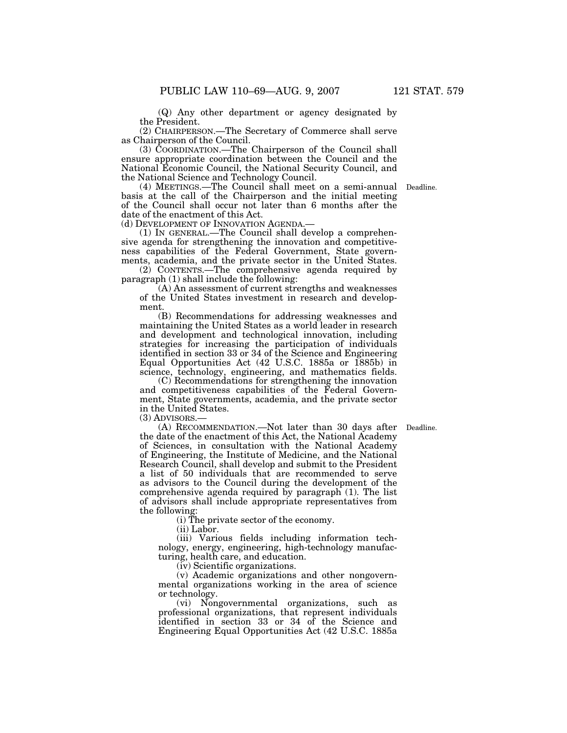(Q) Any other department or agency designated by the President.

(2) CHAIRPERSON.—The Secretary of Commerce shall serve as Chairperson of the Council.

(3) COORDINATION.—The Chairperson of the Council shall ensure appropriate coordination between the Council and the National Economic Council, the National Security Council, and the National Science and Technology Council.

(4) MEETINGS.—The Council shall meet on a semi-annual Deadline. basis at the call of the Chairperson and the initial meeting of the Council shall occur not later than 6 months after the date of the enactment of this Act.<br>(d) DEVELOPMENT OF INNOVATION AGENDA.

 $(1)$  In GENERAL.—The Council shall develop a comprehensive agenda for strengthening the innovation and competitiveness capabilities of the Federal Government, State governments, academia, and the private sector in the United States.

(2) CONTENTS.—The comprehensive agenda required by paragraph (1) shall include the following:

(A) An assessment of current strengths and weaknesses of the United States investment in research and development.

(B) Recommendations for addressing weaknesses and maintaining the United States as a world leader in research and development and technological innovation, including strategies for increasing the participation of individuals identified in section 33 or 34 of the Science and Engineering Equal Opportunities Act (42 U.S.C. 1885a or 1885b) in science, technology, engineering, and mathematics fields.

(C) Recommendations for strengthening the innovation and competitiveness capabilities of the Federal Government, State governments, academia, and the private sector in the United States.

(3) ADVISORS.—

(A) RECOMMENDATION.—Not later than 30 days after the date of the enactment of this Act, the National Academy of Sciences, in consultation with the National Academy of Engineering, the Institute of Medicine, and the National Research Council, shall develop and submit to the President a list of 50 individuals that are recommended to serve as advisors to the Council during the development of the comprehensive agenda required by paragraph (1). The list of advisors shall include appropriate representatives from the following:

(i) The private sector of the economy.

(ii) Labor.

(iii) Various fields including information technology, energy, engineering, high-technology manufacturing, health care, and education.

(iv) Scientific organizations.

(v) Academic organizations and other nongovernmental organizations working in the area of science or technology.

(vi) Nongovernmental organizations, such as professional organizations, that represent individuals identified in section 33 or 34 of the Science and Engineering Equal Opportunities Act (42 U.S.C. 1885a

Deadline.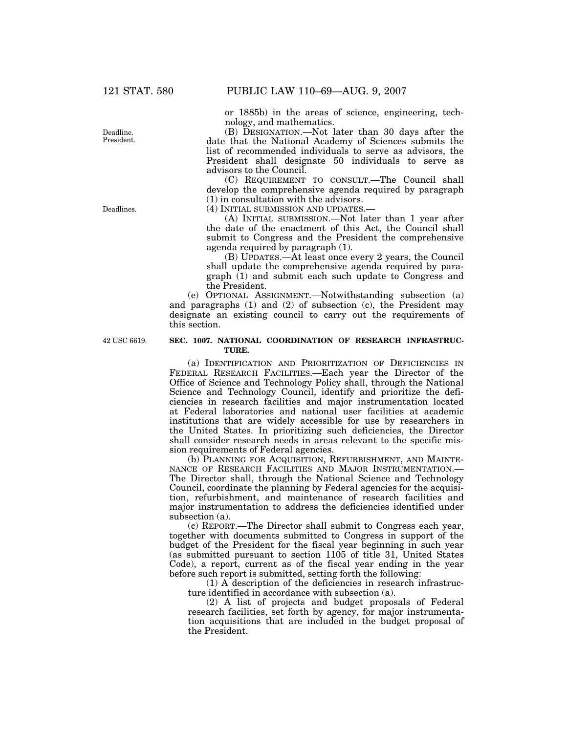or 1885b) in the areas of science, engineering, technology, and mathematics.

(B) DESIGNATION.—Not later than 30 days after the date that the National Academy of Sciences submits the list of recommended individuals to serve as advisors, the President shall designate 50 individuals to serve as advisors to the Council.

(C) REQUIREMENT TO CONSULT.—The Council shall develop the comprehensive agenda required by paragraph (1) in consultation with the advisors.

(4) INITIAL SUBMISSION AND UPDATES.—

(A) INITIAL SUBMISSION.—Not later than 1 year after the date of the enactment of this Act, the Council shall submit to Congress and the President the comprehensive agenda required by paragraph (1).

(B) UPDATES.—At least once every 2 years, the Council shall update the comprehensive agenda required by paragraph  $(1)$  and submit each such update to Congress and the President.

(e) OPTIONAL ASSIGNMENT.—Notwithstanding subsection (a) and paragraphs (1) and (2) of subsection (c), the President may designate an existing council to carry out the requirements of this section.

42 USC 6619.

### **SEC. 1007. NATIONAL COORDINATION OF RESEARCH INFRASTRUC-TURE.**

(a) IDENTIFICATION AND PRIORITIZATION OF DEFICIENCIES IN FEDERAL RESEARCH FACILITIES.—Each year the Director of the Office of Science and Technology Policy shall, through the National Science and Technology Council, identify and prioritize the deficiencies in research facilities and major instrumentation located at Federal laboratories and national user facilities at academic institutions that are widely accessible for use by researchers in the United States. In prioritizing such deficiencies, the Director shall consider research needs in areas relevant to the specific mission requirements of Federal agencies.

(b) PLANNING FOR ACQUISITION, REFURBISHMENT, AND MAINTE-NANCE OF RESEARCH FACILITIES AND MAJOR INSTRUMENTATION.— The Director shall, through the National Science and Technology Council, coordinate the planning by Federal agencies for the acquisition, refurbishment, and maintenance of research facilities and major instrumentation to address the deficiencies identified under subsection (a).

(c) REPORT.—The Director shall submit to Congress each year, together with documents submitted to Congress in support of the budget of the President for the fiscal year beginning in such year (as submitted pursuant to section 1105 of title 31, United States Code), a report, current as of the fiscal year ending in the year before such report is submitted, setting forth the following:

(1) A description of the deficiencies in research infrastructure identified in accordance with subsection (a).

(2) A list of projects and budget proposals of Federal research facilities, set forth by agency, for major instrumentation acquisitions that are included in the budget proposal of the President.

Deadline. President.

Deadlines.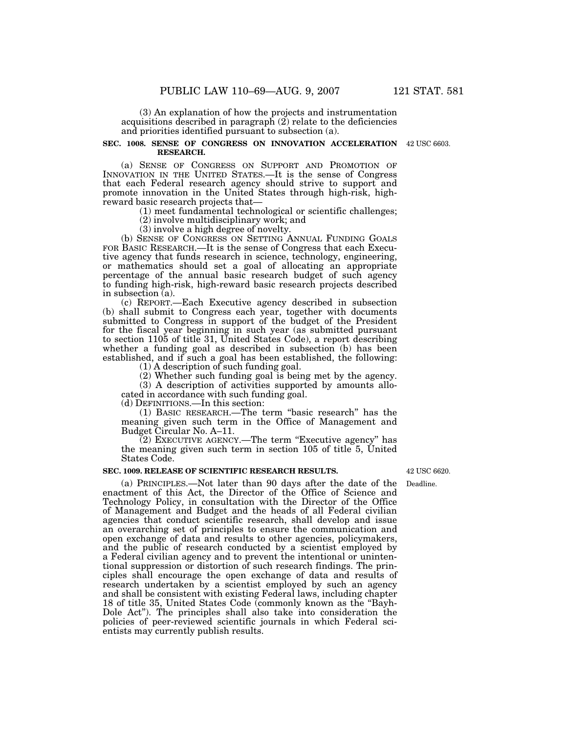(3) An explanation of how the projects and instrumentation acquisitions described in paragraph (2) relate to the deficiencies and priorities identified pursuant to subsection (a).

### **SEC. 1008. SENSE OF CONGRESS ON INNOVATION ACCELERATION**  42 USC 6603. **RESEARCH.**

(a) SENSE OF CONGRESS ON SUPPORT AND PROMOTION OF INNOVATION IN THE UNITED STATES.—It is the sense of Congress that each Federal research agency should strive to support and promote innovation in the United States through high-risk, highreward basic research projects that—

(1) meet fundamental technological or scientific challenges;

(2) involve multidisciplinary work; and

(3) involve a high degree of novelty.

(b) SENSE OF CONGRESS ON SETTING ANNUAL FUNDING GOALS FOR BASIC RESEARCH.—It is the sense of Congress that each Executive agency that funds research in science, technology, engineering, or mathematics should set a goal of allocating an appropriate percentage of the annual basic research budget of such agency to funding high-risk, high-reward basic research projects described in subsection (a).

(c) REPORT.—Each Executive agency described in subsection (b) shall submit to Congress each year, together with documents submitted to Congress in support of the budget of the President for the fiscal year beginning in such year (as submitted pursuant to section 1105 of title 31, United States Code), a report describing whether a funding goal as described in subsection (b) has been established, and if such a goal has been established, the following:

(1) A description of such funding goal.

(2) Whether such funding goal is being met by the agency.

(3) A description of activities supported by amounts allocated in accordance with such funding goal.

(d) DEFINITIONS.—In this section:

(1) BASIC RESEARCH.—The term ''basic research'' has the meaning given such term in the Office of Management and Budget Circular No. A–11.

 $(2)$  EXECUTIVE AGENCY.—The term "Executive agency" has the meaning given such term in section 105 of title 5, United States Code.

### **SEC. 1009. RELEASE OF SCIENTIFIC RESEARCH RESULTS.**

(a) PRINCIPLES.—Not later than 90 days after the date of the enactment of this Act, the Director of the Office of Science and Technology Policy, in consultation with the Director of the Office of Management and Budget and the heads of all Federal civilian agencies that conduct scientific research, shall develop and issue an overarching set of principles to ensure the communication and open exchange of data and results to other agencies, policymakers, and the public of research conducted by a scientist employed by a Federal civilian agency and to prevent the intentional or unintentional suppression or distortion of such research findings. The principles shall encourage the open exchange of data and results of research undertaken by a scientist employed by such an agency and shall be consistent with existing Federal laws, including chapter 18 of title 35, United States Code (commonly known as the ''Bayh-Dole Act''). The principles shall also take into consideration the policies of peer-reviewed scientific journals in which Federal scientists may currently publish results.

42 USC 6620.

Deadline.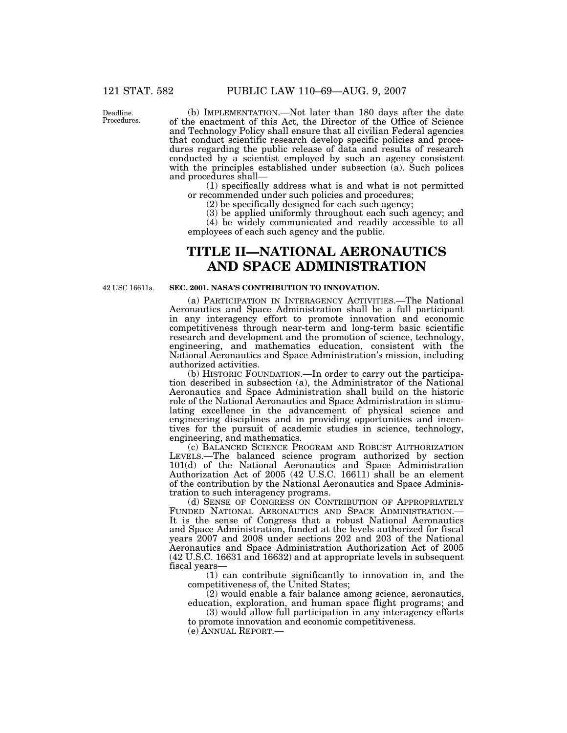Deadline. Procedures.

(b) IMPLEMENTATION.—Not later than 180 days after the date of the enactment of this Act, the Director of the Office of Science and Technology Policy shall ensure that all civilian Federal agencies that conduct scientific research develop specific policies and procedures regarding the public release of data and results of research conducted by a scientist employed by such an agency consistent with the principles established under subsection (a). Such polices and procedures shall—

(1) specifically address what is and what is not permitted or recommended under such policies and procedures;

(2) be specifically designed for each such agency;

(3) be applied uniformly throughout each such agency; and

(4) be widely communicated and readily accessible to all employees of each such agency and the public.

# **TITLE II—NATIONAL AERONAUTICS AND SPACE ADMINISTRATION**

42 USC 16611a.

### **SEC. 2001. NASA'S CONTRIBUTION TO INNOVATION.**

(a) PARTICIPATION IN INTERAGENCY ACTIVITIES.—The National Aeronautics and Space Administration shall be a full participant in any interagency effort to promote innovation and economic competitiveness through near-term and long-term basic scientific research and development and the promotion of science, technology, engineering, and mathematics education, consistent with the National Aeronautics and Space Administration's mission, including authorized activities.

(b) HISTORIC FOUNDATION.—In order to carry out the participation described in subsection (a), the Administrator of the National Aeronautics and Space Administration shall build on the historic role of the National Aeronautics and Space Administration in stimulating excellence in the advancement of physical science and engineering disciplines and in providing opportunities and incentives for the pursuit of academic studies in science, technology, engineering, and mathematics.

(c) BALANCED SCIENCE PROGRAM AND ROBUST AUTHORIZATION LEVELS.—The balanced science program authorized by section 101(d) of the National Aeronautics and Space Administration Authorization Act of 2005 (42 U.S.C. 16611) shall be an element of the contribution by the National Aeronautics and Space Administration to such interagency programs.

(d) SENSE OF CONGRESS ON CONTRIBUTION OF APPROPRIATELY FUNDED NATIONAL AERONAUTICS AND SPACE ADMINISTRATION.— It is the sense of Congress that a robust National Aeronautics and Space Administration, funded at the levels authorized for fiscal years 2007 and 2008 under sections 202 and 203 of the National Aeronautics and Space Administration Authorization Act of 2005 (42 U.S.C. 16631 and 16632) and at appropriate levels in subsequent fiscal years—

(1) can contribute significantly to innovation in, and the competitiveness of, the United States;

(2) would enable a fair balance among science, aeronautics, education, exploration, and human space flight programs; and

(3) would allow full participation in any interagency efforts to promote innovation and economic competitiveness.

(e) ANNUAL REPORT.—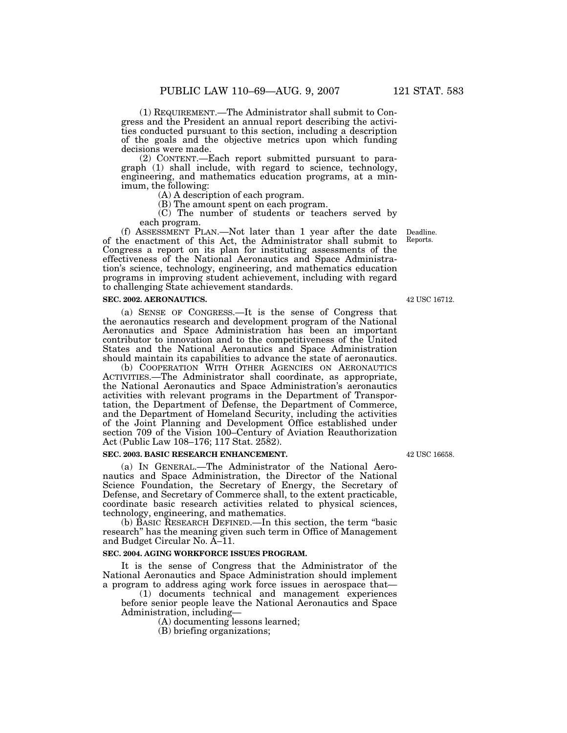(1) REQUIREMENT.—The Administrator shall submit to Congress and the President an annual report describing the activities conducted pursuant to this section, including a description of the goals and the objective metrics upon which funding decisions were made.

(2) CONTENT.—Each report submitted pursuant to paragraph (1) shall include, with regard to science, technology, engineering, and mathematics education programs, at a minimum, the following:

(A) A description of each program.

(B) The amount spent on each program.

(C) The number of students or teachers served by each program.

(f) ASSESSMENT PLAN.—Not later than 1 year after the date of the enactment of this Act, the Administrator shall submit to Congress a report on its plan for instituting assessments of the effectiveness of the National Aeronautics and Space Administration's science, technology, engineering, and mathematics education programs in improving student achievement, including with regard to challenging State achievement standards.

### **SEC. 2002. AERONAUTICS.**

(a) SENSE OF CONGRESS.—It is the sense of Congress that the aeronautics research and development program of the National Aeronautics and Space Administration has been an important contributor to innovation and to the competitiveness of the United States and the National Aeronautics and Space Administration should maintain its capabilities to advance the state of aeronautics.

(b) COOPERATION WITH OTHER AGENCIES ON AERONAUTICS ACTIVITIES.—The Administrator shall coordinate, as appropriate, the National Aeronautics and Space Administration's aeronautics activities with relevant programs in the Department of Transportation, the Department of Defense, the Department of Commerce, and the Department of Homeland Security, including the activities of the Joint Planning and Development Office established under section 709 of the Vision 100–Century of Aviation Reauthorization Act (Public Law 108–176; 117 Stat. 2582).

### **SEC. 2003. BASIC RESEARCH ENHANCEMENT.**

(a) IN GENERAL.—The Administrator of the National Aeronautics and Space Administration, the Director of the National Science Foundation, the Secretary of Energy, the Secretary of Defense, and Secretary of Commerce shall, to the extent practicable, coordinate basic research activities related to physical sciences, technology, engineering, and mathematics.

(b) BASIC RESEARCH DEFINED.—In this section, the term ''basic research'' has the meaning given such term in Office of Management and Budget Circular No. A–11.

### **SEC. 2004. AGING WORKFORCE ISSUES PROGRAM.**

It is the sense of Congress that the Administrator of the National Aeronautics and Space Administration should implement a program to address aging work force issues in aerospace that—

(1) documents technical and management experiences before senior people leave the National Aeronautics and Space Administration, including—

(A) documenting lessons learned;

(B) briefing organizations;

Deadline. Reports.

42 USC 16712.

42 USC 16658.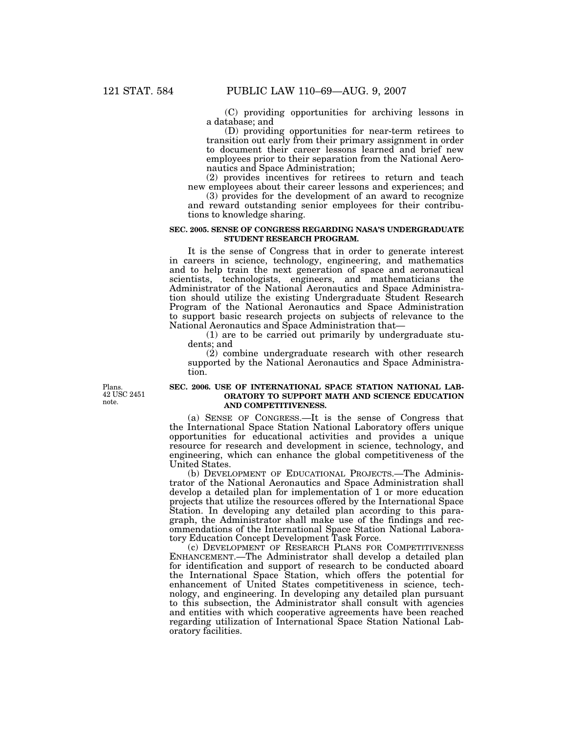(C) providing opportunities for archiving lessons in a database; and

(D) providing opportunities for near-term retirees to transition out early from their primary assignment in order to document their career lessons learned and brief new employees prior to their separation from the National Aeronautics and Space Administration;

(2) provides incentives for retirees to return and teach new employees about their career lessons and experiences; and

(3) provides for the development of an award to recognize and reward outstanding senior employees for their contributions to knowledge sharing.

### **SEC. 2005. SENSE OF CONGRESS REGARDING NASA'S UNDERGRADUATE STUDENT RESEARCH PROGRAM.**

It is the sense of Congress that in order to generate interest in careers in science, technology, engineering, and mathematics and to help train the next generation of space and aeronautical scientists, technologists, engineers, and mathematicians the Administrator of the National Aeronautics and Space Administration should utilize the existing Undergraduate Student Research Program of the National Aeronautics and Space Administration to support basic research projects on subjects of relevance to the National Aeronautics and Space Administration that—

(1) are to be carried out primarily by undergraduate students; and

(2) combine undergraduate research with other research supported by the National Aeronautics and Space Administration.

Plans. 42 USC 2451 note.

### **SEC. 2006. USE OF INTERNATIONAL SPACE STATION NATIONAL LAB-ORATORY TO SUPPORT MATH AND SCIENCE EDUCATION AND COMPETITIVENESS.**

(a) SENSE OF CONGRESS.—It is the sense of Congress that the International Space Station National Laboratory offers unique opportunities for educational activities and provides a unique resource for research and development in science, technology, and engineering, which can enhance the global competitiveness of the United States.

(b) DEVELOPMENT OF EDUCATIONAL PROJECTS.—The Administrator of the National Aeronautics and Space Administration shall develop a detailed plan for implementation of 1 or more education projects that utilize the resources offered by the International Space Station. In developing any detailed plan according to this paragraph, the Administrator shall make use of the findings and recommendations of the International Space Station National Laboratory Education Concept Development Task Force.

(c) DEVELOPMENT OF RESEARCH PLANS FOR COMPETITIVENESS ENHANCEMENT.—The Administrator shall develop a detailed plan for identification and support of research to be conducted aboard the International Space Station, which offers the potential for enhancement of United States competitiveness in science, technology, and engineering. In developing any detailed plan pursuant to this subsection, the Administrator shall consult with agencies and entities with which cooperative agreements have been reached regarding utilization of International Space Station National Laboratory facilities.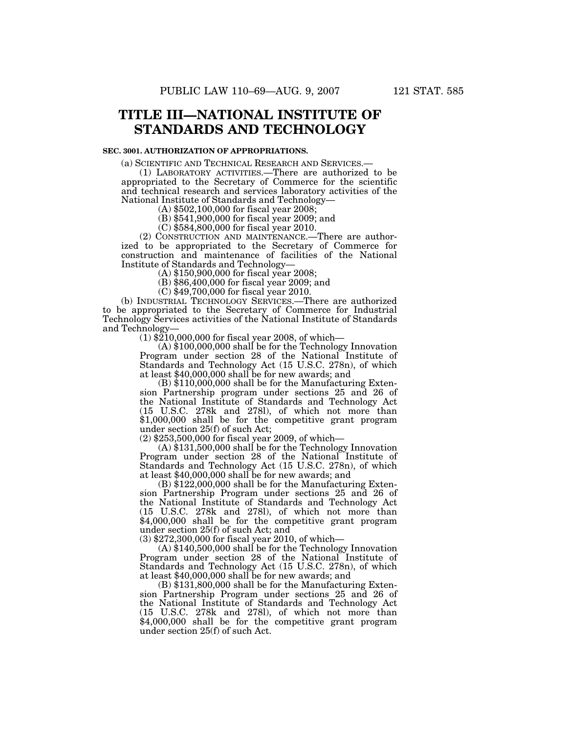# **TITLE III—NATIONAL INSTITUTE OF STANDARDS AND TECHNOLOGY**

### **SEC. 3001. AUTHORIZATION OF APPROPRIATIONS.**

(a) SCIENTIFIC AND TECHNICAL RESEARCH AND SERVICES.— (1) LABORATORY ACTIVITIES.—There are authorized to be appropriated to the Secretary of Commerce for the scientific and technical research and services laboratory activities of the National Institute of Standards and Technology— (A) \$502,100,000 for fiscal year 2008;

(B) \$541,900,000 for fiscal year 2009; and

(C) \$584,800,000 for fiscal year 2010.

(2) CONSTRUCTION AND MAINTENANCE.—There are authorized to be appropriated to the Secretary of Commerce for construction and maintenance of facilities of the National Institute of Standards and Technology—

 $(A)$  \$150,900,000 for fiscal year 2008;

(B) \$86,400,000 for fiscal year 2009; and

(C) \$49,700,000 for fiscal year 2010.

(b) INDUSTRIAL TECHNOLOGY SERVICES.—There are authorized to be appropriated to the Secretary of Commerce for Industrial Technology Services activities of the National Institute of Standards<br>and Technology and Technology— (1) \$210,000,000 for fiscal year 2008, of which— (A) \$100,000,000 shall be for the Technology Innovation

Program under section 28 of the National Institute of Standards and Technology Act (15 U.S.C. 278n), of which at least \$40,000,000 shall be for new awards; and (B) \$110,000,000 shall be for the Manufacturing Exten-

sion Partnership program under sections 25 and 26 of the National Institute of Standards and Technology Act (15 U.S.C. 278k and 278l), of which not more than \$1,000,000 shall be for the competitive grant program under section 25(f) of such Act;

(2) \$253,500,000 for fiscal year 2009, of which— (A) \$131,500,000 shall be for the Technology Innovation Program under section 28 of the National Institute of Standards and Technology Act (15 U.S.C. 278n), of which at least \$40,000,000 shall be for new awards; and (B) \$122,000,000 shall be for the Manufacturing Exten-

sion Partnership Program under sections 25 and 26 of the National Institute of Standards and Technology Act (15 U.S.C. 278k and 278l), of which not more than \$4,000,000 shall be for the competitive grant program under section 25(f) of such Act; and<br>(3)  $$272,300,000$  for fiscal year 2010, of which—

 $(A)$  \$140,500,000 shall be for the Technology Innovation Program under section 28 of the National Institute of Standards and Technology Act (15 U.S.C. 278n), of which

 $\overline{(B)}$  \$131,800,000 shall be for the Manufacturing Extension Partnership Program under sections 25 and 26 of the National Institute of Standards and Technology Act (15 U.S.C. 278k and 278l), of which not more than \$4,000,000 shall be for the competitive grant program under section 25(f) of such Act.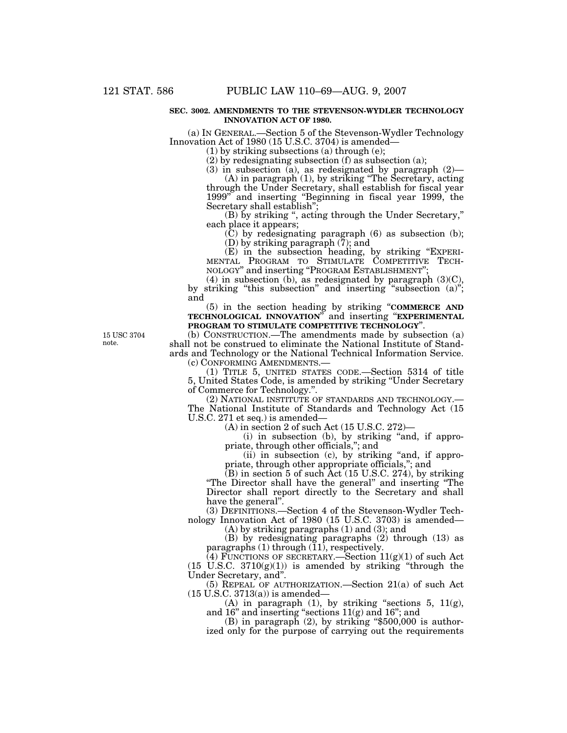### **SEC. 3002. AMENDMENTS TO THE STEVENSON-WYDLER TECHNOLOGY INNOVATION ACT OF 1980.**

(a) IN GENERAL.—Section 5 of the Stevenson-Wydler Technology Innovation Act of 1980 (15 U.S.C. 3704) is amended—

(1) by striking subsections (a) through (e);

(2) by redesignating subsection (f) as subsection (a);

(3) in subsection (a), as redesignated by paragraph (2)—

(A) in paragraph (1), by striking ''The Secretary, acting through the Under Secretary, shall establish for fiscal year 1999'' and inserting ''Beginning in fiscal year 1999, the Secretary shall establish";

(B) by striking '', acting through the Under Secretary,'' each place it appears;

 $(C)$  by redesignating paragraph  $(6)$  as subsection  $(b)$ ; (D) by striking paragraph  $(7)$ ; and

(E) in the subsection heading, by striking "EXPERI-MENTAL PROGRAM TO STIMULATE COMPETITIVE TECH-NOLOGY" and inserting "PROGRAM ESTABLISHMENT";

 $(4)$  in subsection (b), as redesignated by paragraph  $(3)(C)$ , by striking "this subsection" and inserting "subsection (a)"; and

(5) in the section heading by striking ''**COMMERCE AND TECHNOLOGICAL INNOVATION**'' and inserting ''**EXPERIMENTAL PROGRAM TO STIMULATE COMPETITIVE TECHNOLOGY**''.

15 USC 3704 note.

(b) CONSTRUCTION.—The amendments made by subsection (a) shall not be construed to eliminate the National Institute of Standards and Technology or the National Technical Information Service.

(c) CONFORMING AMENDMENTS.—

(1) TITLE 5, UNITED STATES CODE.—Section 5314 of title 5, United States Code, is amended by striking ''Under Secretary of Commerce for Technology.''.

(2) NATIONAL INSTITUTE OF STANDARDS AND TECHNOLOGY.— The National Institute of Standards and Technology Act (15 U.S.C. 271 et seq.) is amended—

(A) in section 2 of such Act (15 U.S.C. 272)—

(i) in subsection (b), by striking ''and, if appropriate, through other officials,''; and

(ii) in subsection (c), by striking "and, if appropriate, through other appropriate officials,''; and

(B) in section 5 of such Act (15 U.S.C. 274), by striking ''The Director shall have the general'' and inserting ''The Director shall report directly to the Secretary and shall have the general''.

(3) DEFINITIONS.—Section 4 of the Stevenson-Wydler Technology Innovation Act of 1980 (15 U.S.C. 3703) is amended—

(A) by striking paragraphs (1) and (3); and

(B) by redesignating paragraphs (2) through (13) as paragraphs (1) through (11), respectively.

(4) FUNCTIONS OF SECRETARY.—Section  $11(g)(1)$  of such Act  $(15 \text{ U.S.C. } 3710(g)(1))$  is amended by striking "through the Under Secretary, and''.

(5) REPEAL OF AUTHORIZATION.—Section 21(a) of such Act  $(15$  U.S.C. 3713 $(a)$ ) is amended—

(A) in paragraph (1), by striking "sections 5,  $11(g)$ , and 16'' and inserting ''sections 11(g) and 16''; and

(B) in paragraph  $(2)$ , by striking "\$500,000 is authorized only for the purpose of carrying out the requirements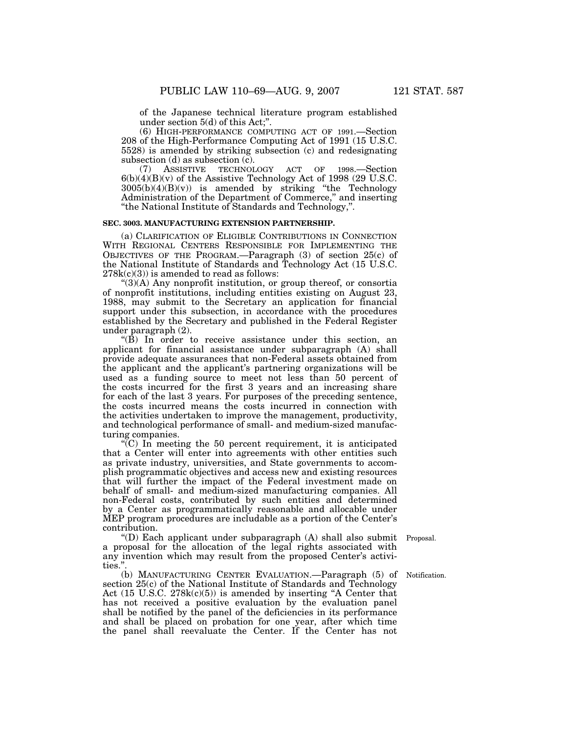of the Japanese technical literature program established under section 5(d) of this Act;''.

(6) HIGH-PERFORMANCE COMPUTING ACT OF 1991.—Section 208 of the High-Performance Computing Act of 1991 (15 U.S.C. 5528) is amended by striking subsection (c) and redesignating subsection (d) as subsection (c).<br>(7) ASSISTIVE TECHNOI

(7) ASSISTIVE TECHNOLOGY ACT OF 1998.—Section 6(b)(4)(B)(v) of the Assistive Technology Act of 1998 (29 U.S.C.  $3005(b)(4)(B)(v)$  is amended by striking "the Technology Administration of the Department of Commerce," and inserting ''the National Institute of Standards and Technology,''.

### **SEC. 3003. MANUFACTURING EXTENSION PARTNERSHIP.**

(a) CLARIFICATION OF ELIGIBLE CONTRIBUTIONS IN CONNECTION WITH REGIONAL CENTERS RESPONSIBLE FOR IMPLEMENTING THE OBJECTIVES OF THE PROGRAM.—Paragraph (3) of section 25(c) of the National Institute of Standards and Technology Act (15 U.S.C.  $278k(c)(3)$  is amended to read as follows:

''(3)(A) Any nonprofit institution, or group thereof, or consortia of nonprofit institutions, including entities existing on August 23, 1988, may submit to the Secretary an application for financial support under this subsection, in accordance with the procedures established by the Secretary and published in the Federal Register under paragraph (2).

" $(\hat{B})$  In order to receive assistance under this section, an applicant for financial assistance under subparagraph (A) shall provide adequate assurances that non-Federal assets obtained from the applicant and the applicant's partnering organizations will be used as a funding source to meet not less than 50 percent of the costs incurred for the first 3 years and an increasing share for each of the last 3 years. For purposes of the preceding sentence, the costs incurred means the costs incurred in connection with the activities undertaken to improve the management, productivity, and technological performance of small- and medium-sized manufacturing companies.

 $(C)$  In meeting the 50 percent requirement, it is anticipated that a Center will enter into agreements with other entities such as private industry, universities, and State governments to accomplish programmatic objectives and access new and existing resources that will further the impact of the Federal investment made on behalf of small- and medium-sized manufacturing companies. All non-Federal costs, contributed by such entities and determined by a Center as programmatically reasonable and allocable under MEP program procedures are includable as a portion of the Center's contribution.

''(D) Each applicant under subparagraph (A) shall also submit Proposal. a proposal for the allocation of the legal rights associated with any invention which may result from the proposed Center's activities."

(b) MANUFACTURING CENTER EVALUATION.—Paragraph (5) of Notification. section 25(c) of the National Institute of Standards and Technology Act (15 U.S.C. 278k(c)(5)) is amended by inserting "A Center that has not received a positive evaluation by the evaluation panel shall be notified by the panel of the deficiencies in its performance and shall be placed on probation for one year, after which time the panel shall reevaluate the Center. If the Center has not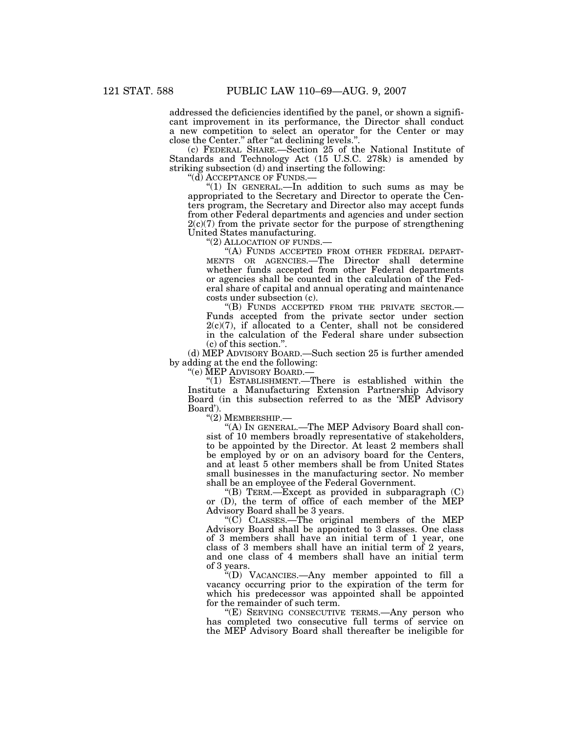addressed the deficiencies identified by the panel, or shown a significant improvement in its performance, the Director shall conduct a new competition to select an operator for the Center or may close the Center.'' after ''at declining levels.''.

(c) FEDERAL SHARE.—Section 25 of the National Institute of Standards and Technology Act (15 U.S.C. 278k) is amended by striking subsection (d) and inserting the following:<br>"(d) ACCEPTANCE OF FUNDS.—

"(1) IN GENERAL.—In addition to such sums as may be appropriated to the Secretary and Director to operate the Centers program, the Secretary and Director also may accept funds from other Federal departments and agencies and under section  $2(c)(7)$  from the private sector for the purpose of strengthening United States manufacturing.<br>
"(2) ALLOCATION OF FUNDS.

"(A) FUNDS ACCEPTED FROM OTHER FEDERAL DEPART-MENTS OR AGENCIES.—The Director shall determine whether funds accepted from other Federal departments or agencies shall be counted in the calculation of the Federal share of capital and annual operating and maintenance costs under subsection (c).

''(B) FUNDS ACCEPTED FROM THE PRIVATE SECTOR.— Funds accepted from the private sector under section  $2(c)(7)$ , if allocated to a Center, shall not be considered in the calculation of the Federal share under subsection (c) of this section.''.

(d) MEP ADVISORY BOARD.—Such section 25 is further amended by adding at the end the following:

''(e) MEP ADVISORY BOARD.—

''(1) ESTABLISHMENT.—There is established within the Institute a Manufacturing Extension Partnership Advisory Board (in this subsection referred to as the 'MEP Advisory Board').

''(2) MEMBERSHIP.—

''(A) IN GENERAL.—The MEP Advisory Board shall consist of 10 members broadly representative of stakeholders, to be appointed by the Director. At least 2 members shall be employed by or on an advisory board for the Centers, and at least 5 other members shall be from United States small businesses in the manufacturing sector. No member shall be an employee of the Federal Government.

"(B) TERM.—Except as provided in subparagraph  $(C)$ or (D), the term of office of each member of the MEP Advisory Board shall be 3 years.

''(C) CLASSES.—The original members of the MEP Advisory Board shall be appointed to 3 classes. One class of 3 members shall have an initial term of 1 year, one class of 3 members shall have an initial term of 2 years, and one class of 4 members shall have an initial term of 3 years.

''(D) VACANCIES.—Any member appointed to fill a vacancy occurring prior to the expiration of the term for which his predecessor was appointed shall be appointed for the remainder of such term.

"(E) SERVING CONSECUTIVE TERMS.—Any person who has completed two consecutive full terms of service on the MEP Advisory Board shall thereafter be ineligible for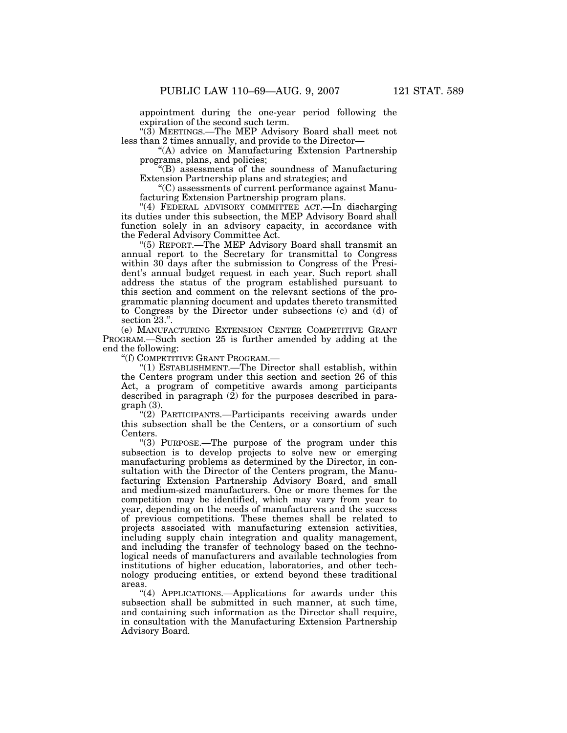appointment during the one-year period following the expiration of the second such term.

''(3) MEETINGS.—The MEP Advisory Board shall meet not less than 2 times annually, and provide to the Director—

''(A) advice on Manufacturing Extension Partnership programs, plans, and policies;

''(B) assessments of the soundness of Manufacturing Extension Partnership plans and strategies; and

''(C) assessments of current performance against Manufacturing Extension Partnership program plans.

"(4) FEDERAL ADVISORY COMMITTEE ACT.—In discharging its duties under this subsection, the MEP Advisory Board shall function solely in an advisory capacity, in accordance with the Federal Advisory Committee Act.

''(5) REPORT.—The MEP Advisory Board shall transmit an annual report to the Secretary for transmittal to Congress within 30 days after the submission to Congress of the President's annual budget request in each year. Such report shall address the status of the program established pursuant to this section and comment on the relevant sections of the programmatic planning document and updates thereto transmitted to Congress by the Director under subsections (c) and (d) of section 23.''.

(e) MANUFACTURING EXTENSION CENTER COMPETITIVE GRANT PROGRAM.—Such section 25 is further amended by adding at the end the following:

''(f) COMPETITIVE GRANT PROGRAM.—

''(1) ESTABLISHMENT.—The Director shall establish, within the Centers program under this section and section 26 of this Act, a program of competitive awards among participants described in paragraph  $(2)$  for the purposes described in paragraph (3).

''(2) PARTICIPANTS.—Participants receiving awards under this subsection shall be the Centers, or a consortium of such Centers.

''(3) PURPOSE.—The purpose of the program under this subsection is to develop projects to solve new or emerging manufacturing problems as determined by the Director, in consultation with the Director of the Centers program, the Manufacturing Extension Partnership Advisory Board, and small and medium-sized manufacturers. One or more themes for the competition may be identified, which may vary from year to year, depending on the needs of manufacturers and the success of previous competitions. These themes shall be related to projects associated with manufacturing extension activities, including supply chain integration and quality management, and including the transfer of technology based on the technological needs of manufacturers and available technologies from institutions of higher education, laboratories, and other technology producing entities, or extend beyond these traditional areas.

''(4) APPLICATIONS.—Applications for awards under this subsection shall be submitted in such manner, at such time, and containing such information as the Director shall require, in consultation with the Manufacturing Extension Partnership Advisory Board.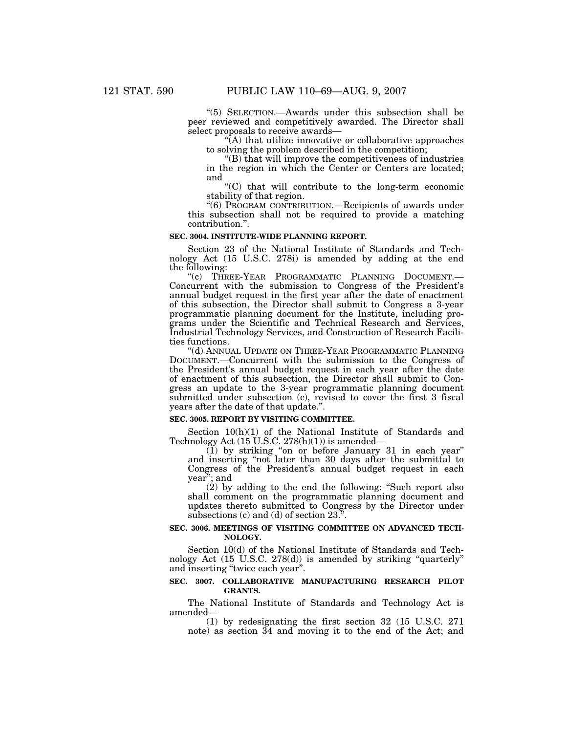''(5) SELECTION.—Awards under this subsection shall be peer reviewed and competitively awarded. The Director shall select proposals to receive awards—

 $\hat{A}$ ) that utilize innovative or collaborative approaches to solving the problem described in the competition;

''(B) that will improve the competitiveness of industries in the region in which the Center or Centers are located; and

''(C) that will contribute to the long-term economic stability of that region.

''(6) PROGRAM CONTRIBUTION.—Recipients of awards under this subsection shall not be required to provide a matching contribution.''.

### **SEC. 3004. INSTITUTE-WIDE PLANNING REPORT.**

Section 23 of the National Institute of Standards and Technology Act (15 U.S.C. 278i) is amended by adding at the end the following:

"(c) THREE-YEAR PROGRAMMATIC PLANNING DOCUMENT. Concurrent with the submission to Congress of the President's annual budget request in the first year after the date of enactment of this subsection, the Director shall submit to Congress a 3-year programmatic planning document for the Institute, including programs under the Scientific and Technical Research and Services, Industrial Technology Services, and Construction of Research Facilities functions.

''(d) ANNUAL UPDATE ON THREE-YEAR PROGRAMMATIC PLANNING DOCUMENT.—Concurrent with the submission to the Congress of the President's annual budget request in each year after the date of enactment of this subsection, the Director shall submit to Congress an update to the 3-year programmatic planning document submitted under subsection (c), revised to cover the first 3 fiscal years after the date of that update.''.

### **SEC. 3005. REPORT BY VISITING COMMITTEE.**

Section 10(h)(1) of the National Institute of Standards and Technology Act (15 U.S.C. 278(h)(1)) is amended—

(1) by striking ''on or before January 31 in each year'' and inserting ''not later than 30 days after the submittal to Congress of the President's annual budget request in each year''; and

(2) by adding to the end the following: ''Such report also shall comment on the programmatic planning document and updates thereto submitted to Congress by the Director under subsections (c) and (d) of section 23.''.

### **SEC. 3006. MEETINGS OF VISITING COMMITTEE ON ADVANCED TECH-NOLOGY.**

Section 10(d) of the National Institute of Standards and Technology Act (15 U.S.C. 278(d)) is amended by striking ''quarterly'' and inserting ''twice each year''.

### **SEC. 3007. COLLABORATIVE MANUFACTURING RESEARCH PILOT GRANTS.**

The National Institute of Standards and Technology Act is amended—

(1) by redesignating the first section 32 (15 U.S.C. 271 note) as section 34 and moving it to the end of the Act; and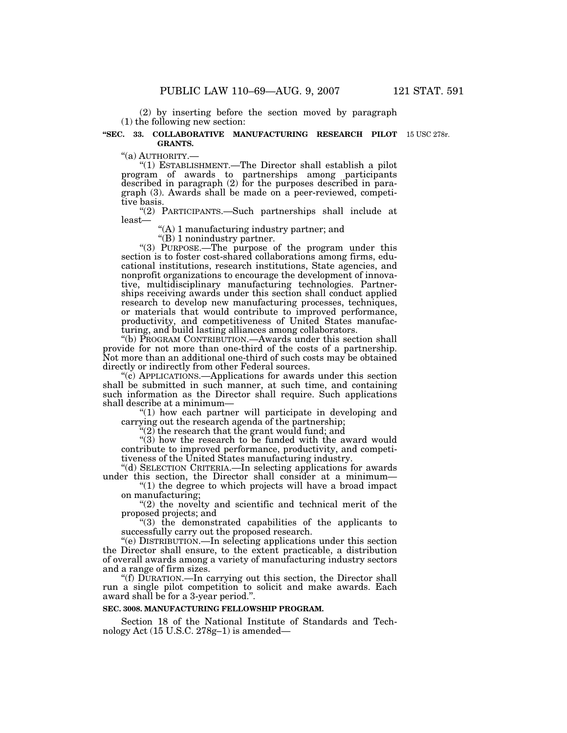(2) by inserting before the section moved by paragraph (1) the following new section:

### **''SEC. 33. COLLABORATIVE MANUFACTURING RESEARCH PILOT**  15 USC 278r. **GRANTS.**

''(a) AUTHORITY.— ''(1) ESTABLISHMENT.—The Director shall establish a pilot program of awards to partnerships among participants described in paragraph (2) for the purposes described in paragraph (3). Awards shall be made on a peer-reviewed, competitive basis.

''(2) PARTICIPANTS.—Such partnerships shall include at least—

''(A) 1 manufacturing industry partner; and

"(B) 1 nonindustry partner.

"(3) PURPOSE.—The purpose of the program under this section is to foster cost-shared collaborations among firms, educational institutions, research institutions, State agencies, and nonprofit organizations to encourage the development of innovative, multidisciplinary manufacturing technologies. Partnerships receiving awards under this section shall conduct applied research to develop new manufacturing processes, techniques, or materials that would contribute to improved performance, productivity, and competitiveness of United States manufacturing, and build lasting alliances among collaborators.

''(b) PROGRAM CONTRIBUTION.—Awards under this section shall provide for not more than one-third of the costs of a partnership. Not more than an additional one-third of such costs may be obtained directly or indirectly from other Federal sources.

''(c) APPLICATIONS.—Applications for awards under this section shall be submitted in such manner, at such time, and containing such information as the Director shall require. Such applications shall describe at a minimum—

"(1) how each partner will participate in developing and carrying out the research agenda of the partnership;

" $(2)$  the research that the grant would fund; and

" $(3)$  how the research to be funded with the award would contribute to improved performance, productivity, and competitiveness of the United States manufacturing industry.

''(d) SELECTION CRITERIA.—In selecting applications for awards under this section, the Director shall consider at a minimum—

''(1) the degree to which projects will have a broad impact on manufacturing;

"(2) the novelty and scientific and technical merit of the proposed projects; and

''(3) the demonstrated capabilities of the applicants to successfully carry out the proposed research.

''(e) DISTRIBUTION.—In selecting applications under this section the Director shall ensure, to the extent practicable, a distribution of overall awards among a variety of manufacturing industry sectors and a range of firm sizes.

''(f) DURATION.—In carrying out this section, the Director shall run a single pilot competition to solicit and make awards. Each award shall be for a 3-year period.''.

### **SEC. 3008. MANUFACTURING FELLOWSHIP PROGRAM.**

Section 18 of the National Institute of Standards and Technology Act (15 U.S.C. 278g–1) is amended—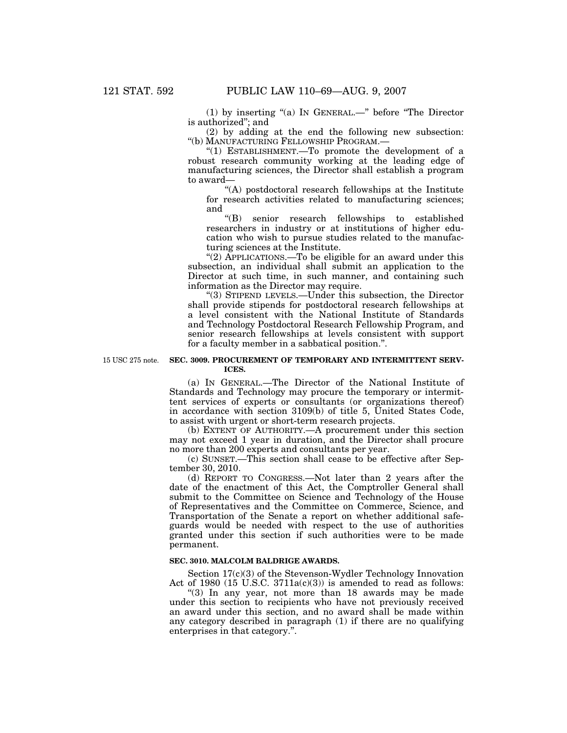(1) by inserting ''(a) IN GENERAL.—'' before ''The Director is authorized''; and

(2) by adding at the end the following new subsection: ''(b) MANUFACTURING FELLOWSHIP PROGRAM.—

''(1) ESTABLISHMENT.—To promote the development of a robust research community working at the leading edge of manufacturing sciences, the Director shall establish a program to award—

"(A) postdoctoral research fellowships at the Institute for research activities related to manufacturing sciences; and

''(B) senior research fellowships to established researchers in industry or at institutions of higher education who wish to pursue studies related to the manufacturing sciences at the Institute.

"(2) APPLICATIONS.—To be eligible for an award under this subsection, an individual shall submit an application to the Director at such time, in such manner, and containing such information as the Director may require.

''(3) STIPEND LEVELS.—Under this subsection, the Director shall provide stipends for postdoctoral research fellowships at a level consistent with the National Institute of Standards and Technology Postdoctoral Research Fellowship Program, and senior research fellowships at levels consistent with support for a faculty member in a sabbatical position.''.

15 USC 275 note.

### **SEC. 3009. PROCUREMENT OF TEMPORARY AND INTERMITTENT SERV-ICES.**

(a) IN GENERAL.—The Director of the National Institute of Standards and Technology may procure the temporary or intermittent services of experts or consultants (or organizations thereof) in accordance with section 3109(b) of title 5, United States Code, to assist with urgent or short-term research projects.

(b) EXTENT OF AUTHORITY.—A procurement under this section may not exceed 1 year in duration, and the Director shall procure no more than 200 experts and consultants per year.

(c) SUNSET.—This section shall cease to be effective after September 30, 2010.

(d) REPORT TO CONGRESS.—Not later than 2 years after the date of the enactment of this Act, the Comptroller General shall submit to the Committee on Science and Technology of the House of Representatives and the Committee on Commerce, Science, and Transportation of the Senate a report on whether additional safeguards would be needed with respect to the use of authorities granted under this section if such authorities were to be made permanent.

### **SEC. 3010. MALCOLM BALDRIGE AWARDS.**

Section 17(c)(3) of the Stevenson-Wydler Technology Innovation Act of 1980 (15 U.S.C.  $3711a(c)(3)$ ) is amended to read as follows:

''(3) In any year, not more than 18 awards may be made under this section to recipients who have not previously received an award under this section, and no award shall be made within any category described in paragraph (1) if there are no qualifying enterprises in that category.''.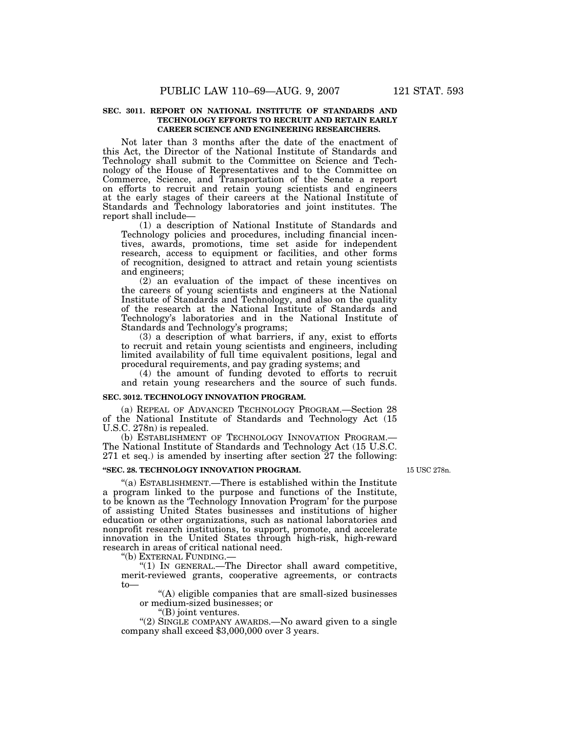### **SEC. 3011. REPORT ON NATIONAL INSTITUTE OF STANDARDS AND TECHNOLOGY EFFORTS TO RECRUIT AND RETAIN EARLY CAREER SCIENCE AND ENGINEERING RESEARCHERS.**

Not later than 3 months after the date of the enactment of this Act, the Director of the National Institute of Standards and Technology shall submit to the Committee on Science and Technology of the House of Representatives and to the Committee on Commerce, Science, and Transportation of the Senate a report on efforts to recruit and retain young scientists and engineers at the early stages of their careers at the National Institute of Standards and Technology laboratories and joint institutes. The report shall include—

(1) a description of National Institute of Standards and Technology policies and procedures, including financial incentives, awards, promotions, time set aside for independent research, access to equipment or facilities, and other forms of recognition, designed to attract and retain young scientists and engineers;

(2) an evaluation of the impact of these incentives on the careers of young scientists and engineers at the National Institute of Standards and Technology, and also on the quality of the research at the National Institute of Standards and Technology's laboratories and in the National Institute of Standards and Technology's programs;

(3) a description of what barriers, if any, exist to efforts to recruit and retain young scientists and engineers, including limited availability of full time equivalent positions, legal and procedural requirements, and pay grading systems; and

(4) the amount of funding devoted to efforts to recruit and retain young researchers and the source of such funds.

### **SEC. 3012. TECHNOLOGY INNOVATION PROGRAM.**

(a) REPEAL OF ADVANCED TECHNOLOGY PROGRAM.—Section 28 of the National Institute of Standards and Technology Act (15 U.S.C. 278n) is repealed.

(b) ESTABLISHMENT OF TECHNOLOGY INNOVATION PROGRAM.— The National Institute of Standards and Technology Act (15 U.S.C. 271 et seq.) is amended by inserting after section 27 the following:

### **''SEC. 28. TECHNOLOGY INNOVATION PROGRAM.**

"(a) ESTABLISHMENT.—There is established within the Institute a program linked to the purpose and functions of the Institute, to be known as the 'Technology Innovation Program' for the purpose of assisting United States businesses and institutions of higher education or other organizations, such as national laboratories and nonprofit research institutions, to support, promote, and accelerate innovation in the United States through high-risk, high-reward research in areas of critical national need.

''(b) EXTERNAL FUNDING.—

''(1) IN GENERAL.—The Director shall award competitive, merit-reviewed grants, cooperative agreements, or contracts to—

''(A) eligible companies that are small-sized businesses or medium-sized businesses; or

''(B) joint ventures.

''(2) SINGLE COMPANY AWARDS.—No award given to a single company shall exceed \$3,000,000 over 3 years.

15 USC 278n.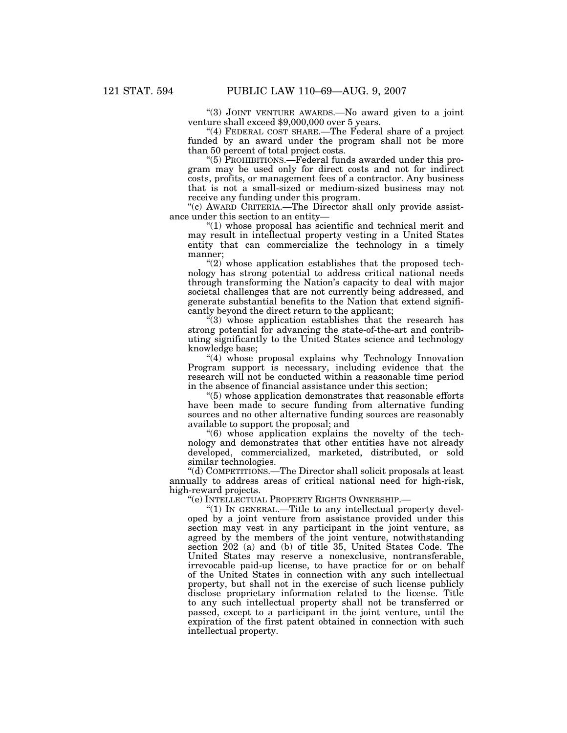''(3) JOINT VENTURE AWARDS.—No award given to a joint venture shall exceed \$9,000,000 over 5 years.

"(4) FEDERAL COST SHARE.—The Federal share of a project funded by an award under the program shall not be more than 50 percent of total project costs.

''(5) PROHIBITIONS.—Federal funds awarded under this program may be used only for direct costs and not for indirect costs, profits, or management fees of a contractor. Any business that is not a small-sized or medium-sized business may not receive any funding under this program.

''(c) AWARD CRITERIA.—The Director shall only provide assistance under this section to an entity—

''(1) whose proposal has scientific and technical merit and may result in intellectual property vesting in a United States entity that can commercialize the technology in a timely manner;

 $\degree$ (2) whose application establishes that the proposed technology has strong potential to address critical national needs through transforming the Nation's capacity to deal with major societal challenges that are not currently being addressed, and generate substantial benefits to the Nation that extend significantly beyond the direct return to the applicant;

 $(3)$  whose application establishes that the research has strong potential for advancing the state-of-the-art and contributing significantly to the United States science and technology knowledge base;

''(4) whose proposal explains why Technology Innovation Program support is necessary, including evidence that the research will not be conducted within a reasonable time period in the absence of financial assistance under this section;

 $(5)$  whose application demonstrates that reasonable efforts have been made to secure funding from alternative funding sources and no other alternative funding sources are reasonably available to support the proposal; and

''(6) whose application explains the novelty of the technology and demonstrates that other entities have not already developed, commercialized, marketed, distributed, or sold similar technologies.

''(d) COMPETITIONS.—The Director shall solicit proposals at least annually to address areas of critical national need for high-risk, high-reward projects.

''(e) INTELLECTUAL PROPERTY RIGHTS OWNERSHIP.—

''(1) IN GENERAL.—Title to any intellectual property developed by a joint venture from assistance provided under this section may vest in any participant in the joint venture, as agreed by the members of the joint venture, notwithstanding section 202 (a) and (b) of title 35, United States Code. The United States may reserve a nonexclusive, nontransferable, irrevocable paid-up license, to have practice for or on behalf of the United States in connection with any such intellectual property, but shall not in the exercise of such license publicly disclose proprietary information related to the license. Title to any such intellectual property shall not be transferred or passed, except to a participant in the joint venture, until the expiration of the first patent obtained in connection with such intellectual property.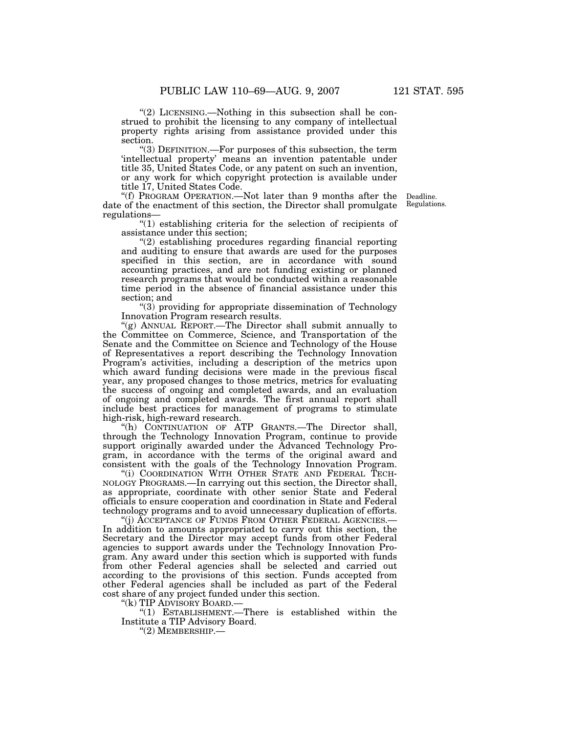"(2) LICENSING.—Nothing in this subsection shall be construed to prohibit the licensing to any company of intellectual property rights arising from assistance provided under this section.

''(3) DEFINITION.—For purposes of this subsection, the term 'intellectual property' means an invention patentable under title 35, United States Code, or any patent on such an invention, or any work for which copyright protection is available under title 17, United States Code.

''(f) PROGRAM OPERATION.—Not later than 9 months after the date of the enactment of this section, the Director shall promulgate regulations—

Deadline. Regulations.

''(1) establishing criteria for the selection of recipients of assistance under this section;

''(2) establishing procedures regarding financial reporting and auditing to ensure that awards are used for the purposes specified in this section, are in accordance with sound accounting practices, and are not funding existing or planned research programs that would be conducted within a reasonable time period in the absence of financial assistance under this section; and

''(3) providing for appropriate dissemination of Technology Innovation Program research results.

''(g) ANNUAL REPORT.—The Director shall submit annually to the Committee on Commerce, Science, and Transportation of the Senate and the Committee on Science and Technology of the House of Representatives a report describing the Technology Innovation Program's activities, including a description of the metrics upon which award funding decisions were made in the previous fiscal year, any proposed changes to those metrics, metrics for evaluating the success of ongoing and completed awards, and an evaluation of ongoing and completed awards. The first annual report shall include best practices for management of programs to stimulate high-risk, high-reward research.

"(h) CONTINUATION OF ATP GRANTS.—The Director shall, through the Technology Innovation Program, continue to provide support originally awarded under the Advanced Technology Program, in accordance with the terms of the original award and consistent with the goals of the Technology Innovation Program.

"(i) COORDINATION WITH OTHER STATE AND FEDERAL TECH-NOLOGY PROGRAMS.—In carrying out this section, the Director shall, as appropriate, coordinate with other senior State and Federal officials to ensure cooperation and coordination in State and Federal technology programs and to avoid unnecessary duplication of efforts.

''(j) ACCEPTANCE OF FUNDS FROM OTHER FEDERAL AGENCIES.— In addition to amounts appropriated to carry out this section, the Secretary and the Director may accept funds from other Federal agencies to support awards under the Technology Innovation Program. Any award under this section which is supported with funds from other Federal agencies shall be selected and carried out according to the provisions of this section. Funds accepted from other Federal agencies shall be included as part of the Federal cost share of any project funded under this section.

''(k) TIP ADVISORY BOARD.—

''(1) ESTABLISHMENT.—There is established within the Institute a TIP Advisory Board.

''(2) MEMBERSHIP.—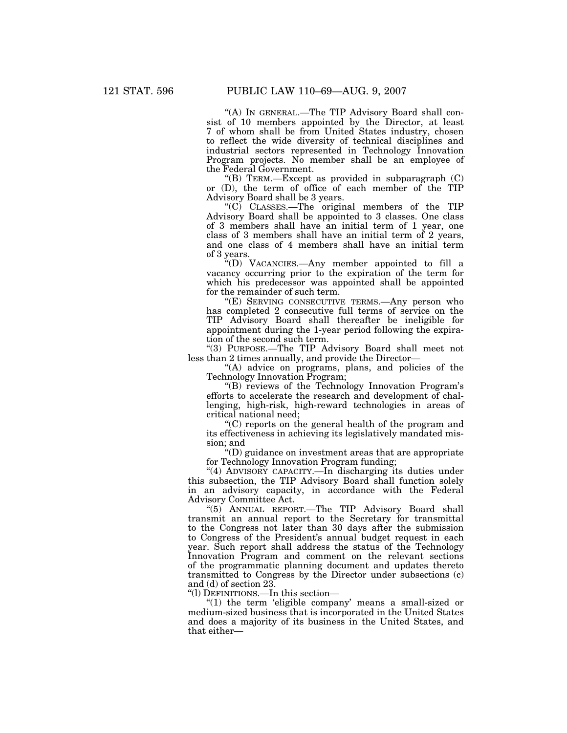"(A) IN GENERAL.—The TIP Advisory Board shall consist of 10 members appointed by the Director, at least 7 of whom shall be from United States industry, chosen to reflect the wide diversity of technical disciplines and industrial sectors represented in Technology Innovation Program projects. No member shall be an employee of the Federal Government.

"(B) TERM.—Except as provided in subparagraph  $(C)$ or (D), the term of office of each member of the TIP Advisory Board shall be 3 years.

''(C) CLASSES.—The original members of the TIP Advisory Board shall be appointed to 3 classes. One class of 3 members shall have an initial term of 1 year, one class of 3 members shall have an initial term of 2 years, and one class of 4 members shall have an initial term of 3 years.

''(D) VACANCIES.—Any member appointed to fill a vacancy occurring prior to the expiration of the term for which his predecessor was appointed shall be appointed for the remainder of such term.

"(E) SERVING CONSECUTIVE TERMS.—Any person who has completed 2 consecutive full terms of service on the TIP Advisory Board shall thereafter be ineligible for appointment during the 1-year period following the expiration of the second such term.

''(3) PURPOSE.—The TIP Advisory Board shall meet not less than 2 times annually, and provide the Director—

"(A) advice on programs, plans, and policies of the Technology Innovation Program;

''(B) reviews of the Technology Innovation Program's efforts to accelerate the research and development of challenging, high-risk, high-reward technologies in areas of critical national need;

''(C) reports on the general health of the program and its effectiveness in achieving its legislatively mandated mission; and

''(D) guidance on investment areas that are appropriate for Technology Innovation Program funding;

"(4) ADVISORY CAPACITY.—In discharging its duties under this subsection, the TIP Advisory Board shall function solely in an advisory capacity, in accordance with the Federal Advisory Committee Act.

"(5) ANNUAL REPORT.—The TIP Advisory Board shall transmit an annual report to the Secretary for transmittal to the Congress not later than 30 days after the submission to Congress of the President's annual budget request in each year. Such report shall address the status of the Technology Innovation Program and comment on the relevant sections of the programmatic planning document and updates thereto transmitted to Congress by the Director under subsections (c) and (d) of section 23.

''(l) DEFINITIONS.—In this section—

" $(1)$  the term 'eligible company' means a small-sized or medium-sized business that is incorporated in the United States and does a majority of its business in the United States, and that either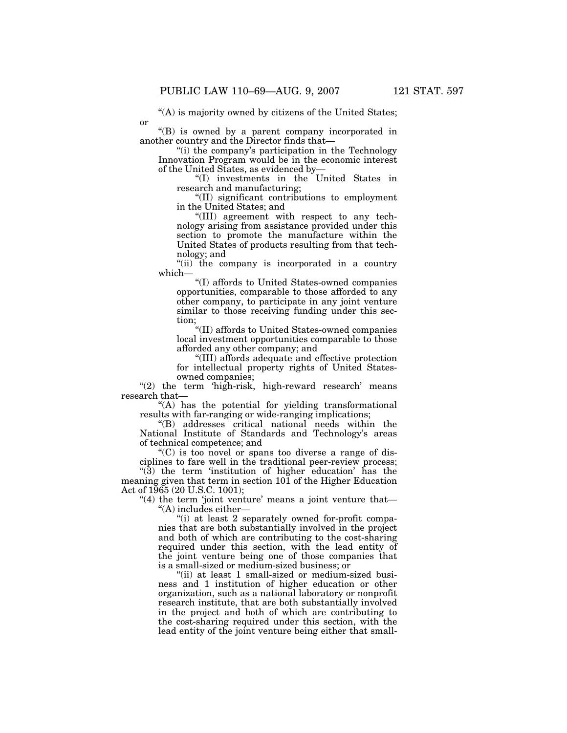or

"(A) is majority owned by citizens of the United States;

''(B) is owned by a parent company incorporated in another country and the Director finds that—

"(i) the company's participation in the Technology Innovation Program would be in the economic interest of the United States, as evidenced by—

''(I) investments in the United States in research and manufacturing;

''(II) significant contributions to employment in the United States; and

''(III) agreement with respect to any technology arising from assistance provided under this section to promote the manufacture within the United States of products resulting from that technology; and

"(ii) the company is incorporated in a country" which—

''(I) affords to United States-owned companies opportunities, comparable to those afforded to any other company, to participate in any joint venture similar to those receiving funding under this section;

''(II) affords to United States-owned companies local investment opportunities comparable to those afforded any other company; and

''(III) affords adequate and effective protection for intellectual property rights of United Statesowned companies;

" $(2)$  the term 'high-risk, high-reward research' means research that—

"(A) has the potential for yielding transformational results with far-ranging or wide-ranging implications;

''(B) addresses critical national needs within the National Institute of Standards and Technology's areas of technical competence; and

 $(C)$  is too novel or spans too diverse a range of disciplines to fare well in the traditional peer-review process;

"(3) the term 'institution of higher education' has the meaning given that term in section 101 of the Higher Education Act of 1965 (20 U.S.C. 1001);

" $(4)$  the term 'joint venture' means a joint venture that-''(A) includes either—

''(i) at least 2 separately owned for-profit companies that are both substantially involved in the project and both of which are contributing to the cost-sharing required under this section, with the lead entity of the joint venture being one of those companies that is a small-sized or medium-sized business; or

"(ii) at least 1 small-sized or medium-sized business and 1 institution of higher education or other organization, such as a national laboratory or nonprofit research institute, that are both substantially involved in the project and both of which are contributing to the cost-sharing required under this section, with the lead entity of the joint venture being either that small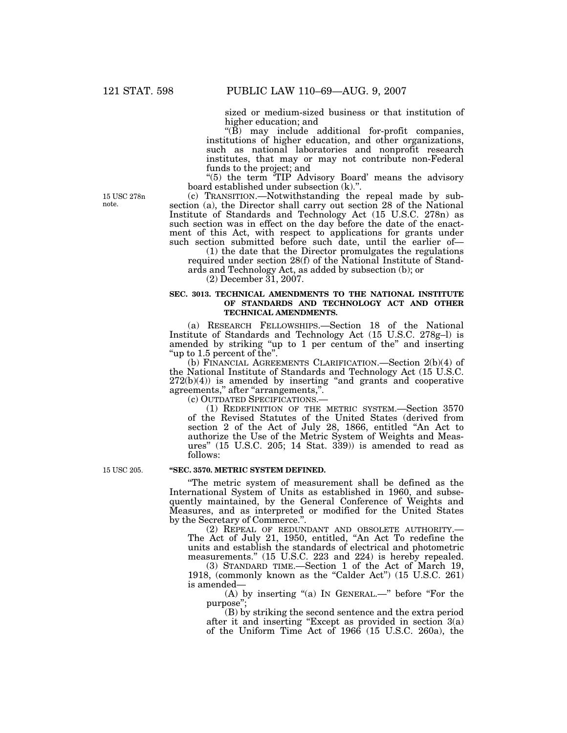sized or medium-sized business or that institution of higher education; and

''(B) may include additional for-profit companies, institutions of higher education, and other organizations, such as national laboratories and nonprofit research institutes, that may or may not contribute non-Federal funds to the project; and

"(5) the term <sup>"</sup>TIP Advisory Board' means the advisory board established under subsection (k).''.

(c) TRANSITION.—Notwithstanding the repeal made by subsection (a), the Director shall carry out section 28 of the National Institute of Standards and Technology Act (15 U.S.C. 278n) as such section was in effect on the day before the date of the enactment of this Act, with respect to applications for grants under such section submitted before such date, until the earlier of-

(1) the date that the Director promulgates the regulations required under section 28(f) of the National Institute of Standards and Technology Act, as added by subsection (b); or

 $(2)$  December  $31, 2007$ .

### **SEC. 3013. TECHNICAL AMENDMENTS TO THE NATIONAL INSTITUTE OF STANDARDS AND TECHNOLOGY ACT AND OTHER TECHNICAL AMENDMENTS.**

(a) RESEARCH FELLOWSHIPS.—Section 18 of the National Institute of Standards and Technology Act (15 U.S.C. 278g–l) is amended by striking "up to 1 per centum of the" and inserting ''up to 1.5 percent of the''.

(b) FINANCIAL AGREEMENTS CLARIFICATION.—Section 2(b)(4) of the National Institute of Standards and Technology Act (15 U.S.C.  $272(b)(4)$ ) is amended by inserting "and grants and cooperative agreements,'' after ''arrangements,''.

(c) OUTDATED SPECIFICATIONS.—

(1) REDEFINITION OF THE METRIC SYSTEM.—Section 3570 of the Revised Statutes of the United States (derived from section 2 of the Act of July 28, 1866, entitled ''An Act to authorize the Use of the Metric System of Weights and Measures'' (15 U.S.C. 205; 14 Stat. 339)) is amended to read as follows:

15 USC 205.

### **''SEC. 3570. METRIC SYSTEM DEFINED.**

''The metric system of measurement shall be defined as the International System of Units as established in 1960, and subsequently maintained, by the General Conference of Weights and Measures, and as interpreted or modified for the United States by the Secretary of Commerce.''.

(2) REPEAL OF REDUNDANT AND OBSOLETE AUTHORITY.— The Act of July 21, 1950, entitled, ''An Act To redefine the units and establish the standards of electrical and photometric measurements.'' (15 U.S.C. 223 and 224) is hereby repealed.

(3) STANDARD TIME.—Section 1 of the Act of March 19, 1918, (commonly known as the "Calder Act") (15 U.S.C. 261) is amended—

(A) by inserting "(a) In GENERAL.—" before "For the purpose'';

(B) by striking the second sentence and the extra period after it and inserting "Except as provided in section 3(a) of the Uniform Time Act of 1966 (15 U.S.C. 260a), the

15 USC 278n note.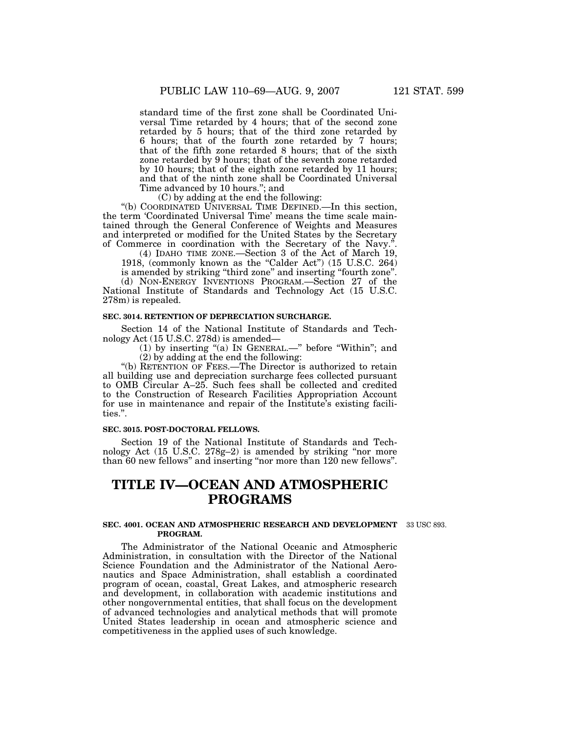standard time of the first zone shall be Coordinated Universal Time retarded by 4 hours; that of the second zone retarded by 5 hours; that of the third zone retarded by 6 hours; that of the fourth zone retarded by 7 hours; that of the fifth zone retarded 8 hours; that of the sixth zone retarded by 9 hours; that of the seventh zone retarded by 10 hours; that of the eighth zone retarded by 11 hours; and that of the ninth zone shall be Coordinated Universal Time advanced by 10 hours.''; and

(C) by adding at the end the following:

''(b) COORDINATED UNIVERSAL TIME DEFINED.—In this section, the term 'Coordinated Universal Time' means the time scale maintained through the General Conference of Weights and Measures and interpreted or modified for the United States by the Secretary of Commerce in coordination with the Secretary of the Navy.''.

(4) IDAHO TIME ZONE.—Section 3 of the Act of March 19, 1918, (commonly known as the "Calder Act") (15 U.S.C. 264)

is amended by striking ''third zone'' and inserting ''fourth zone''. (d) NON-ENERGY INVENTIONS PROGRAM.—Section 27 of the National Institute of Standards and Technology Act (15 U.S.C. 278m) is repealed.

### **SEC. 3014. RETENTION OF DEPRECIATION SURCHARGE.**

Section 14 of the National Institute of Standards and Technology Act (15 U.S.C. 278d) is amended—

(1) by inserting ''(a) IN GENERAL.—'' before ''Within''; and (2) by adding at the end the following:

"(b) RETENTION OF FEES.—The Director is authorized to retain all building use and depreciation surcharge fees collected pursuant to OMB Circular A–25. Such fees shall be collected and credited to the Construction of Research Facilities Appropriation Account for use in maintenance and repair of the Institute's existing facilities.''.

### **SEC. 3015. POST-DOCTORAL FELLOWS.**

Section 19 of the National Institute of Standards and Technology Act (15 U.S.C. 278g-2) is amended by striking "nor more than 60 new fellows'' and inserting ''nor more than 120 new fellows''.

# **TITLE IV—OCEAN AND ATMOSPHERIC PROGRAMS**

### **SEC. 4001. OCEAN AND ATMOSPHERIC RESEARCH AND DEVELOPMENT**  33 USC 893. **PROGRAM.**

The Administrator of the National Oceanic and Atmospheric Administration, in consultation with the Director of the National Science Foundation and the Administrator of the National Aeronautics and Space Administration, shall establish a coordinated program of ocean, coastal, Great Lakes, and atmospheric research and development, in collaboration with academic institutions and other nongovernmental entities, that shall focus on the development of advanced technologies and analytical methods that will promote United States leadership in ocean and atmospheric science and competitiveness in the applied uses of such knowledge.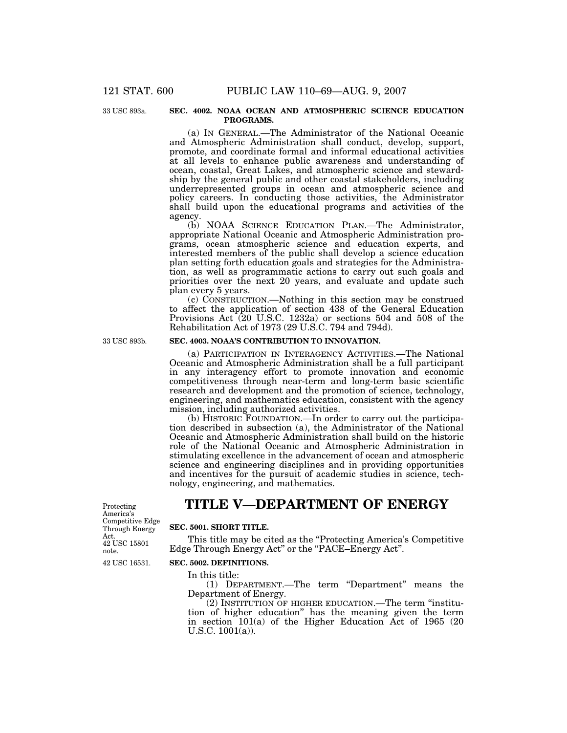33 USC 893a.

### **SEC. 4002. NOAA OCEAN AND ATMOSPHERIC SCIENCE EDUCATION PROGRAMS.**

(a) IN GENERAL.—The Administrator of the National Oceanic and Atmospheric Administration shall conduct, develop, support, promote, and coordinate formal and informal educational activities at all levels to enhance public awareness and understanding of ocean, coastal, Great Lakes, and atmospheric science and stewardship by the general public and other coastal stakeholders, including underrepresented groups in ocean and atmospheric science and policy careers. In conducting those activities, the Administrator shall build upon the educational programs and activities of the agency.

(b) NOAA SCIENCE EDUCATION PLAN.—The Administrator, appropriate National Oceanic and Atmospheric Administration programs, ocean atmospheric science and education experts, and interested members of the public shall develop a science education plan setting forth education goals and strategies for the Administration, as well as programmatic actions to carry out such goals and priorities over the next 20 years, and evaluate and update such plan every 5 years.

(c) CONSTRUCTION.—Nothing in this section may be construed to affect the application of section 438 of the General Education Provisions Act (20 U.S.C. 1232a) or sections 504 and 508 of the Rehabilitation Act of 1973 (29 U.S.C. 794 and 794d).

### **SEC. 4003. NOAA'S CONTRIBUTION TO INNOVATION.**

(a) PARTICIPATION IN INTERAGENCY ACTIVITIES.—The National Oceanic and Atmospheric Administration shall be a full participant in any interagency effort to promote innovation and economic competitiveness through near-term and long-term basic scientific research and development and the promotion of science, technology, engineering, and mathematics education, consistent with the agency mission, including authorized activities.

(b) HISTORIC FOUNDATION.—In order to carry out the participation described in subsection (a), the Administrator of the National Oceanic and Atmospheric Administration shall build on the historic role of the National Oceanic and Atmospheric Administration in stimulating excellence in the advancement of ocean and atmospheric science and engineering disciplines and in providing opportunities and incentives for the pursuit of academic studies in science, technology, engineering, and mathematics.

Protecting America's Competitive Edge Through Energy Act. 42 USC 15801 note.

# **TITLE V—DEPARTMENT OF ENERGY**

### **SEC. 5001. SHORT TITLE.**

This title may be cited as the "Protecting America's Competitive" Edge Through Energy Act" or the "PACE–Energy Act".

42 USC 16531.

### **SEC. 5002. DEFINITIONS.**

In this title:

(1) DEPARTMENT.—The term "Department" means the Department of Energy.

(2) INSTITUTION OF HIGHER EDUCATION.—The term ''institution of higher education'' has the meaning given the term in section 101(a) of the Higher Education Act of 1965 (20 U.S.C. 1001(a)).

33 USC 893b.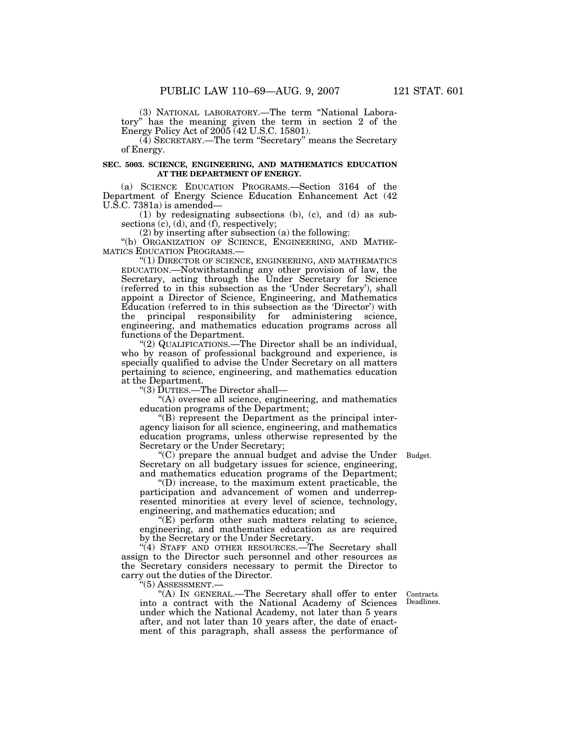(3) NATIONAL LABORATORY.—The term ''National Laboratory'' has the meaning given the term in section 2 of the Energy Policy Act of 2005 (42 U.S.C. 15801).

(4) SECRETARY.—The term ''Secretary'' means the Secretary of Energy.

### **SEC. 5003. SCIENCE, ENGINEERING, AND MATHEMATICS EDUCATION AT THE DEPARTMENT OF ENERGY.**

(a) SCIENCE EDUCATION PROGRAMS.—Section 3164 of the Department of Energy Science Education Enhancement Act (42 U.S.C. 7381a) is amended—

(1) by redesignating subsections (b), (c), and (d) as subsections (c), (d), and (f), respectively;

(2) by inserting after subsection (a) the following:

"(b) ORGANIZATION OF SCIENCE, ENGINEERING, AND MATHE-MATICS EDUCATION PROGRAMS.—

"(1) DIRECTOR OF SCIENCE, ENGINEERING, AND MATHEMATICS EDUCATION.—Notwithstanding any other provision of law, the Secretary, acting through the Under Secretary for Science (referred to in this subsection as the 'Under Secretary'), shall appoint a Director of Science, Engineering, and Mathematics Education (referred to in this subsection as the 'Director') with the principal responsibility for administering science, engineering, and mathematics education programs across all functions of the Department.

''(2) QUALIFICATIONS.—The Director shall be an individual, who by reason of professional background and experience, is specially qualified to advise the Under Secretary on all matters pertaining to science, engineering, and mathematics education at the Department.

''(3) DUTIES.—The Director shall—

"(A) oversee all science, engineering, and mathematics education programs of the Department;

''(B) represent the Department as the principal interagency liaison for all science, engineering, and mathematics education programs, unless otherwise represented by the Secretary or the Under Secretary;

''(C) prepare the annual budget and advise the Under Budget. Secretary on all budgetary issues for science, engineering, and mathematics education programs of the Department;

''(D) increase, to the maximum extent practicable, the participation and advancement of women and underrepresented minorities at every level of science, technology, engineering, and mathematics education; and

 $E(E)$  perform other such matters relating to science, engineering, and mathematics education as are required by the Secretary or the Under Secretary.

''(4) STAFF AND OTHER RESOURCES.—The Secretary shall assign to the Director such personnel and other resources as the Secretary considers necessary to permit the Director to carry out the duties of the Director.

''(5) ASSESSMENT.—

''(A) IN GENERAL.—The Secretary shall offer to enter into a contract with the National Academy of Sciences under which the National Academy, not later than 5 years after, and not later than 10 years after, the date of enactment of this paragraph, shall assess the performance of

Contracts. Deadlines.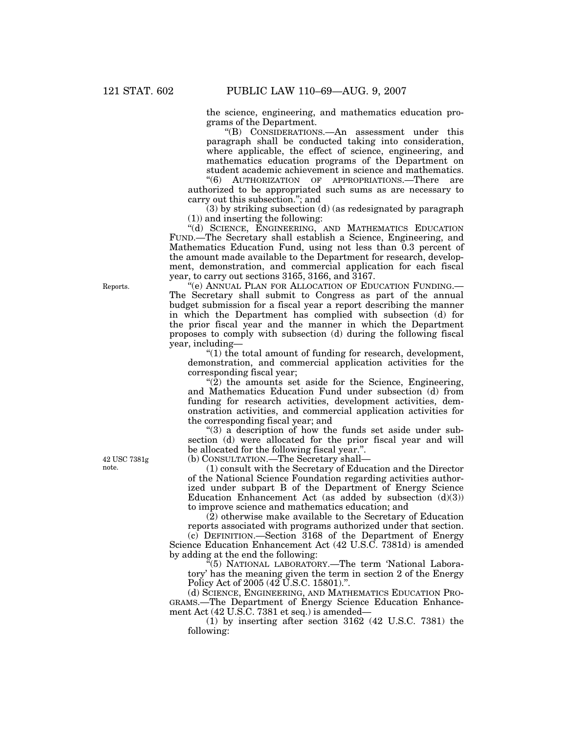the science, engineering, and mathematics education programs of the Department.

''(B) CONSIDERATIONS.—An assessment under this paragraph shall be conducted taking into consideration, where applicable, the effect of science, engineering, and mathematics education programs of the Department on student academic achievement in science and mathematics.

''(6) AUTHORIZATION OF APPROPRIATIONS.—There are authorized to be appropriated such sums as are necessary to carry out this subsection.''; and

(3) by striking subsection (d) (as redesignated by paragraph (1)) and inserting the following:

''(d) SCIENCE, ENGINEERING, AND MATHEMATICS EDUCATION FUND.—The Secretary shall establish a Science, Engineering, and Mathematics Education Fund, using not less than 0.3 percent of the amount made available to the Department for research, development, demonstration, and commercial application for each fiscal year, to carry out sections 3165, 3166, and 3167.

''(e) ANNUAL PLAN FOR ALLOCATION OF EDUCATION FUNDING.— The Secretary shall submit to Congress as part of the annual budget submission for a fiscal year a report describing the manner in which the Department has complied with subsection (d) for the prior fiscal year and the manner in which the Department proposes to comply with subsection (d) during the following fiscal year, including—

''(1) the total amount of funding for research, development, demonstration, and commercial application activities for the corresponding fiscal year;

"(2) the amounts set aside for the Science, Engineering, and Mathematics Education Fund under subsection (d) from funding for research activities, development activities, demonstration activities, and commercial application activities for the corresponding fiscal year; and

" $(3)$  a description of how the funds set aside under subsection (d) were allocated for the prior fiscal year and will be allocated for the following fiscal year.''.

(b) CONSULTATION.—The Secretary shall—

(1) consult with the Secretary of Education and the Director of the National Science Foundation regarding activities authorized under subpart B of the Department of Energy Science Education Enhancement Act (as added by subsection  $(d)(3)$ ) to improve science and mathematics education; and

(2) otherwise make available to the Secretary of Education reports associated with programs authorized under that section.

(c) DEFINITION.—Section 3168 of the Department of Energy Science Education Enhancement Act (42 U.S.C. 7381d) is amended by adding at the end the following:

''(5) NATIONAL LABORATORY.—The term 'National Laboratory' has the meaning given the term in section 2 of the Energy Policy Act of 2005 (42 U.S.C. 15801).''.

(d) SCIENCE, ENGINEERING, AND MATHEMATICS EDUCATION PRO-GRAMS.—The Department of Energy Science Education Enhancement Act (42 U.S.C. 7381 et seq.) is amended—

(1) by inserting after section 3162 (42 U.S.C. 7381) the following:

Reports.

42 USC 7381g note.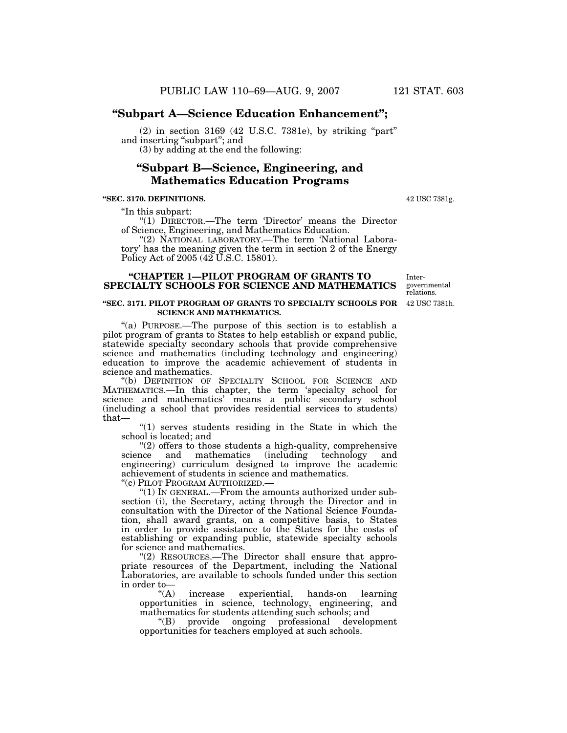# **''Subpart A—Science Education Enhancement'';**

 $(2)$  in section 3169 (42 U.S.C. 7381e), by striking "part" and inserting "subpart"; and

(3) by adding at the end the following:

# **''Subpart B—Science, Engineering, and Mathematics Education Programs**

### **''SEC. 3170. DEFINITIONS.**

''In this subpart:

"(1) DIRECTOR.—The term 'Director' means the Director of Science, Engineering, and Mathematics Education.

"(2) NATIONAL LABORATORY.—The term 'National Laboratory' has the meaning given the term in section 2 of the Energy Policy Act of 2005 (42 U.S.C. 15801).

### **''CHAPTER 1—PILOT PROGRAM OF GRANTS TO SPECIALTY SCHOOLS FOR SCIENCE AND MATHEMATICS**

### **''SEC. 3171. PILOT PROGRAM OF GRANTS TO SPECIALTY SCHOOLS FOR SCIENCE AND MATHEMATICS.**

"(a) PURPOSE.—The purpose of this section is to establish a pilot program of grants to States to help establish or expand public, statewide specialty secondary schools that provide comprehensive science and mathematics (including technology and engineering) education to improve the academic achievement of students in science and mathematics.

''(b) DEFINITION OF SPECIALTY SCHOOL FOR SCIENCE AND MATHEMATICS.—In this chapter, the term 'specialty school for science and mathematics' means a public secondary school (including a school that provides residential services to students) that—

''(1) serves students residing in the State in which the school is located; and

''(2) offers to those students a high-quality, comprehensive science and mathematics (including technology and engineering) curriculum designed to improve the academic achievement of students in science and mathematics.

''(c) PILOT PROGRAM AUTHORIZED.—

''(1) IN GENERAL.—From the amounts authorized under subsection (i), the Secretary, acting through the Director and in consultation with the Director of the National Science Foundation, shall award grants, on a competitive basis, to States in order to provide assistance to the States for the costs of establishing or expanding public, statewide specialty schools for science and mathematics.

"(2) RESOURCES.—The Director shall ensure that appropriate resources of the Department, including the National Laboratories, are available to schools funded under this section in order to— $\frac{``(A)}{''(A)}$ 

increase experiential, hands-on learning opportunities in science, technology, engineering, and mathematics for students attending such schools; and

''(B) provide ongoing professional development opportunities for teachers employed at such schools.

42 USC 7381h. Intergovernmental relations.

42 USC 7381g.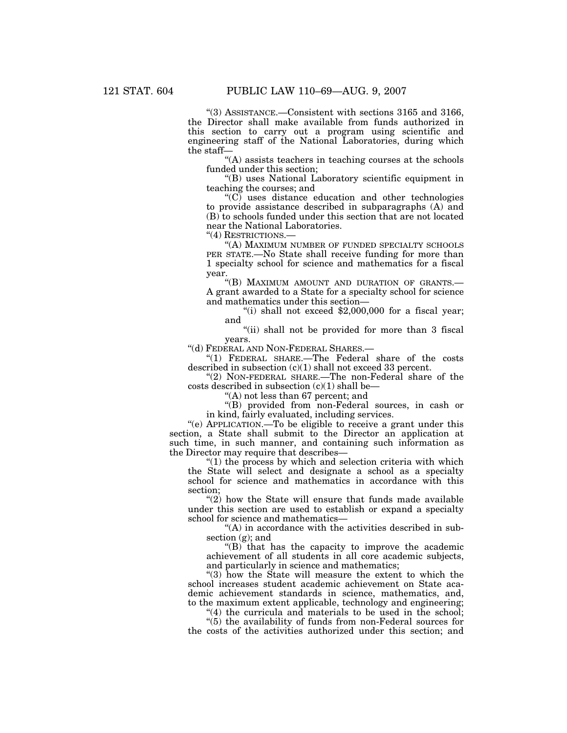''(3) ASSISTANCE.—Consistent with sections 3165 and 3166, the Director shall make available from funds authorized in this section to carry out a program using scientific and engineering staff of the National Laboratories, during which the staff—

''(A) assists teachers in teaching courses at the schools funded under this section;

''(B) uses National Laboratory scientific equipment in teaching the courses; and

 $(C)$  uses distance education and other technologies to provide assistance described in subparagraphs (A) and (B) to schools funded under this section that are not located near the National Laboratories.

''(4) RESTRICTIONS.—

''(A) MAXIMUM NUMBER OF FUNDED SPECIALTY SCHOOLS PER STATE.—No State shall receive funding for more than 1 specialty school for science and mathematics for a fiscal year.

''(B) MAXIMUM AMOUNT AND DURATION OF GRANTS.— A grant awarded to a State for a specialty school for science and mathematics under this section—

"(i) shall not exceed  $$2,000,000$  for a fiscal year; and

"(ii) shall not be provided for more than 3 fiscal years.

''(d) FEDERAL AND NON-FEDERAL SHARES.—

''(1) FEDERAL SHARE.—The Federal share of the costs described in subsection (c)(1) shall not exceed 33 percent.

"(2) NON-FEDERAL SHARE.—The non-Federal share of the costs described in subsection (c)(1) shall be—

''(A) not less than 67 percent; and

''(B) provided from non-Federal sources, in cash or in kind, fairly evaluated, including services.

''(e) APPLICATION.—To be eligible to receive a grant under this section, a State shall submit to the Director an application at such time, in such manner, and containing such information as the Director may require that describes—

 $''(1)$  the process by which and selection criteria with which the State will select and designate a school as a specialty school for science and mathematics in accordance with this section;

" $(2)$  how the State will ensure that funds made available under this section are used to establish or expand a specialty school for science and mathematics—

''(A) in accordance with the activities described in subsection (g); and

"(B) that has the capacity to improve the academic achievement of all students in all core academic subjects, and particularly in science and mathematics;

''(3) how the State will measure the extent to which the school increases student academic achievement on State academic achievement standards in science, mathematics, and, to the maximum extent applicable, technology and engineering;

"(4) the curricula and materials to be used in the school;

''(5) the availability of funds from non-Federal sources for the costs of the activities authorized under this section; and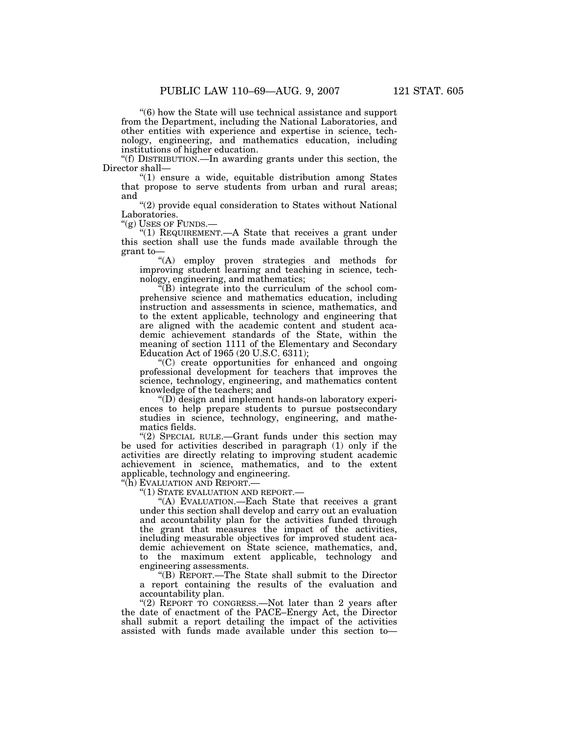''(6) how the State will use technical assistance and support from the Department, including the National Laboratories, and other entities with experience and expertise in science, technology, engineering, and mathematics education, including institutions of higher education.

''(f) DISTRIBUTION.—In awarding grants under this section, the Director shall—

''(1) ensure a wide, equitable distribution among States that propose to serve students from urban and rural areas; and

"(2) provide equal consideration to States without National Laboratories.<br>"(g) USES OF FUNDS.-

"(1) REQUIREMENT.—A State that receives a grant under this section shall use the funds made available through the grant to—

''(A) employ proven strategies and methods for improving student learning and teaching in science, technology, engineering, and mathematics;

 $E(B)$  integrate into the curriculum of the school comprehensive science and mathematics education, including instruction and assessments in science, mathematics, and to the extent applicable, technology and engineering that are aligned with the academic content and student academic achievement standards of the State, within the meaning of section 1111 of the Elementary and Secondary Education Act of 1965 (20 U.S.C. 6311);

''(C) create opportunities for enhanced and ongoing professional development for teachers that improves the science, technology, engineering, and mathematics content knowledge of the teachers; and

''(D) design and implement hands-on laboratory experiences to help prepare students to pursue postsecondary studies in science, technology, engineering, and mathematics fields.

"(2) SPECIAL RULE.—Grant funds under this section may be used for activities described in paragraph (1) only if the activities are directly relating to improving student academic achievement in science, mathematics, and to the extent applicable, technology and engineering.

''(h) EVALUATION AND REPORT.—

''(1) STATE EVALUATION AND REPORT.—

"(A) EVALUATION.—Each State that receives a grant under this section shall develop and carry out an evaluation and accountability plan for the activities funded through the grant that measures the impact of the activities, including measurable objectives for improved student academic achievement on State science, mathematics, and, to the maximum extent applicable, technology and engineering assessments.

''(B) REPORT.—The State shall submit to the Director a report containing the results of the evaluation and accountability plan.

"(2) REPORT TO CONGRESS.—Not later than 2 years after the date of enactment of the PACE–Energy Act, the Director shall submit a report detailing the impact of the activities assisted with funds made available under this section to—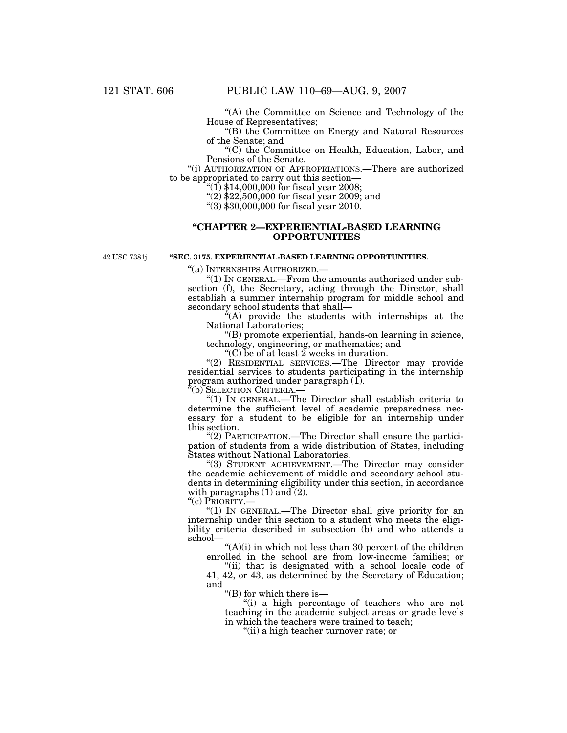''(A) the Committee on Science and Technology of the House of Representatives;

''(B) the Committee on Energy and Natural Resources of the Senate; and

''(C) the Committee on Health, Education, Labor, and Pensions of the Senate.

''(i) AUTHORIZATION OF APPROPRIATIONS.—There are authorized to be appropriated to carry out this section—

"(1)  $$14,000,000$  for fiscal year 2008;

''(2) \$22,500,000 for fiscal year 2009; and

**''SEC. 3175. EXPERIENTIAL-BASED LEARNING OPPORTUNITIES.** 

''(3) \$30,000,000 for fiscal year 2010.

### **''CHAPTER 2—EXPERIENTIAL-BASED LEARNING OPPORTUNITIES**

42 USC 7381j.

''(a) INTERNSHIPS AUTHORIZED.—

''(1) IN GENERAL.—From the amounts authorized under subsection (f), the Secretary, acting through the Director, shall establish a summer internship program for middle school and secondary school students that shall—

''(A) provide the students with internships at the National Laboratories;

''(B) promote experiential, hands-on learning in science, technology, engineering, or mathematics; and

''(C) be of at least 2 weeks in duration.

"(2) RESIDENTIAL SERVICES.—The Director may provide residential services to students participating in the internship program authorized under paragraph (1).

"(b) SELECTION CRITERIA.

''(1) IN GENERAL.—The Director shall establish criteria to determine the sufficient level of academic preparedness necessary for a student to be eligible for an internship under this section.

''(2) PARTICIPATION.—The Director shall ensure the participation of students from a wide distribution of States, including States without National Laboratories.

''(3) STUDENT ACHIEVEMENT.—The Director may consider the academic achievement of middle and secondary school students in determining eligibility under this section, in accordance with paragraphs  $(1)$  and  $(2)$ .

"(c) PRIORITY.-

" $(1)$  In GENERAL.—The Director shall give priority for an internship under this section to a student who meets the eligibility criteria described in subsection (b) and who attends a school—

''(A)(i) in which not less than 30 percent of the children enrolled in the school are from low-income families; or

''(ii) that is designated with a school locale code of 41, 42, or 43, as determined by the Secretary of Education; and

''(B) for which there is—

''(i) a high percentage of teachers who are not teaching in the academic subject areas or grade levels in which the teachers were trained to teach;

''(ii) a high teacher turnover rate; or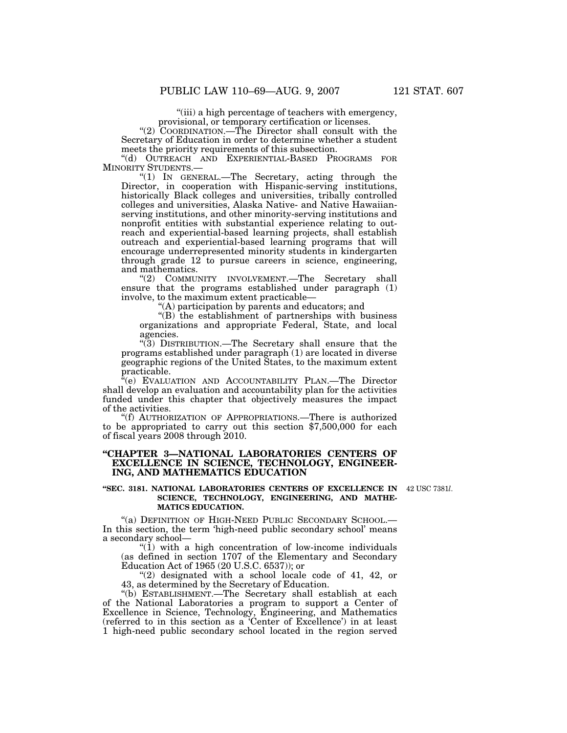''(iii) a high percentage of teachers with emergency, provisional, or temporary certification or licenses.

''(2) COORDINATION.—The Director shall consult with the Secretary of Education in order to determine whether a student meets the priority requirements of this subsection.

''(d) OUTREACH AND EXPERIENTIAL-BASED PROGRAMS FOR MINORITY STUDENTS.—

''(1) IN GENERAL.—The Secretary, acting through the Director, in cooperation with Hispanic-serving institutions, historically Black colleges and universities, tribally controlled colleges and universities, Alaska Native- and Native Hawaiianserving institutions, and other minority-serving institutions and nonprofit entities with substantial experience relating to outreach and experiential-based learning projects, shall establish outreach and experiential-based learning programs that will encourage underrepresented minority students in kindergarten through grade 12 to pursue careers in science, engineering, and mathematics.

"(2) COMMUNITY INVOLVEMENT.—The Secretary shall ensure that the programs established under paragraph (1) involve, to the maximum extent practicable—

 $(A)$  participation by parents and educators; and

''(B) the establishment of partnerships with business organizations and appropriate Federal, State, and local agencies.

''(3) DISTRIBUTION.—The Secretary shall ensure that the programs established under paragraph (1) are located in diverse geographic regions of the United States, to the maximum extent practicable.

"(e) EVALUATION AND ACCOUNTABILITY PLAN.—The Director shall develop an evaluation and accountability plan for the activities funded under this chapter that objectively measures the impact of the activities.

''(f) AUTHORIZATION OF APPROPRIATIONS.—There is authorized to be appropriated to carry out this section \$7,500,000 for each of fiscal years 2008 through 2010.

## **''CHAPTER 3—NATIONAL LABORATORIES CENTERS OF EXCELLENCE IN SCIENCE, TECHNOLOGY, ENGINEER-ING, AND MATHEMATICS EDUCATION**

### **''SEC. 3181. NATIONAL LABORATORIES CENTERS OF EXCELLENCE IN SCIENCE, TECHNOLOGY, ENGINEERING, AND MATHE-MATICS EDUCATION.**

42 USC 7381*l*.

"(a) DEFINITION OF HIGH-NEED PUBLIC SECONDARY SCHOOL.-In this section, the term 'high-need public secondary school' means a secondary school—

''(1) with a high concentration of low-income individuals (as defined in section 1707 of the Elementary and Secondary Education Act of 1965 (20 U.S.C. 6537)); or

''(2) designated with a school locale code of 41, 42, or 43, as determined by the Secretary of Education.

''(b) ESTABLISHMENT.—The Secretary shall establish at each of the National Laboratories a program to support a Center of Excellence in Science, Technology, Engineering, and Mathematics (referred to in this section as a 'Center of Excellence') in at least 1 high-need public secondary school located in the region served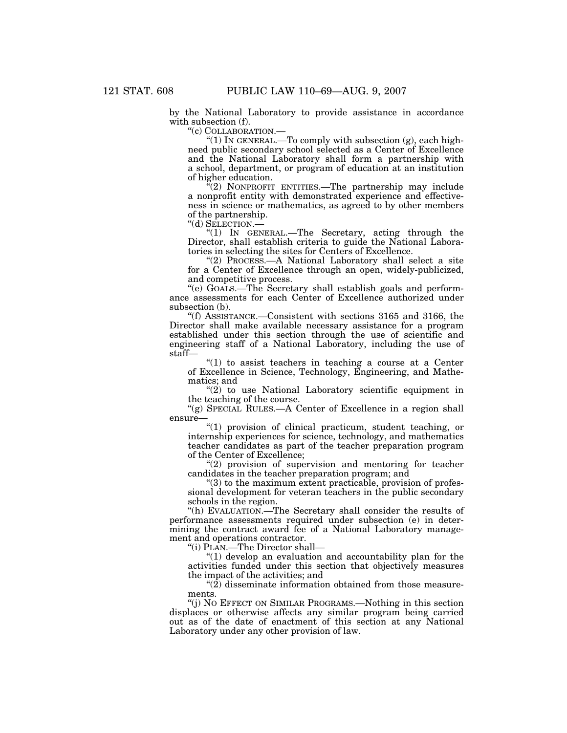by the National Laboratory to provide assistance in accordance with subsection (f).

''(c) COLLABORATION.—

''(1) IN GENERAL.—To comply with subsection (g), each highneed public secondary school selected as a Center of Excellence and the National Laboratory shall form a partnership with a school, department, or program of education at an institution of higher education.

 $\sqrt{a}(2)$  NONPROFIT ENTITIES.—The partnership may include a nonprofit entity with demonstrated experience and effectiveness in science or mathematics, as agreed to by other members of the partnership.<br>"(d) SELECTION.—

" $(1)$  In GENERAL.—The Secretary, acting through the Director, shall establish criteria to guide the National Laboratories in selecting the sites for Centers of Excellence.

"(2) PROCESS.—A National Laboratory shall select a site for a Center of Excellence through an open, widely-publicized, and competitive process.

''(e) GOALS.—The Secretary shall establish goals and performance assessments for each Center of Excellence authorized under subsection (b).

''(f) ASSISTANCE.—Consistent with sections 3165 and 3166, the Director shall make available necessary assistance for a program established under this section through the use of scientific and engineering staff of a National Laboratory, including the use of staff—

" $(1)$  to assist teachers in teaching a course at a Center of Excellence in Science, Technology, Engineering, and Mathematics; and

"(2) to use National Laboratory scientific equipment in the teaching of the course.

"(g) SPECIAL RULES.—A Center of Excellence in a region shall ensure—

''(1) provision of clinical practicum, student teaching, or internship experiences for science, technology, and mathematics teacher candidates as part of the teacher preparation program of the Center of Excellence;

 $''(2)$  provision of supervision and mentoring for teacher candidates in the teacher preparation program; and

"(3) to the maximum extent practicable, provision of professional development for veteran teachers in the public secondary schools in the region.

''(h) EVALUATION.—The Secretary shall consider the results of performance assessments required under subsection (e) in determining the contract award fee of a National Laboratory management and operations contractor.

''(i) PLAN.—The Director shall—

''(1) develop an evaluation and accountability plan for the activities funded under this section that objectively measures the impact of the activities; and

" $(2)$  disseminate information obtained from those measurements.

''(j) NO EFFECT ON SIMILAR PROGRAMS.—Nothing in this section displaces or otherwise affects any similar program being carried out as of the date of enactment of this section at any National Laboratory under any other provision of law.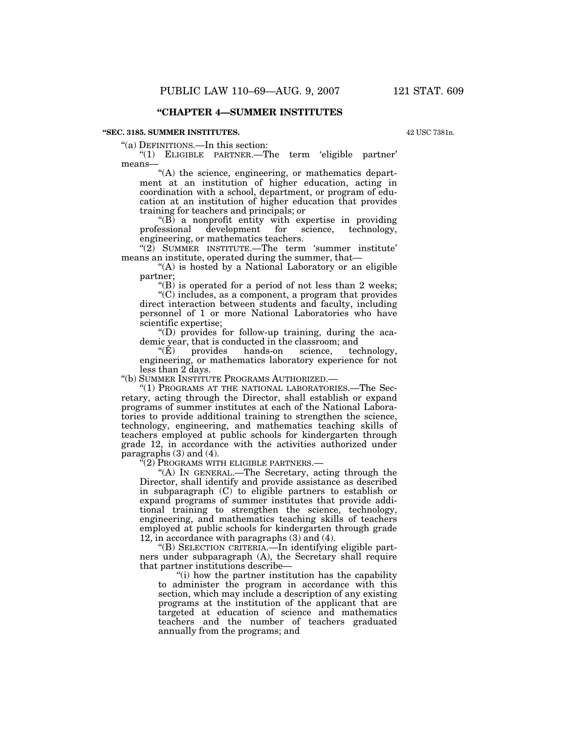## **''CHAPTER 4—SUMMER INSTITUTES**

#### **''SEC. 3185. SUMMER INSTITUTES.**

42 USC 7381n.

''(a) DEFINITIONS.—In this section:

''(1) ELIGIBLE PARTNER.—The term 'eligible partner' means—

"(A) the science, engineering, or mathematics department at an institution of higher education, acting in coordination with a school, department, or program of education at an institution of higher education that provides training for teachers and principals; or

 $\text{``(B)}$  a nonprofit entity with expertise in providing professional development for science, technology,  $development$ engineering, or mathematics teachers.

"(2) SUMMER INSTITUTE.—The term 'summer institute' means an institute, operated during the summer, that—

"(A) is hosted by a National Laboratory or an eligible partner;

 $\mathrm{``(B)}$  is operated for a period of not less than 2 weeks; ''(C) includes, as a component, a program that provides direct interaction between students and faculty, including personnel of 1 or more National Laboratories who have scientific expertise;

 $\mathrm{``(D)}$  provides for follow-up training, during the academic year, that is conducted in the classroom; and<br>
" $(E)$  provides hands-on science, technology,

" $(E)$  provides hands-on science, engineering, or mathematics laboratory experience for not less than 2 days.

''(b) SUMMER INSTITUTE PROGRAMS AUTHORIZED.—

''(1) PROGRAMS AT THE NATIONAL LABORATORIES.—The Secretary, acting through the Director, shall establish or expand programs of summer institutes at each of the National Laboratories to provide additional training to strengthen the science, technology, engineering, and mathematics teaching skills of teachers employed at public schools for kindergarten through grade 12, in accordance with the activities authorized under paragraphs (3) and (4).

''(2) PROGRAMS WITH ELIGIBLE PARTNERS.—

"(A) IN GENERAL.—The Secretary, acting through the Director, shall identify and provide assistance as described in subparagraph (C) to eligible partners to establish or expand programs of summer institutes that provide additional training to strengthen the science, technology, engineering, and mathematics teaching skills of teachers employed at public schools for kindergarten through grade 12, in accordance with paragraphs (3) and (4).

''(B) SELECTION CRITERIA.—In identifying eligible partners under subparagraph (A), the Secretary shall require that partner institutions describe—

''(i) how the partner institution has the capability to administer the program in accordance with this section, which may include a description of any existing programs at the institution of the applicant that are targeted at education of science and mathematics teachers and the number of teachers graduated annually from the programs; and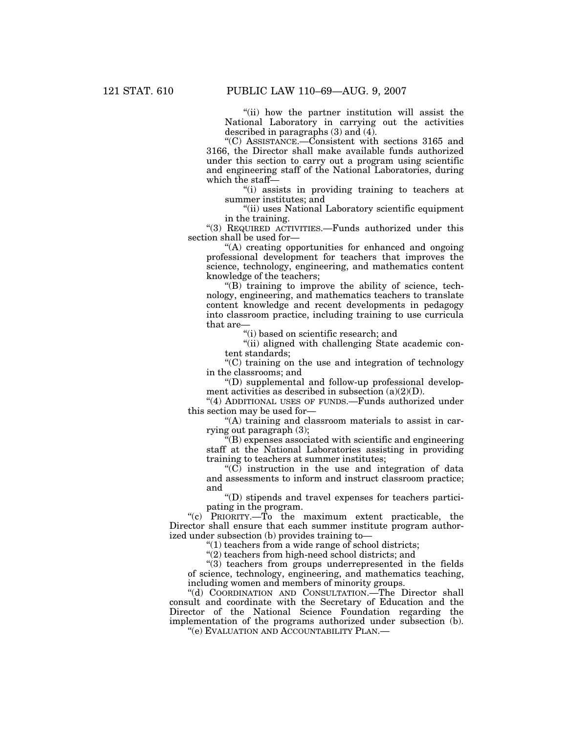"(ii) how the partner institution will assist the National Laboratory in carrying out the activities described in paragraphs (3) and (4).

''(C) ASSISTANCE.—Consistent with sections 3165 and 3166, the Director shall make available funds authorized under this section to carry out a program using scientific and engineering staff of the National Laboratories, during which the staff—

''(i) assists in providing training to teachers at summer institutes; and

''(ii) uses National Laboratory scientific equipment in the training.

''(3) REQUIRED ACTIVITIES.—Funds authorized under this section shall be used for—

''(A) creating opportunities for enhanced and ongoing professional development for teachers that improves the science, technology, engineering, and mathematics content knowledge of the teachers;

 $\mathrm{``(B)}$  training to improve the ability of science, technology, engineering, and mathematics teachers to translate content knowledge and recent developments in pedagogy into classroom practice, including training to use curricula that are—

''(i) based on scientific research; and

''(ii) aligned with challenging State academic content standards;

''(C) training on the use and integration of technology in the classrooms; and

''(D) supplemental and follow-up professional development activities as described in subsection (a)(2)(D).

"(4) ADDITIONAL USES OF FUNDS.—Funds authorized under this section may be used for—

''(A) training and classroom materials to assist in carrying out paragraph (3);

 $f(B)$  expenses associated with scientific and engineering staff at the National Laboratories assisting in providing training to teachers at summer institutes;

" $(C)$  instruction in the use and integration of data and assessments to inform and instruct classroom practice; and

''(D) stipends and travel expenses for teachers participating in the program.

''(c) PRIORITY.—To the maximum extent practicable, the Director shall ensure that each summer institute program authorized under subsection (b) provides training to—

"(1) teachers from a wide range of school districts;

 $'(2)$  teachers from high-need school districts; and

"(3) teachers from groups underrepresented in the fields of science, technology, engineering, and mathematics teaching, including women and members of minority groups.

"(d) COORDINATION AND CONSULTATION.—The Director shall consult and coordinate with the Secretary of Education and the Director of the National Science Foundation regarding the implementation of the programs authorized under subsection (b).

''(e) EVALUATION AND ACCOUNTABILITY PLAN.—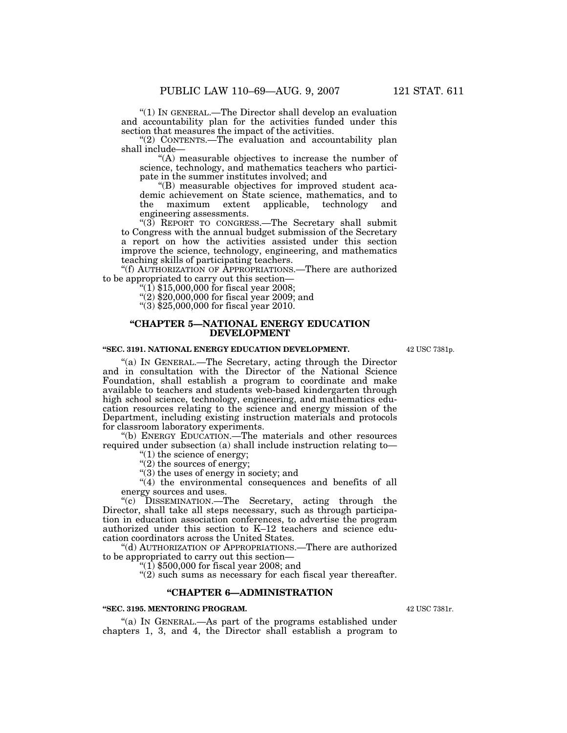''(1) IN GENERAL.—The Director shall develop an evaluation and accountability plan for the activities funded under this section that measures the impact of the activities.

''(2) CONTENTS.—The evaluation and accountability plan shall include—

''(A) measurable objectives to increase the number of science, technology, and mathematics teachers who participate in the summer institutes involved; and

''(B) measurable objectives for improved student academic achievement on State science, mathematics, and to<br>the maximum extent applicable, technology and the maximum extent applicable, technology and engineering assessments.

"(3) REPORT TO CONGRESS.—The Secretary shall submit to Congress with the annual budget submission of the Secretary a report on how the activities assisted under this section improve the science, technology, engineering, and mathematics teaching skills of participating teachers.

''(f) AUTHORIZATION OF APPROPRIATIONS.—There are authorized to be appropriated to carry out this section—

''(1) \$15,000,000 for fiscal year 2008;

 $(2)$  \$20,000,000 for fiscal year 2009; and

''(3) \$25,000,000 for fiscal year 2010.

### **''CHAPTER 5—NATIONAL ENERGY EDUCATION DEVELOPMENT**

#### **''SEC. 3191. NATIONAL ENERGY EDUCATION DEVELOPMENT.**

''(a) IN GENERAL.—The Secretary, acting through the Director and in consultation with the Director of the National Science Foundation, shall establish a program to coordinate and make available to teachers and students web-based kindergarten through high school science, technology, engineering, and mathematics education resources relating to the science and energy mission of the Department, including existing instruction materials and protocols for classroom laboratory experiments.

''(b) ENERGY EDUCATION.—The materials and other resources required under subsection (a) shall include instruction relating to—

 $''(1)$  the science of energy;

"(2) the sources of energy;

 $'(3)$  the uses of energy in society; and

"(4) the environmental consequences and benefits of all energy sources and uses.

"(c)  $\text{Dissemination.}$ -The Secretary, acting through the Director, shall take all steps necessary, such as through participation in education association conferences, to advertise the program authorized under this section to K–12 teachers and science education coordinators across the United States.

''(d) AUTHORIZATION OF APPROPRIATIONS.—There are authorized to be appropriated to carry out this section—

 $(1)$  \$500,000 for fiscal year 2008; and

"(2) such sums as necessary for each fiscal year thereafter.

## **''CHAPTER 6—ADMINISTRATION**

### **''SEC. 3195. MENTORING PROGRAM.**

"(a) IN GENERAL.—As part of the programs established under chapters 1, 3, and 4, the Director shall establish a program to

42 USC 7381r.

42 USC 7381p.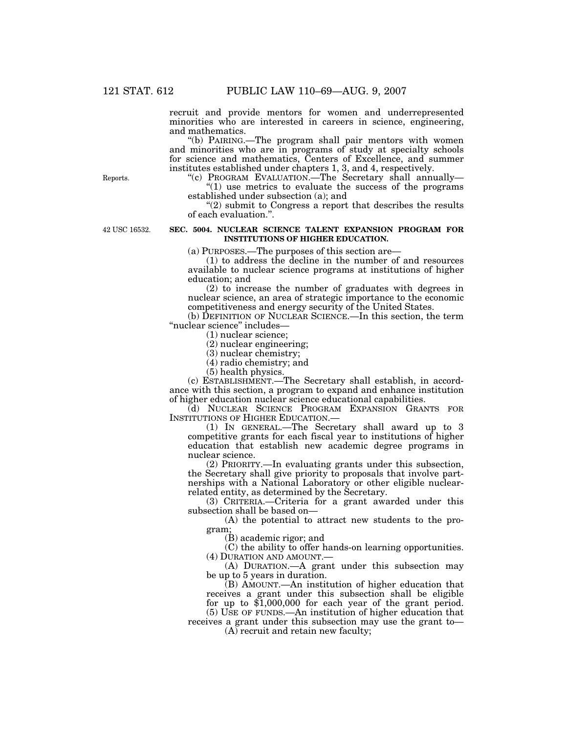recruit and provide mentors for women and underrepresented minorities who are interested in careers in science, engineering, and mathematics.

''(b) PAIRING.—The program shall pair mentors with women and minorities who are in programs of study at specialty schools for science and mathematics, Centers of Excellence, and summer institutes established under chapters 1, 3, and 4, respectively.

''(c) PROGRAM EVALUATION.—The Secretary shall annually—  $(1)$  use metrics to evaluate the success of the programs established under subsection (a); and

"(2) submit to Congress a report that describes the results" of each evaluation.''.

#### **SEC. 5004. NUCLEAR SCIENCE TALENT EXPANSION PROGRAM FOR INSTITUTIONS OF HIGHER EDUCATION.**

(a) PURPOSES.—The purposes of this section are—

(1) to address the decline in the number of and resources available to nuclear science programs at institutions of higher education; and

(2) to increase the number of graduates with degrees in nuclear science, an area of strategic importance to the economic competitiveness and energy security of the United States.

(b) DEFINITION OF NUCLEAR SCIENCE.—In this section, the term ''nuclear science'' includes—

(1) nuclear science;

(2) nuclear engineering;

(3) nuclear chemistry;

(4) radio chemistry; and

(5) health physics.

(c) ESTABLISHMENT.—The Secretary shall establish, in accordance with this section, a program to expand and enhance institution of higher education nuclear science educational capabilities.

(d) NUCLEAR SCIENCE PROGRAM EXPANSION GRANTS FOR INSTITUTIONS OF HIGHER EDUCATION.—

(1) IN GENERAL.—The Secretary shall award up to 3 competitive grants for each fiscal year to institutions of higher education that establish new academic degree programs in nuclear science.

(2) PRIORITY.—In evaluating grants under this subsection, the Secretary shall give priority to proposals that involve partnerships with a National Laboratory or other eligible nuclearrelated entity, as determined by the Secretary.

(3) CRITERIA.—Criteria for a grant awarded under this subsection shall be based on—

(A) the potential to attract new students to the program;

(B) academic rigor; and

(C) the ability to offer hands-on learning opportunities. (4) DURATION AND AMOUNT.—

(A) DURATION.—A grant under this subsection may be up to 5 years in duration.

(B) AMOUNT.—An institution of higher education that receives a grant under this subsection shall be eligible for up to \$1,000,000 for each year of the grant period. (5) USE OF FUNDS.—An institution of higher education that

receives a grant under this subsection may use the grant to—

(A) recruit and retain new faculty;

Reports.

42 USC 16532.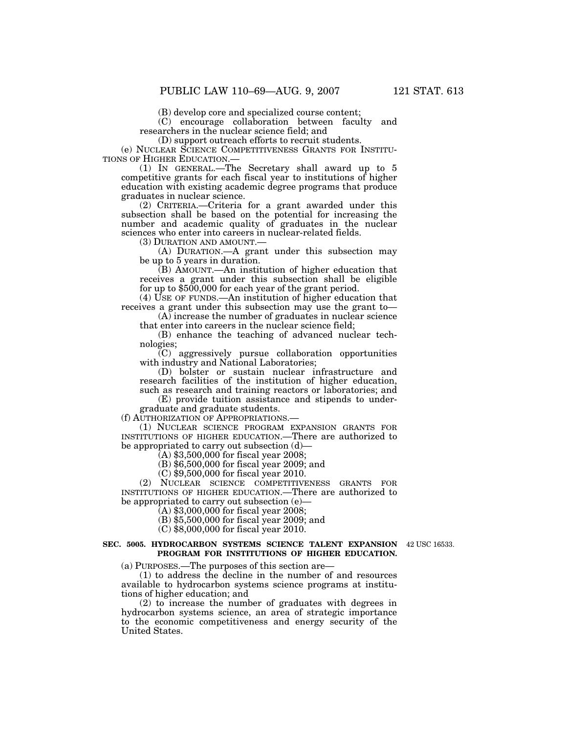(B) develop core and specialized course content;

(C) encourage collaboration between faculty and researchers in the nuclear science field; and

(D) support outreach efforts to recruit students.

(e) NUCLEAR SCIENCE COMPETITIVENESS GRANTS FOR INSTITU-

 $(1)$  In GENERAL.—The Secretary shall award up to 5 competitive grants for each fiscal year to institutions of higher education with existing academic degree programs that produce graduates in nuclear science.

(2) CRITERIA.—Criteria for a grant awarded under this subsection shall be based on the potential for increasing the number and academic quality of graduates in the nuclear sciences who enter into careers in nuclear-related fields.<br>(3) DURATION AND AMOUNT.—

 $(A)$  DURATION.—A grant under this subsection may be up to 5 years in duration.

(B) AMOUNT.—An institution of higher education that receives a grant under this subsection shall be eligible for up to \$500,000 for each year of the grant period.

(4) USE OF FUNDS.—An institution of higher education that receives a grant under this subsection may use the grant to—

(A) increase the number of graduates in nuclear science that enter into careers in the nuclear science field;

(B) enhance the teaching of advanced nuclear technologies;

(C) aggressively pursue collaboration opportunities with industry and National Laboratories;

(D) bolster or sustain nuclear infrastructure and research facilities of the institution of higher education, such as research and training reactors or laboratories; and

(E) provide tuition assistance and stipends to undergraduate and graduate students.

(f) AUTHORIZATION OF APPROPRIATIONS.—

(1) NUCLEAR SCIENCE PROGRAM EXPANSION GRANTS FOR INSTITUTIONS OF HIGHER EDUCATION.—There are authorized to be appropriated to carry out subsection (d)—

 $(A)$  \$3,500,000 for fiscal year 2008;

(B) \$6,500,000 for fiscal year 2009; and

(C) \$9,500,000 for fiscal year 2010.

(2) NUCLEAR SCIENCE COMPETITIVENESS GRANTS FOR INSTITUTIONS OF HIGHER EDUCATION.—There are authorized to be appropriated to carry out subsection (e)—

 $(A)$  \$3,000,000 for fiscal year 2008;

(B) \$5,500,000 for fiscal year 2009; and

(C) \$8,000,000 for fiscal year 2010.

#### **SEC. 5005. HYDROCARBON SYSTEMS SCIENCE TALENT EXPANSION**  42 USC 16533. **PROGRAM FOR INSTITUTIONS OF HIGHER EDUCATION.**

(a) PURPOSES.—The purposes of this section are—

(1) to address the decline in the number of and resources available to hydrocarbon systems science programs at institutions of higher education; and

(2) to increase the number of graduates with degrees in hydrocarbon systems science, an area of strategic importance to the economic competitiveness and energy security of the United States.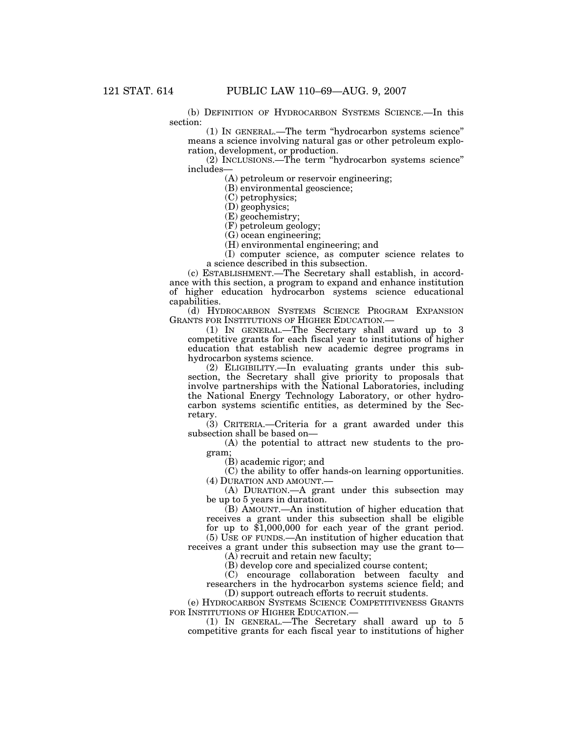(b) DEFINITION OF HYDROCARBON SYSTEMS SCIENCE.—In this section:

(1) IN GENERAL.—The term ''hydrocarbon systems science'' means a science involving natural gas or other petroleum exploration, development, or production.

(2) INCLUSIONS.—The term ''hydrocarbon systems science'' includes—

(A) petroleum or reservoir engineering;

(B) environmental geoscience;

(C) petrophysics;

(D) geophysics;

(E) geochemistry;

(F) petroleum geology;

(G) ocean engineering;

(H) environmental engineering; and

(I) computer science, as computer science relates to a science described in this subsection.

(c) ESTABLISHMENT.—The Secretary shall establish, in accordance with this section, a program to expand and enhance institution of higher education hydrocarbon systems science educational capabilities.

(d) HYDROCARBON SYSTEMS SCIENCE PROGRAM EXPANSION GRANTS FOR INSTITUTIONS OF HIGHER EDUCATION.—

(1) IN GENERAL.—The Secretary shall award up to 3 competitive grants for each fiscal year to institutions of higher education that establish new academic degree programs in hydrocarbon systems science.

(2) ELIGIBILITY.—In evaluating grants under this subsection, the Secretary shall give priority to proposals that involve partnerships with the National Laboratories, including the National Energy Technology Laboratory, or other hydrocarbon systems scientific entities, as determined by the Secretary.

(3) CRITERIA.—Criteria for a grant awarded under this subsection shall be based on—

(A) the potential to attract new students to the program;

(B) academic rigor; and

(C) the ability to offer hands-on learning opportunities. (4) DURATION AND AMOUNT.—

(A) DURATION.—A grant under this subsection may be up to 5 years in duration.

(B) AMOUNT.—An institution of higher education that receives a grant under this subsection shall be eligible for up to \$1,000,000 for each year of the grant period.

(5) USE OF FUNDS.—An institution of higher education that receives a grant under this subsection may use the grant to— (A) recruit and retain new faculty;

(B) develop core and specialized course content;

(C) encourage collaboration between faculty and researchers in the hydrocarbon systems science field; and (D) support outreach efforts to recruit students.

(e) HYDROCARBON SYSTEMS SCIENCE COMPETITIVENESS GRANTS FOR INSTITUTIONS OF HIGHER EDUCATION.—

(1) IN GENERAL.—The Secretary shall award up to 5 competitive grants for each fiscal year to institutions of higher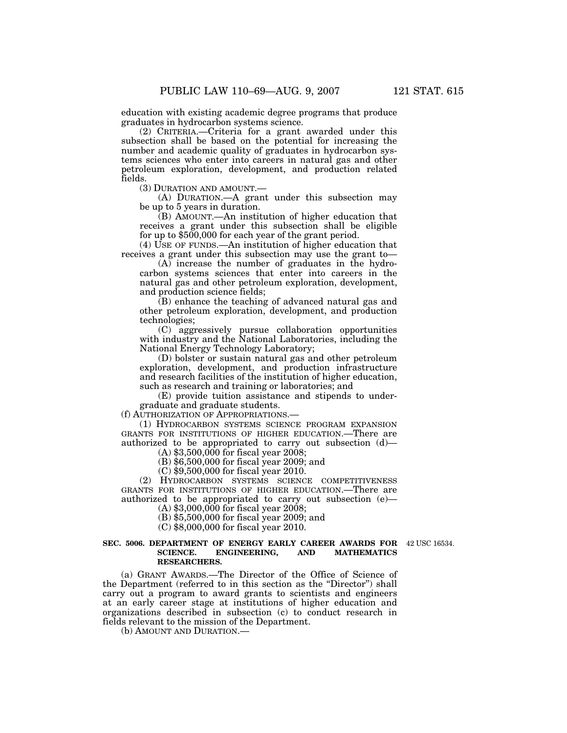education with existing academic degree programs that produce graduates in hydrocarbon systems science.

(2) CRITERIA.—Criteria for a grant awarded under this subsection shall be based on the potential for increasing the number and academic quality of graduates in hydrocarbon systems sciences who enter into careers in natural gas and other petroleum exploration, development, and production related fields.

(3) DURATION AND AMOUNT.—

(A) DURATION.—A grant under this subsection may be up to 5 years in duration.

(B) AMOUNT.—An institution of higher education that receives a grant under this subsection shall be eligible for up to \$500,000 for each year of the grant period.

(4) USE OF FUNDS.—An institution of higher education that receives a grant under this subsection may use the grant to—

(A) increase the number of graduates in the hydrocarbon systems sciences that enter into careers in the natural gas and other petroleum exploration, development, and production science fields;

(B) enhance the teaching of advanced natural gas and other petroleum exploration, development, and production technologies;

(C) aggressively pursue collaboration opportunities with industry and the National Laboratories, including the National Energy Technology Laboratory;

(D) bolster or sustain natural gas and other petroleum exploration, development, and production infrastructure and research facilities of the institution of higher education, such as research and training or laboratories; and

(E) provide tuition assistance and stipends to undergraduate and graduate students.

(f) AUTHORIZATION OF APPROPRIATIONS.—

(1) HYDROCARBON SYSTEMS SCIENCE PROGRAM EXPANSION GRANTS FOR INSTITUTIONS OF HIGHER EDUCATION.—There are authorized to be appropriated to carry out subsection (d)—

 $(A)$  \$3,500,000 for fiscal year 2008;

(B) \$6,500,000 for fiscal year 2009; and

(C) \$9,500,000 for fiscal year 2010.

(2) HYDROCARBON SYSTEMS SCIENCE COMPETITIVENESS GRANTS FOR INSTITUTIONS OF HIGHER EDUCATION.—There are authorized to be appropriated to carry out subsection (e)—  $(A)$  \$3,000,000 for fiscal year 2008;

(B) \$5,500,000 for fiscal year 2009; and

(C) \$8,000,000 for fiscal year 2010.

#### **SEC. 5006. DEPARTMENT OF ENERGY EARLY CAREER AWARDS FOR**  42 USC 16534. **SCIENCE. ENGINEERING, AND MATHEMATICS RESEARCHERS.**

(a) GRANT AWARDS.—The Director of the Office of Science of the Department (referred to in this section as the ''Director'') shall carry out a program to award grants to scientists and engineers at an early career stage at institutions of higher education and organizations described in subsection (c) to conduct research in fields relevant to the mission of the Department.

(b) AMOUNT AND DURATION.—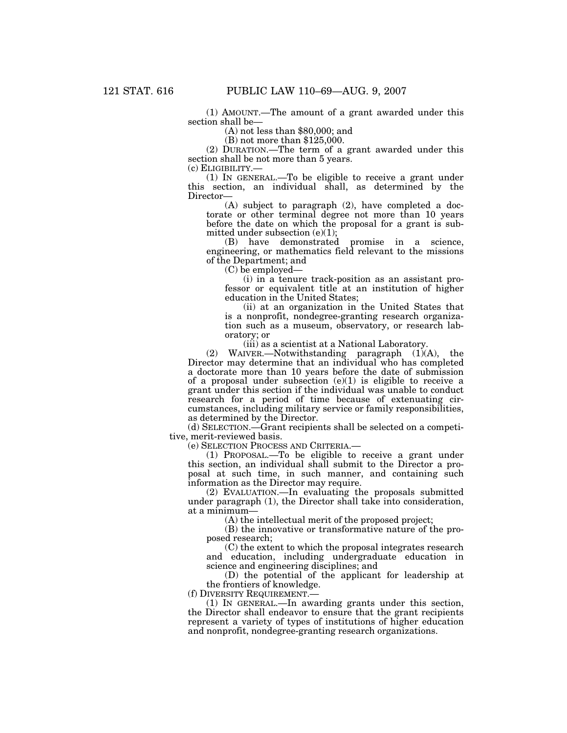(1) AMOUNT.—The amount of a grant awarded under this section shall be—

(A) not less than \$80,000; and

(B) not more than \$125,000.

(2) DURATION.—The term of a grant awarded under this section shall be not more than 5 years.<br>(c) ELIGIBILITY.—

(1) IN GENERAL.—To be eligible to receive a grant under this section, an individual shall, as determined by the Director—

(A) subject to paragraph (2), have completed a doctorate or other terminal degree not more than 10 years before the date on which the proposal for a grant is submitted under subsection (e)(1);

(B) have demonstrated promise in a science, engineering, or mathematics field relevant to the missions of the Department; and

(C) be employed—

(i) in a tenure track-position as an assistant professor or equivalent title at an institution of higher education in the United States;

(ii) at an organization in the United States that is a nonprofit, nondegree-granting research organization such as a museum, observatory, or research laboratory; or

(iii) as a scientist at a National Laboratory.

(2) WAIVER.—Notwithstanding paragraph (1)(A), the Director may determine that an individual who has completed a doctorate more than 10 years before the date of submission of a proposal under subsection  $(e)(1)$  is eligible to receive a grant under this section if the individual was unable to conduct research for a period of time because of extenuating circumstances, including military service or family responsibilities, as determined by the Director.

(d) SELECTION.—Grant recipients shall be selected on a competitive, merit-reviewed basis.

(e) SELECTION PROCESS AND CRITERIA.—

(1) PROPOSAL.—To be eligible to receive a grant under this section, an individual shall submit to the Director a proposal at such time, in such manner, and containing such information as the Director may require.

(2) EVALUATION.—In evaluating the proposals submitted under paragraph (1), the Director shall take into consideration, at a minimum—

(A) the intellectual merit of the proposed project;

(B) the innovative or transformative nature of the proposed research;

(C) the extent to which the proposal integrates research and education, including undergraduate education in science and engineering disciplines; and

(D) the potential of the applicant for leadership at the frontiers of knowledge.

(f) DIVERSITY REQUIREMENT.—

(1) IN GENERAL.—In awarding grants under this section, the Director shall endeavor to ensure that the grant recipients represent a variety of types of institutions of higher education and nonprofit, nondegree-granting research organizations.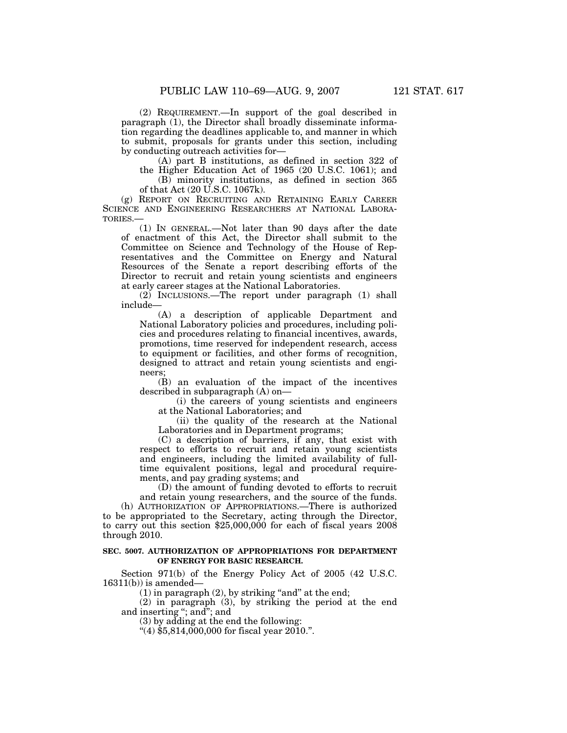(2) REQUIREMENT.—In support of the goal described in paragraph (1), the Director shall broadly disseminate information regarding the deadlines applicable to, and manner in which to submit, proposals for grants under this section, including by conducting outreach activities for—

(A) part B institutions, as defined in section 322 of

the Higher Education Act of 1965 (20 U.S.C. 1061); and (B) minority institutions, as defined in section 365

of that Act (20 U.S.C. 1067k).

(g) REPORT ON RECRUITING AND RETAINING EARLY CAREER SCIENCE AND ENGINEERING RESEARCHERS AT NATIONAL LABORA-TORIES.—

(1) IN GENERAL.—Not later than 90 days after the date of enactment of this Act, the Director shall submit to the Committee on Science and Technology of the House of Representatives and the Committee on Energy and Natural Resources of the Senate a report describing efforts of the Director to recruit and retain young scientists and engineers at early career stages at the National Laboratories.

(2) INCLUSIONS.—The report under paragraph (1) shall include—

(A) a description of applicable Department and National Laboratory policies and procedures, including policies and procedures relating to financial incentives, awards, promotions, time reserved for independent research, access to equipment or facilities, and other forms of recognition, designed to attract and retain young scientists and engineers;

(B) an evaluation of the impact of the incentives described in subparagraph (A) on—

(i) the careers of young scientists and engineers at the National Laboratories; and

(ii) the quality of the research at the National Laboratories and in Department programs;

(C) a description of barriers, if any, that exist with respect to efforts to recruit and retain young scientists and engineers, including the limited availability of fulltime equivalent positions, legal and procedural requirements, and pay grading systems; and

(D) the amount of funding devoted to efforts to recruit and retain young researchers, and the source of the funds.

(h) AUTHORIZATION OF APPROPRIATIONS.—There is authorized to be appropriated to the Secretary, acting through the Director, to carry out this section \$25,000,000 for each of fiscal years 2008 through 2010.

### **SEC. 5007. AUTHORIZATION OF APPROPRIATIONS FOR DEPARTMENT OF ENERGY FOR BASIC RESEARCH.**

Section 971(b) of the Energy Policy Act of 2005 (42 U.S.C.  $16311(b)$ ) is amended—

 $(1)$  in paragraph  $(2)$ , by striking "and" at the end;

(2) in paragraph (3), by striking the period at the end and inserting ''; and''; and

(3) by adding at the end the following:

 $(4)$ \$5,814,000,000 for fiscal year 2010.".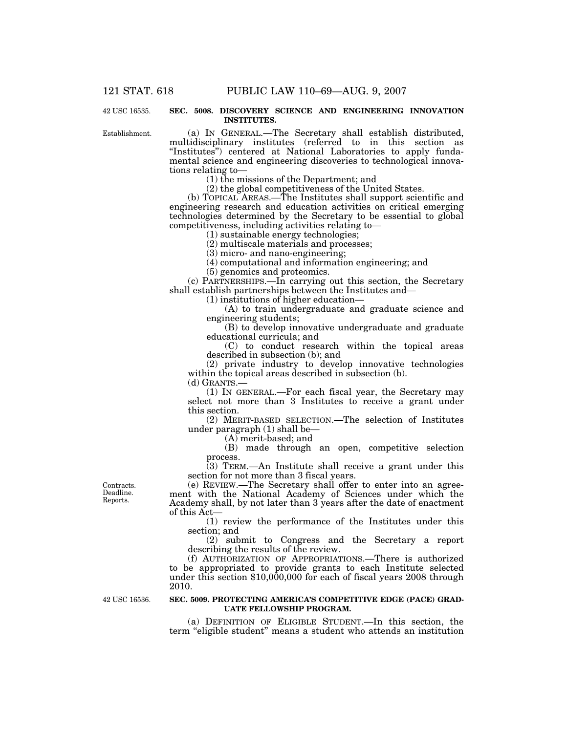42 USC 16535.

#### **SEC. 5008. DISCOVERY SCIENCE AND ENGINEERING INNOVATION INSTITUTES.**

Establishment.

(a) IN GENERAL.—The Secretary shall establish distributed, multidisciplinary institutes (referred to in this section as "Institutes") centered at National Laboratories to apply fundamental science and engineering discoveries to technological innovations relating to—

(1) the missions of the Department; and

(2) the global competitiveness of the United States.

(b) TOPICAL AREAS.—The Institutes shall support scientific and engineering research and education activities on critical emerging technologies determined by the Secretary to be essential to global competitiveness, including activities relating to—

(1) sustainable energy technologies;

(2) multiscale materials and processes;

(3) micro- and nano-engineering;

(4) computational and information engineering; and

(5) genomics and proteomics.

(c) PARTNERSHIPS.—In carrying out this section, the Secretary shall establish partnerships between the Institutes and—

(1) institutions of higher education—

(A) to train undergraduate and graduate science and engineering students;

(B) to develop innovative undergraduate and graduate educational curricula; and

(C) to conduct research within the topical areas described in subsection (b); and

(2) private industry to develop innovative technologies within the topical areas described in subsection (b). (d) GRANTS.—

(1) IN GENERAL.—For each fiscal year, the Secretary may select not more than 3 Institutes to receive a grant under this section.

(2) MERIT-BASED SELECTION.—The selection of Institutes under paragraph (1) shall be—

(A) merit-based; and

(B) made through an open, competitive selection process.

(3) TERM.—An Institute shall receive a grant under this section for not more than 3 fiscal years.

(e) REVIEW.—The Secretary shall offer to enter into an agreement with the National Academy of Sciences under which the Academy shall, by not later than 3 years after the date of enactment of this Act—

(1) review the performance of the Institutes under this section; and

(2) submit to Congress and the Secretary a report describing the results of the review.

(f) AUTHORIZATION OF APPROPRIATIONS.—There is authorized to be appropriated to provide grants to each Institute selected under this section \$10,000,000 for each of fiscal years 2008 through 2010.

42 USC 16536.

#### **SEC. 5009. PROTECTING AMERICA'S COMPETITIVE EDGE (PACE) GRAD-UATE FELLOWSHIP PROGRAM.**

(a) DEFINITION OF ELIGIBLE STUDENT.—In this section, the term ''eligible student'' means a student who attends an institution

Contracts. Deadline. Reports.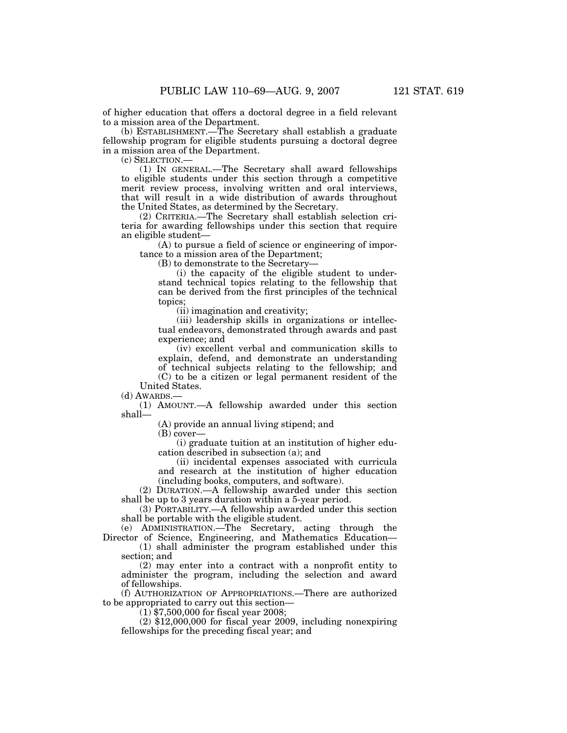of higher education that offers a doctoral degree in a field relevant to a mission area of the Department.

(b) ESTABLISHMENT.—The Secretary shall establish a graduate fellowship program for eligible students pursuing a doctoral degree in a mission area of the Department.

(c) SELECTION.—

(1) IN GENERAL.—The Secretary shall award fellowships to eligible students under this section through a competitive merit review process, involving written and oral interviews, that will result in a wide distribution of awards throughout the United States, as determined by the Secretary.

(2) CRITERIA.—The Secretary shall establish selection criteria for awarding fellowships under this section that require an eligible student—

(A) to pursue a field of science or engineering of importance to a mission area of the Department;

(B) to demonstrate to the Secretary—

(i) the capacity of the eligible student to understand technical topics relating to the fellowship that can be derived from the first principles of the technical topics;

(ii) imagination and creativity;

(iii) leadership skills in organizations or intellectual endeavors, demonstrated through awards and past experience; and

(iv) excellent verbal and communication skills to explain, defend, and demonstrate an understanding of technical subjects relating to the fellowship; and (C) to be a citizen or legal permanent resident of the

United States. (d) AWARDS.—

(1) AMOUNT.—A fellowship awarded under this section shall—

(A) provide an annual living stipend; and

(B) cover—

(i) graduate tuition at an institution of higher education described in subsection (a); and

(ii) incidental expenses associated with curricula and research at the institution of higher education (including books, computers, and software).

(2) DURATION.—A fellowship awarded under this section shall be up to 3 years duration within a 5-year period.

(3) PORTABILITY.—A fellowship awarded under this section shall be portable with the eligible student.

(e) ADMINISTRATION.—The Secretary, acting through the Director of Science, Engineering, and Mathematics Education—

(1) shall administer the program established under this section; and

(2) may enter into a contract with a nonprofit entity to administer the program, including the selection and award of fellowships.

(f) AUTHORIZATION OF APPROPRIATIONS.—There are authorized to be appropriated to carry out this section—

 $(1)$  \$7,500,000 for fiscal year 2008;

 $(2)$  \$12,000,000 for fiscal year 2009, including nonexpiring fellowships for the preceding fiscal year; and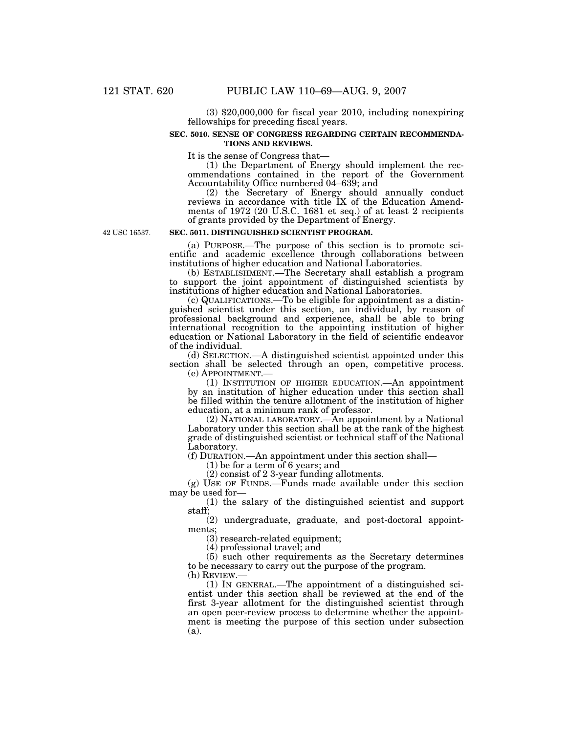(3) \$20,000,000 for fiscal year 2010, including nonexpiring fellowships for preceding fiscal years.

## **SEC. 5010. SENSE OF CONGRESS REGARDING CERTAIN RECOMMENDA-TIONS AND REVIEWS.**

It is the sense of Congress that—

(1) the Department of Energy should implement the recommendations contained in the report of the Government Accountability Office numbered 04–639; and

(2) the Secretary of Energy should annually conduct reviews in accordance with title IX of the Education Amendments of 1972 (20 U.S.C. 1681 et seq.) of at least 2 recipients of grants provided by the Department of Energy.

42 USC 16537.

## **SEC. 5011. DISTINGUISHED SCIENTIST PROGRAM.**

(a) PURPOSE.—The purpose of this section is to promote scientific and academic excellence through collaborations between institutions of higher education and National Laboratories.

(b) ESTABLISHMENT.—The Secretary shall establish a program to support the joint appointment of distinguished scientists by institutions of higher education and National Laboratories.

(c) QUALIFICATIONS.—To be eligible for appointment as a distinguished scientist under this section, an individual, by reason of professional background and experience, shall be able to bring international recognition to the appointing institution of higher education or National Laboratory in the field of scientific endeavor of the individual.

(d) SELECTION.—A distinguished scientist appointed under this section shall be selected through an open, competitive process.<br>(e) APPOINTMENT.—

 $(1)$  INSTITUTION OF HIGHER EDUCATION.—An appointment by an institution of higher education under this section shall be filled within the tenure allotment of the institution of higher education, at a minimum rank of professor.

(2) NATIONAL LABORATORY.—An appointment by a National Laboratory under this section shall be at the rank of the highest grade of distinguished scientist or technical staff of the National Laboratory.

(f) DURATION.—An appointment under this section shall—

 $(1)$  be for a term of 6 years; and

(2) consist of 2 3-year funding allotments.

(g) USE OF FUNDS.—Funds made available under this section may be used for—

(1) the salary of the distinguished scientist and support staff;

(2) undergraduate, graduate, and post-doctoral appointments;

(3) research-related equipment;

(4) professional travel; and

(5) such other requirements as the Secretary determines to be necessary to carry out the purpose of the program.<br>(h) REVIEW.—

(1) IN GENERAL.—The appointment of a distinguished scientist under this section shall be reviewed at the end of the first 3-year allotment for the distinguished scientist through an open peer-review process to determine whether the appointment is meeting the purpose of this section under subsection (a).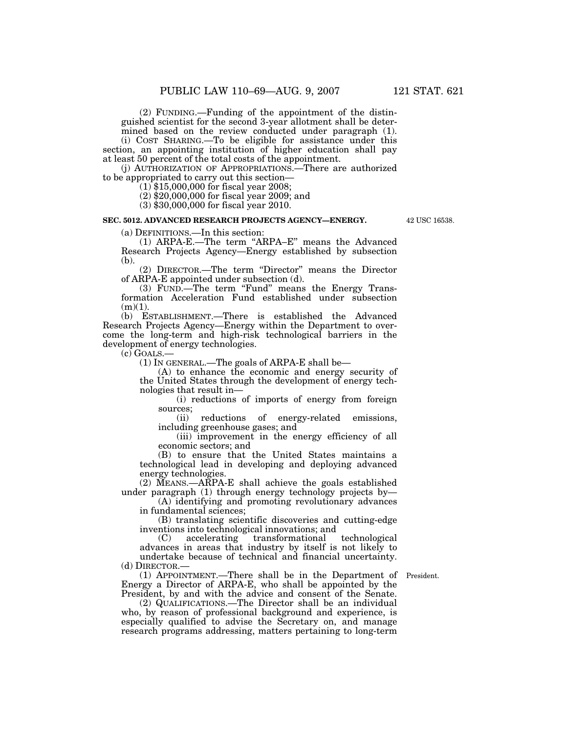(2) FUNDING.—Funding of the appointment of the distinguished scientist for the second 3-year allotment shall be deter-

mined based on the review conducted under paragraph (1). (i) COST SHARING.—To be eligible for assistance under this section, an appointing institution of higher education shall pay at least 50 percent of the total costs of the appointment.

(j) AUTHORIZATION OF APPROPRIATIONS.—There are authorized to be appropriated to carry out this section— (1) \$15,000,000 for fiscal year 2008;

(2) \$20,000,000 for fiscal year 2009; and

(3) \$30,000,000 for fiscal year 2010.

## **SEC. 5012. ADVANCED RESEARCH PROJECTS AGENCY—ENERGY.**

42 USC 16538.

(a) DEFINITIONS.—In this section:

(1) ARPA-E.—The term ''ARPA–E'' means the Advanced Research Projects Agency—Energy established by subsection (b).

(2) DIRECTOR.—The term ''Director'' means the Director of ARPA-E appointed under subsection (d).

(3) FUND.—The term "Fund" means the Energy Transformation Acceleration Fund established under subsection  $(m)(1)$ .

(b) ESTABLISHMENT.—There is established the Advanced Research Projects Agency—Energy within the Department to overcome the long-term and high-risk technological barriers in the development of energy technologies.

(c) GOALS.—

(1) IN GENERAL.—The goals of ARPA-E shall be—

(A) to enhance the economic and energy security of the United States through the development of energy technologies that result in—

(i) reductions of imports of energy from foreign sources;

(ii) reductions of energy-related emissions, including greenhouse gases; and

(iii) improvement in the energy efficiency of all economic sectors; and

(B) to ensure that the United States maintains a technological lead in developing and deploying advanced energy technologies.

(2) MEANS.—ARPA-E shall achieve the goals established under paragraph (1) through energy technology projects by-

(A) identifying and promoting revolutionary advances in fundamental sciences;

(B) translating scientific discoveries and cutting-edge inventions into technological innovations; and<br>
(C) accelerating transformational technological

 $(C)$  accelerating transformational advances in areas that industry by itself is not likely to undertake because of technical and financial uncertainty. (d) DIRECTOR.—

(1) APPOINTMENT.—There shall be in the Department of President. Energy a Director of ARPA-E, who shall be appointed by the President, by and with the advice and consent of the Senate.

(2) QUALIFICATIONS.—The Director shall be an individual who, by reason of professional background and experience, is especially qualified to advise the Secretary on, and manage research programs addressing, matters pertaining to long-term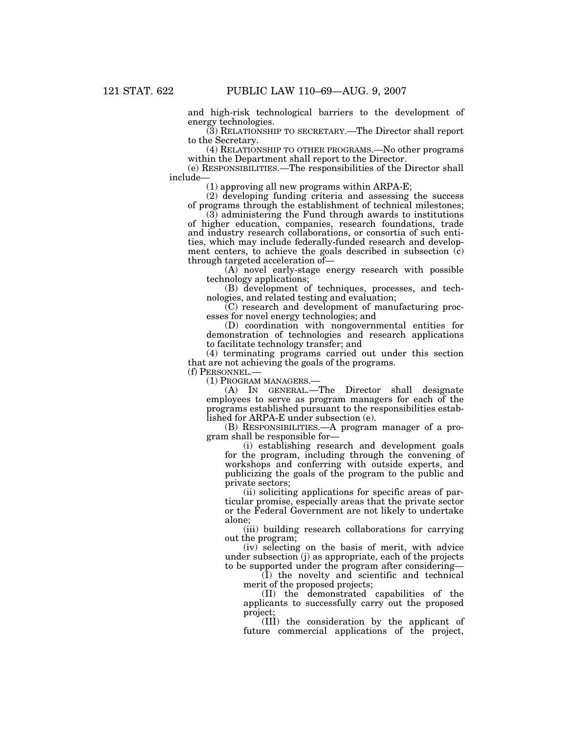and high-risk technological barriers to the development of energy technologies.

(3) RELATIONSHIP TO SECRETARY.—The Director shall report to the Secretary.

(4) RELATIONSHIP TO OTHER PROGRAMS.—No other programs within the Department shall report to the Director.

(e) RESPONSIBILITIES.—The responsibilities of the Director shall include—

(1) approving all new programs within ARPA-E;

(2) developing funding criteria and assessing the success of programs through the establishment of technical milestones;

(3) administering the Fund through awards to institutions of higher education, companies, research foundations, trade and industry research collaborations, or consortia of such entities, which may include federally-funded research and development centers, to achieve the goals described in subsection (c) through targeted acceleration of—

(A) novel early-stage energy research with possible technology applications;

(B) development of techniques, processes, and technologies, and related testing and evaluation;

(C) research and development of manufacturing processes for novel energy technologies; and

(D) coordination with nongovernmental entities for demonstration of technologies and research applications to facilitate technology transfer; and

(4) terminating programs carried out under this section that are not achieving the goals of the programs.

(f) PERSONNEL.—

(1) PROGRAM MANAGERS.—

(A) IN GENERAL.—The Director shall designate employees to serve as program managers for each of the programs established pursuant to the responsibilities established for ARPA-E under subsection (e).

(B) RESPONSIBILITIES.—A program manager of a program shall be responsible for—

(i) establishing research and development goals for the program, including through the convening of workshops and conferring with outside experts, and publicizing the goals of the program to the public and private sectors;

(ii) soliciting applications for specific areas of particular promise, especially areas that the private sector or the Federal Government are not likely to undertake alone;

(iii) building research collaborations for carrying out the program;

(iv) selecting on the basis of merit, with advice under subsection (j) as appropriate, each of the projects to be supported under the program after considering—

(I) the novelty and scientific and technical merit of the proposed projects;

(II) the demonstrated capabilities of the applicants to successfully carry out the proposed project;

(III) the consideration by the applicant of future commercial applications of the project,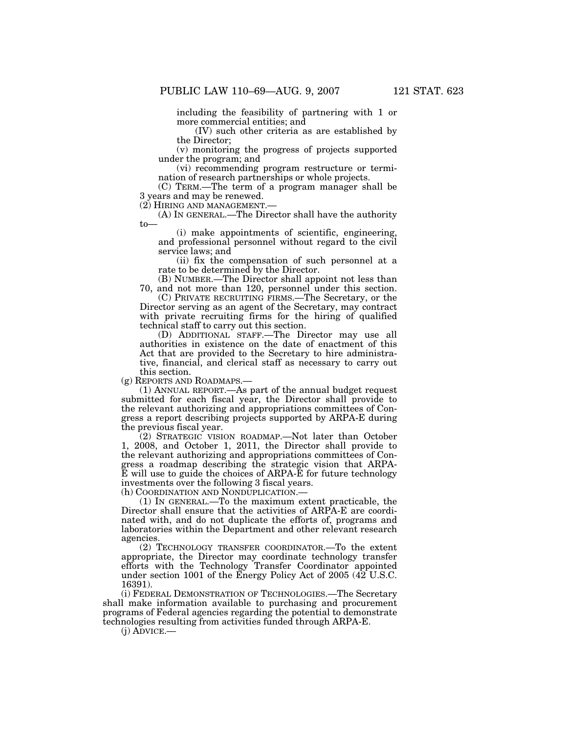including the feasibility of partnering with 1 or more commercial entities; and

(IV) such other criteria as are established by the Director;

(v) monitoring the progress of projects supported under the program; and

(vi) recommending program restructure or termination of research partnerships or whole projects.

(C) TERM.—The term of a program manager shall be 3 years and may be renewed.<br>(2) HIRING AND MANAGEMENT.—

(A) IN GENERAL.—The Director shall have the authority to—

(i) make appointments of scientific, engineering, and professional personnel without regard to the civil service laws; and

(ii) fix the compensation of such personnel at a rate to be determined by the Director.

(B) NUMBER.—The Director shall appoint not less than 70, and not more than 120, personnel under this section.

(C) PRIVATE RECRUITING FIRMS.—The Secretary, or the Director serving as an agent of the Secretary, may contract with private recruiting firms for the hiring of qualified technical staff to carry out this section.

(D) ADDITIONAL STAFF.—The Director may use all authorities in existence on the date of enactment of this Act that are provided to the Secretary to hire administrative, financial, and clerical staff as necessary to carry out this section.

(g) REPORTS AND ROADMAPS.—

(1) ANNUAL REPORT.—As part of the annual budget request submitted for each fiscal year, the Director shall provide to the relevant authorizing and appropriations committees of Congress a report describing projects supported by ARPA-E during the previous fiscal year.

(2) STRATEGIC VISION ROADMAP.—Not later than October 1, 2008, and October 1, 2011, the Director shall provide to the relevant authorizing and appropriations committees of Congress a roadmap describing the strategic vision that ARPA-E will use to guide the choices of ARPA-E for future technology investments over the following 3 fiscal years.

(h) COORDINATION AND NONDUPLICATION.—

(1) IN GENERAL.—To the maximum extent practicable, the Director shall ensure that the activities of ARPA-E are coordinated with, and do not duplicate the efforts of, programs and laboratories within the Department and other relevant research agencies.

(2) TECHNOLOGY TRANSFER COORDINATOR.—To the extent appropriate, the Director may coordinate technology transfer efforts with the Technology Transfer Coordinator appointed under section 1001 of the Energy Policy Act of 2005 (42 U.S.C. 16391).

(i) FEDERAL DEMONSTRATION OF TECHNOLOGIES.—The Secretary shall make information available to purchasing and procurement programs of Federal agencies regarding the potential to demonstrate technologies resulting from activities funded through ARPA-E.

(j) ADVICE.—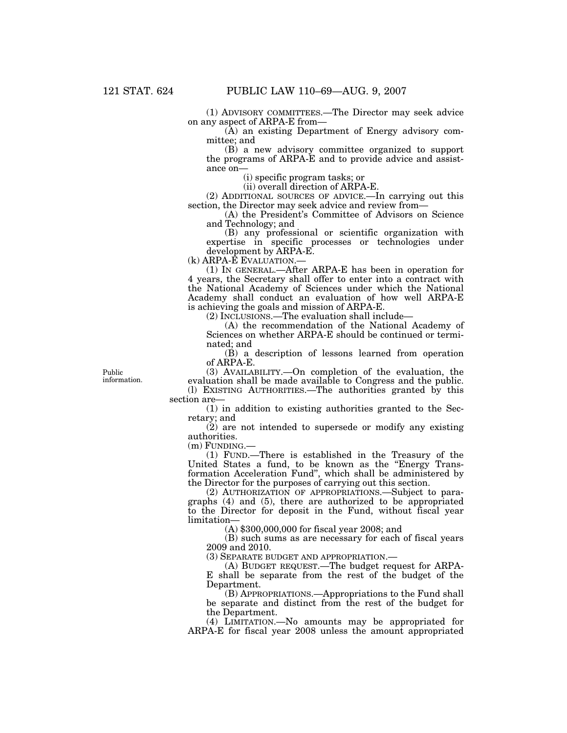(1) ADVISORY COMMITTEES.—The Director may seek advice on any aspect of ARPA-E from—

(A) an existing Department of Energy advisory committee; and

(B) a new advisory committee organized to support the programs of ARPA-E and to provide advice and assistance on—

(i) specific program tasks; or

(ii) overall direction of ARPA-E.

(2) ADDITIONAL SOURCES OF ADVICE.—In carrying out this section, the Director may seek advice and review from—

(A) the President's Committee of Advisors on Science and Technology; and

(B) any professional or scientific organization with expertise in specific processes or technologies under development by ARPA-E.

(k) ARPA-E EVALUATION.—

(1) IN GENERAL.—After ARPA-E has been in operation for 4 years, the Secretary shall offer to enter into a contract with the National Academy of Sciences under which the National Academy shall conduct an evaluation of how well ARPA-E is achieving the goals and mission of ARPA-E.

(2) INCLUSIONS.—The evaluation shall include—

(A) the recommendation of the National Academy of Sciences on whether ARPA-E should be continued or terminated; and

(B) a description of lessons learned from operation of ARPA-E.

(3) AVAILABILITY.—On completion of the evaluation, the evaluation shall be made available to Congress and the public.

(l) EXISTING AUTHORITIES.—The authorities granted by this section are—

(1) in addition to existing authorities granted to the Secretary; and

(2) are not intended to supersede or modify any existing authorities.

(m) FUNDING.—

(1) FUND.—There is established in the Treasury of the United States a fund, to be known as the ''Energy Transformation Acceleration Fund'', which shall be administered by the Director for the purposes of carrying out this section.

(2) AUTHORIZATION OF APPROPRIATIONS.—Subject to paragraphs (4) and (5), there are authorized to be appropriated to the Director for deposit in the Fund, without fiscal year limitation—

(A) \$300,000,000 for fiscal year 2008; and

(B) such sums as are necessary for each of fiscal years 2009 and 2010.

(3) SEPARATE BUDGET AND APPROPRIATION.—

(A) BUDGET REQUEST.—The budget request for ARPA-E shall be separate from the rest of the budget of the Department.

(B) APPROPRIATIONS.—Appropriations to the Fund shall be separate and distinct from the rest of the budget for the Department.

(4) LIMITATION.—No amounts may be appropriated for ARPA-E for fiscal year 2008 unless the amount appropriated

Public information.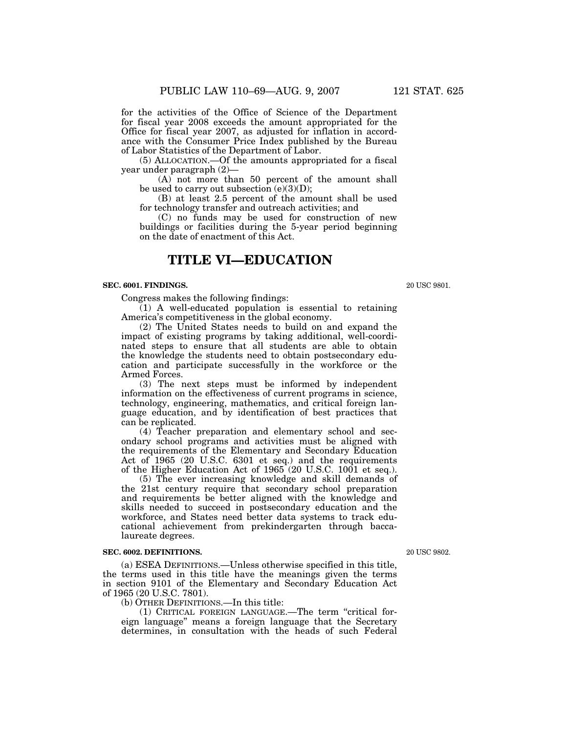for the activities of the Office of Science of the Department for fiscal year 2008 exceeds the amount appropriated for the Office for fiscal year 2007, as adjusted for inflation in accordance with the Consumer Price Index published by the Bureau of Labor Statistics of the Department of Labor.

(5) ALLOCATION.—Of the amounts appropriated for a fiscal year under paragraph (2)—

(A) not more than 50 percent of the amount shall be used to carry out subsection  $(e)(3)(D)$ ;

(B) at least 2.5 percent of the amount shall be used for technology transfer and outreach activities; and

(C) no funds may be used for construction of new buildings or facilities during the 5-year period beginning on the date of enactment of this Act.

# **TITLE VI—EDUCATION**

#### **SEC. 6001. FINDINGS.**

Congress makes the following findings:

(1) A well-educated population is essential to retaining America's competitiveness in the global economy.

(2) The United States needs to build on and expand the impact of existing programs by taking additional, well-coordinated steps to ensure that all students are able to obtain the knowledge the students need to obtain postsecondary education and participate successfully in the workforce or the Armed Forces.

(3) The next steps must be informed by independent information on the effectiveness of current programs in science, technology, engineering, mathematics, and critical foreign language education, and by identification of best practices that can be replicated.

(4) Teacher preparation and elementary school and secondary school programs and activities must be aligned with the requirements of the Elementary and Secondary Education Act of 1965 (20 U.S.C. 6301 et seq.) and the requirements of the Higher Education Act of 1965 (20 U.S.C. 1001 et seq.).

(5) The ever increasing knowledge and skill demands of the 21st century require that secondary school preparation and requirements be better aligned with the knowledge and skills needed to succeed in postsecondary education and the workforce, and States need better data systems to track educational achievement from prekindergarten through baccalaureate degrees.

#### **SEC. 6002. DEFINITIONS.**

(a) ESEA DEFINITIONS.—Unless otherwise specified in this title, the terms used in this title have the meanings given the terms in section 9101 of the Elementary and Secondary Education Act of 1965 (20 U.S.C. 7801).

(b) OTHER DEFINITIONS.—In this title:

(1) CRITICAL FOREIGN LANGUAGE.—The term ''critical foreign language'' means a foreign language that the Secretary determines, in consultation with the heads of such Federal

20 USC 9802.

20 USC 9801.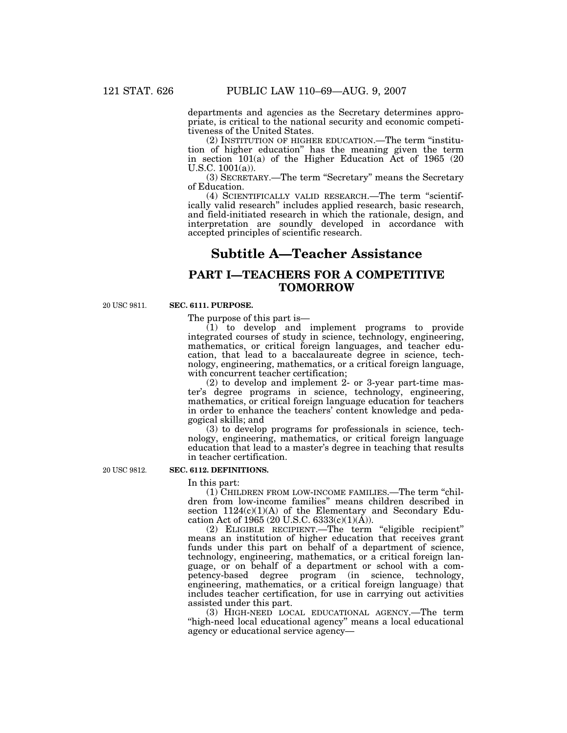departments and agencies as the Secretary determines appropriate, is critical to the national security and economic competitiveness of the United States.

(2) INSTITUTION OF HIGHER EDUCATION.—The term ''institution of higher education'' has the meaning given the term in section  $101(a)$  of the Higher Education Act of 1965 (20 U.S.C. 1001(a)).

(3) SECRETARY.—The term ''Secretary'' means the Secretary of Education.

(4) SCIENTIFICALLY VALID RESEARCH.—The term ''scientifically valid research'' includes applied research, basic research, and field-initiated research in which the rationale, design, and interpretation are soundly developed in accordance with accepted principles of scientific research.

# **Subtitle A—Teacher Assistance**

# **PART I—TEACHERS FOR A COMPETITIVE TOMORROW**

20 USC 9811.

## **SEC. 6111. PURPOSE.**

The purpose of this part is—

(1) to develop and implement programs to provide integrated courses of study in science, technology, engineering, mathematics, or critical foreign languages, and teacher education, that lead to a baccalaureate degree in science, technology, engineering, mathematics, or a critical foreign language, with concurrent teacher certification;

(2) to develop and implement 2- or 3-year part-time master's degree programs in science, technology, engineering, mathematics, or critical foreign language education for teachers in order to enhance the teachers' content knowledge and pedagogical skills; and

(3) to develop programs for professionals in science, technology, engineering, mathematics, or critical foreign language education that lead to a master's degree in teaching that results in teacher certification.

20 USC 9812.

## **SEC. 6112. DEFINITIONS.**

In this part:

(1) CHILDREN FROM LOW-INCOME FAMILIES.—The term ''children from low-income families'' means children described in section  $1124(c)(1)(A)$  of the Elementary and Secondary Education Act of 1965 (20 U.S.C. 6333(c)(1)( $\AA$ )).

(2) ELIGIBLE RECIPIENT.—The term ''eligible recipient'' means an institution of higher education that receives grant funds under this part on behalf of a department of science, technology, engineering, mathematics, or a critical foreign language, or on behalf of a department or school with a competency-based degree program (in science, technology, engineering, mathematics, or a critical foreign language) that includes teacher certification, for use in carrying out activities assisted under this part.

(3) HIGH-NEED LOCAL EDUCATIONAL AGENCY.—The term "high-need local educational agency" means a local educational agency or educational service agency—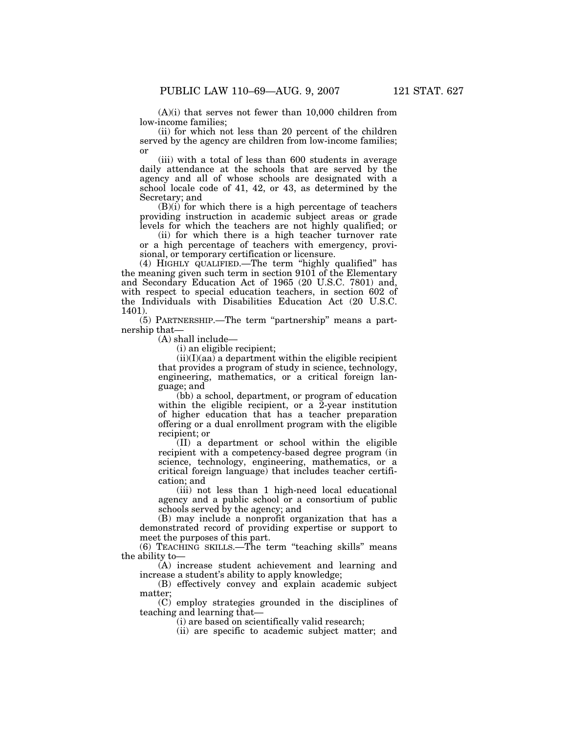$(A)(i)$  that serves not fewer than 10,000 children from low-income families;

(ii) for which not less than 20 percent of the children served by the agency are children from low-income families; or

(iii) with a total of less than 600 students in average daily attendance at the schools that are served by the agency and all of whose schools are designated with a school locale code of 41, 42, or 43, as determined by the Secretary; and

(B)(i) for which there is a high percentage of teachers providing instruction in academic subject areas or grade levels for which the teachers are not highly qualified; or

(ii) for which there is a high teacher turnover rate or a high percentage of teachers with emergency, provisional, or temporary certification or licensure.

(4) HIGHLY QUALIFIED.—The term ''highly qualified'' has the meaning given such term in section 9101 of the Elementary and Secondary Education Act of 1965 (20 U.S.C. 7801) and, with respect to special education teachers, in section 602 of the Individuals with Disabilities Education Act (20 U.S.C. 1401).

(5) PARTNERSHIP.—The term ''partnership'' means a partnership that—

(A) shall include—

(i) an eligible recipient;

 $(ii)(I)(aa)$  a department within the eligible recipient that provides a program of study in science, technology, engineering, mathematics, or a critical foreign language; and

(bb) a school, department, or program of education within the eligible recipient, or a  $2$ -year institution of higher education that has a teacher preparation offering or a dual enrollment program with the eligible recipient; or

(II) a department or school within the eligible recipient with a competency-based degree program (in science, technology, engineering, mathematics, or a critical foreign language) that includes teacher certification; and

(iii) not less than 1 high-need local educational agency and a public school or a consortium of public schools served by the agency; and

(B) may include a nonprofit organization that has a demonstrated record of providing expertise or support to meet the purposes of this part.

(6) TEACHING SKILLS.—The term ''teaching skills'' means the ability to—

(A) increase student achievement and learning and increase a student's ability to apply knowledge;

(B) effectively convey and explain academic subject matter;

(C) employ strategies grounded in the disciplines of teaching and learning that—

(i) are based on scientifically valid research;

(ii) are specific to academic subject matter; and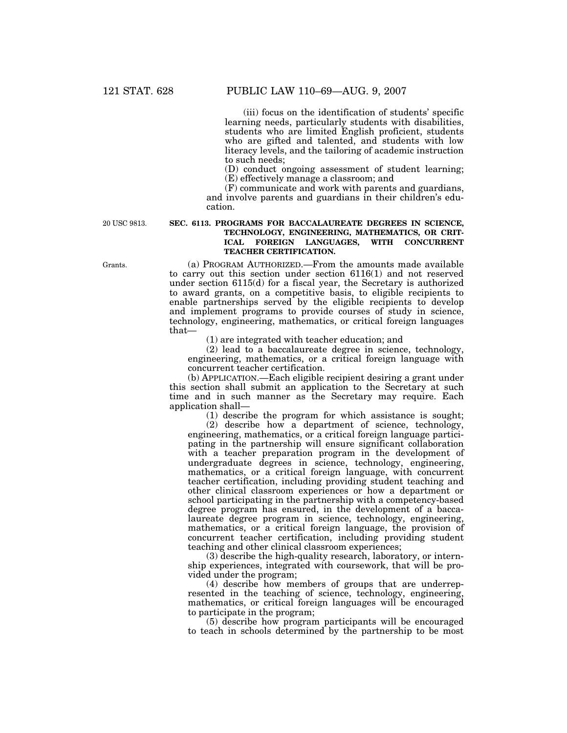(iii) focus on the identification of students' specific learning needs, particularly students with disabilities, students who are limited English proficient, students who are gifted and talented, and students with low literacy levels, and the tailoring of academic instruction to such needs;

(D) conduct ongoing assessment of student learning; (E) effectively manage a classroom; and

(F) communicate and work with parents and guardians, and involve parents and guardians in their children's education.

20 USC 9813.

## **SEC. 6113. PROGRAMS FOR BACCALAUREATE DEGREES IN SCIENCE, TECHNOLOGY, ENGINEERING, MATHEMATICS, OR CRIT-ICAL FOREIGN LANGUAGES, WITH CONCURRENT TEACHER CERTIFICATION.**

(a) PROGRAM AUTHORIZED.—From the amounts made available to carry out this section under section 6116(1) and not reserved under section 6115(d) for a fiscal year, the Secretary is authorized to award grants, on a competitive basis, to eligible recipients to enable partnerships served by the eligible recipients to develop and implement programs to provide courses of study in science, technology, engineering, mathematics, or critical foreign languages that—

(1) are integrated with teacher education; and

(2) lead to a baccalaureate degree in science, technology, engineering, mathematics, or a critical foreign language with concurrent teacher certification.

(b) APPLICATION.—Each eligible recipient desiring a grant under this section shall submit an application to the Secretary at such time and in such manner as the Secretary may require. Each application shall—

(1) describe the program for which assistance is sought;

(2) describe how a department of science, technology, engineering, mathematics, or a critical foreign language participating in the partnership will ensure significant collaboration with a teacher preparation program in the development of undergraduate degrees in science, technology, engineering, mathematics, or a critical foreign language, with concurrent teacher certification, including providing student teaching and other clinical classroom experiences or how a department or school participating in the partnership with a competency-based degree program has ensured, in the development of a baccalaureate degree program in science, technology, engineering, mathematics, or a critical foreign language, the provision of concurrent teacher certification, including providing student teaching and other clinical classroom experiences;

(3) describe the high-quality research, laboratory, or internship experiences, integrated with coursework, that will be provided under the program;

(4) describe how members of groups that are underrepresented in the teaching of science, technology, engineering, mathematics, or critical foreign languages will be encouraged to participate in the program;

(5) describe how program participants will be encouraged to teach in schools determined by the partnership to be most

Grants.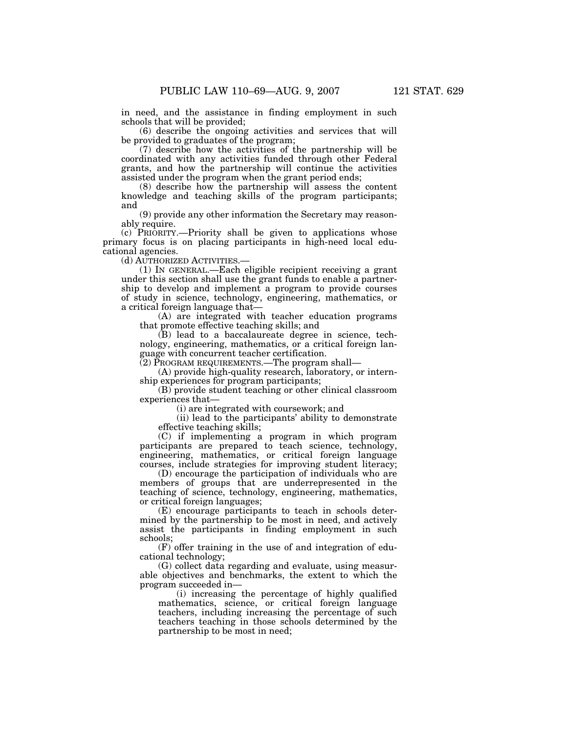in need, and the assistance in finding employment in such schools that will be provided;

(6) describe the ongoing activities and services that will be provided to graduates of the program;

(7) describe how the activities of the partnership will be coordinated with any activities funded through other Federal grants, and how the partnership will continue the activities assisted under the program when the grant period ends;

(8) describe how the partnership will assess the content knowledge and teaching skills of the program participants; and

(9) provide any other information the Secretary may reasonably require.

(c) PRIORITY.—Priority shall be given to applications whose primary focus is on placing participants in high-need local educational agencies.

(d) AUTHORIZED ACTIVITIES.—

(1) IN GENERAL.—Each eligible recipient receiving a grant under this section shall use the grant funds to enable a partnership to develop and implement a program to provide courses of study in science, technology, engineering, mathematics, or a critical foreign language that—

(A) are integrated with teacher education programs that promote effective teaching skills; and

(B) lead to a baccalaureate degree in science, technology, engineering, mathematics, or a critical foreign language with concurrent teacher certification.

(2) PROGRAM REQUIREMENTS.—The program shall—

(A) provide high-quality research, laboratory, or internship experiences for program participants;

(B) provide student teaching or other clinical classroom experiences that—

(i) are integrated with coursework; and

(ii) lead to the participants' ability to demonstrate effective teaching skills;

(C) if implementing a program in which program participants are prepared to teach science, technology, engineering, mathematics, or critical foreign language courses, include strategies for improving student literacy;

(D) encourage the participation of individuals who are members of groups that are underrepresented in the teaching of science, technology, engineering, mathematics, or critical foreign languages;

(E) encourage participants to teach in schools determined by the partnership to be most in need, and actively assist the participants in finding employment in such schools;

(F) offer training in the use of and integration of educational technology;

(G) collect data regarding and evaluate, using measurable objectives and benchmarks, the extent to which the program succeeded in—

(i) increasing the percentage of highly qualified mathematics, science, or critical foreign language teachers, including increasing the percentage of such teachers teaching in those schools determined by the partnership to be most in need;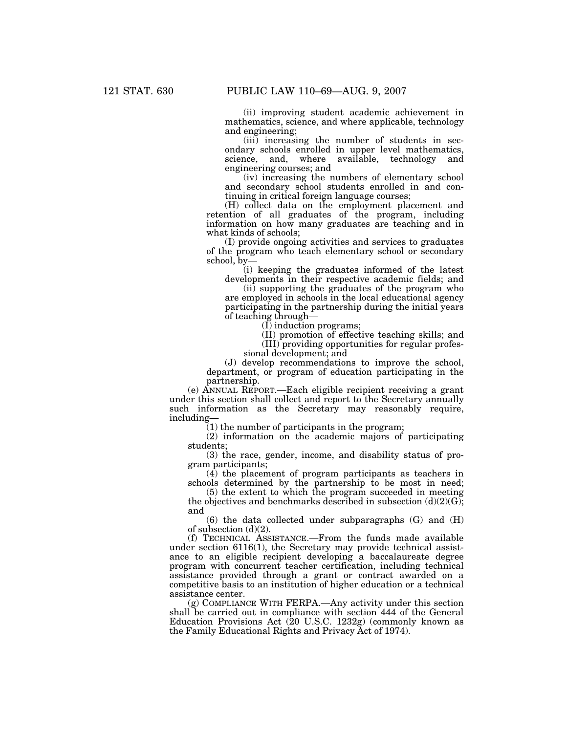(ii) improving student academic achievement in mathematics, science, and where applicable, technology and engineering;

(iii) increasing the number of students in secondary schools enrolled in upper level mathematics, science, and, where available, technology and engineering courses; and

(iv) increasing the numbers of elementary school and secondary school students enrolled in and continuing in critical foreign language courses;

(H) collect data on the employment placement and retention of all graduates of the program, including information on how many graduates are teaching and in what kinds of schools;

(I) provide ongoing activities and services to graduates of the program who teach elementary school or secondary school, by—

(i) keeping the graduates informed of the latest developments in their respective academic fields; and

(ii) supporting the graduates of the program who are employed in schools in the local educational agency participating in the partnership during the initial years of teaching through—

(I) induction programs;

(II) promotion of effective teaching skills; and

(III) providing opportunities for regular profes-

sional development; and

(J) develop recommendations to improve the school, department, or program of education participating in the partnership.

(e) ANNUAL REPORT.—Each eligible recipient receiving a grant under this section shall collect and report to the Secretary annually such information as the Secretary may reasonably require, including—

(1) the number of participants in the program;

(2) information on the academic majors of participating students;

(3) the race, gender, income, and disability status of program participants;

(4) the placement of program participants as teachers in schools determined by the partnership to be most in need;

(5) the extent to which the program succeeded in meeting the objectives and benchmarks described in subsection  $(d)(2)(G)$ ; and

(6) the data collected under subparagraphs (G) and (H) of subsection (d)(2).

(f) TECHNICAL ASSISTANCE.—From the funds made available under section 6116(1), the Secretary may provide technical assistance to an eligible recipient developing a baccalaureate degree program with concurrent teacher certification, including technical assistance provided through a grant or contract awarded on a competitive basis to an institution of higher education or a technical assistance center.

(g) COMPLIANCE WITH FERPA.—Any activity under this section shall be carried out in compliance with section 444 of the General Education Provisions Act (20 U.S.C. 1232g) (commonly known as the Family Educational Rights and Privacy Act of 1974).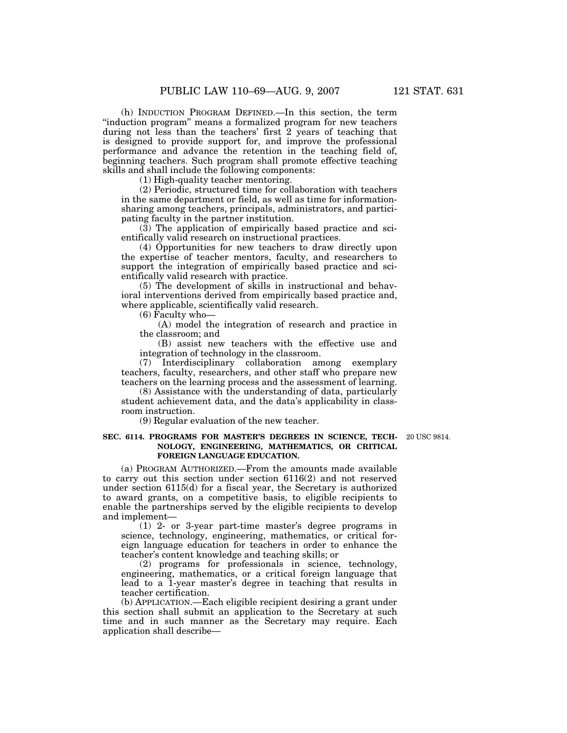(h) INDUCTION PROGRAM DEFINED.—In this section, the term "induction program" means a formalized program for new teachers during not less than the teachers' first 2 years of teaching that is designed to provide support for, and improve the professional performance and advance the retention in the teaching field of, beginning teachers. Such program shall promote effective teaching skills and shall include the following components:

(1) High-quality teacher mentoring.

(2) Periodic, structured time for collaboration with teachers in the same department or field, as well as time for informationsharing among teachers, principals, administrators, and participating faculty in the partner institution.

(3) The application of empirically based practice and scientifically valid research on instructional practices.

(4) Opportunities for new teachers to draw directly upon the expertise of teacher mentors, faculty, and researchers to support the integration of empirically based practice and scientifically valid research with practice.

(5) The development of skills in instructional and behavioral interventions derived from empirically based practice and, where applicable, scientifically valid research.

(6) Faculty who—

(A) model the integration of research and practice in the classroom; and

(B) assist new teachers with the effective use and integration of technology in the classroom.

(7) Interdisciplinary collaboration among exemplary teachers, faculty, researchers, and other staff who prepare new teachers on the learning process and the assessment of learning.

(8) Assistance with the understanding of data, particularly student achievement data, and the data's applicability in classroom instruction.

(9) Regular evaluation of the new teacher.

#### **SEC. 6114. PROGRAMS FOR MASTER'S DEGREES IN SCIENCE, TECH-**20 USC 9814. **NOLOGY, ENGINEERING, MATHEMATICS, OR CRITICAL FOREIGN LANGUAGE EDUCATION.**

(a) PROGRAM AUTHORIZED.—From the amounts made available to carry out this section under section 6116(2) and not reserved under section 6115(d) for a fiscal year, the Secretary is authorized to award grants, on a competitive basis, to eligible recipients to enable the partnerships served by the eligible recipients to develop and implement—

(1) 2- or 3-year part-time master's degree programs in science, technology, engineering, mathematics, or critical foreign language education for teachers in order to enhance the teacher's content knowledge and teaching skills; or

(2) programs for professionals in science, technology, engineering, mathematics, or a critical foreign language that lead to a 1-year master's degree in teaching that results in teacher certification.

(b) APPLICATION.—Each eligible recipient desiring a grant under this section shall submit an application to the Secretary at such time and in such manner as the Secretary may require. Each application shall describe—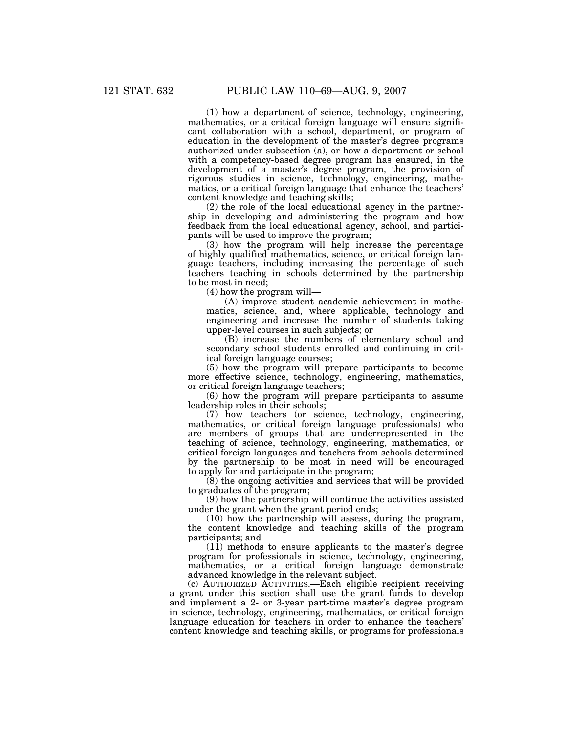(1) how a department of science, technology, engineering, mathematics, or a critical foreign language will ensure significant collaboration with a school, department, or program of education in the development of the master's degree programs authorized under subsection (a), or how a department or school with a competency-based degree program has ensured, in the development of a master's degree program, the provision of rigorous studies in science, technology, engineering, mathematics, or a critical foreign language that enhance the teachers' content knowledge and teaching skills;

(2) the role of the local educational agency in the partnership in developing and administering the program and how feedback from the local educational agency, school, and participants will be used to improve the program;

(3) how the program will help increase the percentage of highly qualified mathematics, science, or critical foreign language teachers, including increasing the percentage of such teachers teaching in schools determined by the partnership to be most in need;

(4) how the program will—

(A) improve student academic achievement in mathematics, science, and, where applicable, technology and engineering and increase the number of students taking upper-level courses in such subjects; or

(B) increase the numbers of elementary school and secondary school students enrolled and continuing in critical foreign language courses;

(5) how the program will prepare participants to become more effective science, technology, engineering, mathematics, or critical foreign language teachers;

(6) how the program will prepare participants to assume leadership roles in their schools;

(7) how teachers (or science, technology, engineering, mathematics, or critical foreign language professionals) who are members of groups that are underrepresented in the teaching of science, technology, engineering, mathematics, or critical foreign languages and teachers from schools determined by the partnership to be most in need will be encouraged to apply for and participate in the program;

(8) the ongoing activities and services that will be provided to graduates of the program;

(9) how the partnership will continue the activities assisted under the grant when the grant period ends;

(10) how the partnership will assess, during the program, the content knowledge and teaching skills of the program participants; and

(11) methods to ensure applicants to the master's degree program for professionals in science, technology, engineering, mathematics, or a critical foreign language demonstrate advanced knowledge in the relevant subject.

(c) AUTHORIZED ACTIVITIES.—Each eligible recipient receiving a grant under this section shall use the grant funds to develop and implement a 2- or 3-year part-time master's degree program in science, technology, engineering, mathematics, or critical foreign language education for teachers in order to enhance the teachers' content knowledge and teaching skills, or programs for professionals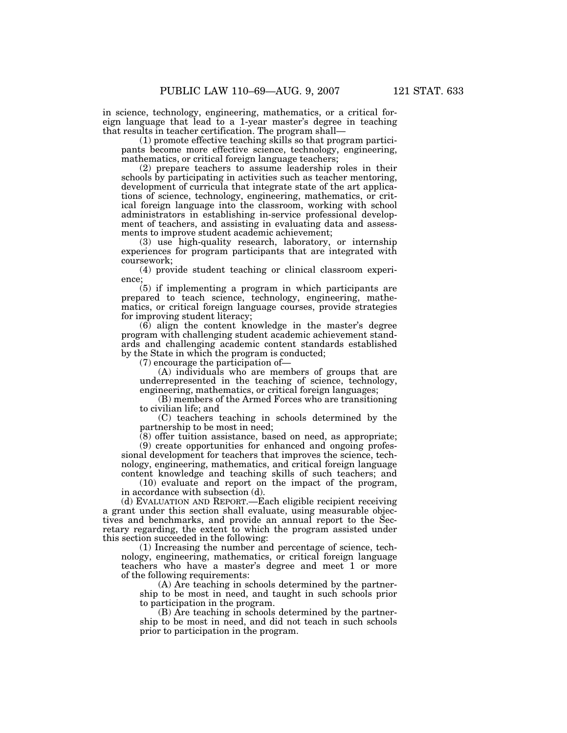in science, technology, engineering, mathematics, or a critical foreign language that lead to a 1-year master's degree in teaching

that results in teacher certification. The program shall—

(1) promote effective teaching skills so that program participants become more effective science, technology, engineering, mathematics, or critical foreign language teachers;

(2) prepare teachers to assume leadership roles in their schools by participating in activities such as teacher mentoring, development of curricula that integrate state of the art applications of science, technology, engineering, mathematics, or critical foreign language into the classroom, working with school administrators in establishing in-service professional development of teachers, and assisting in evaluating data and assessments to improve student academic achievement;

(3) use high-quality research, laboratory, or internship experiences for program participants that are integrated with coursework;

(4) provide student teaching or clinical classroom experience;

(5) if implementing a program in which participants are prepared to teach science, technology, engineering, mathematics, or critical foreign language courses, provide strategies for improving student literacy;

 $(6)$  align the content knowledge in the master's degree program with challenging student academic achievement standards and challenging academic content standards established by the State in which the program is conducted;

(7) encourage the participation of—

(A) individuals who are members of groups that are underrepresented in the teaching of science, technology, engineering, mathematics, or critical foreign languages;

(B) members of the Armed Forces who are transitioning to civilian life; and

(C) teachers teaching in schools determined by the partnership to be most in need;

 $(8)$  offer tuition assistance, based on need, as appropriate; (9) create opportunities for enhanced and ongoing professional development for teachers that improves the science, technology, engineering, mathematics, and critical foreign language content knowledge and teaching skills of such teachers; and

(10) evaluate and report on the impact of the program, in accordance with subsection (d).

(d) EVALUATION AND REPORT.—Each eligible recipient receiving a grant under this section shall evaluate, using measurable objectives and benchmarks, and provide an annual report to the Secretary regarding, the extent to which the program assisted under this section succeeded in the following:

(1) Increasing the number and percentage of science, technology, engineering, mathematics, or critical foreign language teachers who have a master's degree and meet 1 or more of the following requirements:

(A) Are teaching in schools determined by the partnership to be most in need, and taught in such schools prior to participation in the program.

(B) Are teaching in schools determined by the partnership to be most in need, and did not teach in such schools prior to participation in the program.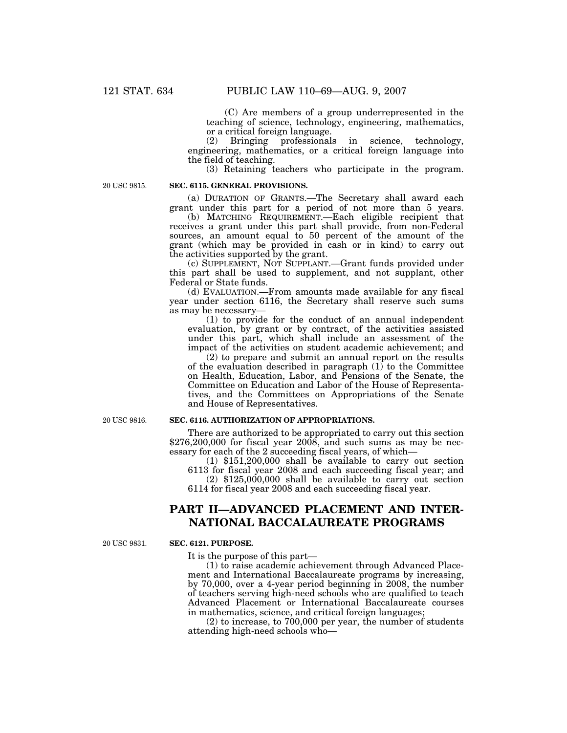(C) Are members of a group underrepresented in the teaching of science, technology, engineering, mathematics, or a critical foreign language.

(2) Bringing professionals in science, technology, engineering, mathematics, or a critical foreign language into the field of teaching.

(3) Retaining teachers who participate in the program.

20 USC 9815.

#### **SEC. 6115. GENERAL PROVISIONS.**

(a) DURATION OF GRANTS.—The Secretary shall award each grant under this part for a period of not more than 5 years.

(b) MATCHING REQUIREMENT.—Each eligible recipient that receives a grant under this part shall provide, from non-Federal sources, an amount equal to 50 percent of the amount of the grant (which may be provided in cash or in kind) to carry out the activities supported by the grant.

(c) SUPPLEMENT, NOT SUPPLANT.—Grant funds provided under this part shall be used to supplement, and not supplant, other Federal or State funds.

(d) EVALUATION.—From amounts made available for any fiscal year under section 6116, the Secretary shall reserve such sums as may be necessary—

(1) to provide for the conduct of an annual independent evaluation, by grant or by contract, of the activities assisted under this part, which shall include an assessment of the impact of the activities on student academic achievement; and

(2) to prepare and submit an annual report on the results of the evaluation described in paragraph  $(1)$  to the Committee on Health, Education, Labor, and Pensions of the Senate, the Committee on Education and Labor of the House of Representatives, and the Committees on Appropriations of the Senate and House of Representatives.

20 USC 9816.

#### **SEC. 6116. AUTHORIZATION OF APPROPRIATIONS.**

There are authorized to be appropriated to carry out this section  $$276,200,000$  for fiscal year  $2008$ , and such sums as may be necessary for each of the 2 succeeding fiscal years, of which—

(1) \$151,200,000 shall be available to carry out section 6113 for fiscal year 2008 and each succeeding fiscal year; and

 $(2)$  \$125,000,000 shall be available to carry out section 6114 for fiscal year 2008 and each succeeding fiscal year.

# **PART II—ADVANCED PLACEMENT AND INTER-NATIONAL BACCALAUREATE PROGRAMS**

20 USC 9831

#### **SEC. 6121. PURPOSE.**

It is the purpose of this part—

(1) to raise academic achievement through Advanced Placement and International Baccalaureate programs by increasing, by 70,000, over a 4-year period beginning in 2008, the number of teachers serving high-need schools who are qualified to teach Advanced Placement or International Baccalaureate courses in mathematics, science, and critical foreign languages;

(2) to increase, to 700,000 per year, the number of students attending high-need schools who—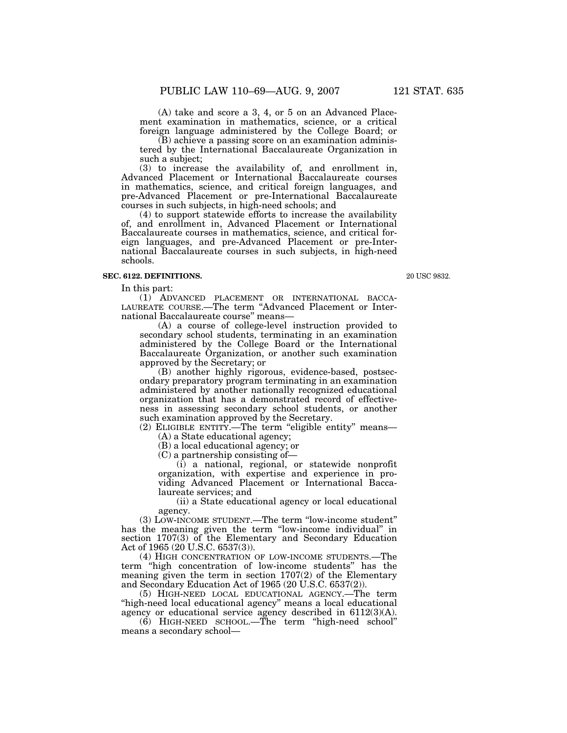(A) take and score a 3, 4, or 5 on an Advanced Placement examination in mathematics, science, or a critical foreign language administered by the College Board; or

(B) achieve a passing score on an examination administered by the International Baccalaureate Organization in such a subject;

(3) to increase the availability of, and enrollment in, Advanced Placement or International Baccalaureate courses in mathematics, science, and critical foreign languages, and pre-Advanced Placement or pre-International Baccalaureate courses in such subjects, in high-need schools; and

(4) to support statewide efforts to increase the availability of, and enrollment in, Advanced Placement or International Baccalaureate courses in mathematics, science, and critical foreign languages, and pre-Advanced Placement or pre-International Baccalaureate courses in such subjects, in high-need schools.

#### **SEC. 6122. DEFINITIONS.**

In this part:

(1) ADVANCED PLACEMENT OR INTERNATIONAL BACCA-LAUREATE COURSE.—The term ''Advanced Placement or International Baccalaureate course'' means—

(A) a course of college-level instruction provided to secondary school students, terminating in an examination administered by the College Board or the International Baccalaureate Organization, or another such examination approved by the Secretary; or

(B) another highly rigorous, evidence-based, postsecondary preparatory program terminating in an examination administered by another nationally recognized educational organization that has a demonstrated record of effectiveness in assessing secondary school students, or another such examination approved by the Secretary.

(2) ELIGIBLE ENTITY.—The term ''eligible entity'' means— (A) a State educational agency;

(B) a local educational agency; or

(C) a partnership consisting of—

(i) a national, regional, or statewide nonprofit organization, with expertise and experience in providing Advanced Placement or International Baccalaureate services; and

(ii) a State educational agency or local educational agency.

(3) LOW-INCOME STUDENT.—The term ''low-income student'' has the meaning given the term ''low-income individual'' in section 1707(3) of the Elementary and Secondary Education Act of 1965 (20 U.S.C. 6537(3)).

(4) HIGH CONCENTRATION OF LOW-INCOME STUDENTS.—The term ''high concentration of low-income students'' has the meaning given the term in section 1707(2) of the Elementary and Secondary Education Act of 1965 (20 U.S.C. 6537(2)).

(5) HIGH-NEED LOCAL EDUCATIONAL AGENCY.—The term ''high-need local educational agency'' means a local educational agency or educational service agency described in 6112(3)(A).

(6) HIGH-NEED SCHOOL.—The term ''high-need school'' means a secondary school—

20 USC 9832.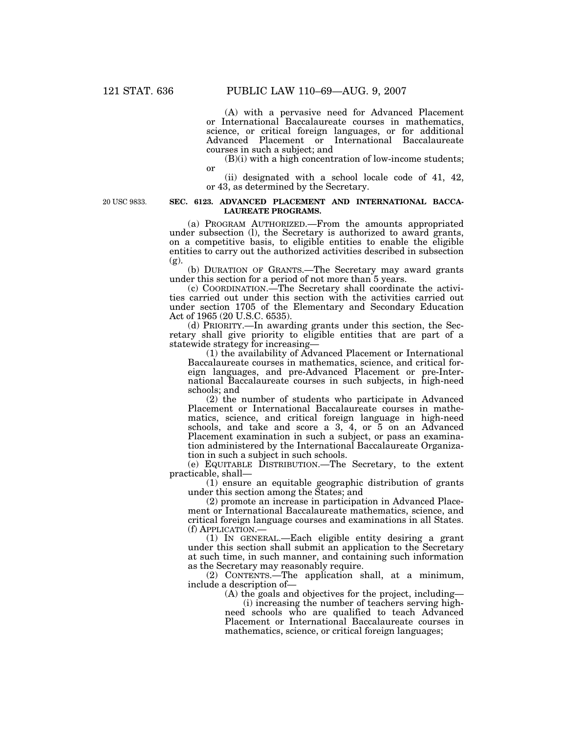(A) with a pervasive need for Advanced Placement or International Baccalaureate courses in mathematics, science, or critical foreign languages, or for additional Advanced Placement or International Baccalaureate courses in such a subject; and

 $(B)(i)$  with a high concentration of low-income students; or

(ii) designated with a school locale code of 41, 42, or 43, as determined by the Secretary.

20 USC 9833.

#### **SEC. 6123. ADVANCED PLACEMENT AND INTERNATIONAL BACCA-LAUREATE PROGRAMS.**

(a) PROGRAM AUTHORIZED.—From the amounts appropriated under subsection (l), the Secretary is authorized to award grants, on a competitive basis, to eligible entities to enable the eligible entities to carry out the authorized activities described in subsection (g).

(b) DURATION OF GRANTS.—The Secretary may award grants under this section for a period of not more than 5 years.

(c) COORDINATION.—The Secretary shall coordinate the activities carried out under this section with the activities carried out under section 1705 of the Elementary and Secondary Education Act of 1965 (20 U.S.C. 6535).

(d) PRIORITY.—In awarding grants under this section, the Secretary shall give priority to eligible entities that are part of a statewide strategy for increasing—

(1) the availability of Advanced Placement or International Baccalaureate courses in mathematics, science, and critical foreign languages, and pre-Advanced Placement or pre-International Baccalaureate courses in such subjects, in high-need schools; and

(2) the number of students who participate in Advanced Placement or International Baccalaureate courses in mathematics, science, and critical foreign language in high-need schools, and take and score a 3, 4, or 5 on an Advanced Placement examination in such a subject, or pass an examination administered by the International Baccalaureate Organization in such a subject in such schools.

(e) EQUITABLE DISTRIBUTION.—The Secretary, to the extent practicable, shall—

(1) ensure an equitable geographic distribution of grants under this section among the States; and

(2) promote an increase in participation in Advanced Placement or International Baccalaureate mathematics, science, and critical foreign language courses and examinations in all States. (f) APPLICATION.—

(1) IN GENERAL.—Each eligible entity desiring a grant under this section shall submit an application to the Secretary at such time, in such manner, and containing such information as the Secretary may reasonably require.

(2) CONTENTS.—The application shall, at a minimum, include a description of—

(A) the goals and objectives for the project, including—

(i) increasing the number of teachers serving highneed schools who are qualified to teach Advanced Placement or International Baccalaureate courses in mathematics, science, or critical foreign languages;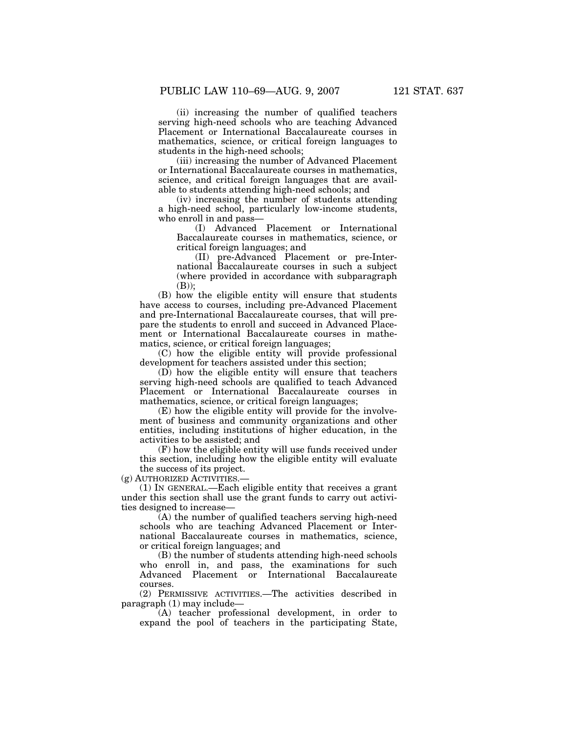(ii) increasing the number of qualified teachers serving high-need schools who are teaching Advanced Placement or International Baccalaureate courses in mathematics, science, or critical foreign languages to students in the high-need schools;

(iii) increasing the number of Advanced Placement or International Baccalaureate courses in mathematics, science, and critical foreign languages that are available to students attending high-need schools; and

(iv) increasing the number of students attending a high-need school, particularly low-income students, who enroll in and pass—

(I) Advanced Placement or International Baccalaureate courses in mathematics, science, or critical foreign languages; and

(II) pre-Advanced Placement or pre-International Baccalaureate courses in such a subject (where provided in accordance with subparagraph (B));

(B) how the eligible entity will ensure that students have access to courses, including pre-Advanced Placement and pre-International Baccalaureate courses, that will prepare the students to enroll and succeed in Advanced Placement or International Baccalaureate courses in mathematics, science, or critical foreign languages;

(C) how the eligible entity will provide professional development for teachers assisted under this section;

(D) how the eligible entity will ensure that teachers serving high-need schools are qualified to teach Advanced Placement or International Baccalaureate courses in mathematics, science, or critical foreign languages;

(E) how the eligible entity will provide for the involvement of business and community organizations and other entities, including institutions of higher education, in the activities to be assisted; and

(F) how the eligible entity will use funds received under this section, including how the eligible entity will evaluate the success of its project.

(g) AUTHORIZED ACTIVITIES.—

(1) IN GENERAL.—Each eligible entity that receives a grant under this section shall use the grant funds to carry out activities designed to increase—

(A) the number of qualified teachers serving high-need schools who are teaching Advanced Placement or International Baccalaureate courses in mathematics, science, or critical foreign languages; and

(B) the number of students attending high-need schools who enroll in, and pass, the examinations for such Advanced Placement or International Baccalaureate courses.

(2) PERMISSIVE ACTIVITIES.—The activities described in paragraph (1) may include—

(A) teacher professional development, in order to expand the pool of teachers in the participating State,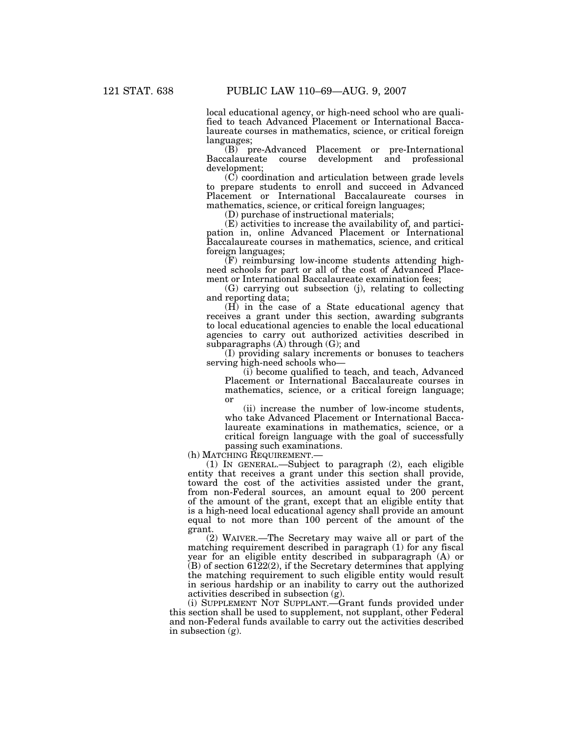local educational agency, or high-need school who are qualified to teach Advanced Placement or International Baccalaureate courses in mathematics, science, or critical foreign languages;

(B) pre-Advanced Placement or pre-International course development and professional development;

(C) coordination and articulation between grade levels to prepare students to enroll and succeed in Advanced Placement or International Baccalaureate courses in mathematics, science, or critical foreign languages;

(D) purchase of instructional materials;

(E) activities to increase the availability of, and participation in, online Advanced Placement or International Baccalaureate courses in mathematics, science, and critical foreign languages;

(F) reimbursing low-income students attending highneed schools for part or all of the cost of Advanced Placement or International Baccalaureate examination fees;

(G) carrying out subsection (j), relating to collecting and reporting data;

(H) in the case of a State educational agency that receives a grant under this section, awarding subgrants to local educational agencies to enable the local educational agencies to carry out authorized activities described in subparagraphs  $(A)$  through  $(G)$ ; and

(I) providing salary increments or bonuses to teachers serving high-need schools who—

(i) become qualified to teach, and teach, Advanced Placement or International Baccalaureate courses in mathematics, science, or a critical foreign language; or

(ii) increase the number of low-income students, who take Advanced Placement or International Baccalaureate examinations in mathematics, science, or a critical foreign language with the goal of successfully passing such examinations.

(h) MATCHING REQUIREMENT.—

(1) IN GENERAL.—Subject to paragraph (2), each eligible entity that receives a grant under this section shall provide, toward the cost of the activities assisted under the grant, from non-Federal sources, an amount equal to 200 percent of the amount of the grant, except that an eligible entity that is a high-need local educational agency shall provide an amount equal to not more than 100 percent of the amount of the grant.

(2) WAIVER.—The Secretary may waive all or part of the matching requirement described in paragraph (1) for any fiscal year for an eligible entity described in subparagraph (A) or (B) of section 6122(2), if the Secretary determines that applying the matching requirement to such eligible entity would result in serious hardship or an inability to carry out the authorized activities described in subsection (g).

(i) SUPPLEMENT NOT SUPPLANT.—Grant funds provided under this section shall be used to supplement, not supplant, other Federal and non-Federal funds available to carry out the activities described in subsection (g).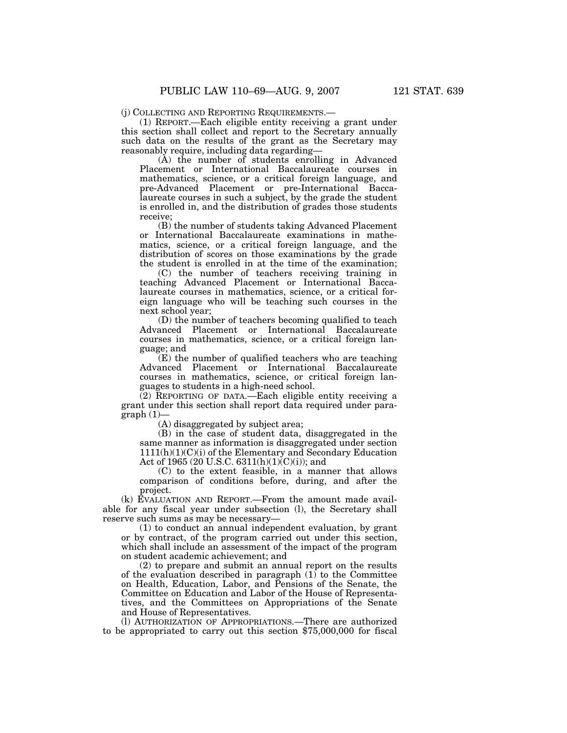(j) COLLECTING AND REPORTING REQUIREMENTS.—

(1) REPORT.—Each eligible entity receiving a grant under this section shall collect and report to the Secretary annually such data on the results of the grant as the Secretary may reasonably require, including data regarding—

(A) the number of students enrolling in Advanced Placement or International Baccalaureate courses in mathematics, science, or a critical foreign language, and pre-Advanced Placement or pre-International Baccalaureate courses in such a subject, by the grade the student is enrolled in, and the distribution of grades those students receive;

(B) the number of students taking Advanced Placement or International Baccalaureate examinations in mathematics, science, or a critical foreign language, and the distribution of scores on those examinations by the grade the student is enrolled in at the time of the examination;

(C) the number of teachers receiving training in teaching Advanced Placement or International Baccalaureate courses in mathematics, science, or a critical foreign language who will be teaching such courses in the next school year;

(D) the number of teachers becoming qualified to teach Advanced Placement or International Baccalaureate courses in mathematics, science, or a critical foreign language; and

(E) the number of qualified teachers who are teaching Advanced Placement or International Baccalaureate courses in mathematics, science, or critical foreign languages to students in a high-need school.

(2) REPORTING OF DATA.—Each eligible entity receiving a grant under this section shall report data required under para $graph(1)$ 

(A) disaggregated by subject area;

(B) in the case of student data, disaggregated in the same manner as information is disaggregated under section  $1111(h)(1)(C)(i)$  of the Elementary and Secondary Education Act of 1965 (20 U.S.C. 6311(h)(1)(C)(i)); and

(C) to the extent feasible, in a manner that allows comparison of conditions before, during, and after the project.

(k) EVALUATION AND REPORT.—From the amount made available for any fiscal year under subsection (l), the Secretary shall reserve such sums as may be necessary—

(1) to conduct an annual independent evaluation, by grant or by contract, of the program carried out under this section, which shall include an assessment of the impact of the program on student academic achievement; and

(2) to prepare and submit an annual report on the results of the evaluation described in paragraph  $(1)$  to the Committee on Health, Education, Labor, and Pensions of the Senate, the Committee on Education and Labor of the House of Representatives, and the Committees on Appropriations of the Senate and House of Representatives.

(l) AUTHORIZATION OF APPROPRIATIONS.—There are authorized to be appropriated to carry out this section \$75,000,000 for fiscal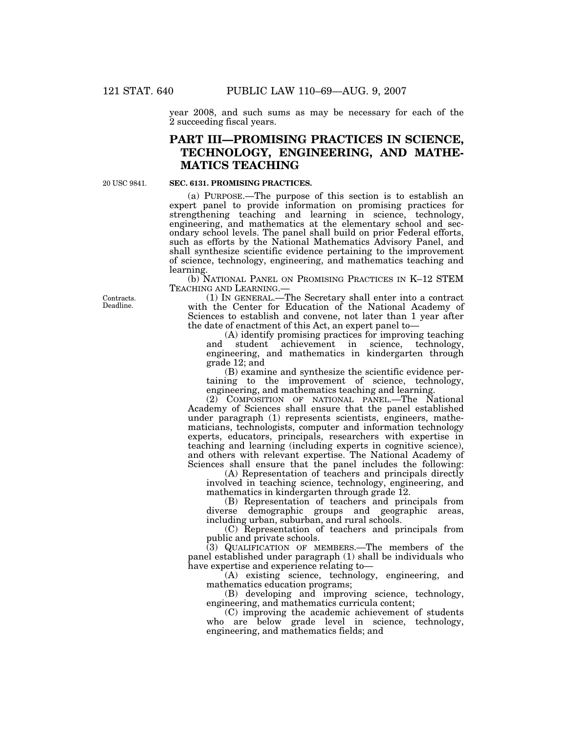year 2008, and such sums as may be necessary for each of the 2 succeeding fiscal years.

## **PART III—PROMISING PRACTICES IN SCIENCE, TECHNOLOGY, ENGINEERING, AND MATHE-MATICS TEACHING**

20 USC 9841.

#### **SEC. 6131. PROMISING PRACTICES.**

(a) PURPOSE.—The purpose of this section is to establish an expert panel to provide information on promising practices for strengthening teaching and learning in science, technology, engineering, and mathematics at the elementary school and secondary school levels. The panel shall build on prior Federal efforts, such as efforts by the National Mathematics Advisory Panel, and shall synthesize scientific evidence pertaining to the improvement of science, technology, engineering, and mathematics teaching and learning.

(b) NATIONAL PANEL ON PROMISING PRACTICES IN K–12 STEM TEACHING AND LEARNING.—

(1) IN GENERAL.—The Secretary shall enter into a contract with the Center for Education of the National Academy of Sciences to establish and convene, not later than 1 year after the date of enactment of this Act, an expert panel to—

(A) identify promising practices for improving teaching and student achievement in science, technology, engineering, and mathematics in kindergarten through grade 12; and

(B) examine and synthesize the scientific evidence pertaining to the improvement of science, technology, engineering, and mathematics teaching and learning.

(2) COMPOSITION OF NATIONAL PANEL.—The National Academy of Sciences shall ensure that the panel established under paragraph (1) represents scientists, engineers, mathematicians, technologists, computer and information technology experts, educators, principals, researchers with expertise in teaching and learning (including experts in cognitive science), and others with relevant expertise. The National Academy of Sciences shall ensure that the panel includes the following:

(A) Representation of teachers and principals directly involved in teaching science, technology, engineering, and mathematics in kindergarten through grade 12.

(B) Representation of teachers and principals from diverse demographic groups and geographic areas, including urban, suburban, and rural schools.

(C) Representation of teachers and principals from public and private schools.

(3) QUALIFICATION OF MEMBERS.—The members of the panel established under paragraph (1) shall be individuals who have expertise and experience relating to—

(A) existing science, technology, engineering, and mathematics education programs;

(B) developing and improving science, technology, engineering, and mathematics curricula content;

(C) improving the academic achievement of students who are below grade level in science, technology, engineering, and mathematics fields; and

Contracts. Deadline.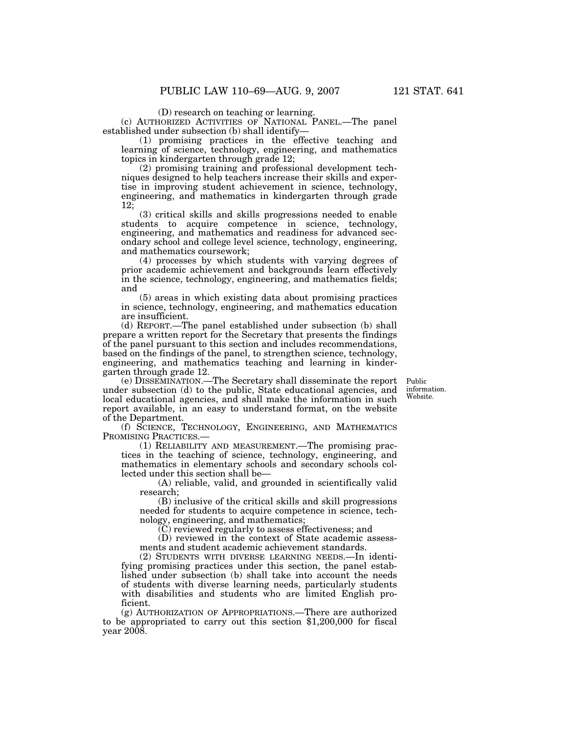(D) research on teaching or learning.

(c) AUTHORIZED ACTIVITIES OF NATIONAL PANEL.—The panel established under subsection (b) shall identify—

(1) promising practices in the effective teaching and learning of science, technology, engineering, and mathematics topics in kindergarten through grade 12;

(2) promising training and professional development techniques designed to help teachers increase their skills and expertise in improving student achievement in science, technology, engineering, and mathematics in kindergarten through grade 12;

(3) critical skills and skills progressions needed to enable students to acquire competence in science, technology, engineering, and mathematics and readiness for advanced secondary school and college level science, technology, engineering, and mathematics coursework;

(4) processes by which students with varying degrees of prior academic achievement and backgrounds learn effectively in the science, technology, engineering, and mathematics fields; and

(5) areas in which existing data about promising practices in science, technology, engineering, and mathematics education are insufficient.

(d) REPORT.—The panel established under subsection (b) shall prepare a written report for the Secretary that presents the findings of the panel pursuant to this section and includes recommendations, based on the findings of the panel, to strengthen science, technology, engineering, and mathematics teaching and learning in kindergarten through grade 12.

(e) DISSEMINATION.—The Secretary shall disseminate the report under subsection (d) to the public, State educational agencies, and local educational agencies, and shall make the information in such report available, in an easy to understand format, on the website of the Department.

(f) SCIENCE, TECHNOLOGY, ENGINEERING, AND MATHEMATICS PROMISING PRACTICES.—

(1) RELIABILITY AND MEASUREMENT.—The promising practices in the teaching of science, technology, engineering, and mathematics in elementary schools and secondary schools collected under this section shall be—

(A) reliable, valid, and grounded in scientifically valid research;

(B) inclusive of the critical skills and skill progressions needed for students to acquire competence in science, technology, engineering, and mathematics;

(C) reviewed regularly to assess effectiveness; and

(D) reviewed in the context of State academic assessments and student academic achievement standards.

(2) STUDENTS WITH DIVERSE LEARNING NEEDS.—In identifying promising practices under this section, the panel established under subsection (b) shall take into account the needs of students with diverse learning needs, particularly students with disabilities and students who are limited English proficient.

(g) AUTHORIZATION OF APPROPRIATIONS.—There are authorized to be appropriated to carry out this section \$1,200,000 for fiscal year 2008.

Public information. Website.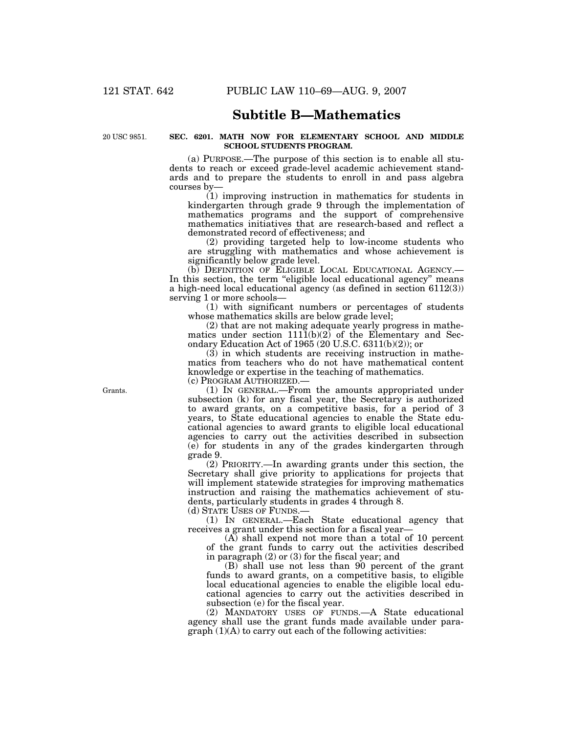## **Subtitle B—Mathematics**

20 USC 9851.

### **SEC. 6201. MATH NOW FOR ELEMENTARY SCHOOL AND MIDDLE SCHOOL STUDENTS PROGRAM.**

(a) PURPOSE.—The purpose of this section is to enable all students to reach or exceed grade-level academic achievement standards and to prepare the students to enroll in and pass algebra courses by—

(1) improving instruction in mathematics for students in kindergarten through grade 9 through the implementation of mathematics programs and the support of comprehensive mathematics initiatives that are research-based and reflect a demonstrated record of effectiveness; and

(2) providing targeted help to low-income students who are struggling with mathematics and whose achievement is significantly below grade level.

(b) DEFINITION OF ELIGIBLE LOCAL EDUCATIONAL AGENCY.— In this section, the term "eligible local educational agency" means a high-need local educational agency (as defined in section 6112(3)) serving 1 or more schools—

(1) with significant numbers or percentages of students whose mathematics skills are below grade level;

(2) that are not making adequate yearly progress in mathematics under section  $111\tilde{1}(b)(2)$  of the Elementary and Secondary Education Act of 1965 (20 U.S.C. 6311(b)(2)); or

(3) in which students are receiving instruction in mathematics from teachers who do not have mathematical content knowledge or expertise in the teaching of mathematics. (c) PROGRAM AUTHORIZED.—

(1) IN GENERAL.—From the amounts appropriated under subsection (k) for any fiscal year, the Secretary is authorized to award grants, on a competitive basis, for a period of 3 years, to State educational agencies to enable the State educational agencies to award grants to eligible local educational agencies to carry out the activities described in subsection (e) for students in any of the grades kindergarten through grade 9.

(2) PRIORITY.—In awarding grants under this section, the Secretary shall give priority to applications for projects that will implement statewide strategies for improving mathematics instruction and raising the mathematics achievement of students, particularly students in grades 4 through 8.

(d) STATE USES OF FUNDS.—

(1) IN GENERAL.—Each State educational agency that receives a grant under this section for a fiscal year—

(A) shall expend not more than a total of 10 percent of the grant funds to carry out the activities described in paragraph (2) or (3) for the fiscal year; and

(B) shall use not less than 90 percent of the grant funds to award grants, on a competitive basis, to eligible local educational agencies to enable the eligible local educational agencies to carry out the activities described in subsection (e) for the fiscal year.

(2) MANDATORY USES OF FUNDS.—A State educational agency shall use the grant funds made available under paragraph (1)(A) to carry out each of the following activities:

Grants.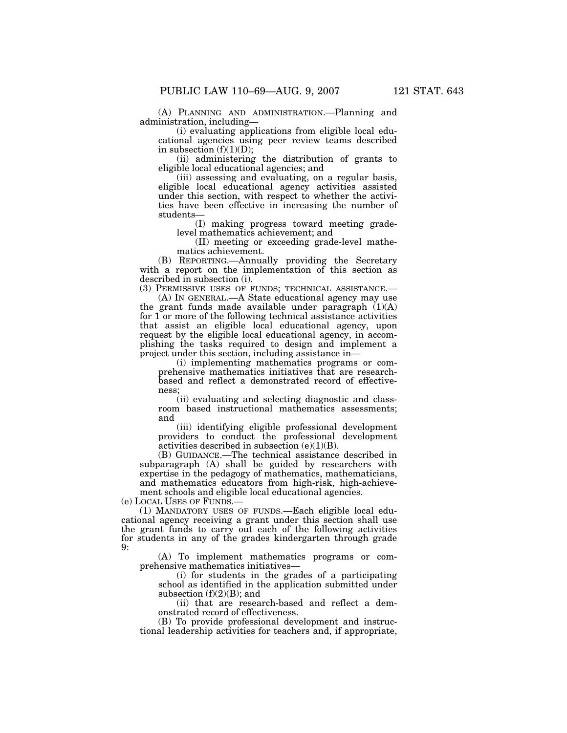(A) PLANNING AND ADMINISTRATION.—Planning and administration, including—

(i) evaluating applications from eligible local educational agencies using peer review teams described in subsection  $(f)(1)(D)$ ;

(ii) administering the distribution of grants to eligible local educational agencies; and

(iii) assessing and evaluating, on a regular basis, eligible local educational agency activities assisted under this section, with respect to whether the activities have been effective in increasing the number of students—

(I) making progress toward meeting gradelevel mathematics achievement; and

(II) meeting or exceeding grade-level mathematics achievement.

(B) REPORTING.—Annually providing the Secretary with a report on the implementation of this section as described in subsection (i).

(3) PERMISSIVE USES OF FUNDS; TECHNICAL ASSISTANCE.—

(A) IN GENERAL.—A State educational agency may use the grant funds made available under paragraph (1)(A) for 1 or more of the following technical assistance activities that assist an eligible local educational agency, upon request by the eligible local educational agency, in accomplishing the tasks required to design and implement a project under this section, including assistance in—

(i) implementing mathematics programs or comprehensive mathematics initiatives that are researchbased and reflect a demonstrated record of effectiveness;

(ii) evaluating and selecting diagnostic and classroom based instructional mathematics assessments; and

(iii) identifying eligible professional development providers to conduct the professional development activities described in subsection  $(e)(1)(B)$ .

(B) GUIDANCE.—The technical assistance described in subparagraph (A) shall be guided by researchers with expertise in the pedagogy of mathematics, mathematicians, and mathematics educators from high-risk, high-achievement schools and eligible local educational agencies.

(e) LOCAL USES OF FUNDS.—

(1) MANDATORY USES OF FUNDS.—Each eligible local educational agency receiving a grant under this section shall use the grant funds to carry out each of the following activities for students in any of the grades kindergarten through grade  $9.$ 

(A) To implement mathematics programs or comprehensive mathematics initiatives—

(i) for students in the grades of a participating school as identified in the application submitted under subsection  $(f)(2)(B)$ ; and

(ii) that are research-based and reflect a demonstrated record of effectiveness.

(B) To provide professional development and instructional leadership activities for teachers and, if appropriate,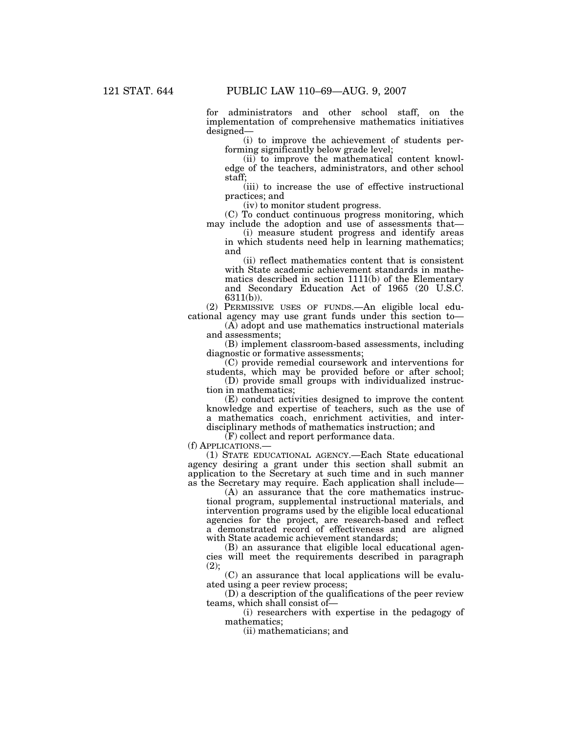for administrators and other school staff, on the implementation of comprehensive mathematics initiatives designed—

(i) to improve the achievement of students performing significantly below grade level;

(ii) to improve the mathematical content knowledge of the teachers, administrators, and other school staff;

(iii) to increase the use of effective instructional practices; and

(iv) to monitor student progress.

(C) To conduct continuous progress monitoring, which may include the adoption and use of assessments that—

(i) measure student progress and identify areas in which students need help in learning mathematics; and

(ii) reflect mathematics content that is consistent with State academic achievement standards in mathematics described in section 1111(b) of the Elementary and Secondary Education Act of 1965 (20 U.S.C. 6311(b)).

(2) PERMISSIVE USES OF FUNDS.—An eligible local educational agency may use grant funds under this section to—

(A) adopt and use mathematics instructional materials and assessments;

(B) implement classroom-based assessments, including diagnostic or formative assessments;

(C) provide remedial coursework and interventions for students, which may be provided before or after school;

(D) provide small groups with individualized instruction in mathematics;

(E) conduct activities designed to improve the content knowledge and expertise of teachers, such as the use of a mathematics coach, enrichment activities, and interdisciplinary methods of mathematics instruction; and

(F) collect and report performance data.

(f) APPLICATIONS.—

(1) STATE EDUCATIONAL AGENCY.—Each State educational agency desiring a grant under this section shall submit an application to the Secretary at such time and in such manner as the Secretary may require. Each application shall include—

(A) an assurance that the core mathematics instructional program, supplemental instructional materials, and intervention programs used by the eligible local educational agencies for the project, are research-based and reflect a demonstrated record of effectiveness and are aligned with State academic achievement standards;

(B) an assurance that eligible local educational agencies will meet the requirements described in paragraph  $(2);$ 

(C) an assurance that local applications will be evaluated using a peer review process;

(D) a description of the qualifications of the peer review teams, which shall consist of—

(i) researchers with expertise in the pedagogy of mathematics;

(ii) mathematicians; and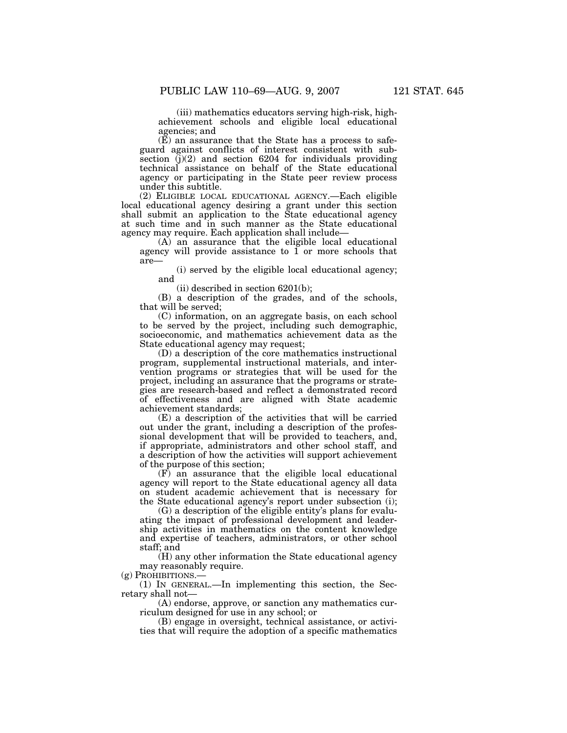(iii) mathematics educators serving high-risk, highachievement schools and eligible local educational agencies; and

(E) an assurance that the State has a process to safeguard against conflicts of interest consistent with subsection  $(i)(2)$  and section 6204 for individuals providing technical assistance on behalf of the State educational agency or participating in the State peer review process under this subtitle.

(2) ELIGIBLE LOCAL EDUCATIONAL AGENCY.—Each eligible local educational agency desiring a grant under this section shall submit an application to the State educational agency at such time and in such manner as the State educational agency may require. Each application shall include—

(A) an assurance that the eligible local educational agency will provide assistance to 1 or more schools that are—

(i) served by the eligible local educational agency; and

(ii) described in section 6201(b);

(B) a description of the grades, and of the schools, that will be served;

(C) information, on an aggregate basis, on each school to be served by the project, including such demographic, socioeconomic, and mathematics achievement data as the State educational agency may request;

(D) a description of the core mathematics instructional program, supplemental instructional materials, and intervention programs or strategies that will be used for the project, including an assurance that the programs or strategies are research-based and reflect a demonstrated record of effectiveness and are aligned with State academic achievement standards;

(E) a description of the activities that will be carried out under the grant, including a description of the professional development that will be provided to teachers, and, if appropriate, administrators and other school staff, and a description of how the activities will support achievement of the purpose of this section;

(F) an assurance that the eligible local educational agency will report to the State educational agency all data on student academic achievement that is necessary for the State educational agency's report under subsection (i);

(G) a description of the eligible entity's plans for evaluating the impact of professional development and leadership activities in mathematics on the content knowledge and expertise of teachers, administrators, or other school staff; and

(H) any other information the State educational agency may reasonably require.<br>(g)  $P_{ROHIBITIONS.}$ 

 $(1)$  In GENERAL.—In implementing this section, the Secretary shall not—

(A) endorse, approve, or sanction any mathematics curriculum designed for use in any school; or

(B) engage in oversight, technical assistance, or activities that will require the adoption of a specific mathematics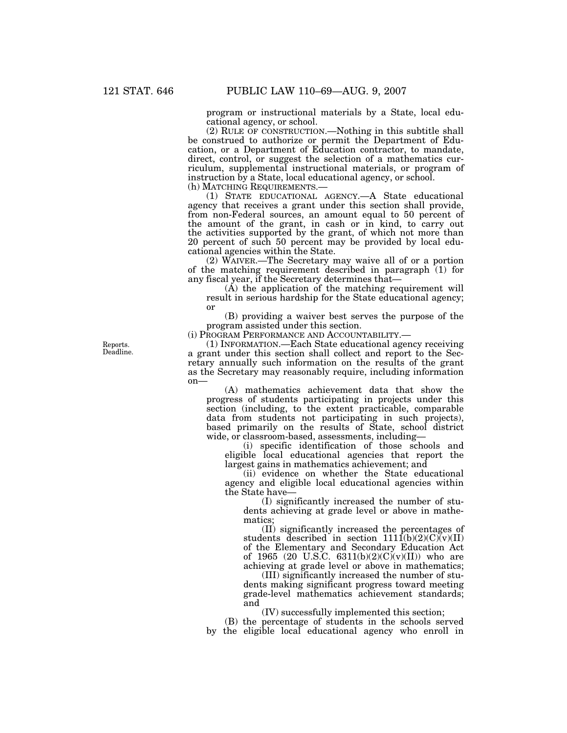program or instructional materials by a State, local educational agency, or school.

(2) RULE OF CONSTRUCTION.—Nothing in this subtitle shall be construed to authorize or permit the Department of Education, or a Department of Education contractor, to mandate, direct, control, or suggest the selection of a mathematics curriculum, supplemental instructional materials, or program of instruction by a State, local educational agency, or school.<br>(h) MATCHING REQUIREMENTS.—

(1) STATE EDUCATIONAL AGENCY.—A State educational agency that receives a grant under this section shall provide, from non-Federal sources, an amount equal to 50 percent of the amount of the grant, in cash or in kind, to carry out the activities supported by the grant, of which not more than 20 percent of such 50 percent may be provided by local educational agencies within the State.

(2) WAIVER.—The Secretary may waive all of or a portion of the matching requirement described in paragraph (1) for any fiscal year, if the Secretary determines that—

(A) the application of the matching requirement will result in serious hardship for the State educational agency; or

(B) providing a waiver best serves the purpose of the program assisted under this section.

(i) PROGRAM PERFORMANCE AND ACCOUNTABILITY.—

Reports. Deadline.

(1) INFORMATION.—Each State educational agency receiving a grant under this section shall collect and report to the Secretary annually such information on the results of the grant as the Secretary may reasonably require, including information on—

(A) mathematics achievement data that show the progress of students participating in projects under this section (including, to the extent practicable, comparable data from students not participating in such projects), based primarily on the results of State, school district wide, or classroom-based, assessments, including—

(i) specific identification of those schools and eligible local educational agencies that report the largest gains in mathematics achievement; and

(ii) evidence on whether the State educational agency and eligible local educational agencies within the State have—

(I) significantly increased the number of students achieving at grade level or above in mathematics;

(II) significantly increased the percentages of students described in section  $111\overline{1}$ (b)(2)(C)(v)(II) of the Elementary and Secondary Education Act of 1965 (20 U.S.C. 6311(b)(2)(C)(v)(II)) who are achieving at grade level or above in mathematics;

(III) significantly increased the number of students making significant progress toward meeting grade-level mathematics achievement standards; and

(IV) successfully implemented this section;

(B) the percentage of students in the schools served by the eligible local educational agency who enroll in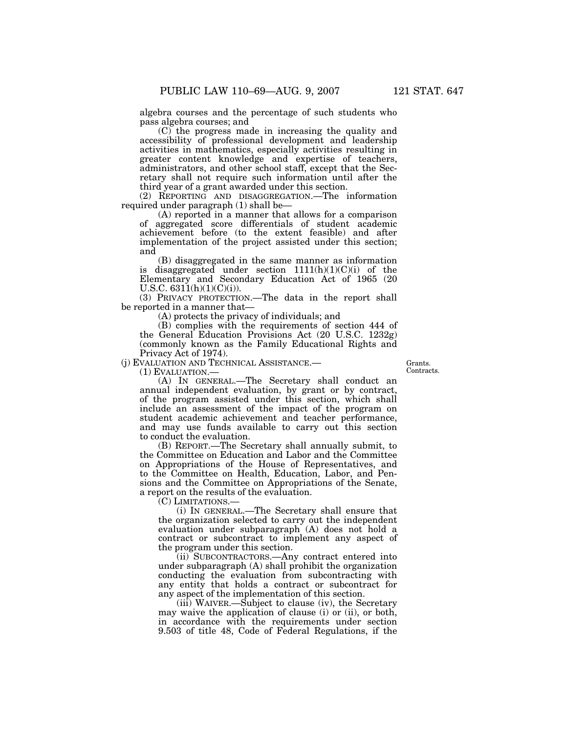algebra courses and the percentage of such students who pass algebra courses; and

(C) the progress made in increasing the quality and accessibility of professional development and leadership activities in mathematics, especially activities resulting in greater content knowledge and expertise of teachers, administrators, and other school staff, except that the Secretary shall not require such information until after the third year of a grant awarded under this section.

(2) REPORTING AND DISAGGREGATION.—The information required under paragraph (1) shall be—

(A) reported in a manner that allows for a comparison of aggregated score differentials of student academic achievement before (to the extent feasible) and after implementation of the project assisted under this section; and

(B) disaggregated in the same manner as information is disaggregated under section  $1111(h)(1)(C)(i)$  of the Elementary and Secondary Education Act of 1965 (20 U.S.C.  $6311(h)(1)(C)(i)$ .

(3) PRIVACY PROTECTION.—The data in the report shall be reported in a manner that—

(A) protects the privacy of individuals; and

(B) complies with the requirements of section 444 of the General Education Provisions Act (20 U.S.C. 1232g) (commonly known as the Family Educational Rights and Privacy Act of 1974).

(j) EVALUATION AND TECHNICAL ASSISTANCE.— (1) EVALUATION.—

Grants. **Contracts** 

(A) IN GENERAL.—The Secretary shall conduct an annual independent evaluation, by grant or by contract, of the program assisted under this section, which shall include an assessment of the impact of the program on student academic achievement and teacher performance, and may use funds available to carry out this section to conduct the evaluation.

(B) REPORT.—The Secretary shall annually submit, to the Committee on Education and Labor and the Committee on Appropriations of the House of Representatives, and to the Committee on Health, Education, Labor, and Pensions and the Committee on Appropriations of the Senate, a report on the results of the evaluation.

(C) LIMITATIONS.—

(i) IN GENERAL.—The Secretary shall ensure that the organization selected to carry out the independent evaluation under subparagraph (A) does not hold a contract or subcontract to implement any aspect of the program under this section.

(ii) SUBCONTRACTORS.—Any contract entered into under subparagraph (A) shall prohibit the organization conducting the evaluation from subcontracting with any entity that holds a contract or subcontract for any aspect of the implementation of this section.

(iii) WAIVER.—Subject to clause (iv), the Secretary may waive the application of clause (i) or (ii), or both, in accordance with the requirements under section 9.503 of title 48, Code of Federal Regulations, if the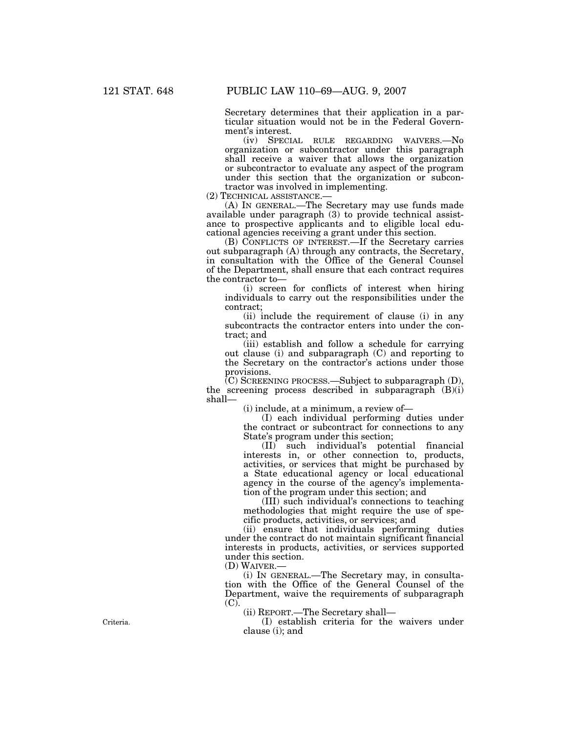Secretary determines that their application in a particular situation would not be in the Federal Government's interest.

(iv) SPECIAL RULE REGARDING WAIVERS.—No organization or subcontractor under this paragraph shall receive a waiver that allows the organization or subcontractor to evaluate any aspect of the program under this section that the organization or subcontractor was involved in implementing.<br>(2) TECHNICAL ASSISTANCE.—

(A) IN GENERAL.—The Secretary may use funds made available under paragraph (3) to provide technical assistance to prospective applicants and to eligible local educational agencies receiving a grant under this section.

(B) CONFLICTS OF INTEREST.—If the Secretary carries out subparagraph (A) through any contracts, the Secretary, in consultation with the Office of the General Counsel of the Department, shall ensure that each contract requires the contractor to—

(i) screen for conflicts of interest when hiring individuals to carry out the responsibilities under the contract;

(ii) include the requirement of clause (i) in any subcontracts the contractor enters into under the contract; and

(iii) establish and follow a schedule for carrying out clause (i) and subparagraph (C) and reporting to the Secretary on the contractor's actions under those provisions.

 $(C)$  SCREENING PROCESS.—Subject to subparagraph  $(D)$ , the screening process described in subparagraph (B)(i) shall—

(i) include, at a minimum, a review of—

(I) each individual performing duties under the contract or subcontract for connections to any State's program under this section;

(II) such individual's potential financial interests in, or other connection to, products, activities, or services that might be purchased by a State educational agency or local educational agency in the course of the agency's implementation of the program under this section; and

(III) such individual's connections to teaching methodologies that might require the use of specific products, activities, or services; and

(ii) ensure that individuals performing duties under the contract do not maintain significant financial interests in products, activities, or services supported under this section.

(D) WAIVER.—

(i) IN GENERAL.—The Secretary may, in consultation with the Office of the General Counsel of the Department, waive the requirements of subparagraph (C).

(ii) REPORT.—The Secretary shall—

(I) establish criteria for the waivers under clause (i); and

Criteria.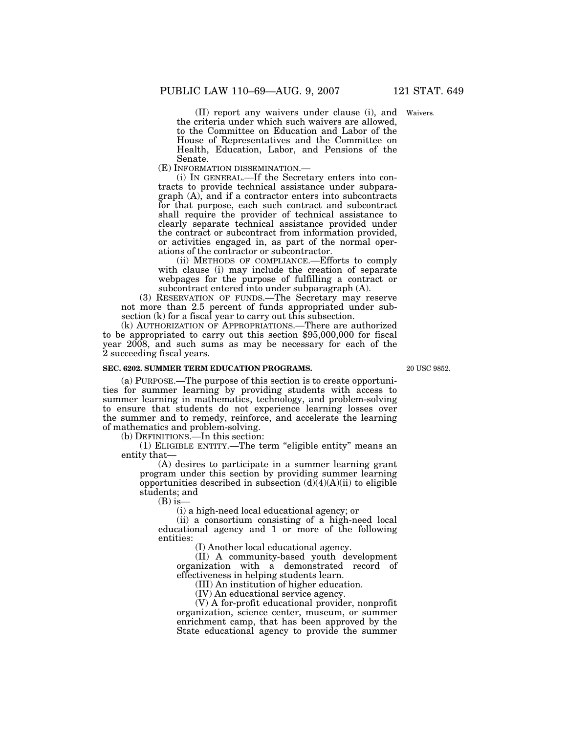(II) report any waivers under clause (i), and Waivers. the criteria under which such waivers are allowed, to the Committee on Education and Labor of the House of Representatives and the Committee on Health, Education, Labor, and Pensions of the Senate.<br>(E) INFORMATION DISSEMINATION.—

(i) IN GENERAL.—If the Secretary enters into contracts to provide technical assistance under subparagraph (A), and if a contractor enters into subcontracts for that purpose, each such contract and subcontract shall require the provider of technical assistance to clearly separate technical assistance provided under the contract or subcontract from information provided, or activities engaged in, as part of the normal operations of the contractor or subcontractor.

(ii) METHODS OF COMPLIANCE.—Efforts to comply with clause (i) may include the creation of separate webpages for the purpose of fulfilling a contract or subcontract entered into under subparagraph (A).

(3) RESERVATION OF FUNDS.—The Secretary may reserve not more than 2.5 percent of funds appropriated under subsection (k) for a fiscal year to carry out this subsection.

(k) AUTHORIZATION OF APPROPRIATIONS.—There are authorized to be appropriated to carry out this section \$95,000,000 for fiscal year 2008, and such sums as may be necessary for each of the 2 succeeding fiscal years.

#### **SEC. 6202. SUMMER TERM EDUCATION PROGRAMS.**

20 USC 9852.

(a) PURPOSE.—The purpose of this section is to create opportunities for summer learning by providing students with access to summer learning in mathematics, technology, and problem-solving to ensure that students do not experience learning losses over the summer and to remedy, reinforce, and accelerate the learning of mathematics and problem-solving.

(b) DEFINITIONS.—In this section:

(1) ELIGIBLE ENTITY.—The term ''eligible entity'' means an entity that—

(A) desires to participate in a summer learning grant program under this section by providing summer learning opportunities described in subsection  $(d)(4)(A)(ii)$  to eligible students; and

 $(B)$  is-

(i) a high-need local educational agency; or

(ii) a consortium consisting of a high-need local educational agency and 1 or more of the following entities:

(I) Another local educational agency.

(II) A community-based youth development organization with a demonstrated record of effectiveness in helping students learn.

(III) An institution of higher education.

(IV) An educational service agency.

(V) A for-profit educational provider, nonprofit organization, science center, museum, or summer enrichment camp, that has been approved by the State educational agency to provide the summer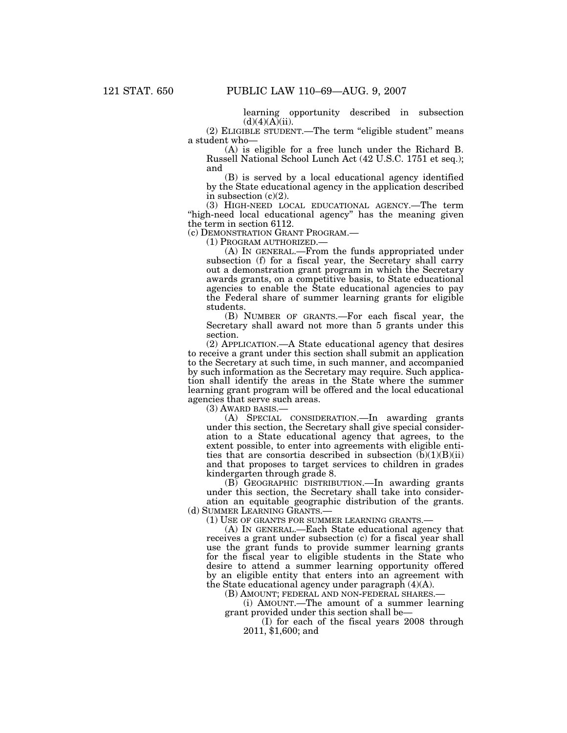learning opportunity described in subsection  $(d)(4)(A)(ii)$ .

(2) ELIGIBLE STUDENT.—The term ''eligible student'' means a student who—

(A) is eligible for a free lunch under the Richard B. Russell National School Lunch Act (42 U.S.C. 1751 et seq.); and

(B) is served by a local educational agency identified by the State educational agency in the application described in subsection  $(c)(2)$ .

(3) HIGH-NEED LOCAL EDUCATIONAL AGENCY.—The term ''high-need local educational agency'' has the meaning given the term in section 6112.<br>(c) DEMONSTRATION GRANT PROGRAM.—

(1) PROGRAM AUTHORIZED.—<br>(A) IN GENERAL.—From the funds appropriated under subsection (f) for a fiscal year, the Secretary shall carry out a demonstration grant program in which the Secretary awards grants, on a competitive basis, to State educational agencies to enable the State educational agencies to pay the Federal share of summer learning grants for eligible students.

(B) NUMBER OF GRANTS.—For each fiscal year, the Secretary shall award not more than 5 grants under this section.

(2) APPLICATION.—A State educational agency that desires to receive a grant under this section shall submit an application to the Secretary at such time, in such manner, and accompanied by such information as the Secretary may require. Such application shall identify the areas in the State where the summer learning grant program will be offered and the local educational agencies that serve such areas.

(3) AWARD BASIS.—

(A) SPECIAL CONSIDERATION.—In awarding grants under this section, the Secretary shall give special consideration to a State educational agency that agrees, to the extent possible, to enter into agreements with eligible entities that are consortia described in subsection  $(b)(1)(B)(ii)$ and that proposes to target services to children in grades kindergarten through grade 8.

(B) GEOGRAPHIC DISTRIBUTION.—In awarding grants under this section, the Secretary shall take into consideration an equitable geographic distribution of the grants. (d) SUMMER LEARNING GRANTS.—

(1) USE OF GRANTS FOR SUMMER LEARNING GRANTS.—

(A) IN GENERAL.—Each State educational agency that receives a grant under subsection (c) for a fiscal year shall use the grant funds to provide summer learning grants for the fiscal year to eligible students in the State who desire to attend a summer learning opportunity offered by an eligible entity that enters into an agreement with the State educational agency under paragraph (4)(A).

(B) AMOUNT; FEDERAL AND NON-FEDERAL SHARES.—

(i) AMOUNT.—The amount of a summer learning grant provided under this section shall be—

(I) for each of the fiscal years 2008 through 2011, \$1,600; and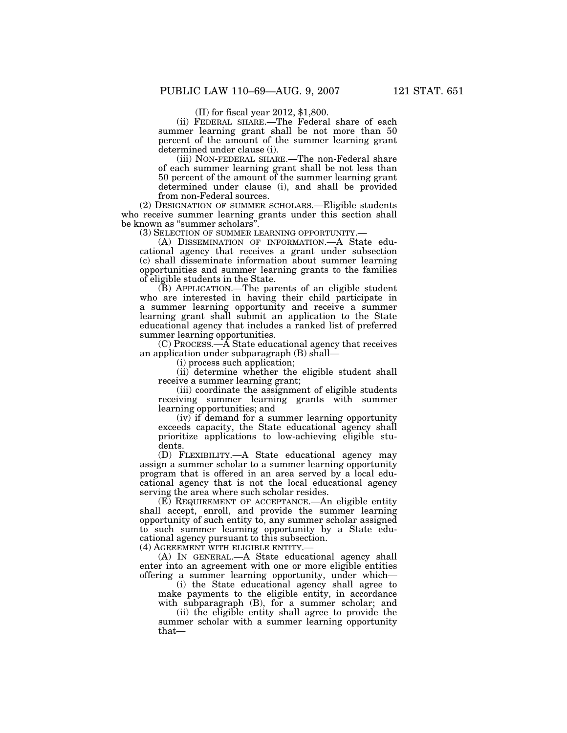(II) for fiscal year 2012, \$1,800.

(ii) FEDERAL SHARE.—The Federal share of each summer learning grant shall be not more than 50 percent of the amount of the summer learning grant determined under clause (i).

(iii) NON-FEDERAL SHARE.—The non-Federal share of each summer learning grant shall be not less than 50 percent of the amount of the summer learning grant determined under clause (i), and shall be provided from non-Federal sources.

(2) DESIGNATION OF SUMMER SCHOLARS.—Eligible students who receive summer learning grants under this section shall be known as "summer scholars".<br>
(3) SELECTION OF SUMMER LEARNING OPPORTUNITY.-

(A) DISSEMINATION OF INFORMATION.—A State educational agency that receives a grant under subsection (c) shall disseminate information about summer learning opportunities and summer learning grants to the families of eligible students in the State.

(B) APPLICATION.—The parents of an eligible student who are interested in having their child participate in a summer learning opportunity and receive a summer learning grant shall submit an application to the State educational agency that includes a ranked list of preferred summer learning opportunities.

(C) PROCESS.—A State educational agency that receives an application under subparagraph (B) shall—

(i) process such application;

(ii) determine whether the eligible student shall receive a summer learning grant;

(iii) coordinate the assignment of eligible students receiving summer learning grants with summer learning opportunities; and

(iv) if demand for a summer learning opportunity exceeds capacity, the State educational agency shall prioritize applications to low-achieving eligible students.

(D) FLEXIBILITY.—A State educational agency may assign a summer scholar to a summer learning opportunity program that is offered in an area served by a local educational agency that is not the local educational agency serving the area where such scholar resides.

(E) REQUIREMENT OF ACCEPTANCE.—An eligible entity shall accept, enroll, and provide the summer learning opportunity of such entity to, any summer scholar assigned to such summer learning opportunity by a State educational agency pursuant to this subsection.

(4) AGREEMENT WITH ELIGIBLE ENTITY.—

(A) IN GENERAL.—A State educational agency shall enter into an agreement with one or more eligible entities offering a summer learning opportunity, under which—

(i) the State educational agency shall agree to make payments to the eligible entity, in accordance with subparagraph (B), for a summer scholar; and

(ii) the eligible entity shall agree to provide the summer scholar with a summer learning opportunity that—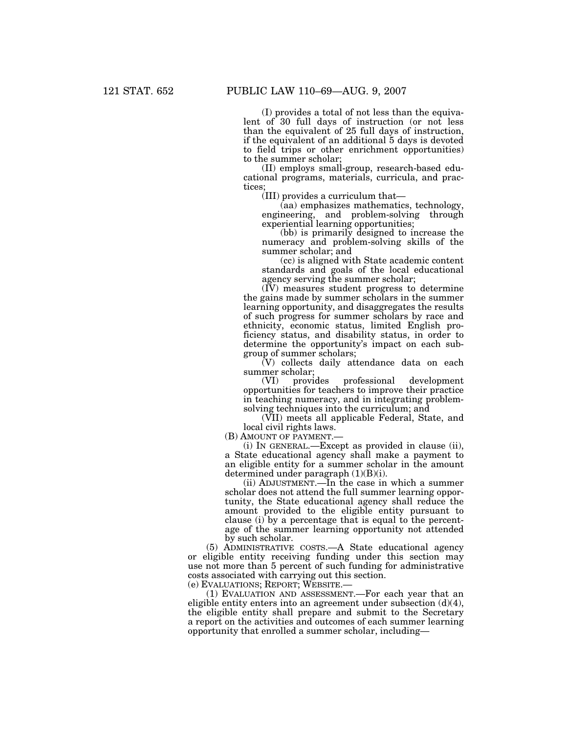(I) provides a total of not less than the equivalent of 30 full days of instruction (or not less than the equivalent of 25 full days of instruction, if the equivalent of an additional 5 days is devoted to field trips or other enrichment opportunities) to the summer scholar;

(II) employs small-group, research-based educational programs, materials, curricula, and practices;

(III) provides a curriculum that—

(aa) emphasizes mathematics, technology, engineering, and problem-solving through experiential learning opportunities;

(bb) is primarily designed to increase the numeracy and problem-solving skills of the summer scholar; and

(cc) is aligned with State academic content standards and goals of the local educational agency serving the summer scholar;

(IV) measures student progress to determine the gains made by summer scholars in the summer learning opportunity, and disaggregates the results of such progress for summer scholars by race and ethnicity, economic status, limited English proficiency status, and disability status, in order to determine the opportunity's impact on each subgroup of summer scholars;

(V) collects daily attendance data on each summer scholar;<br>(VI) provides

professional development opportunities for teachers to improve their practice in teaching numeracy, and in integrating problemsolving techniques into the curriculum; and

(VII) meets all applicable Federal, State, and local civil rights laws.

(B) AMOUNT OF PAYMENT.—

(i) IN GENERAL.—Except as provided in clause (ii), a State educational agency shall make a payment to an eligible entity for a summer scholar in the amount determined under paragraph (1)(B)(i).

(ii) ADJUSTMENT.—In the case in which a summer scholar does not attend the full summer learning opportunity, the State educational agency shall reduce the amount provided to the eligible entity pursuant to clause (i) by a percentage that is equal to the percentage of the summer learning opportunity not attended by such scholar.

(5) ADMINISTRATIVE COSTS.—A State educational agency or eligible entity receiving funding under this section may use not more than 5 percent of such funding for administrative costs associated with carrying out this section.

(e) EVALUATIONS; REPORT; WEBSITE.—

(1) EVALUATION AND ASSESSMENT.—For each year that an eligible entity enters into an agreement under subsection  $(d)(4)$ , the eligible entity shall prepare and submit to the Secretary a report on the activities and outcomes of each summer learning opportunity that enrolled a summer scholar, including—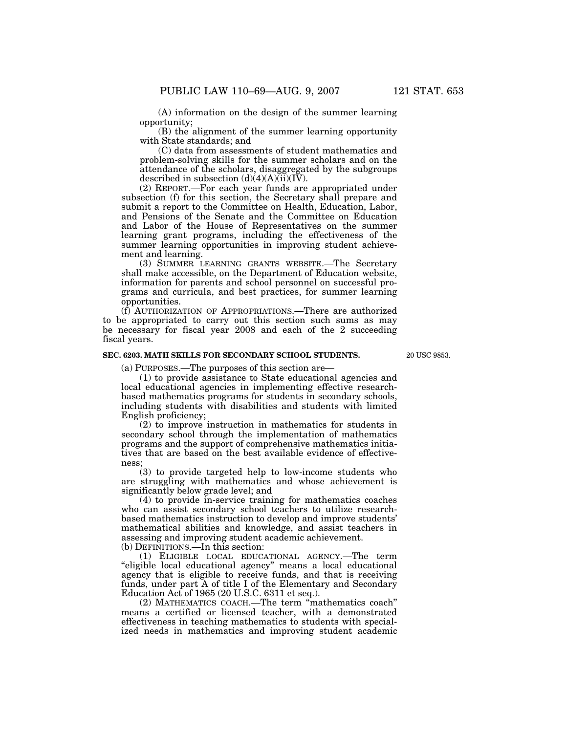(A) information on the design of the summer learning opportunity;

(B) the alignment of the summer learning opportunity with State standards; and

(C) data from assessments of student mathematics and problem-solving skills for the summer scholars and on the attendance of the scholars, disaggregated by the subgroups described in subsection  $(d)(4)(A)(ii)(I\bar{V})$ .

(2) REPORT.—For each year funds are appropriated under subsection (f) for this section, the Secretary shall prepare and submit a report to the Committee on Health, Education, Labor, and Pensions of the Senate and the Committee on Education and Labor of the House of Representatives on the summer learning grant programs, including the effectiveness of the summer learning opportunities in improving student achievement and learning.

(3) SUMMER LEARNING GRANTS WEBSITE.—The Secretary shall make accessible, on the Department of Education website, information for parents and school personnel on successful programs and curricula, and best practices, for summer learning opportunities.

(f) AUTHORIZATION OF APPROPRIATIONS.—There are authorized to be appropriated to carry out this section such sums as may be necessary for fiscal year 2008 and each of the 2 succeeding fiscal years.

#### **SEC. 6203. MATH SKILLS FOR SECONDARY SCHOOL STUDENTS.**

20 USC 9853

(a) PURPOSES.—The purposes of this section are—

(1) to provide assistance to State educational agencies and local educational agencies in implementing effective researchbased mathematics programs for students in secondary schools, including students with disabilities and students with limited English proficiency;

(2) to improve instruction in mathematics for students in secondary school through the implementation of mathematics programs and the support of comprehensive mathematics initiatives that are based on the best available evidence of effectiveness;

(3) to provide targeted help to low-income students who are struggling with mathematics and whose achievement is significantly below grade level; and

(4) to provide in-service training for mathematics coaches who can assist secondary school teachers to utilize researchbased mathematics instruction to develop and improve students' mathematical abilities and knowledge, and assist teachers in assessing and improving student academic achievement. (b) DEFINITIONS.—In this section:

(1) ELIGIBLE LOCAL EDUCATIONAL AGENCY.—The term "eligible local educational agency" means a local educational agency that is eligible to receive funds, and that is receiving funds, under part A of title I of the Elementary and Secondary Education Act of 1965 (20 U.S.C. 6311 et seq.).

(2) MATHEMATICS COACH.—The term ''mathematics coach'' means a certified or licensed teacher, with a demonstrated effectiveness in teaching mathematics to students with specialized needs in mathematics and improving student academic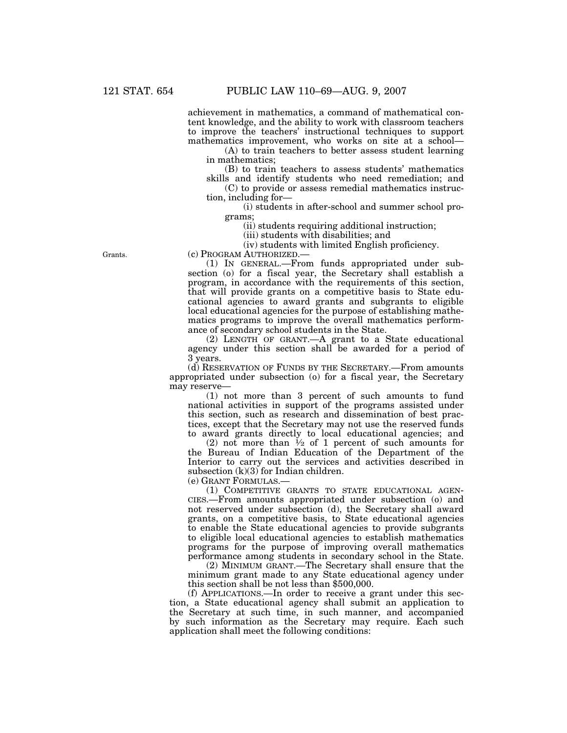achievement in mathematics, a command of mathematical content knowledge, and the ability to work with classroom teachers to improve the teachers' instructional techniques to support mathematics improvement, who works on site at a school—

(A) to train teachers to better assess student learning in mathematics;

(B) to train teachers to assess students' mathematics skills and identify students who need remediation; and

(C) to provide or assess remedial mathematics instruction, including for—

(i) students in after-school and summer school programs;

(ii) students requiring additional instruction;

(iii) students with disabilities; and

(iv) students with limited English proficiency.

(c) PROGRAM AUTHORIZED.—

(1) IN GENERAL.—From funds appropriated under subsection (o) for a fiscal year, the Secretary shall establish a program, in accordance with the requirements of this section, that will provide grants on a competitive basis to State educational agencies to award grants and subgrants to eligible local educational agencies for the purpose of establishing mathematics programs to improve the overall mathematics performance of secondary school students in the State.

(2) LENGTH OF GRANT.—A grant to a State educational agency under this section shall be awarded for a period of 3 years.

(d) RESERVATION OF FUNDS BY THE SECRETARY.—From amounts appropriated under subsection (o) for a fiscal year, the Secretary may reserve—

(1) not more than 3 percent of such amounts to fund national activities in support of the programs assisted under this section, such as research and dissemination of best practices, except that the Secretary may not use the reserved funds to award grants directly to local educational agencies; and

(2) not more than  $\frac{1}{2}$  of 1 percent of such amounts for the Bureau of Indian Education of the Department of the Interior to carry out the services and activities described in subsection  $(k)(3)$  for Indian children.

(e) GRANT FORMULAS.—

(1) COMPETITIVE GRANTS TO STATE EDUCATIONAL AGEN-CIES.—From amounts appropriated under subsection (o) and not reserved under subsection (d), the Secretary shall award grants, on a competitive basis, to State educational agencies to enable the State educational agencies to provide subgrants to eligible local educational agencies to establish mathematics programs for the purpose of improving overall mathematics performance among students in secondary school in the State.

(2) MINIMUM GRANT.—The Secretary shall ensure that the minimum grant made to any State educational agency under this section shall be not less than \$500,000.

(f) APPLICATIONS.—In order to receive a grant under this section, a State educational agency shall submit an application to the Secretary at such time, in such manner, and accompanied by such information as the Secretary may require. Each such application shall meet the following conditions:

Grants.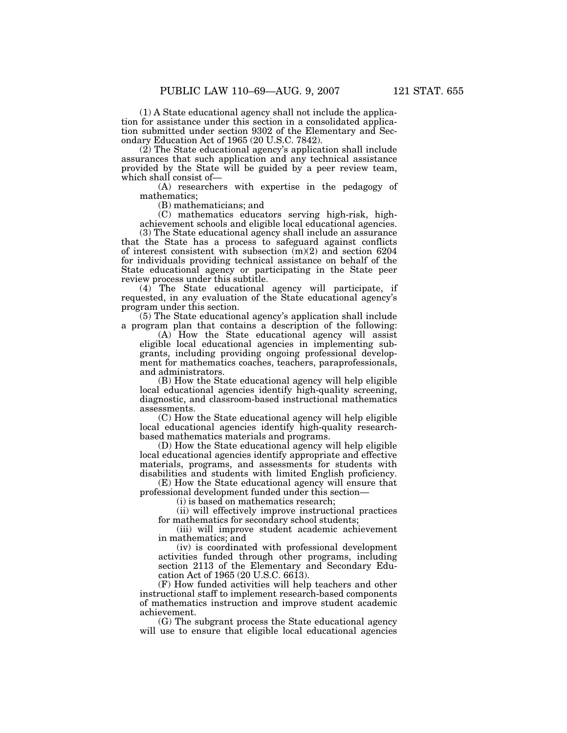(1) A State educational agency shall not include the application for assistance under this section in a consolidated application submitted under section 9302 of the Elementary and Secondary Education Act of 1965 (20 U.S.C. 7842).

(2) The State educational agency's application shall include assurances that such application and any technical assistance provided by the State will be guided by a peer review team, which shall consist of—

(A) researchers with expertise in the pedagogy of mathematics;

(B) mathematicians; and

(C) mathematics educators serving high-risk, highachievement schools and eligible local educational agencies.

(3) The State educational agency shall include an assurance that the State has a process to safeguard against conflicts of interest consistent with subsection (m)(2) and section 6204 for individuals providing technical assistance on behalf of the State educational agency or participating in the State peer review process under this subtitle.

(4) The State educational agency will participate, if requested, in any evaluation of the State educational agency's program under this section.

(5) The State educational agency's application shall include a program plan that contains a description of the following:

(A) How the State educational agency will assist eligible local educational agencies in implementing subgrants, including providing ongoing professional development for mathematics coaches, teachers, paraprofessionals, and administrators.

(B) How the State educational agency will help eligible local educational agencies identify high-quality screening, diagnostic, and classroom-based instructional mathematics assessments.

(C) How the State educational agency will help eligible local educational agencies identify high-quality researchbased mathematics materials and programs.

(D) How the State educational agency will help eligible local educational agencies identify appropriate and effective materials, programs, and assessments for students with disabilities and students with limited English proficiency.

(E) How the State educational agency will ensure that professional development funded under this section—

(i) is based on mathematics research;

(ii) will effectively improve instructional practices for mathematics for secondary school students;

(iii) will improve student academic achievement in mathematics; and

(iv) is coordinated with professional development activities funded through other programs, including section 2113 of the Elementary and Secondary Education Act of 1965 (20 U.S.C. 6613).

(F) How funded activities will help teachers and other instructional staff to implement research-based components of mathematics instruction and improve student academic achievement.

(G) The subgrant process the State educational agency will use to ensure that eligible local educational agencies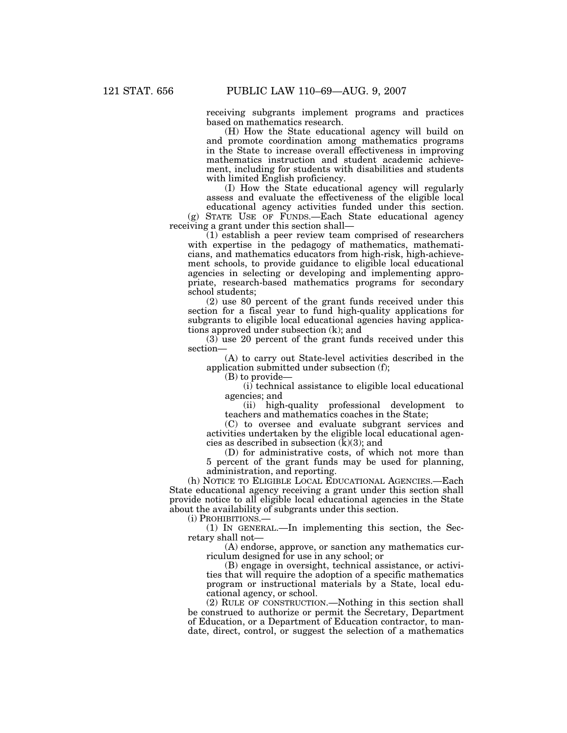receiving subgrants implement programs and practices based on mathematics research.

(H) How the State educational agency will build on and promote coordination among mathematics programs in the State to increase overall effectiveness in improving mathematics instruction and student academic achievement, including for students with disabilities and students with limited English proficiency.

(I) How the State educational agency will regularly assess and evaluate the effectiveness of the eligible local educational agency activities funded under this section. (g) STATE USE OF FUNDS.—Each State educational agency

receiving a grant under this section shall— (1) establish a peer review team comprised of researchers

with expertise in the pedagogy of mathematics, mathematicians, and mathematics educators from high-risk, high-achievement schools, to provide guidance to eligible local educational agencies in selecting or developing and implementing appropriate, research-based mathematics programs for secondary school students;

(2) use 80 percent of the grant funds received under this section for a fiscal year to fund high-quality applications for subgrants to eligible local educational agencies having applications approved under subsection (k); and

(3) use 20 percent of the grant funds received under this section—

(A) to carry out State-level activities described in the application submitted under subsection (f);

(B) to provide—

(i) technical assistance to eligible local educational agencies; and

(ii) high-quality professional development to teachers and mathematics coaches in the State;

(C) to oversee and evaluate subgrant services and activities undertaken by the eligible local educational agencies as described in subsection  $(\bar{k})(3)$ ; and

(D) for administrative costs, of which not more than 5 percent of the grant funds may be used for planning, administration, and reporting.

(h) NOTICE TO ELIGIBLE LOCAL EDUCATIONAL AGENCIES.—Each State educational agency receiving a grant under this section shall provide notice to all eligible local educational agencies in the State about the availability of subgrants under this section.

(i) PROHIBITIONS.—

(1) IN GENERAL.—In implementing this section, the Secretary shall not—

(A) endorse, approve, or sanction any mathematics curriculum designed for use in any school; or

(B) engage in oversight, technical assistance, or activities that will require the adoption of a specific mathematics program or instructional materials by a State, local educational agency, or school.

(2) RULE OF CONSTRUCTION.—Nothing in this section shall be construed to authorize or permit the Secretary, Department of Education, or a Department of Education contractor, to mandate, direct, control, or suggest the selection of a mathematics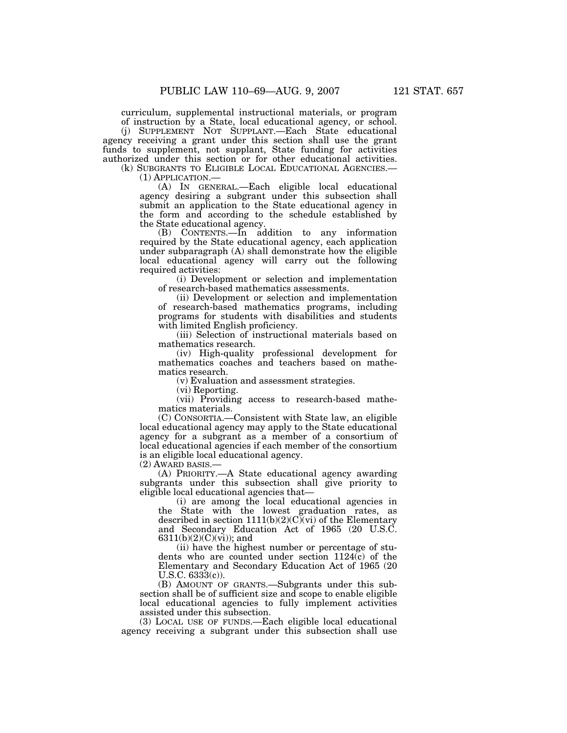curriculum, supplemental instructional materials, or program of instruction by a State, local educational agency, or school.

(j) SUPPLEMENT NOT SUPPLANT.—Each State educational agency receiving a grant under this section shall use the grant funds to supplement, not supplant, State funding for activities authorized under this section or for other educational activities.

(k) SUBGRANTS TO ELIGIBLE LOCAL EDUCATIONAL AGENCIES.— (1) APPLICATION.— (A) IN GENERAL.—Each eligible local educational agency desiring a subgrant under this subsection shall submit an application to the State educational agency in the form and according to the schedule established by the State educational agency.

(B) CONTENTS.—In addition to any information required by the State educational agency, each application under subparagraph (A) shall demonstrate how the eligible local educational agency will carry out the following required activities:

(i) Development or selection and implementation of research-based mathematics assessments.

(ii) Development or selection and implementation of research-based mathematics programs, including programs for students with disabilities and students with limited English proficiency.

(iii) Selection of instructional materials based on mathematics research.

(iv) High-quality professional development for mathematics coaches and teachers based on mathematics research.

(v) Evaluation and assessment strategies.

(vi) Reporting.

(vii) Providing access to research-based mathematics materials.

(C) CONSORTIA.—Consistent with State law, an eligible local educational agency may apply to the State educational agency for a subgrant as a member of a consortium of local educational agencies if each member of the consortium is an eligible local educational agency.

(2) AWARD BASIS.—

(A) PRIORITY.—A State educational agency awarding subgrants under this subsection shall give priority to eligible local educational agencies that—

(i) are among the local educational agencies in the State with the lowest graduation rates, as described in section  $1111(b)(2)(C)(vi)$  of the Elementary and Secondary Education Act of 1965 (20 U.S.C. 6311(b)(2)(C)(vi)); and

(ii) have the highest number or percentage of students who are counted under section 1124(c) of the Elementary and Secondary Education Act of 1965 (20  $U.S.C. 6333(c)$ .

(B) AMOUNT OF GRANTS.—Subgrants under this subsection shall be of sufficient size and scope to enable eligible local educational agencies to fully implement activities assisted under this subsection.

(3) LOCAL USE OF FUNDS.—Each eligible local educational agency receiving a subgrant under this subsection shall use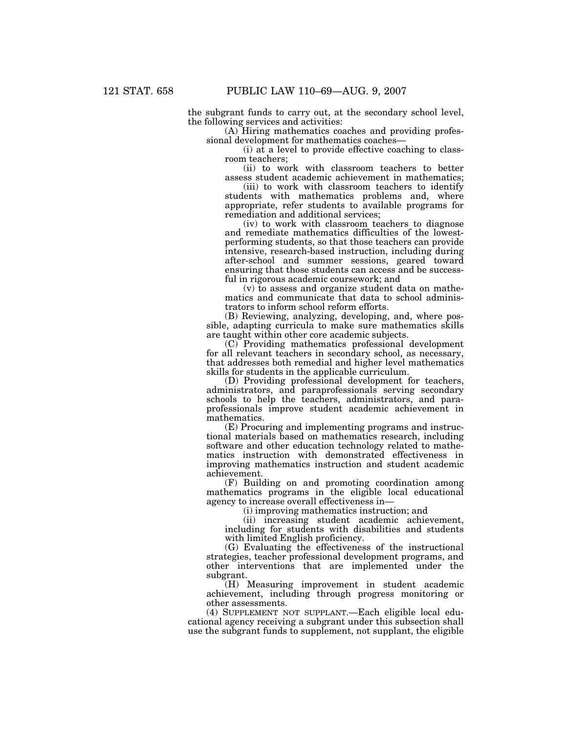the subgrant funds to carry out, at the secondary school level, the following services and activities:

(A) Hiring mathematics coaches and providing professional development for mathematics coaches—

(i) at a level to provide effective coaching to classroom teachers;

(ii) to work with classroom teachers to better assess student academic achievement in mathematics;

(iii) to work with classroom teachers to identify students with mathematics problems and, where appropriate, refer students to available programs for remediation and additional services;

(iv) to work with classroom teachers to diagnose and remediate mathematics difficulties of the lowestperforming students, so that those teachers can provide intensive, research-based instruction, including during after-school and summer sessions, geared toward ensuring that those students can access and be successful in rigorous academic coursework; and

(v) to assess and organize student data on mathematics and communicate that data to school administrators to inform school reform efforts.

(B) Reviewing, analyzing, developing, and, where possible, adapting curricula to make sure mathematics skills are taught within other core academic subjects.

(C) Providing mathematics professional development for all relevant teachers in secondary school, as necessary, that addresses both remedial and higher level mathematics skills for students in the applicable curriculum.

(D) Providing professional development for teachers, administrators, and paraprofessionals serving secondary schools to help the teachers, administrators, and paraprofessionals improve student academic achievement in mathematics.

(E) Procuring and implementing programs and instructional materials based on mathematics research, including software and other education technology related to mathematics instruction with demonstrated effectiveness in improving mathematics instruction and student academic achievement.

(F) Building on and promoting coordination among mathematics programs in the eligible local educational agency to increase overall effectiveness in—

(i) improving mathematics instruction; and

(ii) increasing student academic achievement, including for students with disabilities and students with limited English proficiency.

(G) Evaluating the effectiveness of the instructional strategies, teacher professional development programs, and other interventions that are implemented under the subgrant.

(H) Measuring improvement in student academic achievement, including through progress monitoring or other assessments.

(4) SUPPLEMENT NOT SUPPLANT.—Each eligible local educational agency receiving a subgrant under this subsection shall use the subgrant funds to supplement, not supplant, the eligible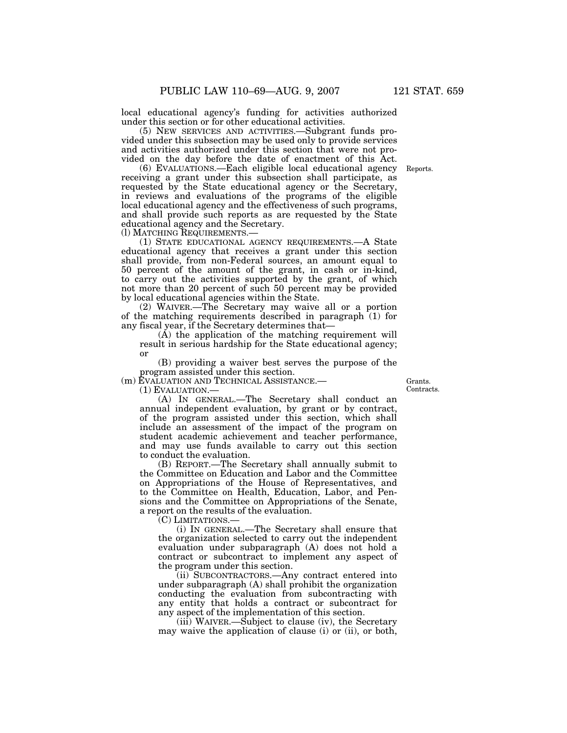local educational agency's funding for activities authorized under this section or for other educational activities.

(5) NEW SERVICES AND ACTIVITIES.—Subgrant funds provided under this subsection may be used only to provide services and activities authorized under this section that were not provided on the day before the date of enactment of this Act.

(6) EVALUATIONS.—Each eligible local educational agency receiving a grant under this subsection shall participate, as requested by the State educational agency or the Secretary, in reviews and evaluations of the programs of the eligible local educational agency and the effectiveness of such programs, and shall provide such reports as are requested by the State educational agency and the Secretary.<br>(1) MATCHING REQUIREMENTS.—

(1) STATE EDUCATIONAL AGENCY REQUIREMENTS.—A State educational agency that receives a grant under this section shall provide, from non-Federal sources, an amount equal to 50 percent of the amount of the grant, in cash or in-kind, to carry out the activities supported by the grant, of which not more than 20 percent of such 50 percent may be provided by local educational agencies within the State.

(2) WAIVER.—The Secretary may waive all or a portion of the matching requirements described in paragraph (1) for any fiscal year, if the Secretary determines that—

(A) the application of the matching requirement will result in serious hardship for the State educational agency; or

(B) providing a waiver best serves the purpose of the program assisted under this section.

(m) EVALUATION AND TECHNICAL ASSISTANCE.—

(1) EVALUATION.—

(A) IN GENERAL.—The Secretary shall conduct an annual independent evaluation, by grant or by contract, of the program assisted under this section, which shall include an assessment of the impact of the program on student academic achievement and teacher performance, and may use funds available to carry out this section to conduct the evaluation.

(B) REPORT.—The Secretary shall annually submit to the Committee on Education and Labor and the Committee on Appropriations of the House of Representatives, and to the Committee on Health, Education, Labor, and Pensions and the Committee on Appropriations of the Senate, a report on the results of the evaluation.

(C) LIMITATIONS.—

(i) IN GENERAL.—The Secretary shall ensure that the organization selected to carry out the independent evaluation under subparagraph (A) does not hold a contract or subcontract to implement any aspect of the program under this section.

(ii) SUBCONTRACTORS.—Any contract entered into under subparagraph (A) shall prohibit the organization conducting the evaluation from subcontracting with any entity that holds a contract or subcontract for any aspect of the implementation of this section.

(iii) WAIVER.—Subject to clause (iv), the Secretary may waive the application of clause (i) or (ii), or both,

Grants. Contracts.

Reports.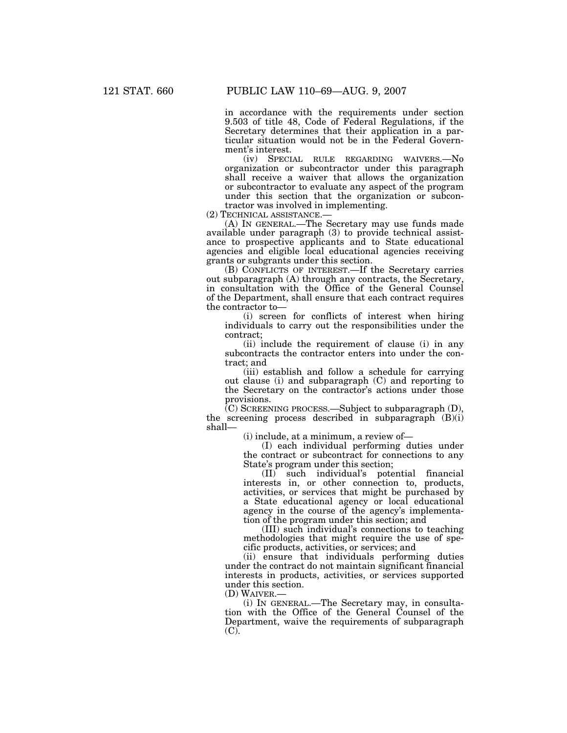in accordance with the requirements under section 9.503 of title 48, Code of Federal Regulations, if the Secretary determines that their application in a particular situation would not be in the Federal Government's interest.

(iv) SPECIAL RULE REGARDING WAIVERS.—No organization or subcontractor under this paragraph shall receive a waiver that allows the organization or subcontractor to evaluate any aspect of the program under this section that the organization or subcontractor was involved in implementing.<br>(2) TECHNICAL ASSISTANCE.—

(A) IN GENERAL.—The Secretary may use funds made available under paragraph (3) to provide technical assistance to prospective applicants and to State educational agencies and eligible local educational agencies receiving grants or subgrants under this section.

(B) CONFLICTS OF INTEREST.—If the Secretary carries out subparagraph (A) through any contracts, the Secretary, in consultation with the Office of the General Counsel of the Department, shall ensure that each contract requires the contractor to—

(i) screen for conflicts of interest when hiring individuals to carry out the responsibilities under the contract;

(ii) include the requirement of clause (i) in any subcontracts the contractor enters into under the contract; and

(iii) establish and follow a schedule for carrying out clause (i) and subparagraph (C) and reporting to the Secretary on the contractor's actions under those provisions.

 $(C)$  SCREENING PROCESS.—Subject to subparagraph  $(D)$ , the screening process described in subparagraph (B)(i) shall—

(i) include, at a minimum, a review of—

(I) each individual performing duties under the contract or subcontract for connections to any State's program under this section;

(II) such individual's potential financial interests in, or other connection to, products, activities, or services that might be purchased by a State educational agency or local educational agency in the course of the agency's implementation of the program under this section; and

(III) such individual's connections to teaching methodologies that might require the use of specific products, activities, or services; and

(ii) ensure that individuals performing duties under the contract do not maintain significant financial interests in products, activities, or services supported under this section.

(D) WAIVER.—

(i) IN GENERAL.—The Secretary may, in consultation with the Office of the General Counsel of the Department, waive the requirements of subparagraph  $(C)$ .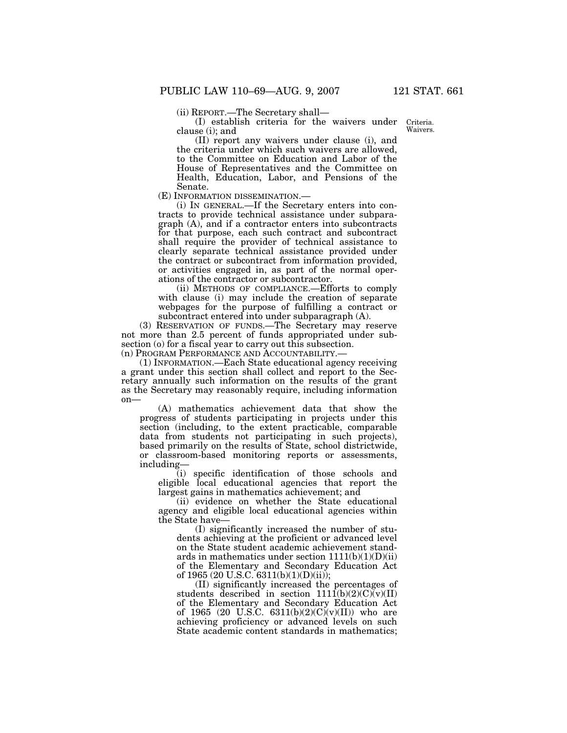(ii) REPORT.—The Secretary shall—

(I) establish criteria for the waivers under clause (i); and

Criteria. Waivers.

(II) report any waivers under clause (i), and the criteria under which such waivers are allowed, to the Committee on Education and Labor of the House of Representatives and the Committee on Health, Education, Labor, and Pensions of the

Senate.<br>(E) INFORMATION DISSEMINATION.—

(i) IN GENERAL.—If the Secretary enters into contracts to provide technical assistance under subparagraph (A), and if a contractor enters into subcontracts for that purpose, each such contract and subcontract shall require the provider of technical assistance to clearly separate technical assistance provided under the contract or subcontract from information provided, or activities engaged in, as part of the normal operations of the contractor or subcontractor.

(ii) METHODS OF COMPLIANCE.—Efforts to comply with clause (i) may include the creation of separate webpages for the purpose of fulfilling a contract or subcontract entered into under subparagraph (A).

(3) RESERVATION OF FUNDS.—The Secretary may reserve not more than 2.5 percent of funds appropriated under subsection (o) for a fiscal year to carry out this subsection.

(n) PROGRAM PERFORMANCE AND ACCOUNTABILITY.—

(1) INFORMATION.—Each State educational agency receiving a grant under this section shall collect and report to the Secretary annually such information on the results of the grant as the Secretary may reasonably require, including information on—

(A) mathematics achievement data that show the progress of students participating in projects under this section (including, to the extent practicable, comparable data from students not participating in such projects), based primarily on the results of State, school districtwide, or classroom-based monitoring reports or assessments, including—

(i) specific identification of those schools and eligible local educational agencies that report the largest gains in mathematics achievement; and

(ii) evidence on whether the State educational agency and eligible local educational agencies within the State have—

(I) significantly increased the number of students achieving at the proficient or advanced level on the State student academic achievement standards in mathematics under section  $1111(b)(1)(D)(ii)$ of the Elementary and Secondary Education Act of 1965 (20 U.S.C. 6311(b)(1)(D)(ii));

(II) significantly increased the percentages of students described in section  $111\overline{1(b)(2)(C)(v)}$ of the Elementary and Secondary Education Act of 1965 (20 U.S.C.  $6311(b)(2)(C)(v)(II)$ ) who are achieving proficiency or advanced levels on such State academic content standards in mathematics;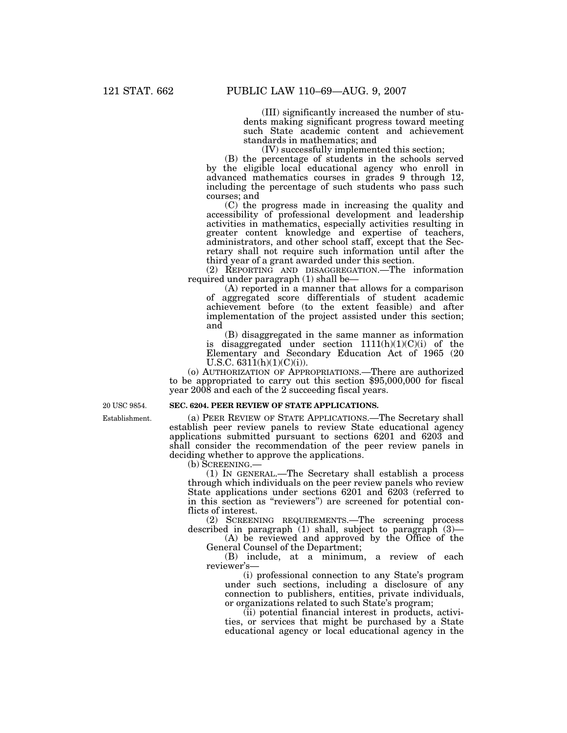(III) significantly increased the number of students making significant progress toward meeting such State academic content and achievement standards in mathematics; and

(IV) successfully implemented this section;

(B) the percentage of students in the schools served by the eligible local educational agency who enroll in advanced mathematics courses in grades 9 through 12, including the percentage of such students who pass such courses; and

(C) the progress made in increasing the quality and accessibility of professional development and leadership activities in mathematics, especially activities resulting in greater content knowledge and expertise of teachers, administrators, and other school staff, except that the Secretary shall not require such information until after the third year of a grant awarded under this section.

(2) REPORTING AND DISAGGREGATION.—The information required under paragraph (1) shall be—

(A) reported in a manner that allows for a comparison of aggregated score differentials of student academic achievement before (to the extent feasible) and after implementation of the project assisted under this section; and

(B) disaggregated in the same manner as information is disaggregated under section  $1111(h)(1)(C(i))$  of the Elementary and Secondary Education Act of 1965 (20 U.S.C.  $6311(h)(1)(C)(i)$ .

(o) AUTHORIZATION OF APPROPRIATIONS.—There are authorized to be appropriated to carry out this section \$95,000,000 for fiscal year 2008 and each of the 2 succeeding fiscal years.

**SEC. 6204. PEER REVIEW OF STATE APPLICATIONS.** 

Establishment.

20 USC 9854.

(a) PEER REVIEW OF STATE APPLICATIONS.—The Secretary shall establish peer review panels to review State educational agency applications submitted pursuant to sections 6201 and 6203 and shall consider the recommendation of the peer review panels in

deciding whether to approve the applications.

(b) SCREENING.—

(1) IN GENERAL.—The Secretary shall establish a process through which individuals on the peer review panels who review State applications under sections 6201 and 6203 (referred to in this section as ''reviewers'') are screened for potential conflicts of interest.

(2) SCREENING REQUIREMENTS.—The screening process described in paragraph (1) shall, subject to paragraph (3)—

(A) be reviewed and approved by the Office of the General Counsel of the Department;

(B) include, at a minimum, a review of each reviewer's—

(i) professional connection to any State's program under such sections, including a disclosure of any connection to publishers, entities, private individuals, or organizations related to such State's program;

(ii) potential financial interest in products, activities, or services that might be purchased by a State educational agency or local educational agency in the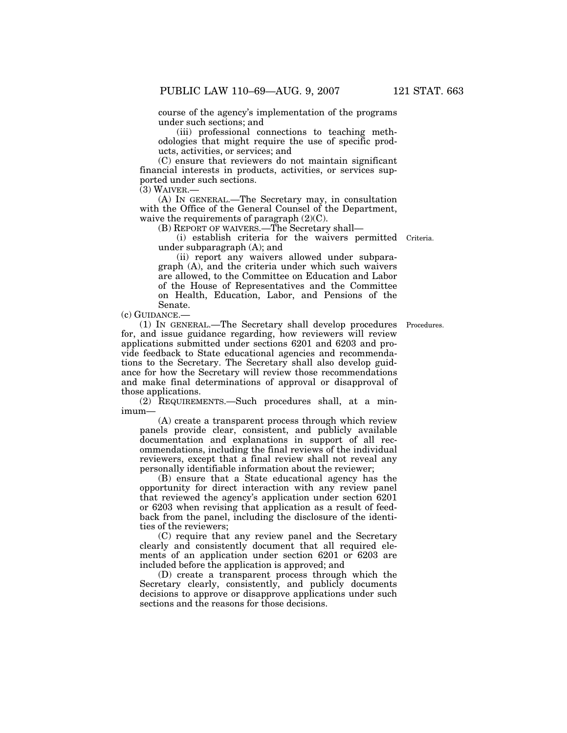course of the agency's implementation of the programs under such sections; and

(iii) professional connections to teaching methodologies that might require the use of specific products, activities, or services; and

(C) ensure that reviewers do not maintain significant financial interests in products, activities, or services supported under such sections.

(3) WAIVER.—

(A) IN GENERAL.—The Secretary may, in consultation with the Office of the General Counsel of the Department, waive the requirements of paragraph (2)(C).

(B) REPORT OF WAIVERS.—The Secretary shall—

(i) establish criteria for the waivers permitted Criteria. under subparagraph (A); and

(ii) report any waivers allowed under subparagraph (A), and the criteria under which such waivers are allowed, to the Committee on Education and Labor of the House of Representatives and the Committee on Health, Education, Labor, and Pensions of the Senate.

(c) GUIDANCE.—

(1) IN GENERAL.—The Secretary shall develop procedures for, and issue guidance regarding, how reviewers will review applications submitted under sections 6201 and 6203 and provide feedback to State educational agencies and recommendations to the Secretary. The Secretary shall also develop guidance for how the Secretary will review those recommendations and make final determinations of approval or disapproval of those applications.

(2) REQUIREMENTS.—Such procedures shall, at a minimum—

(A) create a transparent process through which review panels provide clear, consistent, and publicly available documentation and explanations in support of all recommendations, including the final reviews of the individual reviewers, except that a final review shall not reveal any personally identifiable information about the reviewer;

(B) ensure that a State educational agency has the opportunity for direct interaction with any review panel that reviewed the agency's application under section 6201 or 6203 when revising that application as a result of feedback from the panel, including the disclosure of the identities of the reviewers;

(C) require that any review panel and the Secretary clearly and consistently document that all required elements of an application under section 6201 or 6203 are included before the application is approved; and

(D) create a transparent process through which the Secretary clearly, consistently, and publicly documents decisions to approve or disapprove applications under such sections and the reasons for those decisions.

Procedures.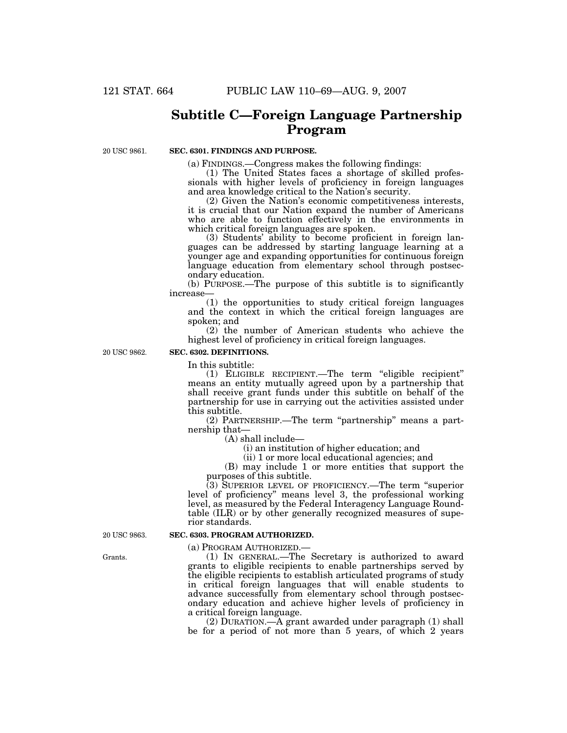### **Subtitle C—Foreign Language Partnership Program**

20 USC 9861.

### **SEC. 6301. FINDINGS AND PURPOSE.**

(a) FINDINGS.—Congress makes the following findings:

(1) The United States faces a shortage of skilled professionals with higher levels of proficiency in foreign languages and area knowledge critical to the Nation's security.

(2) Given the Nation's economic competitiveness interests, it is crucial that our Nation expand the number of Americans who are able to function effectively in the environments in which critical foreign languages are spoken.

(3) Students' ability to become proficient in foreign languages can be addressed by starting language learning at a younger age and expanding opportunities for continuous foreign language education from elementary school through postsecondary education.

(b) PURPOSE.—The purpose of this subtitle is to significantly increase—

(1) the opportunities to study critical foreign languages and the context in which the critical foreign languages are spoken; and

(2) the number of American students who achieve the highest level of proficiency in critical foreign languages.

20 USC 9862.

### **SEC. 6302. DEFINITIONS.**

In this subtitle:

(1) ELIGIBLE RECIPIENT.—The term ''eligible recipient'' means an entity mutually agreed upon by a partnership that shall receive grant funds under this subtitle on behalf of the partnership for use in carrying out the activities assisted under this subtitle.

(2) PARTNERSHIP.—The term ''partnership'' means a partnership that—

(A) shall include—

(i) an institution of higher education; and

(ii) 1 or more local educational agencies; and

(B) may include 1 or more entities that support the purposes of this subtitle.

(3) SUPERIOR LEVEL OF PROFICIENCY.—The term ''superior level of proficiency'' means level 3, the professional working level, as measured by the Federal Interagency Language Roundtable (ILR) or by other generally recognized measures of superior standards.

20 USC 9863.

#### **SEC. 6303. PROGRAM AUTHORIZED.**

(a) PROGRAM AUTHORIZED.—

(1) IN GENERAL.—The Secretary is authorized to award grants to eligible recipients to enable partnerships served by the eligible recipients to establish articulated programs of study in critical foreign languages that will enable students to advance successfully from elementary school through postsecondary education and achieve higher levels of proficiency in a critical foreign language.

(2) DURATION.—A grant awarded under paragraph (1) shall be for a period of not more than 5 years, of which 2 years

Grants.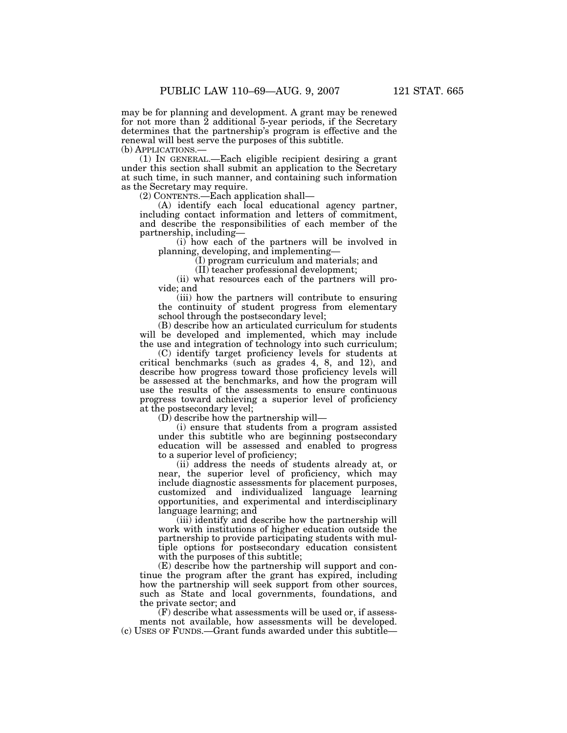may be for planning and development. A grant may be renewed for not more than 2 additional 5-year periods, if the Secretary determines that the partnership's program is effective and the renewal will best serve the purposes of this subtitle.

(b) APPLICATIONS.—<br>(1) IN GENERAL.—Each eligible recipient desiring a grant under this section shall submit an application to the Secretary at such time, in such manner, and containing such information as the Secretary may require.

(2) CONTENTS.—Each application shall—

(A) identify each local educational agency partner, including contact information and letters of commitment, and describe the responsibilities of each member of the partnership, including—

(i) how each of the partners will be involved in planning, developing, and implementing—

(I) program curriculum and materials; and

(II) teacher professional development;

(ii) what resources each of the partners will provide; and

(iii) how the partners will contribute to ensuring the continuity of student progress from elementary school through the postsecondary level;

(B) describe how an articulated curriculum for students will be developed and implemented, which may include the use and integration of technology into such curriculum;

(C) identify target proficiency levels for students at critical benchmarks (such as grades 4, 8, and 12), and describe how progress toward those proficiency levels will be assessed at the benchmarks, and how the program will use the results of the assessments to ensure continuous progress toward achieving a superior level of proficiency at the postsecondary level;

(D) describe how the partnership will—

(i) ensure that students from a program assisted under this subtitle who are beginning postsecondary education will be assessed and enabled to progress to a superior level of proficiency;

(ii) address the needs of students already at, or near, the superior level of proficiency, which may include diagnostic assessments for placement purposes, customized and individualized language learning opportunities, and experimental and interdisciplinary language learning; and

(iii) identify and describe how the partnership will work with institutions of higher education outside the partnership to provide participating students with multiple options for postsecondary education consistent with the purposes of this subtitle;

(E) describe how the partnership will support and continue the program after the grant has expired, including how the partnership will seek support from other sources, such as State and local governments, foundations, and the private sector; and

(F) describe what assessments will be used or, if assessments not available, how assessments will be developed. (c) USES OF FUNDS.—Grant funds awarded under this subtitle—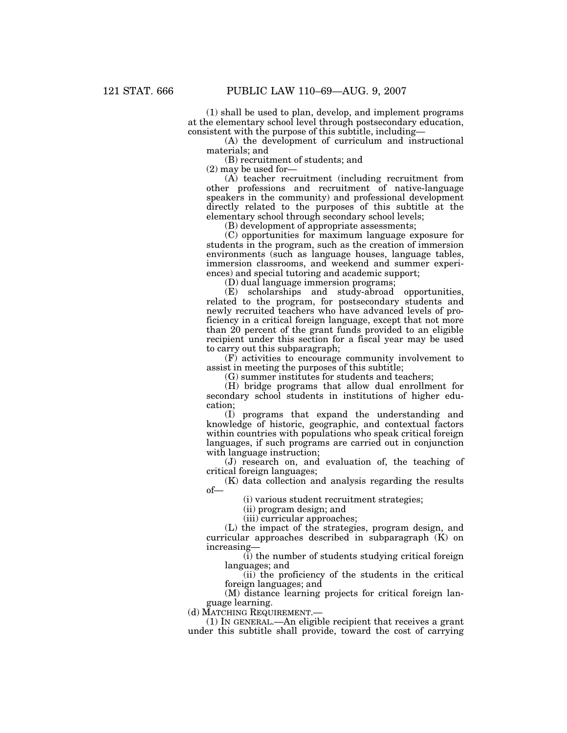(1) shall be used to plan, develop, and implement programs at the elementary school level through postsecondary education, consistent with the purpose of this subtitle, including—

(A) the development of curriculum and instructional materials; and

(B) recruitment of students; and

(2) may be used for—

(A) teacher recruitment (including recruitment from other professions and recruitment of native-language speakers in the community) and professional development directly related to the purposes of this subtitle at the elementary school through secondary school levels;

(B) development of appropriate assessments;

(C) opportunities for maximum language exposure for students in the program, such as the creation of immersion environments (such as language houses, language tables, immersion classrooms, and weekend and summer experiences) and special tutoring and academic support;

(D) dual language immersion programs;

(E) scholarships and study-abroad opportunities, related to the program, for postsecondary students and newly recruited teachers who have advanced levels of proficiency in a critical foreign language, except that not more than 20 percent of the grant funds provided to an eligible recipient under this section for a fiscal year may be used to carry out this subparagraph;

(F) activities to encourage community involvement to assist in meeting the purposes of this subtitle;

(G) summer institutes for students and teachers;

(H) bridge programs that allow dual enrollment for secondary school students in institutions of higher education;

(I) programs that expand the understanding and knowledge of historic, geographic, and contextual factors within countries with populations who speak critical foreign languages, if such programs are carried out in conjunction with language instruction;

(J) research on, and evaluation of, the teaching of critical foreign languages;

(K) data collection and analysis regarding the results of—

(i) various student recruitment strategies;

(ii) program design; and

(iii) curricular approaches;

(L) the impact of the strategies, program design, and curricular approaches described in subparagraph (K) on increasing—

(i) the number of students studying critical foreign languages; and

(ii) the proficiency of the students in the critical foreign languages; and

(M) distance learning projects for critical foreign language learning.

(d) MATCHING REQUIREMENT.—

(1) IN GENERAL.—An eligible recipient that receives a grant under this subtitle shall provide, toward the cost of carrying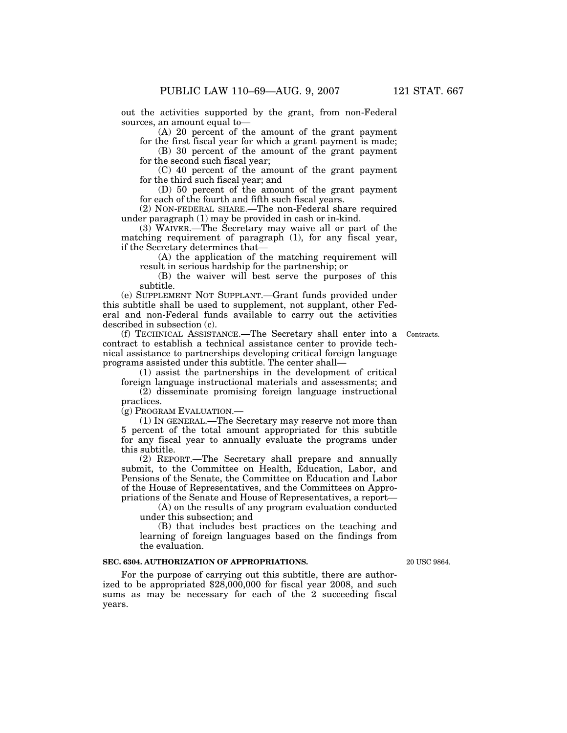out the activities supported by the grant, from non-Federal sources, an amount equal to—

(A) 20 percent of the amount of the grant payment for the first fiscal year for which a grant payment is made;

(B) 30 percent of the amount of the grant payment for the second such fiscal year;

(C) 40 percent of the amount of the grant payment for the third such fiscal year; and

(D) 50 percent of the amount of the grant payment for each of the fourth and fifth such fiscal years.

(2) NON-FEDERAL SHARE.—The non-Federal share required under paragraph (1) may be provided in cash or in-kind.

(3) WAIVER.—The Secretary may waive all or part of the matching requirement of paragraph (1), for any fiscal year, if the Secretary determines that—

(A) the application of the matching requirement will result in serious hardship for the partnership; or

(B) the waiver will best serve the purposes of this subtitle.

(e) SUPPLEMENT NOT SUPPLANT.—Grant funds provided under this subtitle shall be used to supplement, not supplant, other Federal and non-Federal funds available to carry out the activities described in subsection (c).

(f) TECHNICAL ASSISTANCE.—The Secretary shall enter into a contract to establish a technical assistance center to provide technical assistance to partnerships developing critical foreign language programs assisted under this subtitle. The center shall—

(1) assist the partnerships in the development of critical foreign language instructional materials and assessments; and

(2) disseminate promising foreign language instructional practices.

(g) PROGRAM EVALUATION.—

(1) IN GENERAL.—The Secretary may reserve not more than 5 percent of the total amount appropriated for this subtitle for any fiscal year to annually evaluate the programs under this subtitle.

(2) REPORT.—The Secretary shall prepare and annually submit, to the Committee on Health, Education, Labor, and Pensions of the Senate, the Committee on Education and Labor of the House of Representatives, and the Committees on Appropriations of the Senate and House of Representatives, a report—

(A) on the results of any program evaluation conducted under this subsection; and

(B) that includes best practices on the teaching and learning of foreign languages based on the findings from the evaluation.

#### **SEC. 6304. AUTHORIZATION OF APPROPRIATIONS.**

For the purpose of carrying out this subtitle, there are authorized to be appropriated \$28,000,000 for fiscal year 2008, and such sums as may be necessary for each of the 2 succeeding fiscal years.

20 USC 9864.

Contracts.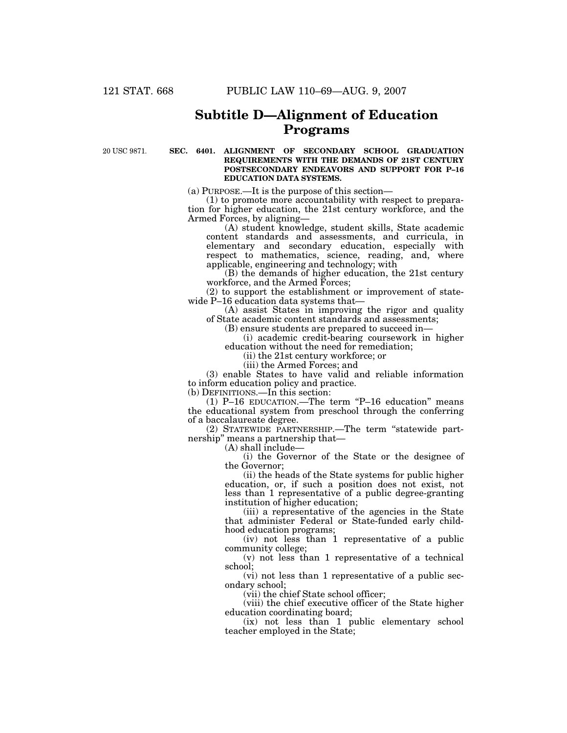# **Subtitle D—Alignment of Education Programs**

20 USC 9871.

#### **SEC. 6401. ALIGNMENT OF SECONDARY SCHOOL GRADUATION REQUIREMENTS WITH THE DEMANDS OF 21ST CENTURY POSTSECONDARY ENDEAVORS AND SUPPORT FOR P–16 EDUCATION DATA SYSTEMS.**

(a) PURPOSE.—It is the purpose of this section—

(1) to promote more accountability with respect to preparation for higher education, the 21st century workforce, and the Armed Forces, by aligning—

(A) student knowledge, student skills, State academic content standards and assessments, and curricula, in elementary and secondary education, especially with respect to mathematics, science, reading, and, where applicable, engineering and technology; with

(B) the demands of higher education, the 21st century workforce, and the Armed Forces;

(2) to support the establishment or improvement of statewide P–16 education data systems that—

(A) assist States in improving the rigor and quality of State academic content standards and assessments;

(B) ensure students are prepared to succeed in—

(i) academic credit-bearing coursework in higher education without the need for remediation;

(ii) the 21st century workforce; or

(iii) the Armed Forces; and

(3) enable States to have valid and reliable information to inform education policy and practice.

(b) DEFINITIONS.—In this section:

(1) P–16 EDUCATION.—The term ''P–16 education'' means the educational system from preschool through the conferring of a baccalaureate degree.

(2) STATEWIDE PARTNERSHIP.—The term ''statewide partnership'' means a partnership that—

(A) shall include—

(i) the Governor of the State or the designee of the Governor;

(ii) the heads of the State systems for public higher education, or, if such a position does not exist, not less than 1 representative of a public degree-granting institution of higher education;

(iii) a representative of the agencies in the State that administer Federal or State-funded early childhood education programs;

(iv) not less than 1 representative of a public community college;

(v) not less than 1 representative of a technical school;

(vi) not less than 1 representative of a public secondary school;

(vii) the chief State school officer;

(viii) the chief executive officer of the State higher education coordinating board;

(ix) not less than 1 public elementary school teacher employed in the State;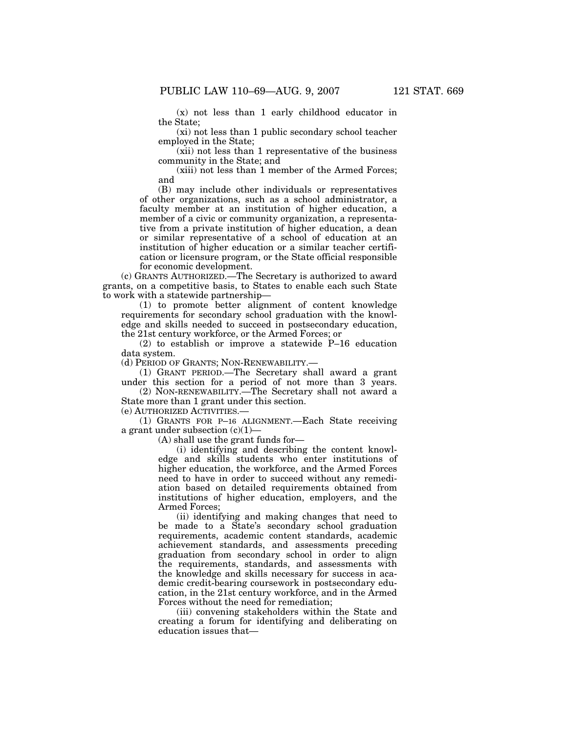(x) not less than 1 early childhood educator in the State;

(xi) not less than 1 public secondary school teacher employed in the State;

(xii) not less than 1 representative of the business community in the State; and

(xiii) not less than 1 member of the Armed Forces; and

(B) may include other individuals or representatives of other organizations, such as a school administrator, a faculty member at an institution of higher education, a member of a civic or community organization, a representative from a private institution of higher education, a dean or similar representative of a school of education at an institution of higher education or a similar teacher certification or licensure program, or the State official responsible for economic development.

(c) GRANTS AUTHORIZED.—The Secretary is authorized to award grants, on a competitive basis, to States to enable each such State to work with a statewide partnership—

(1) to promote better alignment of content knowledge requirements for secondary school graduation with the knowledge and skills needed to succeed in postsecondary education, the 21st century workforce, or the Armed Forces; or

(2) to establish or improve a statewide P–16 education data system.

(d) PERIOD OF GRANTS; NON-RENEWABILITY.—

(1) GRANT PERIOD.—The Secretary shall award a grant under this section for a period of not more than 3 years.

(2) NON-RENEWABILITY.—The Secretary shall not award a State more than 1 grant under this section.

(e) AUTHORIZED ACTIVITIES.—

(1) GRANTS FOR P–16 ALIGNMENT.—Each State receiving a grant under subsection (c)(1)—

(A) shall use the grant funds for—

(i) identifying and describing the content knowledge and skills students who enter institutions of higher education, the workforce, and the Armed Forces need to have in order to succeed without any remediation based on detailed requirements obtained from institutions of higher education, employers, and the Armed Forces;

(ii) identifying and making changes that need to be made to a State's secondary school graduation requirements, academic content standards, academic achievement standards, and assessments preceding graduation from secondary school in order to align the requirements, standards, and assessments with the knowledge and skills necessary for success in academic credit-bearing coursework in postsecondary education, in the 21st century workforce, and in the Armed Forces without the need for remediation;

(iii) convening stakeholders within the State and creating a forum for identifying and deliberating on education issues that—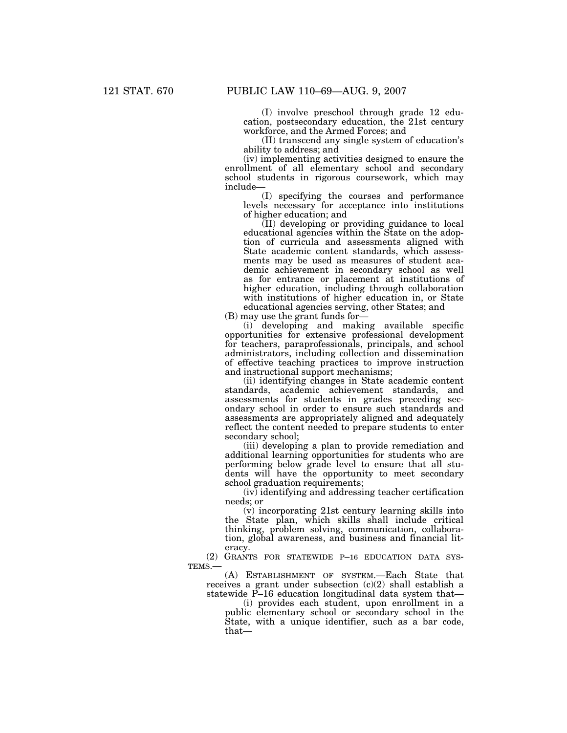(I) involve preschool through grade 12 education, postsecondary education, the 21st century workforce, and the Armed Forces; and

(II) transcend any single system of education's ability to address; and

(iv) implementing activities designed to ensure the enrollment of all elementary school and secondary school students in rigorous coursework, which may include—

(I) specifying the courses and performance levels necessary for acceptance into institutions of higher education; and

(II) developing or providing guidance to local educational agencies within the State on the adoption of curricula and assessments aligned with State academic content standards, which assessments may be used as measures of student academic achievement in secondary school as well as for entrance or placement at institutions of higher education, including through collaboration with institutions of higher education in, or State educational agencies serving, other States; and

(B) may use the grant funds for—

(i) developing and making available specific opportunities for extensive professional development for teachers, paraprofessionals, principals, and school administrators, including collection and dissemination of effective teaching practices to improve instruction and instructional support mechanisms;

(ii) identifying changes in State academic content standards, academic achievement standards, and assessments for students in grades preceding secondary school in order to ensure such standards and assessments are appropriately aligned and adequately reflect the content needed to prepare students to enter secondary school;

(iii) developing a plan to provide remediation and additional learning opportunities for students who are performing below grade level to ensure that all students will have the opportunity to meet secondary school graduation requirements;

(iv) identifying and addressing teacher certification needs; or

(v) incorporating 21st century learning skills into the State plan, which skills shall include critical thinking, problem solving, communication, collaboration, global awareness, and business and financial literacy.

(2) GRANTS FOR STATEWIDE P–16 EDUCATION DATA SYS-TEMS.—

(A) ESTABLISHMENT OF SYSTEM.—Each State that receives a grant under subsection (c)(2) shall establish a statewide P–16 education longitudinal data system that—

(i) provides each student, upon enrollment in a public elementary school or secondary school in the State, with a unique identifier, such as a bar code, that—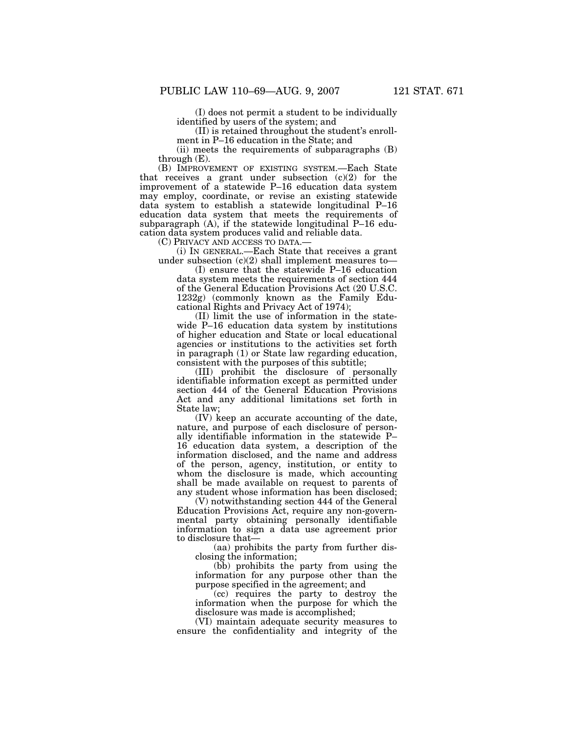(I) does not permit a student to be individually identified by users of the system; and

(II) is retained throughout the student's enroll-

ment in P–16 education in the State; and

(ii) meets the requirements of subparagraphs (B) through (E).

(B) IMPROVEMENT OF EXISTING SYSTEM.—Each State that receives a grant under subsection  $(c)(2)$  for the improvement of a statewide P–16 education data system may employ, coordinate, or revise an existing statewide data system to establish a statewide longitudinal P–16 education data system that meets the requirements of subparagraph (A), if the statewide longitudinal P–16 education data system produces valid and reliable data.

 $(i)$  In GENERAL.—Each State that receives a grant under subsection  $(c)(2)$  shall implement measures to—

(I) ensure that the statewide P–16 education data system meets the requirements of section 444 of the General Education Provisions Act (20 U.S.C. 1232g) (commonly known as the Family Educational Rights and Privacy Act of 1974);

(II) limit the use of information in the statewide P–16 education data system by institutions of higher education and State or local educational agencies or institutions to the activities set forth in paragraph (1) or State law regarding education, consistent with the purposes of this subtitle;

(III) prohibit the disclosure of personally identifiable information except as permitted under section 444 of the General Education Provisions Act and any additional limitations set forth in State law;

(IV) keep an accurate accounting of the date, nature, and purpose of each disclosure of personally identifiable information in the statewide P– 16 education data system, a description of the information disclosed, and the name and address of the person, agency, institution, or entity to whom the disclosure is made, which accounting shall be made available on request to parents of any student whose information has been disclosed;

(V) notwithstanding section 444 of the General Education Provisions Act, require any non-governmental party obtaining personally identifiable information to sign a data use agreement prior to disclosure that—

(aa) prohibits the party from further disclosing the information;

(bb) prohibits the party from using the information for any purpose other than the purpose specified in the agreement; and

(cc) requires the party to destroy the information when the purpose for which the disclosure was made is accomplished;

(VI) maintain adequate security measures to ensure the confidentiality and integrity of the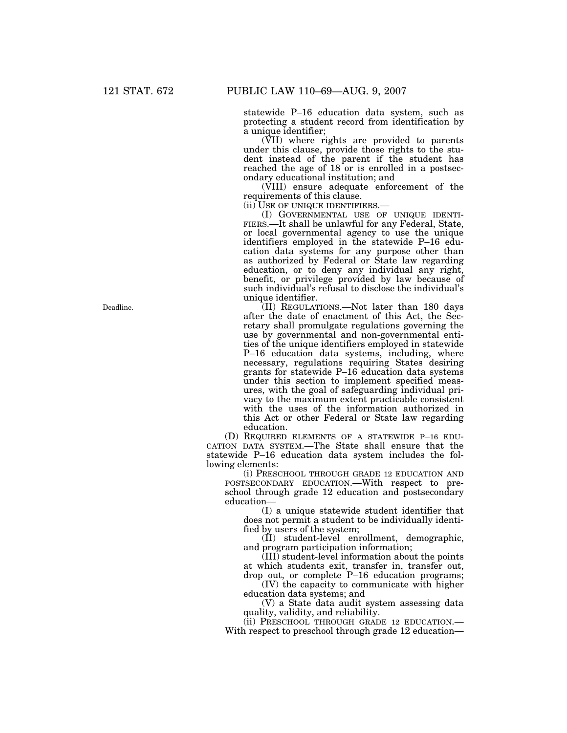statewide P–16 education data system, such as protecting a student record from identification by a unique identifier;

(VII) where rights are provided to parents under this clause, provide those rights to the student instead of the parent if the student has reached the age of 18 or is enrolled in a postsecondary educational institution; and

(VIII) ensure adequate enforcement of the requirements of this clause.<br>(ii) USE OF UNIQUE IDENTIFIERS.—

(ii) USE OF UNIQUE IDENTIFIERS.— (I) GOVERNMENTAL USE OF UNIQUE IDENTI- FIERS.—It shall be unlawful for any Federal, State, or local governmental agency to use the unique identifiers employed in the statewide P–16 education data systems for any purpose other than as authorized by Federal or State law regarding education, or to deny any individual any right, benefit, or privilege provided by law because of such individual's refusal to disclose the individual's unique identifier.

(II) REGULATIONS.—Not later than 180 days after the date of enactment of this Act, the Secretary shall promulgate regulations governing the use by governmental and non-governmental entities of the unique identifiers employed in statewide P–16 education data systems, including, where necessary, regulations requiring States desiring grants for statewide P–16 education data systems under this section to implement specified measures, with the goal of safeguarding individual privacy to the maximum extent practicable consistent with the uses of the information authorized in this Act or other Federal or State law regarding education.

(D) REQUIRED ELEMENTS OF A STATEWIDE P–16 EDU-CATION DATA SYSTEM.—The State shall ensure that the statewide P–16 education data system includes the following elements:

(i) PRESCHOOL THROUGH GRADE 12 EDUCATION AND POSTSECONDARY EDUCATION.—With respect to preschool through grade 12 education and postsecondary education—

(I) a unique statewide student identifier that does not permit a student to be individually identified by users of the system;

(II) student-level enrollment, demographic, and program participation information;

(III) student-level information about the points at which students exit, transfer in, transfer out, drop out, or complete P–16 education programs;

(IV) the capacity to communicate with higher education data systems; and

(V) a State data audit system assessing data

quality, validity, and reliability.<br>(ii) PRESCHOOL THROUGH GRADE 12 EDUCATION.— With respect to preschool through grade 12 education-

Deadline.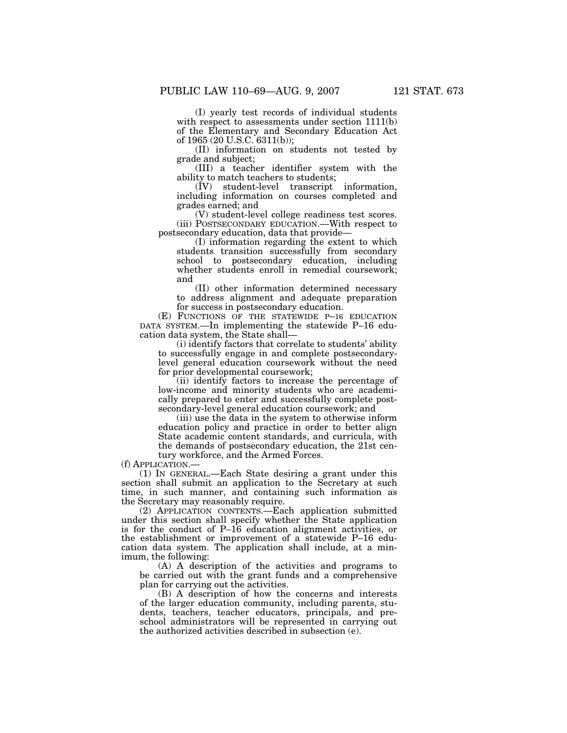(I) yearly test records of individual students with respect to assessments under section  $1111(b)$ of the Elementary and Secondary Education Act of 1965 (20 U.S.C. 6311(b));

(II) information on students not tested by grade and subject;

(III) a teacher identifier system with the ability to match teachers to students;

(IV) student-level transcript information, including information on courses completed and grades earned; and

(V) student-level college readiness test scores. (iii) POSTSECONDARY EDUCATION.—With respect to postsecondary education, data that provide—

(I) information regarding the extent to which students transition successfully from secondary school to postsecondary education, including whether students enroll in remedial coursework; and

(II) other information determined necessary to address alignment and adequate preparation for success in postsecondary education.

(E) FUNCTIONS OF THE STATEWIDE P–16 EDUCATION DATA SYSTEM.—In implementing the statewide P–16 education data system, the State shall—

(i) identify factors that correlate to students' ability to successfully engage in and complete postsecondarylevel general education coursework without the need for prior developmental coursework;

(ii) identify factors to increase the percentage of low-income and minority students who are academically prepared to enter and successfully complete postsecondary-level general education coursework; and

(iii) use the data in the system to otherwise inform education policy and practice in order to better align State academic content standards, and curricula, with the demands of postsecondary education, the 21st century workforce, and the Armed Forces.

(f) APPLICATION.—

(1) IN GENERAL.—Each State desiring a grant under this section shall submit an application to the Secretary at such time, in such manner, and containing such information as the Secretary may reasonably require.

(2) APPLICATION CONTENTS.—Each application submitted under this section shall specify whether the State application is for the conduct of P–16 education alignment activities, or the establishment or improvement of a statewide P–16 education data system. The application shall include, at a minimum, the following:

(A) A description of the activities and programs to be carried out with the grant funds and a comprehensive plan for carrying out the activities.

(B) A description of how the concerns and interests of the larger education community, including parents, students, teachers, teacher educators, principals, and preschool administrators will be represented in carrying out the authorized activities described in subsection (e).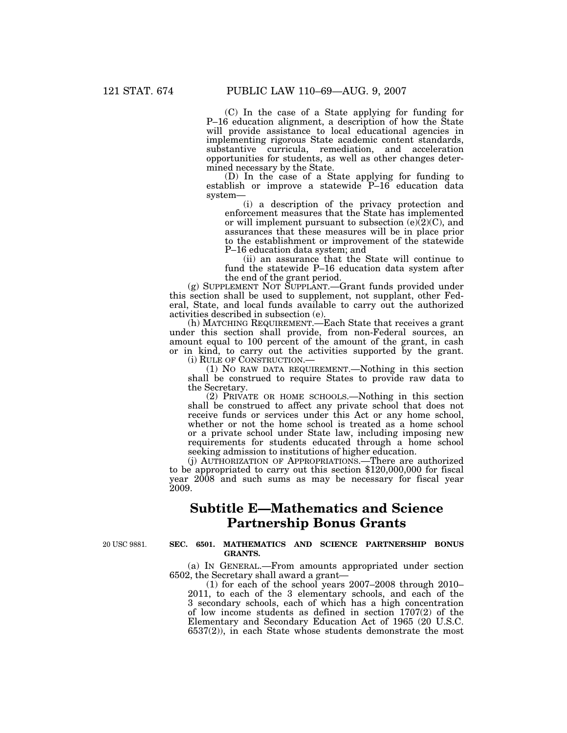(C) In the case of a State applying for funding for P–16 education alignment, a description of how the State will provide assistance to local educational agencies in implementing rigorous State academic content standards, substantive curricula, remediation, and acceleration opportunities for students, as well as other changes determined necessary by the State.

(D) In the case of a State applying for funding to establish or improve a statewide P-16 education data system—

(i) a description of the privacy protection and enforcement measures that the State has implemented or will implement pursuant to subsection  $(e)(2)(C)$ , and assurances that these measures will be in place prior to the establishment or improvement of the statewide P–16 education data system; and

(ii) an assurance that the State will continue to fund the statewide P–16 education data system after the end of the grant period.

(g) SUPPLEMENT NOT SUPPLANT.—Grant funds provided under this section shall be used to supplement, not supplant, other Federal, State, and local funds available to carry out the authorized activities described in subsection (e).

(h) MATCHING REQUIREMENT.—Each State that receives a grant under this section shall provide, from non-Federal sources, an amount equal to 100 percent of the amount of the grant, in cash or in kind, to carry out the activities supported by the grant.

(i) RULE OF CONSTRUCTION.—<br>(1) NO RAW DATA REQUIREMENT.—Nothing in this section shall be construed to require States to provide raw data to the Secretary.

(2) PRIVATE OR HOME SCHOOLS.—Nothing in this section shall be construed to affect any private school that does not receive funds or services under this Act or any home school, whether or not the home school is treated as a home school or a private school under State law, including imposing new requirements for students educated through a home school seeking admission to institutions of higher education.

(j) AUTHORIZATION OF APPROPRIATIONS.—There are authorized to be appropriated to carry out this section \$120,000,000 for fiscal year 2008 and such sums as may be necessary for fiscal year 2009.

## **Subtitle E—Mathematics and Science Partnership Bonus Grants**

20 USC 9881.

### **SEC. 6501. MATHEMATICS AND SCIENCE PARTNERSHIP BONUS GRANTS.**

(a) IN GENERAL.—From amounts appropriated under section 6502, the Secretary shall award a grant—

(1) for each of the school years 2007–2008 through 2010– 2011, to each of the 3 elementary schools, and each of the 3 secondary schools, each of which has a high concentration of low income students as defined in section 1707(2) of the Elementary and Secondary Education Act of 1965 (20 U.S.C. 6537(2)), in each State whose students demonstrate the most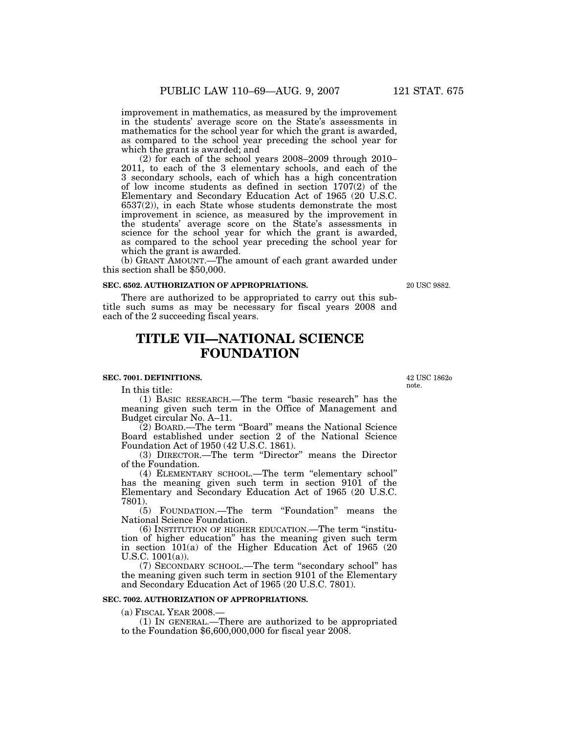improvement in mathematics, as measured by the improvement in the students' average score on the State's assessments in mathematics for the school year for which the grant is awarded, as compared to the school year preceding the school year for which the grant is awarded; and

(2) for each of the school years 2008–2009 through 2010– 2011, to each of the 3 elementary schools, and each of the 3 secondary schools, each of which has a high concentration of low income students as defined in section 1707(2) of the Elementary and Secondary Education Act of 1965 (20 U.S.C. 6537(2)), in each State whose students demonstrate the most improvement in science, as measured by the improvement in the students' average score on the State's assessments in science for the school year for which the grant is awarded, as compared to the school year preceding the school year for which the grant is awarded.

(b) GRANT AMOUNT.—The amount of each grant awarded under this section shall be \$50,000.

#### **SEC. 6502. AUTHORIZATION OF APPROPRIATIONS.**

There are authorized to be appropriated to carry out this subtitle such sums as may be necessary for fiscal years 2008 and each of the 2 succeeding fiscal years.

# **TITLE VII—NATIONAL SCIENCE FOUNDATION**

#### **SEC. 7001. DEFINITIONS.**

In this title:

(1) BASIC RESEARCH.—The term ''basic research'' has the meaning given such term in the Office of Management and Budget circular No. A–11.

(2) BOARD.—The term ''Board'' means the National Science Board established under section 2 of the National Science Foundation Act of 1950 (42 U.S.C. 1861).

(3) DIRECTOR.—The term ''Director'' means the Director of the Foundation.

(4) ELEMENTARY SCHOOL.—The term ''elementary school'' has the meaning given such term in section 9101 of the Elementary and Secondary Education Act of 1965 (20 U.S.C. 7801).

(5) FOUNDATION.—The term ''Foundation'' means the National Science Foundation.

(6) INSTITUTION OF HIGHER EDUCATION.—The term ''institution of higher education'' has the meaning given such term in section 101(a) of the Higher Education Act of 1965 (20 U.S.C. 1001(a)).

(7) SECONDARY SCHOOL.—The term ''secondary school'' has the meaning given such term in section 9101 of the Elementary and Secondary Education Act of 1965 (20 U.S.C. 7801).

#### **SEC. 7002. AUTHORIZATION OF APPROPRIATIONS.**

(a) FISCAL YEAR 2008.—

(1) IN GENERAL.—There are authorized to be appropriated to the Foundation \$6,600,000,000 for fiscal year 2008.

42 USC 1862o note.

20 USC 9882.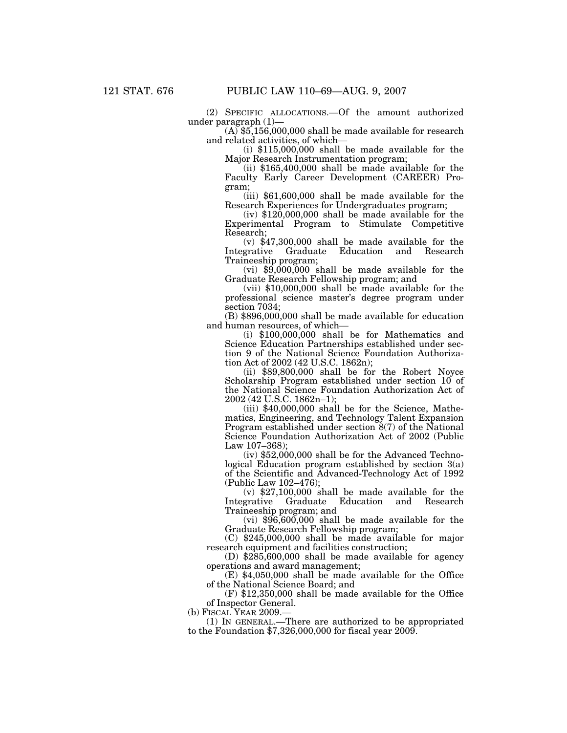(2) SPECIFIC ALLOCATIONS.—Of the amount authorized

 $(A)$  \$5,156,000,000 shall be made available for research and related activities, of which—

(i) \$115,000,000 shall be made available for the Major Research Instrumentation program;

(ii) \$165,400,000 shall be made available for the Faculty Early Career Development (CAREER) Program;

(iii) \$61,600,000 shall be made available for the Research Experiences for Undergraduates program;

(iv) \$120,000,000 shall be made available for the Experimental Program to Stimulate Competitive Research;

(v) \$47,300,000 shall be made available for the Integrative Graduate Education and Research Traineeship program;

 $(vi)$  \$9,000,000 shall be made available for the Graduate Research Fellowship program; and

(vii) \$10,000,000 shall be made available for the professional science master's degree program under section 7034;

(B) \$896,000,000 shall be made available for education and human resources, of which—

(i) \$100,000,000 shall be for Mathematics and Science Education Partnerships established under section 9 of the National Science Foundation Authorization Act of 2002 (42 U.S.C. 1862n);

(ii) \$89,800,000 shall be for the Robert Noyce Scholarship Program established under section 10 of the National Science Foundation Authorization Act of 2002 (42 U.S.C. 1862n–1);

(iii) \$40,000,000 shall be for the Science, Mathematics, Engineering, and Technology Talent Expansion Program established under section 8(7) of the National Science Foundation Authorization Act of 2002 (Public Law 107–368);

(iv) \$52,000,000 shall be for the Advanced Technological Education program established by section 3(a) of the Scientific and Advanced-Technology Act of 1992 (Public Law 102–476);

 $(v)$  \$27,100,000 shall be made available for the grative Graduate Education and Research Integrative Graduate Education and Research Traineeship program; and

 $(vi)$  \$96,600,000 shall be made available for the Graduate Research Fellowship program;

(C) \$245,000,000 shall be made available for major research equipment and facilities construction;

(D) \$285,600,000 shall be made available for agency operations and award management;

(E) \$4,050,000 shall be made available for the Office of the National Science Board; and

(F) \$12,350,000 shall be made available for the Office of Inspector General.

(b) FISCAL YEAR 2009.—

(1) IN GENERAL.—There are authorized to be appropriated to the Foundation \$7,326,000,000 for fiscal year 2009.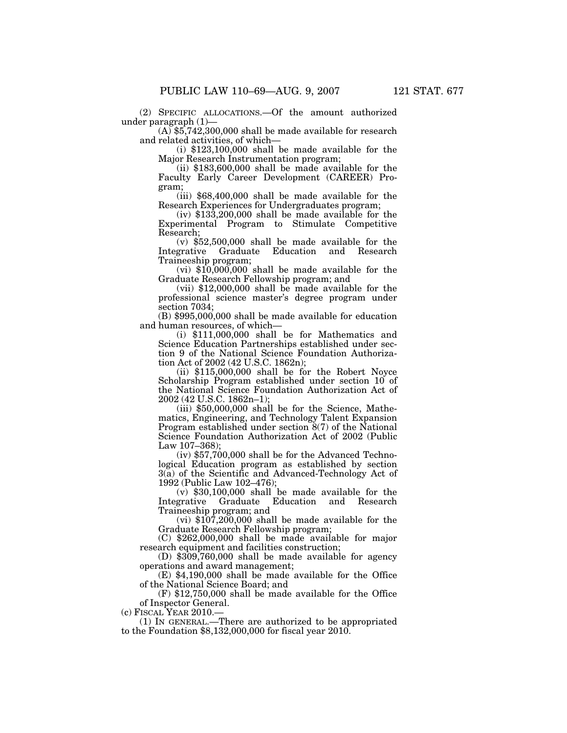(2) SPECIFIC ALLOCATIONS.—Of the amount authorized under paragraph  $(1)$ —

 $(A)$  \$5,742,300,000 shall be made available for research and related activities, of which—

(i) \$123,100,000 shall be made available for the Major Research Instrumentation program;

(ii) \$183,600,000 shall be made available for the Faculty Early Career Development (CAREER) Program;

(iii) \$68,400,000 shall be made available for the Research Experiences for Undergraduates program;

(iv) \$133,200,000 shall be made available for the Experimental Program to Stimulate Competitive Research;

(v) \$52,500,000 shall be made available for the Integrative Graduate Education and Research Traineeship program;

 $(vi)$  \$10,000,000 shall be made available for the Graduate Research Fellowship program; and

(vii) \$12,000,000 shall be made available for the professional science master's degree program under section 7034;

(B) \$995,000,000 shall be made available for education and human resources, of which—

(i) \$111,000,000 shall be for Mathematics and Science Education Partnerships established under section 9 of the National Science Foundation Authorization Act of 2002 (42 U.S.C. 1862n);

(ii) \$115,000,000 shall be for the Robert Noyce Scholarship Program established under section 10 of the National Science Foundation Authorization Act of 2002 (42 U.S.C. 1862n–1);

(iii) \$50,000,000 shall be for the Science, Mathematics, Engineering, and Technology Talent Expansion Program established under section  $8(7)$  of the National Science Foundation Authorization Act of 2002 (Public Law 107–368);

(iv) \$57,700,000 shall be for the Advanced Technological Education program as established by section 3(a) of the Scientific and Advanced-Technology Act of 1992 (Public Law 102–476);

 $(v)$  \$30,100,000 shall be made available for the grative Graduate Education and Research Integrative Graduate Education and Research Traineeship program; and

(vi)  $$107,200,000$  shall be made available for the Graduate Research Fellowship program;

(C) \$262,000,000 shall be made available for major research equipment and facilities construction;

(D) \$309,760,000 shall be made available for agency operations and award management;

(E) \$4,190,000 shall be made available for the Office of the National Science Board; and

(F) \$12,750,000 shall be made available for the Office of Inspector General.

(c) FISCAL YEAR 2010.—<br>(1) IN GENERAL.—There are authorized to be appropriated to the Foundation  $$8,132,000,000$  for fiscal year 2010.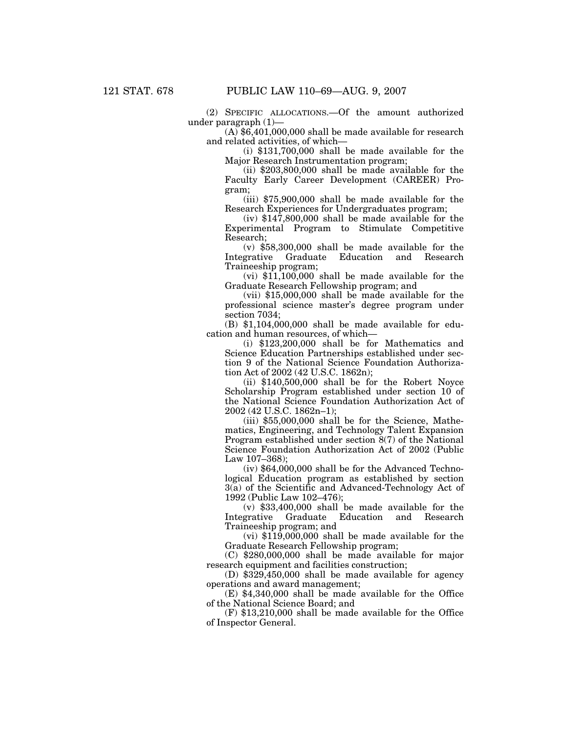(2) SPECIFIC ALLOCATIONS.—Of the amount authorized under paragraph (1)—

 $(A)$  \$6,401,000,000 shall be made available for research and related activities, of which—

(i) \$131,700,000 shall be made available for the Major Research Instrumentation program;

(ii) \$203,800,000 shall be made available for the Faculty Early Career Development (CAREER) Program;

(iii) \$75,900,000 shall be made available for the Research Experiences for Undergraduates program;

(iv) \$147,800,000 shall be made available for the Experimental Program to Stimulate Competitive Research;

(v) \$58,300,000 shall be made available for the Graduate Education and Research Traineeship program;

 $(vi)$  \$11,100,000 shall be made available for the Graduate Research Fellowship program; and

(vii) \$15,000,000 shall be made available for the professional science master's degree program under section 7034;

(B) \$1,104,000,000 shall be made available for education and human resources, of which—

(i) \$123,200,000 shall be for Mathematics and Science Education Partnerships established under section 9 of the National Science Foundation Authorization Act of 2002 (42 U.S.C. 1862n);

(ii) \$140,500,000 shall be for the Robert Noyce Scholarship Program established under section 10 of the National Science Foundation Authorization Act of 2002 (42 U.S.C. 1862n–1);

(iii) \$55,000,000 shall be for the Science, Mathematics, Engineering, and Technology Talent Expansion Program established under section 8(7) of the National Science Foundation Authorization Act of 2002 (Public Law 107–368);

(iv) \$64,000,000 shall be for the Advanced Technological Education program as established by section 3(a) of the Scientific and Advanced-Technology Act of 1992 (Public Law 102–476);

(v) \$33,400,000 shall be made available for the Integrative Graduate Education and Research Traineeship program; and

(vi) \$119,000,000 shall be made available for the Graduate Research Fellowship program;

(C) \$280,000,000 shall be made available for major research equipment and facilities construction;

(D) \$329,450,000 shall be made available for agency operations and award management;

(E) \$4,340,000 shall be made available for the Office of the National Science Board; and

(F) \$13,210,000 shall be made available for the Office of Inspector General.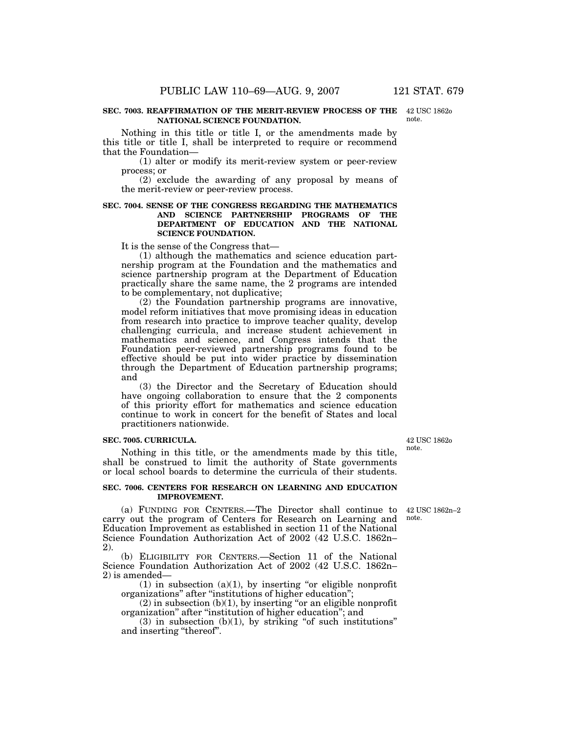#### **SEC. 7003. REAFFIRMATION OF THE MERIT-REVIEW PROCESS OF THE**  42 USC 1862o **NATIONAL SCIENCE FOUNDATION.**

Nothing in this title or title I, or the amendments made by this title or title I, shall be interpreted to require or recommend that the Foundation—

(1) alter or modify its merit-review system or peer-review process; or

(2) exclude the awarding of any proposal by means of the merit-review or peer-review process.

# **SEC. 7004. SENSE OF THE CONGRESS REGARDING THE MATHEMATICS AND SCIENCE PARTNERSHIP PROGRAMS OF THE DEPARTMENT OF EDUCATION AND THE NATIONAL SCIENCE FOUNDATION.**

It is the sense of the Congress that—

(1) although the mathematics and science education partnership program at the Foundation and the mathematics and science partnership program at the Department of Education practically share the same name, the 2 programs are intended to be complementary, not duplicative;

(2) the Foundation partnership programs are innovative, model reform initiatives that move promising ideas in education from research into practice to improve teacher quality, develop challenging curricula, and increase student achievement in mathematics and science, and Congress intends that the Foundation peer-reviewed partnership programs found to be effective should be put into wider practice by dissemination through the Department of Education partnership programs; and

(3) the Director and the Secretary of Education should have ongoing collaboration to ensure that the 2 components of this priority effort for mathematics and science education continue to work in concert for the benefit of States and local practitioners nationwide.

### **SEC. 7005. CURRICULA.**

Nothing in this title, or the amendments made by this title, shall be construed to limit the authority of State governments or local school boards to determine the curricula of their students.

### **SEC. 7006. CENTERS FOR RESEARCH ON LEARNING AND EDUCATION IMPROVEMENT.**

(a) FUNDING FOR CENTERS.—The Director shall continue to 42 USC 1862n–2 carry out the program of Centers for Research on Learning and note. Education Improvement as established in section 11 of the National Science Foundation Authorization Act of 2002 (42 U.S.C. 1862n– 2).

(b) ELIGIBILITY FOR CENTERS.—Section 11 of the National Science Foundation Authorization Act of 2002 (42 U.S.C. 1862n– 2) is amended—

(1) in subsection (a)(1), by inserting "or eligible nonprofit organizations'' after ''institutions of higher education'';

 $(2)$  in subsection  $(b)(1)$ , by inserting "or an eligible nonprofit organization'' after ''institution of higher education''; and

 $(3)$  in subsection  $(b)(1)$ , by striking "of such institutions" and inserting ''thereof''.

42 USC 1862o note.

note.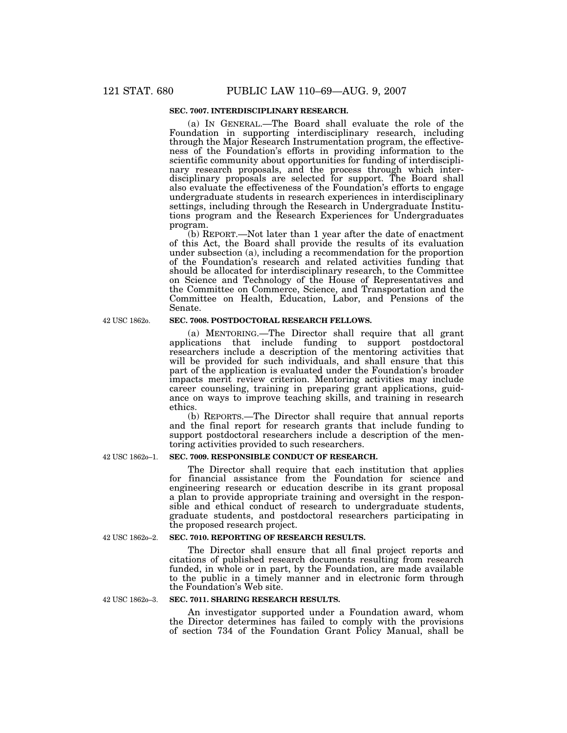# **SEC. 7007. INTERDISCIPLINARY RESEARCH.**

(a) IN GENERAL.—The Board shall evaluate the role of the Foundation in supporting interdisciplinary research, including through the Major Research Instrumentation program, the effectiveness of the Foundation's efforts in providing information to the scientific community about opportunities for funding of interdisciplinary research proposals, and the process through which interdisciplinary proposals are selected for support. The Board shall also evaluate the effectiveness of the Foundation's efforts to engage undergraduate students in research experiences in interdisciplinary settings, including through the Research in Undergraduate Institutions program and the Research Experiences for Undergraduates program.

(b) REPORT.—Not later than 1 year after the date of enactment of this Act, the Board shall provide the results of its evaluation under subsection (a), including a recommendation for the proportion of the Foundation's research and related activities funding that should be allocated for interdisciplinary research, to the Committee on Science and Technology of the House of Representatives and the Committee on Commerce, Science, and Transportation and the Committee on Health, Education, Labor, and Pensions of the Senate.

# **SEC. 7008. POSTDOCTORAL RESEARCH FELLOWS.**

(a) MENTORING.—The Director shall require that all grant applications that include funding to support postdoctoral researchers include a description of the mentoring activities that will be provided for such individuals, and shall ensure that this part of the application is evaluated under the Foundation's broader impacts merit review criterion. Mentoring activities may include career counseling, training in preparing grant applications, guidance on ways to improve teaching skills, and training in research ethics.

(b) REPORTS.—The Director shall require that annual reports and the final report for research grants that include funding to support postdoctoral researchers include a description of the mentoring activities provided to such researchers.

### **SEC. 7009. RESPONSIBLE CONDUCT OF RESEARCH.**

The Director shall require that each institution that applies for financial assistance from the Foundation for science and engineering research or education describe in its grant proposal a plan to provide appropriate training and oversight in the responsible and ethical conduct of research to undergraduate students, graduate students, and postdoctoral researchers participating in the proposed research project.

# **SEC. 7010. REPORTING OF RESEARCH RESULTS.**

The Director shall ensure that all final project reports and citations of published research documents resulting from research funded, in whole or in part, by the Foundation, are made available to the public in a timely manner and in electronic form through the Foundation's Web site.

**SEC. 7011. SHARING RESEARCH RESULTS.** 

An investigator supported under a Foundation award, whom the Director determines has failed to comply with the provisions of section 734 of the Foundation Grant Policy Manual, shall be

42 USC 1862o–1.

42 USC 1862o.

42 USC 1862o–3.

42 USC 1862o–2.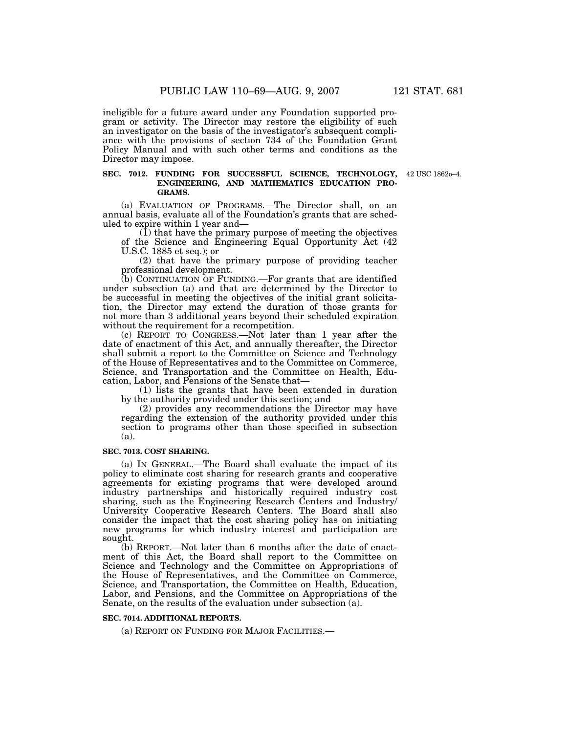ineligible for a future award under any Foundation supported program or activity. The Director may restore the eligibility of such an investigator on the basis of the investigator's subsequent compliance with the provisions of section 734 of the Foundation Grant Policy Manual and with such other terms and conditions as the Director may impose.

#### **SEC. 7012. FUNDING FOR SUCCESSFUL SCIENCE, TECHNOLOGY,**  42 USC 1862o–4. **ENGINEERING, AND MATHEMATICS EDUCATION PRO-GRAMS.**

(a) EVALUATION OF PROGRAMS.—The Director shall, on an annual basis, evaluate all of the Foundation's grants that are scheduled to expire within 1 year and—

 $(1)$  that have the primary purpose of meeting the objectives of the Science and Engineering Equal Opportunity Act (42 U.S.C. 1885 et seq.); or

(2) that have the primary purpose of providing teacher professional development.

(b) CONTINUATION OF FUNDING.—For grants that are identified under subsection (a) and that are determined by the Director to be successful in meeting the objectives of the initial grant solicitation, the Director may extend the duration of those grants for not more than 3 additional years beyond their scheduled expiration without the requirement for a recompetition.

(c) REPORT TO CONGRESS.—Not later than 1 year after the date of enactment of this Act, and annually thereafter, the Director shall submit a report to the Committee on Science and Technology of the House of Representatives and to the Committee on Commerce, Science, and Transportation and the Committee on Health, Education, Labor, and Pensions of the Senate that—

(1) lists the grants that have been extended in duration by the authority provided under this section; and

(2) provides any recommendations the Director may have regarding the extension of the authority provided under this section to programs other than those specified in subsection (a).

# **SEC. 7013. COST SHARING.**

(a) IN GENERAL.—The Board shall evaluate the impact of its policy to eliminate cost sharing for research grants and cooperative agreements for existing programs that were developed around industry partnerships and historically required industry cost sharing, such as the Engineering Research Centers and Industry/ University Cooperative Research Centers. The Board shall also consider the impact that the cost sharing policy has on initiating new programs for which industry interest and participation are sought.

(b) REPORT.—Not later than 6 months after the date of enactment of this Act, the Board shall report to the Committee on Science and Technology and the Committee on Appropriations of the House of Representatives, and the Committee on Commerce, Science, and Transportation, the Committee on Health, Education, Labor, and Pensions, and the Committee on Appropriations of the Senate, on the results of the evaluation under subsection (a).

# **SEC. 7014. ADDITIONAL REPORTS.**

(a) REPORT ON FUNDING FOR MAJOR FACILITIES.—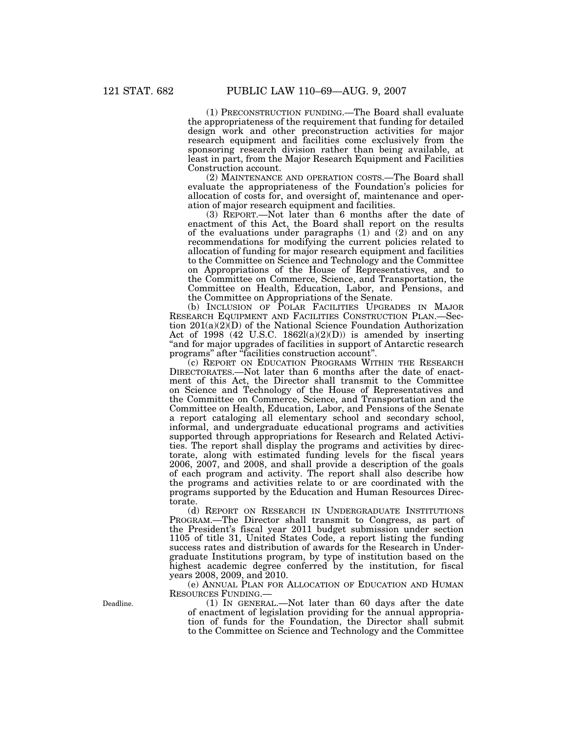(1) PRECONSTRUCTION FUNDING.—The Board shall evaluate the appropriateness of the requirement that funding for detailed design work and other preconstruction activities for major research equipment and facilities come exclusively from the sponsoring research division rather than being available, at least in part, from the Major Research Equipment and Facilities Construction account.

(2) MAINTENANCE AND OPERATION COSTS.—The Board shall evaluate the appropriateness of the Foundation's policies for allocation of costs for, and oversight of, maintenance and operation of major research equipment and facilities.

(3) REPORT.—Not later than 6 months after the date of enactment of this Act, the Board shall report on the results of the evaluations under paragraphs (1) and (2) and on any recommendations for modifying the current policies related to allocation of funding for major research equipment and facilities to the Committee on Science and Technology and the Committee on Appropriations of the House of Representatives, and to the Committee on Commerce, Science, and Transportation, the Committee on Health, Education, Labor, and Pensions, and the Committee on Appropriations of the Senate.

(b) INCLUSION OF POLAR FACILITIES UPGRADES IN MAJOR RESEARCH EQUIPMENT AND FACILITIES CONSTRUCTION PLAN.—Section 201(a)(2)(D) of the National Science Foundation Authorization Act of 1998 (42 U.S.C. 1862l(a)(2)(D)) is amended by inserting ''and for major upgrades of facilities in support of Antarctic research programs'' after ''facilities construction account''.

(c) REPORT ON EDUCATION PROGRAMS WITHIN THE RESEARCH DIRECTORATES.—Not later than 6 months after the date of enactment of this Act, the Director shall transmit to the Committee on Science and Technology of the House of Representatives and the Committee on Commerce, Science, and Transportation and the Committee on Health, Education, Labor, and Pensions of the Senate a report cataloging all elementary school and secondary school, informal, and undergraduate educational programs and activities supported through appropriations for Research and Related Activities. The report shall display the programs and activities by directorate, along with estimated funding levels for the fiscal years 2006, 2007, and 2008, and shall provide a description of the goals of each program and activity. The report shall also describe how the programs and activities relate to or are coordinated with the programs supported by the Education and Human Resources Directorate.

(d) REPORT ON RESEARCH IN UNDERGRADUATE INSTITUTIONS PROGRAM.—The Director shall transmit to Congress, as part of the President's fiscal year 2011 budget submission under section 1105 of title 31, United States Code, a report listing the funding success rates and distribution of awards for the Research in Undergraduate Institutions program, by type of institution based on the highest academic degree conferred by the institution, for fiscal years 2008, 2009, and 2010.

(e) ANNUAL PLAN FOR ALLOCATION OF EDUCATION AND HUMAN RESOURCES FUNDING.—

(1) IN GENERAL.—Not later than 60 days after the date of enactment of legislation providing for the annual appropriation of funds for the Foundation, the Director shall submit to the Committee on Science and Technology and the Committee

Deadline.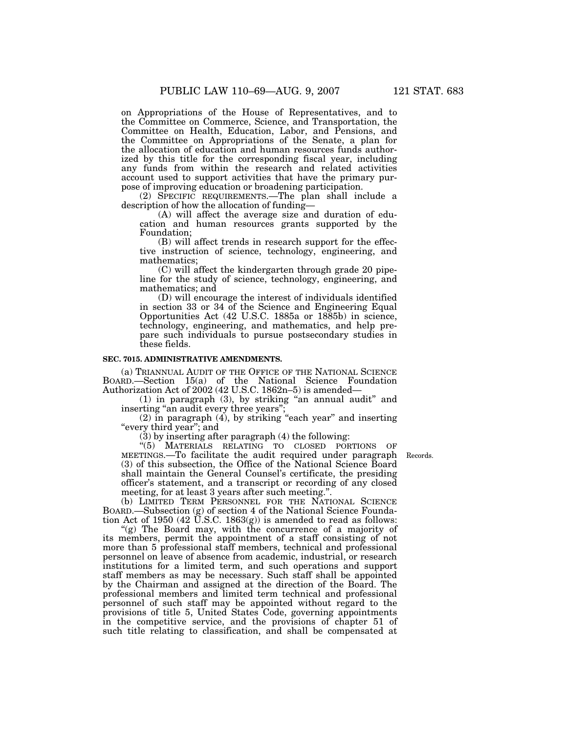on Appropriations of the House of Representatives, and to the Committee on Commerce, Science, and Transportation, the Committee on Health, Education, Labor, and Pensions, and the Committee on Appropriations of the Senate, a plan for the allocation of education and human resources funds authorized by this title for the corresponding fiscal year, including any funds from within the research and related activities account used to support activities that have the primary purpose of improving education or broadening participation.

(2) SPECIFIC REQUIREMENTS.—The plan shall include a description of how the allocation of funding—

(A) will affect the average size and duration of education and human resources grants supported by the Foundation;

(B) will affect trends in research support for the effective instruction of science, technology, engineering, and mathematics;

(C) will affect the kindergarten through grade 20 pipeline for the study of science, technology, engineering, and mathematics; and

(D) will encourage the interest of individuals identified in section 33 or 34 of the Science and Engineering Equal Opportunities Act (42 U.S.C. 1885a or 1885b) in science, technology, engineering, and mathematics, and help prepare such individuals to pursue postsecondary studies in these fields.

### **SEC. 7015. ADMINISTRATIVE AMENDMENTS.**

(a) TRIANNUAL AUDIT OF THE OFFICE OF THE NATIONAL SCIENCE BOARD.—Section 15(a) of the National Science Foundation Authorization Act of 2002 (42 U.S.C. 1862n–5) is amended—

(1) in paragraph (3), by striking ''an annual audit'' and inserting "an audit every three years";

(2) in paragraph (4), by striking ''each year'' and inserting "every third year"; and

(3) by inserting after paragraph (4) the following:

''(5) MATERIALS RELATING TO CLOSED PORTIONS OF MEETINGS.—To facilitate the audit required under paragraph Records. (3) of this subsection, the Office of the National Science Board shall maintain the General Counsel's certificate, the presiding officer's statement, and a transcript or recording of any closed meeting, for at least 3 years after such meeting.'

(b) LIMITED TERM PERSONNEL FOR THE NATIONAL SCIENCE BOARD.—Subsection (g) of section 4 of the National Science Foundation Act of 1950 (42 U.S.C. 1863(g)) is amended to read as follows:

"(g) The Board may, with the concurrence of a majority of its members, permit the appointment of a staff consisting of not more than 5 professional staff members, technical and professional personnel on leave of absence from academic, industrial, or research institutions for a limited term, and such operations and support staff members as may be necessary. Such staff shall be appointed by the Chairman and assigned at the direction of the Board. The professional members and limited term technical and professional personnel of such staff may be appointed without regard to the provisions of title 5, United States Code, governing appointments in the competitive service, and the provisions of chapter 51 of such title relating to classification, and shall be compensated at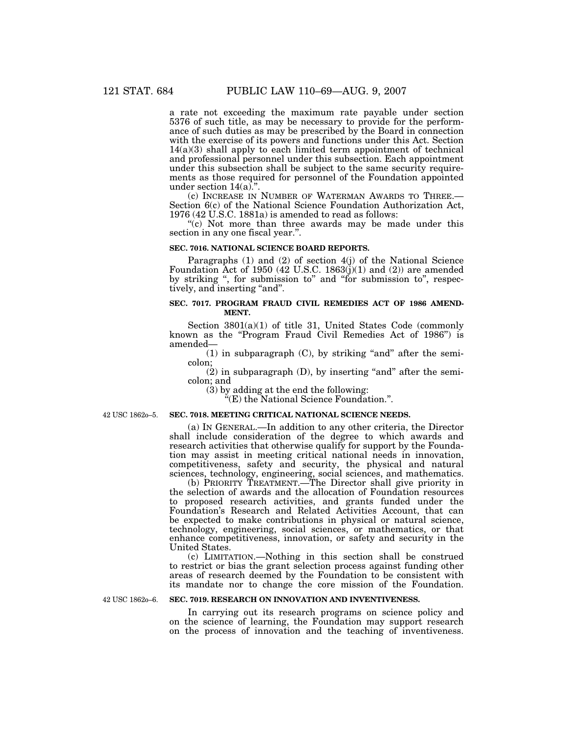a rate not exceeding the maximum rate payable under section 5376 of such title, as may be necessary to provide for the performance of such duties as may be prescribed by the Board in connection with the exercise of its powers and functions under this Act. Section 14(a)(3) shall apply to each limited term appointment of technical and professional personnel under this subsection. Each appointment under this subsection shall be subject to the same security requirements as those required for personnel of the Foundation appointed under section 14(a).".<br>(c) INCREASE IN NUMBER OF WATERMAN AWARDS TO THREE.—

Section 6(c) of the National Science Foundation Authorization Act, 1976 (42 U.S.C. 1881a) is amended to read as follows:

"(c) Not more than three awards may be made under this section in any one fiscal year.''.

#### **SEC. 7016. NATIONAL SCIENCE BOARD REPORTS.**

Paragraphs (1) and (2) of section 4(j) of the National Science Foundation Act of 1950 (42 U.S.C. 1863 $(j)(1)$  and  $(2)$ ) are amended by striking ", for submission to" and "for submission to", respectively, and inserting "and".

# **SEC. 7017. PROGRAM FRAUD CIVIL REMEDIES ACT OF 1986 AMEND-MENT.**

Section 3801(a)(1) of title 31, United States Code (commonly known as the ''Program Fraud Civil Remedies Act of 1986'') is amended—

 $(1)$  in subparagraph  $(C)$ , by striking "and" after the semicolon;

 $(2)$  in subparagraph  $(D)$ , by inserting "and" after the semicolon; and

(3) by adding at the end the following:

 $\tilde{H}(E)$  the National Science Foundation.".

42 USC 1862o–5.

### **SEC. 7018. MEETING CRITICAL NATIONAL SCIENCE NEEDS.**

(a) IN GENERAL.—In addition to any other criteria, the Director shall include consideration of the degree to which awards and research activities that otherwise qualify for support by the Foundation may assist in meeting critical national needs in innovation, competitiveness, safety and security, the physical and natural sciences, technology, engineering, social sciences, and mathematics.

(b) PRIORITY TREATMENT.—The Director shall give priority in the selection of awards and the allocation of Foundation resources to proposed research activities, and grants funded under the Foundation's Research and Related Activities Account, that can be expected to make contributions in physical or natural science, technology, engineering, social sciences, or mathematics, or that enhance competitiveness, innovation, or safety and security in the United States.

(c) LIMITATION.—Nothing in this section shall be construed to restrict or bias the grant selection process against funding other areas of research deemed by the Foundation to be consistent with its mandate nor to change the core mission of the Foundation.

42 USC 1862o–6.

### **SEC. 7019. RESEARCH ON INNOVATION AND INVENTIVENESS.**

In carrying out its research programs on science policy and on the science of learning, the Foundation may support research on the process of innovation and the teaching of inventiveness.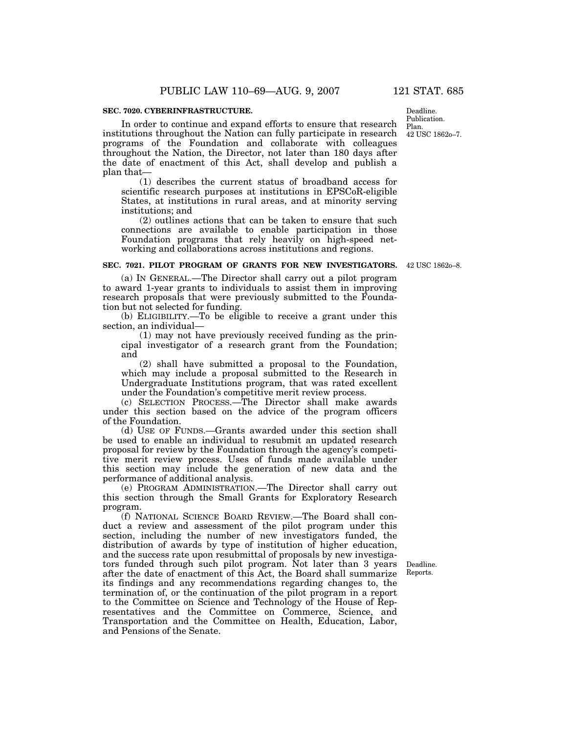### **SEC. 7020. CYBERINFRASTRUCTURE.**

Deadline.

Publication. Plan. 42 USC 1862o–7.

In order to continue and expand efforts to ensure that research institutions throughout the Nation can fully participate in research programs of the Foundation and collaborate with colleagues throughout the Nation, the Director, not later than 180 days after the date of enactment of this Act, shall develop and publish a plan that—

(1) describes the current status of broadband access for scientific research purposes at institutions in EPSCoR-eligible States, at institutions in rural areas, and at minority serving institutions; and

(2) outlines actions that can be taken to ensure that such connections are available to enable participation in those Foundation programs that rely heavily on high-speed networking and collaborations across institutions and regions.

#### **SEC. 7021. PILOT PROGRAM OF GRANTS FOR NEW INVESTIGATORS.**  42 USC 1862o–8.

(a) IN GENERAL.—The Director shall carry out a pilot program to award 1-year grants to individuals to assist them in improving research proposals that were previously submitted to the Foundation but not selected for funding.

(b) ELIGIBILITY.—To be eligible to receive a grant under this section, an individual—

(1) may not have previously received funding as the principal investigator of a research grant from the Foundation; and

(2) shall have submitted a proposal to the Foundation, which may include a proposal submitted to the Research in Undergraduate Institutions program, that was rated excellent under the Foundation's competitive merit review process.

(c) SELECTION PROCESS.—The Director shall make awards under this section based on the advice of the program officers of the Foundation.

(d) USE OF FUNDS.—Grants awarded under this section shall be used to enable an individual to resubmit an updated research proposal for review by the Foundation through the agency's competitive merit review process. Uses of funds made available under this section may include the generation of new data and the performance of additional analysis.

(e) PROGRAM ADMINISTRATION.—The Director shall carry out this section through the Small Grants for Exploratory Research program.

(f) NATIONAL SCIENCE BOARD REVIEW.—The Board shall conduct a review and assessment of the pilot program under this section, including the number of new investigators funded, the distribution of awards by type of institution of higher education, and the success rate upon resubmittal of proposals by new investigators funded through such pilot program. Not later than 3 years after the date of enactment of this Act, the Board shall summarize its findings and any recommendations regarding changes to, the termination of, or the continuation of the pilot program in a report to the Committee on Science and Technology of the House of Representatives and the Committee on Commerce, Science, and Transportation and the Committee on Health, Education, Labor, and Pensions of the Senate.

Deadline. Reports.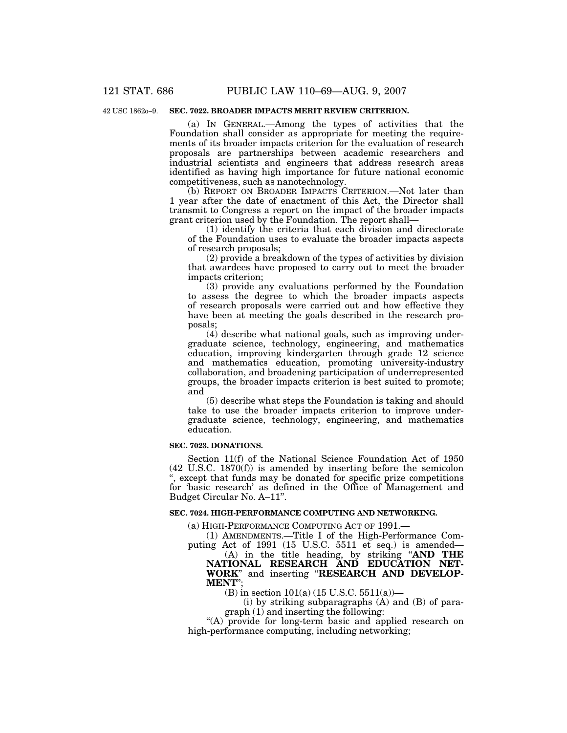# 42 USC 1862o–9.

# **SEC. 7022. BROADER IMPACTS MERIT REVIEW CRITERION.**

(a) IN GENERAL.—Among the types of activities that the Foundation shall consider as appropriate for meeting the requirements of its broader impacts criterion for the evaluation of research proposals are partnerships between academic researchers and industrial scientists and engineers that address research areas identified as having high importance for future national economic competitiveness, such as nanotechnology.

(b) REPORT ON BROADER IMPACTS CRITERION.—Not later than 1 year after the date of enactment of this Act, the Director shall transmit to Congress a report on the impact of the broader impacts grant criterion used by the Foundation. The report shall—

(1) identify the criteria that each division and directorate of the Foundation uses to evaluate the broader impacts aspects of research proposals;

(2) provide a breakdown of the types of activities by division that awardees have proposed to carry out to meet the broader impacts criterion;

(3) provide any evaluations performed by the Foundation to assess the degree to which the broader impacts aspects of research proposals were carried out and how effective they have been at meeting the goals described in the research proposals;

(4) describe what national goals, such as improving undergraduate science, technology, engineering, and mathematics education, improving kindergarten through grade 12 science and mathematics education, promoting university-industry collaboration, and broadening participation of underrepresented groups, the broader impacts criterion is best suited to promote; and

(5) describe what steps the Foundation is taking and should take to use the broader impacts criterion to improve undergraduate science, technology, engineering, and mathematics education.

## **SEC. 7023. DONATIONS.**

Section 11(f) of the National Science Foundation Act of 1950 (42 U.S.C. 1870(f)) is amended by inserting before the semicolon '', except that funds may be donated for specific prize competitions for 'basic research' as defined in the Office of Management and Budget Circular No. A–11''.

## **SEC. 7024. HIGH-PERFORMANCE COMPUTING AND NETWORKING.**

(a) HIGH-PERFORMANCE COMPUTING ACT OF 1991.—

(1) AMENDMENTS.—Title I of the High-Performance Computing Act of 1991 (15 U.S.C. 5511 et seq.) is amended—

(A) in the title heading, by striking ''**AND THE NATIONAL RESEARCH AND EDUCATION NET-WORK**'' and inserting ''**RESEARCH AND DEVELOP-MENT**'';

(B) in section  $101(a)$  (15 U.S.C. 5511(a))—

(i) by striking subparagraphs (A) and (B) of paragraph (1) and inserting the following:

"(A) provide for long-term basic and applied research on high-performance computing, including networking;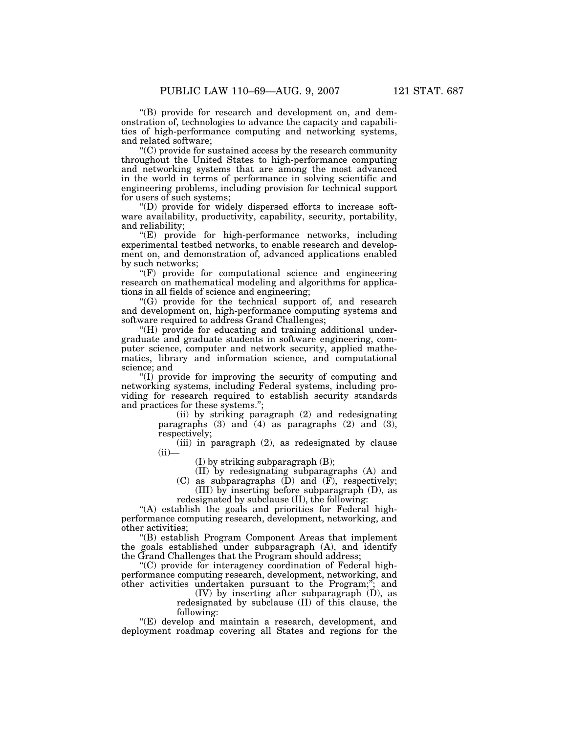''(B) provide for research and development on, and dem-

onstration of, technologies to advance the capacity and capabilities of high-performance computing and networking systems, and related software;

''(C) provide for sustained access by the research community throughout the United States to high-performance computing and networking systems that are among the most advanced in the world in terms of performance in solving scientific and engineering problems, including provision for technical support for users of such systems;

''(D) provide for widely dispersed efforts to increase software availability, productivity, capability, security, portability, and reliability;

''(E) provide for high-performance networks, including experimental testbed networks, to enable research and development on, and demonstration of, advanced applications enabled by such networks;

 $(F)$  provide for computational science and engineering research on mathematical modeling and algorithms for applications in all fields of science and engineering;

''(G) provide for the technical support of, and research and development on, high-performance computing systems and software required to address Grand Challenges;

''(H) provide for educating and training additional undergraduate and graduate students in software engineering, computer science, computer and network security, applied mathematics, library and information science, and computational science; and

''(I) provide for improving the security of computing and networking systems, including Federal systems, including providing for research required to establish security standards and practices for these systems."

> (ii) by striking paragraph (2) and redesignating paragraphs (3) and (4) as paragraphs (2) and (3), respectively;

> (iii) in paragraph (2), as redesignated by clause  $(ii)$

(I) by striking subparagraph (B);

(II) by redesignating subparagraphs (A) and

(C) as subparagraphs  $(D)$  and  $(F)$ , respectively;

(III) by inserting before subparagraph (D), as redesignated by subclause (II), the following:

"(A) establish the goals and priorities for Federal highperformance computing research, development, networking, and other activities;

''(B) establish Program Component Areas that implement the goals established under subparagraph (A), and identify the Grand Challenges that the Program should address;

''(C) provide for interagency coordination of Federal highperformance computing research, development, networking, and other activities undertaken pursuant to the Program;''; and

 $(IV)$  by inserting after subparagraph  $(D)$ , as redesignated by subclause (II) of this clause, the following:

''(E) develop and maintain a research, development, and deployment roadmap covering all States and regions for the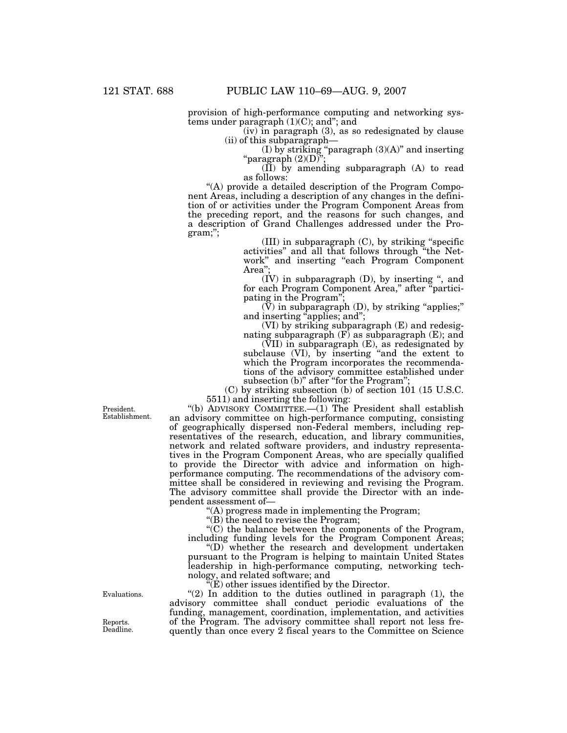provision of high-performance computing and networking systems under paragraph (1)(C); and''; and

(iv) in paragraph (3), as so redesignated by clause (ii) of this subparagraph—

(I) by striking "paragraph  $(3)(A)$ " and inserting "paragraph  $(2)(D)$ ";

(II) by amending subparagraph (A) to read as follows:

''(A) provide a detailed description of the Program Component Areas, including a description of any changes in the definition of or activities under the Program Component Areas from the preceding report, and the reasons for such changes, and a description of Grand Challenges addressed under the Program;'';

(III) in subparagraph (C), by striking ''specific activities'' and all that follows through ''the Network'' and inserting ''each Program Component Area<sup>"</sup>

(IV) in subparagraph (D), by inserting '', and for each Program Component Area," after "participating in the Program'';

 $(V)$  in subparagraph  $(D)$ , by striking "applies;" and inserting "applies; and";

(VI) by striking subparagraph (E) and redesignating subparagraph  $(F)$  as subparagraph  $(E)$ ; and

(VII) in subparagraph (E), as redesignated by subclause (VI), by inserting "and the extent to which the Program incorporates the recommendations of the advisory committee established under subsection (b)" after "for the Program";

(C) by striking subsection (b) of section 101 (15 U.S.C. 5511) and inserting the following:

''(b) ADVISORY COMMITTEE.—(1) The President shall establish an advisory committee on high-performance computing, consisting of geographically dispersed non-Federal members, including representatives of the research, education, and library communities, network and related software providers, and industry representatives in the Program Component Areas, who are specially qualified to provide the Director with advice and information on highperformance computing. The recommendations of the advisory committee shall be considered in reviewing and revising the Program. The advisory committee shall provide the Director with an independent assessment of—

''(A) progress made in implementing the Program;

"(B) the need to revise the Program;

''(C) the balance between the components of the Program, including funding levels for the Program Component Areas;

''(D) whether the research and development undertaken pursuant to the Program is helping to maintain United States leadership in high-performance computing, networking technology, and related software; and

 $\mathbb{E}(E)$  other issues identified by the Director.

" $(2)$  In addition to the duties outlined in paragraph  $(1)$ , the advisory committee shall conduct periodic evaluations of the funding, management, coordination, implementation, and activities of the Program. The advisory committee shall report not less frequently than once every 2 fiscal years to the Committee on Science

President. Establishment.

Evaluations.

Reports. Deadline.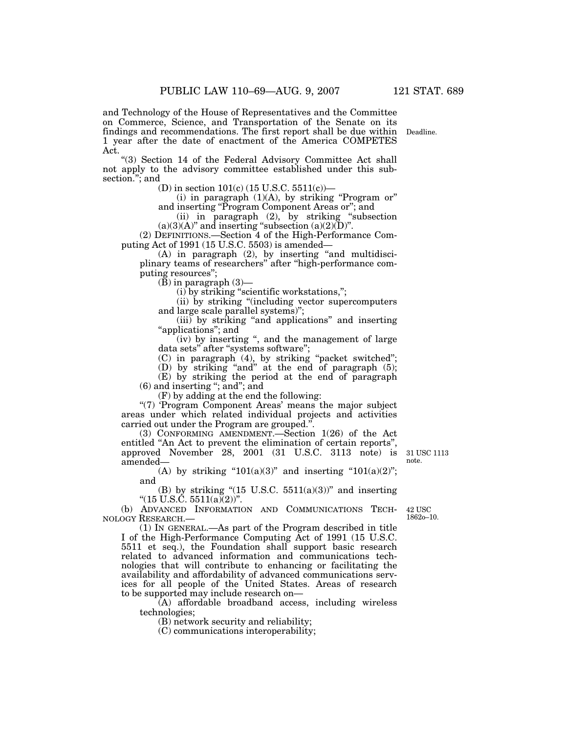and Technology of the House of Representatives and the Committee on Commerce, Science, and Transportation of the Senate on its findings and recommendations. The first report shall be due within 1 year after the date of enactment of the America COMPETES Act.

"(3) Section 14 of the Federal Advisory Committee Act shall not apply to the advisory committee established under this subsection."; and

(D) in section 101(c) (15 U.S.C. 5511(c))—

(i) in paragraph  $(1)(A)$ , by striking "Program or" and inserting ''Program Component Areas or''; and

(ii) in paragraph (2), by striking ''subsection  $(a)(3)(A)$ " and inserting "subsection  $(a)(2)(D)$ ".

(2) DEFINITIONS.—Section 4 of the High-Performance Computing Act of 1991 (15 U.S.C. 5503) is amended—

(A) in paragraph (2), by inserting ''and multidisciplinary teams of researchers'' after ''high-performance computing resources'';

 $(\bar{B})$  in paragraph  $(3)$ —

(i) by striking ''scientific workstations,'';

(ii) by striking ''(including vector supercomputers and large scale parallel systems)";

(iii) by striking "and applications" and inserting "applications"; and

(iv) by inserting '', and the management of large data sets" after "systems software";

(C) in paragraph (4), by striking ''packet switched'';

(D) by striking ''and'' at the end of paragraph (5);

(E) by striking the period at the end of paragraph (6) and inserting ''; and''; and

(F) by adding at the end the following:

''(7) 'Program Component Areas' means the major subject areas under which related individual projects and activities carried out under the Program are grouped."

(3) CONFORMING AMENDMENT.—Section 1(26) of the Act entitled "An Act to prevent the elimination of certain reports", approved November 28, 2001 (31 U.S.C. 3113 note) is amended— 31 USC 1113 note.

(A) by striking " $101(a)(3)$ " and inserting " $101(a)(2)$ "; and

(B) by striking " $(15 \text{ U.S.C. } 5511(a)(3))$ " and inserting " $(15 \text{ U.S. \text{C.}} 5511(a)(2))$ ".

(b) ADVANCED INFORMATION AND COMMUNICATIONS TECH-NOLOGY RESEARCH.—

42 USC 1862o–10.

(1) IN GENERAL.—As part of the Program described in title I of the High-Performance Computing Act of 1991 (15 U.S.C. 5511 et seq.), the Foundation shall support basic research related to advanced information and communications technologies that will contribute to enhancing or facilitating the availability and affordability of advanced communications services for all people of the United States. Areas of research to be supported may include research on—

(A) affordable broadband access, including wireless technologies;

(B) network security and reliability;

(C) communications interoperability;

Deadline.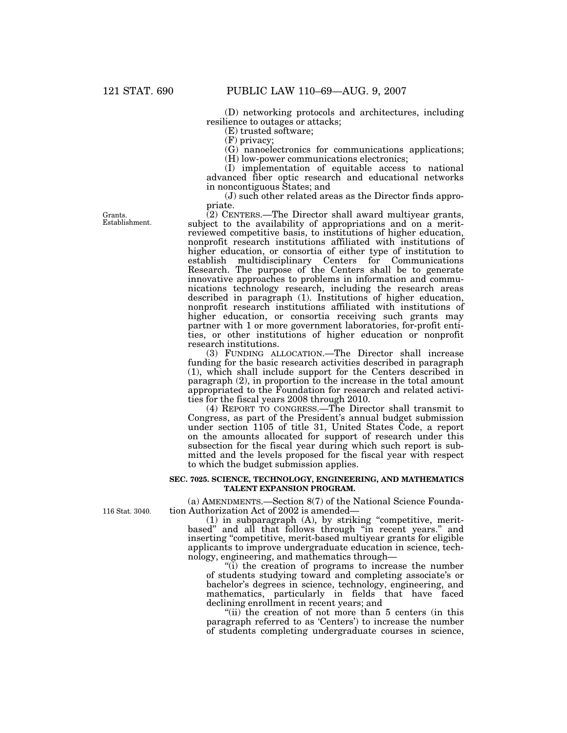(D) networking protocols and architectures, including resilience to outages or attacks;

(E) trusted software;

(F) privacy;

(G) nanoelectronics for communications applications;

(H) low-power communications electronics;

(I) implementation of equitable access to national advanced fiber optic research and educational networks in noncontiguous States; and

(J) such other related areas as the Director finds appropriate.

(2) CENTERS.—The Director shall award multiyear grants, subject to the availability of appropriations and on a meritreviewed competitive basis, to institutions of higher education, nonprofit research institutions affiliated with institutions of higher education, or consortia of either type of institution to establish multidisciplinary Centers for Communications Research. The purpose of the Centers shall be to generate innovative approaches to problems in information and communications technology research, including the research areas described in paragraph (1). Institutions of higher education, nonprofit research institutions affiliated with institutions of higher education, or consortia receiving such grants may partner with 1 or more government laboratories, for-profit entities, or other institutions of higher education or nonprofit research institutions.

(3) FUNDING ALLOCATION.—The Director shall increase funding for the basic research activities described in paragraph (1), which shall include support for the Centers described in paragraph (2), in proportion to the increase in the total amount appropriated to the Foundation for research and related activities for the fiscal years 2008 through 2010.

(4) REPORT TO CONGRESS.—The Director shall transmit to Congress, as part of the President's annual budget submission under section 1105 of title 31, United States Code, a report on the amounts allocated for support of research under this subsection for the fiscal year during which such report is submitted and the levels proposed for the fiscal year with respect to which the budget submission applies.

### **SEC. 7025. SCIENCE, TECHNOLOGY, ENGINEERING, AND MATHEMATICS TALENT EXPANSION PROGRAM.**

(a) AMENDMENTS.—Section 8(7) of the National Science Foundation Authorization Act of 2002 is amended—

 $(1)$  in subparagraph  $(A)$ , by striking "competitive, meritbased'' and all that follows through ''in recent years.'' and inserting "competitive, merit-based multiyear grants for eligible applicants to improve undergraduate education in science, technology, engineering, and mathematics through—

''(i) the creation of programs to increase the number of students studying toward and completing associate's or bachelor's degrees in science, technology, engineering, and mathematics, particularly in fields that have faced declining enrollment in recent years; and

"(ii) the creation of not more than 5 centers (in this paragraph referred to as 'Centers') to increase the number of students completing undergraduate courses in science,

Establishment.

Grants.

116 Stat. 3040.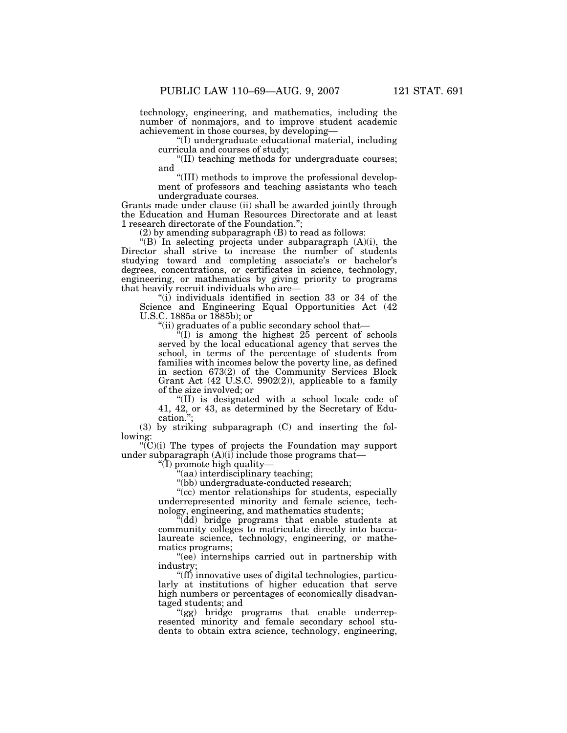technology, engineering, and mathematics, including the number of nonmajors, and to improve student academic achievement in those courses, by developing—

''(I) undergraduate educational material, including curricula and courses of study;

''(II) teaching methods for undergraduate courses; and

''(III) methods to improve the professional development of professors and teaching assistants who teach undergraduate courses.

Grants made under clause (ii) shall be awarded jointly through the Education and Human Resources Directorate and at least 1 research directorate of the Foundation.'';

(2) by amending subparagraph (B) to read as follows:

"(B) In selecting projects under subparagraph (A)(i), the Director shall strive to increase the number of students studying toward and completing associate's or bachelor's degrees, concentrations, or certificates in science, technology, engineering, or mathematics by giving priority to programs that heavily recruit individuals who are—

''(i) individuals identified in section 33 or 34 of the Science and Engineering Equal Opportunities Act (42 U.S.C. 1885a or 1885b); or

''(ii) graduates of a public secondary school that—

 $E(H)$  is among the highest  $25$  percent of schools served by the local educational agency that serves the school, in terms of the percentage of students from families with incomes below the poverty line, as defined in section 673(2) of the Community Services Block Grant Act (42 U.S.C. 9902(2)), applicable to a family of the size involved; or

''(II) is designated with a school locale code of 41, 42, or 43, as determined by the Secretary of Education.'';

(3) by striking subparagraph (C) and inserting the following:

 $C'(C)(i)$  The types of projects the Foundation may support under subparagraph (A)(i) include those programs that—

" $(\tilde{I})$  promote high quality—

"(aa) interdisciplinary teaching;

''(bb) undergraduate-conducted research;

"(cc) mentor relationships for students, especially underrepresented minority and female science, technology, engineering, and mathematics students;

''(dd) bridge programs that enable students at community colleges to matriculate directly into baccalaureate science, technology, engineering, or mathematics programs;

''(ee) internships carried out in partnership with industry;

''(ff) innovative uses of digital technologies, particularly at institutions of higher education that serve high numbers or percentages of economically disadvantaged students; and

''(gg) bridge programs that enable underrepresented minority and female secondary school students to obtain extra science, technology, engineering,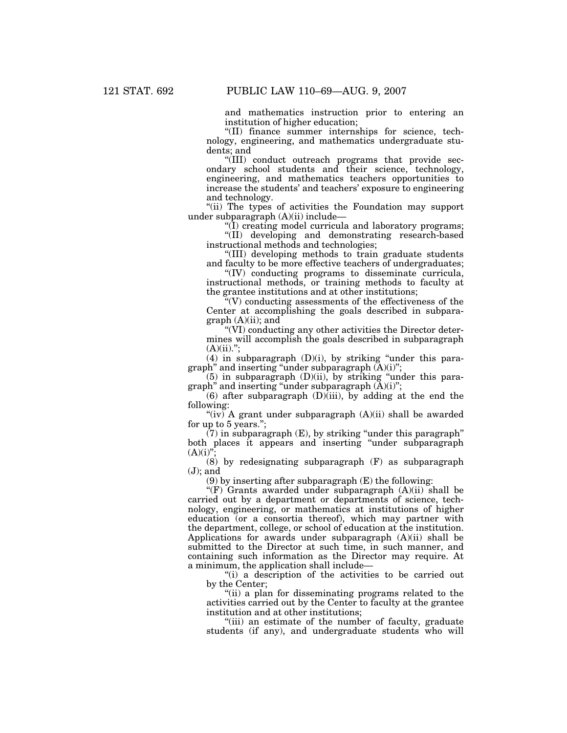and mathematics instruction prior to entering an institution of higher education;

''(II) finance summer internships for science, technology, engineering, and mathematics undergraduate students; and

''(III) conduct outreach programs that provide secondary school students and their science, technology, engineering, and mathematics teachers opportunities to increase the students' and teachers' exposure to engineering and technology.

''(ii) The types of activities the Foundation may support under subparagraph (A)(ii) include—

''(I) creating model curricula and laboratory programs; ''(II) developing and demonstrating research-based instructional methods and technologies;

''(III) developing methods to train graduate students and faculty to be more effective teachers of undergraduates;

''(IV) conducting programs to disseminate curricula, instructional methods, or training methods to faculty at the grantee institutions and at other institutions;

 $\sqrt{\rm q}$  conducting assessments of the effectiveness of the Center at accomplishing the goals described in subpara $graph (A)(ii)$ ; and

''(VI) conducting any other activities the Director determines will accomplish the goals described in subparagraph  $(A)(ii)$ .";

(4) in subparagraph  $(D)(i)$ , by striking "under this paragraph" and inserting "under subparagraph  $(A)(i)$ ";

(5) in subparagraph (D)(ii), by striking ''under this paragraph'' and inserting ''under subparagraph (A)(i)'';

(6) after subparagraph  $(D)$ (iii), by adding at the end the following:

"(iv) A grant under subparagraph  $(A)(ii)$  shall be awarded for up to 5 years.'';

 $(7)$  in subparagraph  $(E)$ , by striking "under this paragraph" both places it appears and inserting ''under subparagraph  $(A)(i)$ "

(8) by redesignating subparagraph (F) as subparagraph  $(J)$ ; and

(9) by inserting after subparagraph (E) the following:

''(F) Grants awarded under subparagraph (A)(ii) shall be carried out by a department or departments of science, technology, engineering, or mathematics at institutions of higher education (or a consortia thereof), which may partner with the department, college, or school of education at the institution. Applications for awards under subparagraph (A)(ii) shall be submitted to the Director at such time, in such manner, and containing such information as the Director may require. At a minimum, the application shall include—

"(i) a description of the activities to be carried out by the Center;

''(ii) a plan for disseminating programs related to the activities carried out by the Center to faculty at the grantee institution and at other institutions;

"(iii) an estimate of the number of faculty, graduate students (if any), and undergraduate students who will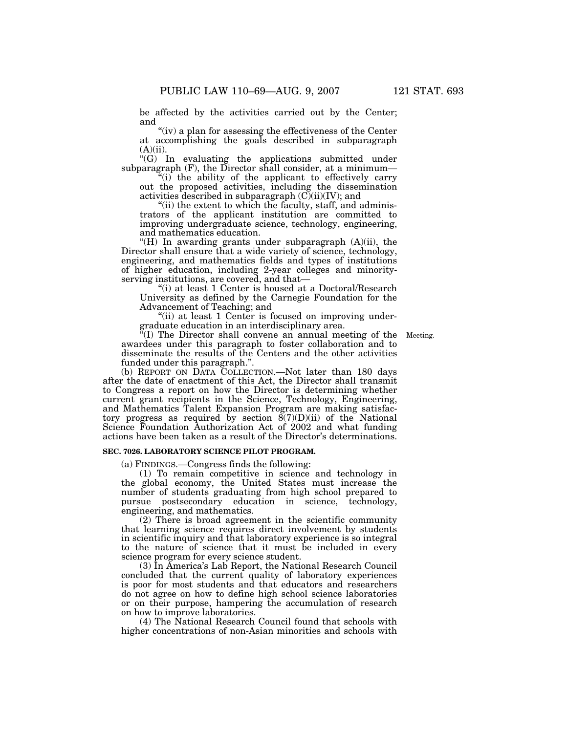be affected by the activities carried out by the Center; and

"(iv) a plan for assessing the effectiveness of the Center at accomplishing the goals described in subparagraph  $(A)(ii)$ .

 $\mathcal{C}(G)$  In evaluating the applications submitted under subparagraph (F), the Director shall consider, at a minimum—

"(i) the ability of the applicant to effectively carry out the proposed activities, including the dissemination activities described in subparagraph  $(C)(ii)(IV)$ ; and

"(ii) the extent to which the faculty, staff, and administrators of the applicant institution are committed to improving undergraduate science, technology, engineering, and mathematics education.

''(H) In awarding grants under subparagraph (A)(ii), the Director shall ensure that a wide variety of science, technology, engineering, and mathematics fields and types of institutions of higher education, including 2-year colleges and minorityserving institutions, are covered, and that—

''(i) at least 1 Center is housed at a Doctoral/Research University as defined by the Carnegie Foundation for the Advancement of Teaching; and

"(ii) at least 1 Center is focused on improving undergraduate education in an interdisciplinary area.

 ${}^{\alpha}$ (I) The Director shall convene an annual meeting of the Meeting. awardees under this paragraph to foster collaboration and to disseminate the results of the Centers and the other activities funded under this paragraph.''.

(b) REPORT ON DATA COLLECTION.—Not later than 180 days after the date of enactment of this Act, the Director shall transmit to Congress a report on how the Director is determining whether current grant recipients in the Science, Technology, Engineering, and Mathematics Talent Expansion Program are making satisfactory progress as required by section  $\tilde{S}(7)(D)(ii)$  of the National Science Foundation Authorization Act of 2002 and what funding actions have been taken as a result of the Director's determinations.

# **SEC. 7026. LABORATORY SCIENCE PILOT PROGRAM.**

(a) FINDINGS.—Congress finds the following:

(1) To remain competitive in science and technology in the global economy, the United States must increase the number of students graduating from high school prepared to pursue postsecondary education in science, technology, engineering, and mathematics.

(2) There is broad agreement in the scientific community that learning science requires direct involvement by students in scientific inquiry and that laboratory experience is so integral to the nature of science that it must be included in every science program for every science student.

(3) In America's Lab Report, the National Research Council concluded that the current quality of laboratory experiences is poor for most students and that educators and researchers do not agree on how to define high school science laboratories or on their purpose, hampering the accumulation of research on how to improve laboratories.

(4) The National Research Council found that schools with higher concentrations of non-Asian minorities and schools with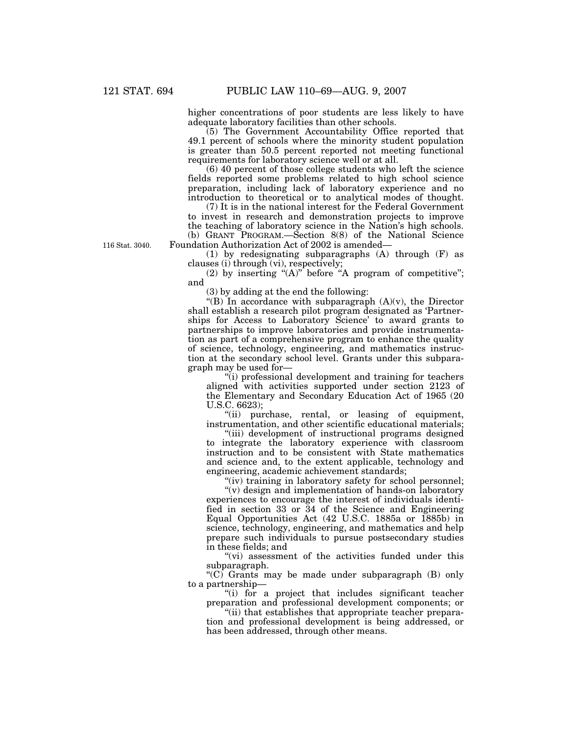higher concentrations of poor students are less likely to have adequate laboratory facilities than other schools.

(5) The Government Accountability Office reported that 49.1 percent of schools where the minority student population is greater than 50.5 percent reported not meeting functional requirements for laboratory science well or at all.

(6) 40 percent of those college students who left the science fields reported some problems related to high school science preparation, including lack of laboratory experience and no introduction to theoretical or to analytical modes of thought.

(7) It is in the national interest for the Federal Government to invest in research and demonstration projects to improve the teaching of laboratory science in the Nation's high schools. (b) GRANT PROGRAM.—Section 8(8) of the National Science Foundation Authorization Act of 2002 is amended—

(1) by redesignating subparagraphs (A) through (F) as clauses (i) through (vi), respectively;

(2) by inserting " $(A)$ " before "A program of competitive"; and

(3) by adding at the end the following:

"(B) In accordance with subparagraph  $(A)(v)$ , the Director shall establish a research pilot program designated as 'Partnerships for Access to Laboratory Science' to award grants to partnerships to improve laboratories and provide instrumentation as part of a comprehensive program to enhance the quality of science, technology, engineering, and mathematics instruction at the secondary school level. Grants under this subparagraph may be used for—

''(i) professional development and training for teachers aligned with activities supported under section 2123 of the Elementary and Secondary Education Act of 1965 (20 U.S.C. 6623);

"(ii) purchase, rental, or leasing of equipment, instrumentation, and other scientific educational materials;

''(iii) development of instructional programs designed to integrate the laboratory experience with classroom instruction and to be consistent with State mathematics and science and, to the extent applicable, technology and engineering, academic achievement standards;

"(iv) training in laboratory safety for school personnel;

"(v) design and implementation of hands-on laboratory experiences to encourage the interest of individuals identified in section 33 or 34 of the Science and Engineering Equal Opportunities Act (42 U.S.C. 1885a or 1885b) in science, technology, engineering, and mathematics and help prepare such individuals to pursue postsecondary studies in these fields; and

"(vi) assessment of the activities funded under this subparagraph.

" $(C)$  Grants may be made under subparagraph  $(B)$  only to a partnership—

''(i) for a project that includes significant teacher preparation and professional development components; or

"(ii) that establishes that appropriate teacher preparation and professional development is being addressed, or has been addressed, through other means.

116 Stat. 3040.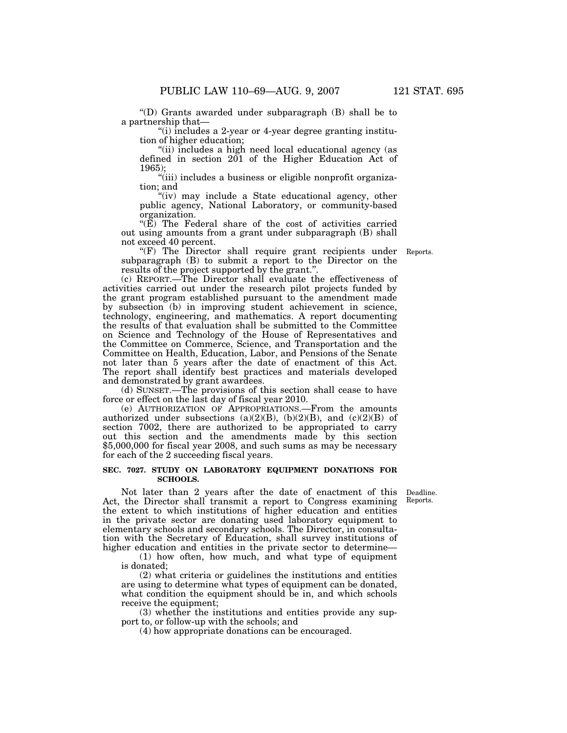''(D) Grants awarded under subparagraph (B) shall be to a partnership that—

''(i) includes a 2-year or 4-year degree granting institution of higher education;

"(ii) includes a high need local educational agency (as defined in section 201 of the Higher Education Act of 1965);

"(iii) includes a business or eligible nonprofit organization; and

"(iv) may include a State educational agency, other public agency, National Laboratory, or community-based organization.

" $(E)$  The Federal share of the cost of activities carried out using amounts from a grant under subparagraph (B) shall not exceed 40 percent.

"(F) The Director shall require grant recipients under subparagraph (B) to submit a report to the Director on the results of the project supported by the grant.''.

(c) REPORT.—The Director shall evaluate the effectiveness of activities carried out under the research pilot projects funded by the grant program established pursuant to the amendment made by subsection (b) in improving student achievement in science, technology, engineering, and mathematics. A report documenting the results of that evaluation shall be submitted to the Committee on Science and Technology of the House of Representatives and the Committee on Commerce, Science, and Transportation and the Committee on Health, Education, Labor, and Pensions of the Senate not later than 5 years after the date of enactment of this Act. The report shall identify best practices and materials developed and demonstrated by grant awardees.

(d) SUNSET.—The provisions of this section shall cease to have force or effect on the last day of fiscal year 2010.

(e) AUTHORIZATION OF APPROPRIATIONS.—From the amounts authorized under subsections (a)(2)(B), (b)(2)(B), and (c)(2)(B) of section 7002, there are authorized to be appropriated to carry out this section and the amendments made by this section \$5,000,000 for fiscal year 2008, and such sums as may be necessary for each of the 2 succeeding fiscal years.

## **SEC. 7027. STUDY ON LABORATORY EQUIPMENT DONATIONS FOR SCHOOLS.**

Deadline. Reports.

Not later than 2 years after the date of enactment of this Act, the Director shall transmit a report to Congress examining the extent to which institutions of higher education and entities in the private sector are donating used laboratory equipment to elementary schools and secondary schools. The Director, in consultation with the Secretary of Education, shall survey institutions of higher education and entities in the private sector to determine—

(1) how often, how much, and what type of equipment is donated;

(2) what criteria or guidelines the institutions and entities are using to determine what types of equipment can be donated, what condition the equipment should be in, and which schools receive the equipment;

(3) whether the institutions and entities provide any support to, or follow-up with the schools; and

(4) how appropriate donations can be encouraged.

Reports.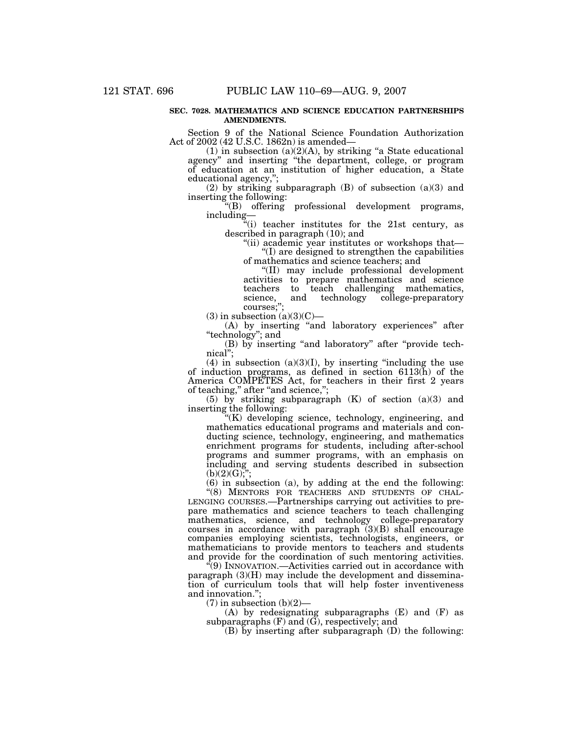### **SEC. 7028. MATHEMATICS AND SCIENCE EDUCATION PARTNERSHIPS AMENDMENTS.**

Section 9 of the National Science Foundation Authorization Act of 2002 (42 U.S.C. 1862n) is amended—

 $(1)$  in subsection  $(a)(2)(A)$ , by striking "a State educational agency'' and inserting ''the department, college, or program of education at an institution of higher education, a State educational agency,'';

(2) by striking subparagraph (B) of subsection (a)(3) and inserting the following:

''(B) offering professional development programs, including—

''(i) teacher institutes for the 21st century, as described in paragraph (10); and

''(ii) academic year institutes or workshops that— ''(I) are designed to strengthen the capabilities

of mathematics and science teachers; and ''(II) may include professional development activities to prepare mathematics and science to teach challenging mathematics,<br>and technology college-preparatory college-preparatory science,<br>courses;";

 $(3)$  in subsection  $(a)(3)(C)$ —

(A) by inserting ''and laboratory experiences'' after "technology"; and

(B) by inserting ''and laboratory'' after ''provide technical'';

(4) in subsection  $(a)(3)(I)$ , by inserting "including the use of induction programs, as defined in section 6113(h) of the America COMPETES Act, for teachers in their first 2 years of teaching," after "and science,";

(5) by striking subparagraph (K) of section (a)(3) and inserting the following:

''(K) developing science, technology, engineering, and mathematics educational programs and materials and conducting science, technology, engineering, and mathematics enrichment programs for students, including after-school programs and summer programs, with an emphasis on including and serving students described in subsection  $(b)(2)(G);$ 

(6) in subsection (a), by adding at the end the following:

"(8) MENTORS FOR TEACHERS AND STUDENTS OF CHAL-LENGING COURSES.—Partnerships carrying out activities to prepare mathematics and science teachers to teach challenging mathematics, science, and technology college-preparatory courses in accordance with paragraph  $(3)(B)$  shall encourage companies employing scientists, technologists, engineers, or mathematicians to provide mentors to teachers and students and provide for the coordination of such mentoring activities.

''(9) INNOVATION.—Activities carried out in accordance with paragraph (3)(H) may include the development and dissemination of curriculum tools that will help foster inventiveness and innovation.'';

 $(7)$  in subsection  $(b)(2)$ —

(A) by redesignating subparagraphs (E) and (F) as subparagraphs  $(F)$  and  $(\tilde{G})$ , respectively; and

(B) by inserting after subparagraph (D) the following: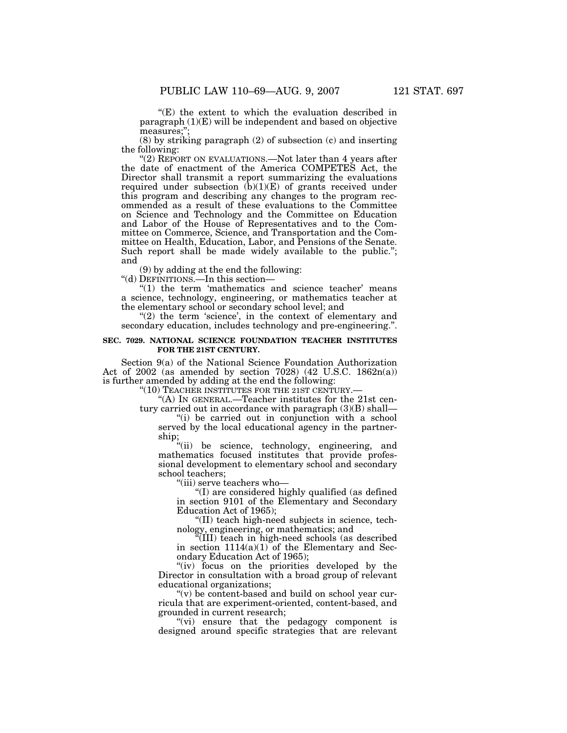''(E) the extent to which the evaluation described in paragraph (1)(E) will be independent and based on objective measures;"

(8) by striking paragraph (2) of subsection (c) and inserting the following:

"(2) REPORT ON EVALUATIONS.—Not later than 4 years after the date of enactment of the America COMPETES Act, the Director shall transmit a report summarizing the evaluations required under subsection  $(b)(1)(E)$  of grants received under this program and describing any changes to the program recommended as a result of these evaluations to the Committee on Science and Technology and the Committee on Education and Labor of the House of Representatives and to the Committee on Commerce, Science, and Transportation and the Committee on Health, Education, Labor, and Pensions of the Senate. Such report shall be made widely available to the public."; and

(9) by adding at the end the following:

''(d) DEFINITIONS.—In this section—

"(1) the term 'mathematics and science teacher' means a science, technology, engineering, or mathematics teacher at the elementary school or secondary school level; and

"(2) the term 'science', in the context of elementary and secondary education, includes technology and pre-engineering.''.

# **SEC. 7029. NATIONAL SCIENCE FOUNDATION TEACHER INSTITUTES FOR THE 21ST CENTURY.**

Section 9(a) of the National Science Foundation Authorization Act of 2002 (as amended by section 7028) (42 U.S.C. 1862n(a)) is further amended by adding at the end the following:

"(10) TEACHER INSTITUTES FOR THE 21ST CENTURY.-

''(A) IN GENERAL.—Teacher institutes for the 21st century carried out in accordance with paragraph (3)(B) shall—

''(i) be carried out in conjunction with a school served by the local educational agency in the partnership;

''(ii) be science, technology, engineering, and mathematics focused institutes that provide professional development to elementary school and secondary school teachers;

''(iii) serve teachers who—

''(I) are considered highly qualified (as defined in section 9101 of the Elementary and Secondary Education Act of 1965);

''(II) teach high-need subjects in science, technology, engineering, or mathematics; and

''(III) teach in high-need schools (as described in section  $1114(a)(1)$  of the Elementary and Secondary Education Act of 1965);

"(iv) focus on the priorities developed by the Director in consultation with a broad group of relevant educational organizations;

 $''(v)$  be content-based and build on school year curricula that are experiment-oriented, content-based, and grounded in current research;

"(vi) ensure that the pedagogy component is designed around specific strategies that are relevant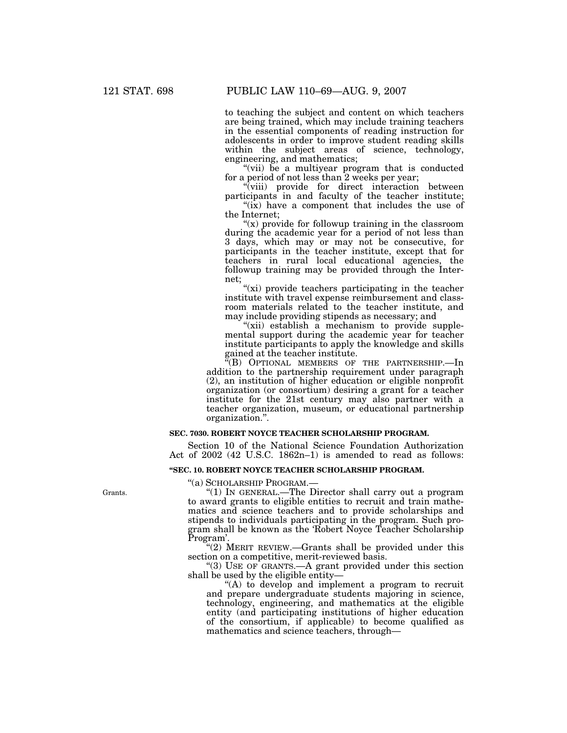to teaching the subject and content on which teachers are being trained, which may include training teachers in the essential components of reading instruction for adolescents in order to improve student reading skills within the subject areas of science, technology, engineering, and mathematics;

"(vii) be a multiyear program that is conducted for a period of not less than 2 weeks per year;

"(viii) provide for direct interaction between participants in and faculty of the teacher institute;  $'$ (ix) have a component that includes the use of

the Internet; " $(x)$  provide for followup training in the classroom

during the academic year for a period of not less than 3 days, which may or may not be consecutive, for participants in the teacher institute, except that for teachers in rural local educational agencies, the followup training may be provided through the Internet;

"(xi) provide teachers participating in the teacher institute with travel expense reimbursement and classroom materials related to the teacher institute, and may include providing stipends as necessary; and

"(xii) establish a mechanism to provide supplemental support during the academic year for teacher institute participants to apply the knowledge and skills gained at the teacher institute.

''(B) OPTIONAL MEMBERS OF THE PARTNERSHIP.—In addition to the partnership requirement under paragraph (2), an institution of higher education or eligible nonprofit organization (or consortium) desiring a grant for a teacher institute for the 21st century may also partner with a teacher organization, museum, or educational partnership organization.''.

# **SEC. 7030. ROBERT NOYCE TEACHER SCHOLARSHIP PROGRAM.**

Section 10 of the National Science Foundation Authorization Act of 2002 (42 U.S.C. 1862n–1) is amended to read as follows:

# **''SEC. 10. ROBERT NOYCE TEACHER SCHOLARSHIP PROGRAM.**

''(a) SCHOLARSHIP PROGRAM.—

''(1) IN GENERAL.—The Director shall carry out a program to award grants to eligible entities to recruit and train mathematics and science teachers and to provide scholarships and stipends to individuals participating in the program. Such program shall be known as the 'Robert Noyce Teacher Scholarship Program'.

 $(2)$  MERIT REVIEW.—Grants shall be provided under this section on a competitive, merit-reviewed basis.

"(3) USE OF GRANTS.—A grant provided under this section shall be used by the eligible entity—

"(A) to develop and implement a program to recruit and prepare undergraduate students majoring in science, technology, engineering, and mathematics at the eligible entity (and participating institutions of higher education of the consortium, if applicable) to become qualified as mathematics and science teachers, through—

Grants.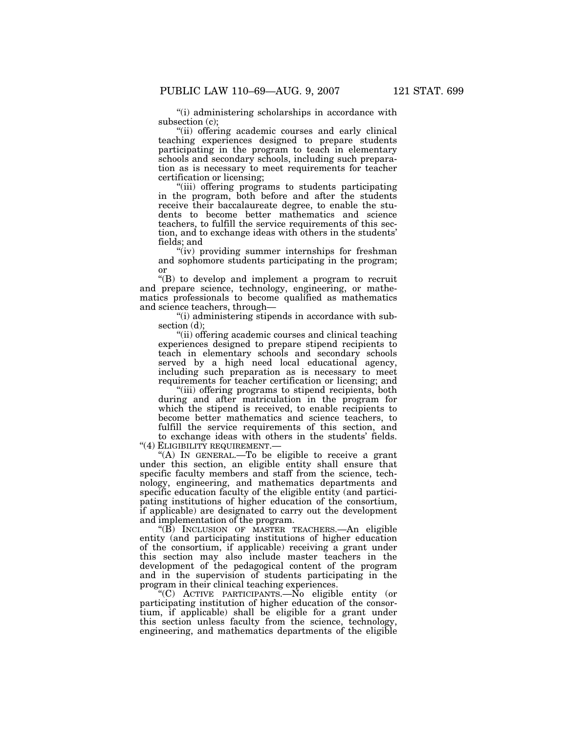''(i) administering scholarships in accordance with subsection (c);

"(ii) offering academic courses and early clinical teaching experiences designed to prepare students participating in the program to teach in elementary schools and secondary schools, including such preparation as is necessary to meet requirements for teacher certification or licensing;

''(iii) offering programs to students participating in the program, both before and after the students receive their baccalaureate degree, to enable the students to become better mathematics and science teachers, to fulfill the service requirements of this section, and to exchange ideas with others in the students' fields; and

"(iv) providing summer internships for freshman and sophomore students participating in the program; or

''(B) to develop and implement a program to recruit and prepare science, technology, engineering, or mathematics professionals to become qualified as mathematics and science teachers, through—

''(i) administering stipends in accordance with subsection (d);

''(ii) offering academic courses and clinical teaching experiences designed to prepare stipend recipients to teach in elementary schools and secondary schools served by a high need local educational agency, including such preparation as is necessary to meet requirements for teacher certification or licensing; and

''(iii) offering programs to stipend recipients, both during and after matriculation in the program for which the stipend is received, to enable recipients to become better mathematics and science teachers, to fulfill the service requirements of this section, and to exchange ideas with others in the students' fields.

''(4) ELIGIBILITY REQUIREMENT.—

''(A) IN GENERAL.—To be eligible to receive a grant under this section, an eligible entity shall ensure that specific faculty members and staff from the science, technology, engineering, and mathematics departments and specific education faculty of the eligible entity (and participating institutions of higher education of the consortium, if applicable) are designated to carry out the development and implementation of the program.

''(B) INCLUSION OF MASTER TEACHERS.—An eligible entity (and participating institutions of higher education of the consortium, if applicable) receiving a grant under this section may also include master teachers in the development of the pedagogical content of the program and in the supervision of students participating in the program in their clinical teaching experiences.

''(C) ACTIVE PARTICIPANTS.—No eligible entity (or participating institution of higher education of the consortium, if applicable) shall be eligible for a grant under this section unless faculty from the science, technology, engineering, and mathematics departments of the eligible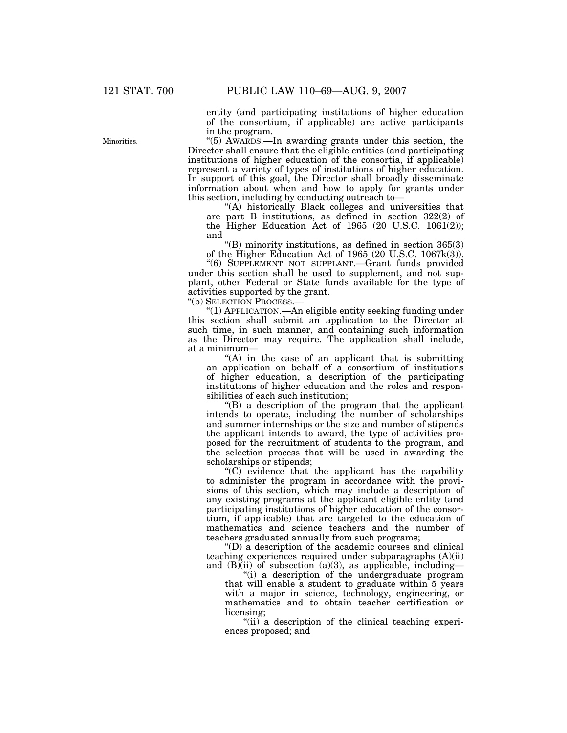entity (and participating institutions of higher education of the consortium, if applicable) are active participants in the program.

''(5) AWARDS.—In awarding grants under this section, the Director shall ensure that the eligible entities (and participating institutions of higher education of the consortia, if applicable) represent a variety of types of institutions of higher education. In support of this goal, the Director shall broadly disseminate information about when and how to apply for grants under this section, including by conducting outreach to—

''(A) historically Black colleges and universities that are part B institutions, as defined in section 322(2) of the Higher Education Act of 1965 (20 U.S.C. 1061(2)); and

" $(B)$  minority institutions, as defined in section 365 $(3)$ of the Higher Education Act of 1965 (20 U.S.C. 1067k(3)).

''(6) SUPPLEMENT NOT SUPPLANT.—Grant funds provided under this section shall be used to supplement, and not supplant, other Federal or State funds available for the type of activities supported by the grant.

''(b) SELECTION PROCESS.—

''(1) APPLICATION.—An eligible entity seeking funding under this section shall submit an application to the Director at such time, in such manner, and containing such information as the Director may require. The application shall include, at a minimum—

 $f(A)$  in the case of an applicant that is submitting an application on behalf of a consortium of institutions of higher education, a description of the participating institutions of higher education and the roles and responsibilities of each such institution;

''(B) a description of the program that the applicant intends to operate, including the number of scholarships and summer internships or the size and number of stipends the applicant intends to award, the type of activities proposed for the recruitment of students to the program, and the selection process that will be used in awarding the scholarships or stipends;

 $(C)$  evidence that the applicant has the capability to administer the program in accordance with the provisions of this section, which may include a description of any existing programs at the applicant eligible entity (and participating institutions of higher education of the consortium, if applicable) that are targeted to the education of mathematics and science teachers and the number of teachers graduated annually from such programs;

''(D) a description of the academic courses and clinical teaching experiences required under subparagraphs (A)(ii) and  $(B)$ (ii) of subsection (a)(3), as applicable, including-

''(i) a description of the undergraduate program that will enable a student to graduate within 5 years with a major in science, technology, engineering, or mathematics and to obtain teacher certification or licensing;

"(ii) a description of the clinical teaching experiences proposed; and

**Minorities**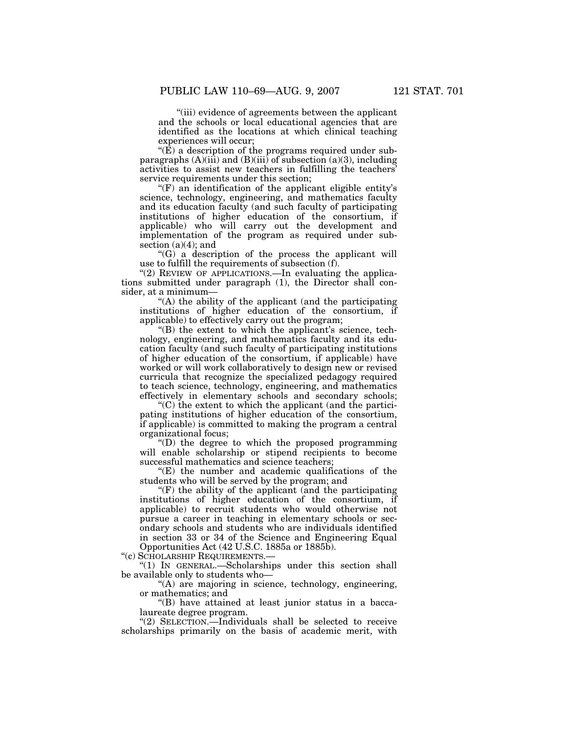''(iii) evidence of agreements between the applicant and the schools or local educational agencies that are identified as the locations at which clinical teaching experiences will occur;

" $(\hat{E})$  a description of the programs required under subparagraphs  $(A)(iii)$  and  $(B)(iii)$  of subsection  $(a)(3)$ , including activities to assist new teachers in fulfilling the teachers' service requirements under this section;

 $(F)$  an identification of the applicant eligible entity's science, technology, engineering, and mathematics faculty and its education faculty (and such faculty of participating institutions of higher education of the consortium, if applicable) who will carry out the development and implementation of the program as required under subsection  $(a)(4)$ ; and

''(G) a description of the process the applicant will use to fulfill the requirements of subsection (f).

"(2) REVIEW OF APPLICATIONS.—In evaluating the applications submitted under paragraph (1), the Director shall consider, at a minimum—

''(A) the ability of the applicant (and the participating institutions of higher education of the consortium, if applicable) to effectively carry out the program;

 $f(B)$  the extent to which the applicant's science, technology, engineering, and mathematics faculty and its education faculty (and such faculty of participating institutions of higher education of the consortium, if applicable) have worked or will work collaboratively to design new or revised curricula that recognize the specialized pedagogy required to teach science, technology, engineering, and mathematics effectively in elementary schools and secondary schools;

 $(C)$  the extent to which the applicant (and the participating institutions of higher education of the consortium, if applicable) is committed to making the program a central organizational focus;

''(D) the degree to which the proposed programming will enable scholarship or stipend recipients to become successful mathematics and science teachers;

 $f(E)$  the number and academic qualifications of the students who will be served by the program; and

 $f(F)$  the ability of the applicant (and the participating institutions of higher education of the consortium, if applicable) to recruit students who would otherwise not pursue a career in teaching in elementary schools or secondary schools and students who are individuals identified in section 33 or 34 of the Science and Engineering Equal Opportunities Act (42 U.S.C. 1885a or 1885b).

''(c) SCHOLARSHIP REQUIREMENTS.—

''(1) IN GENERAL.—Scholarships under this section shall be available only to students who—

''(A) are majoring in science, technology, engineering, or mathematics; and

''(B) have attained at least junior status in a baccalaureate degree program.

''(2) SELECTION.—Individuals shall be selected to receive scholarships primarily on the basis of academic merit, with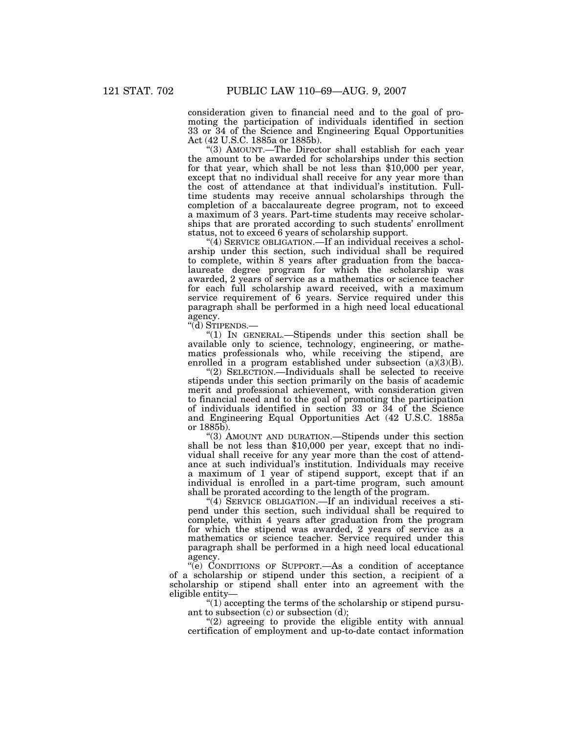consideration given to financial need and to the goal of promoting the participation of individuals identified in section 33 or 34 of the Science and Engineering Equal Opportunities Act (42 U.S.C. 1885a or 1885b).

''(3) AMOUNT.—The Director shall establish for each year the amount to be awarded for scholarships under this section for that year, which shall be not less than \$10,000 per year, except that no individual shall receive for any year more than the cost of attendance at that individual's institution. Fulltime students may receive annual scholarships through the completion of a baccalaureate degree program, not to exceed a maximum of 3 years. Part-time students may receive scholarships that are prorated according to such students' enrollment status, not to exceed 6 years of scholarship support.

"(4) SERVICE OBLIGATION.—If an individual receives a scholarship under this section, such individual shall be required to complete, within 8 years after graduation from the baccalaureate degree program for which the scholarship was awarded, 2 years of service as a mathematics or science teacher for each full scholarship award received, with a maximum service requirement of  $\overline{6}$  years. Service required under this paragraph shall be performed in a high need local educational agency.

''(d) STIPENDS.—

''(1) IN GENERAL.—Stipends under this section shall be available only to science, technology, engineering, or mathematics professionals who, while receiving the stipend, are enrolled in a program established under subsection  $(a)(3)(B)$ .

"(2) SELECTION.—Individuals shall be selected to receive stipends under this section primarily on the basis of academic merit and professional achievement, with consideration given to financial need and to the goal of promoting the participation of individuals identified in section 33 or 34 of the Science and Engineering Equal Opportunities Act (42 U.S.C. 1885a or 1885b).

''(3) AMOUNT AND DURATION.—Stipends under this section shall be not less than \$10,000 per year, except that no individual shall receive for any year more than the cost of attendance at such individual's institution. Individuals may receive a maximum of 1 year of stipend support, except that if an individual is enrolled in a part-time program, such amount shall be prorated according to the length of the program.

''(4) SERVICE OBLIGATION.—If an individual receives a stipend under this section, such individual shall be required to complete, within 4 years after graduation from the program for which the stipend was awarded, 2 years of service as a mathematics or science teacher. Service required under this paragraph shall be performed in a high need local educational agency.

''(e) CONDITIONS OF SUPPORT.—As a condition of acceptance of a scholarship or stipend under this section, a recipient of a scholarship or stipend shall enter into an agreement with the eligible entity—

 $''(1)$  accepting the terms of the scholarship or stipend pursuant to subsection  $(c)$  or subsection  $(d)$ ;

"(2) agreeing to provide the eligible entity with annual certification of employment and up-to-date contact information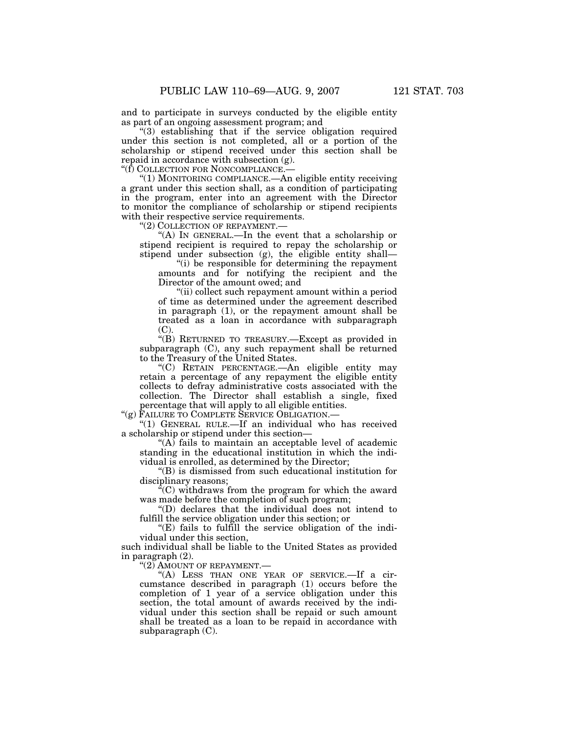and to participate in surveys conducted by the eligible entity as part of an ongoing assessment program; and

''(3) establishing that if the service obligation required under this section is not completed, all or a portion of the scholarship or stipend received under this section shall be repaid in accordance with subsection (g).

''(f) COLLECTION FOR NONCOMPLIANCE.—

''(1) MONITORING COMPLIANCE.—An eligible entity receiving a grant under this section shall, as a condition of participating in the program, enter into an agreement with the Director to monitor the compliance of scholarship or stipend recipients with their respective service requirements.

''(2) COLLECTION OF REPAYMENT.—

''(A) IN GENERAL.—In the event that a scholarship or stipend recipient is required to repay the scholarship or stipend under subsection (g), the eligible entity shall—

 $(i)$  be responsible for determining the repayment amounts and for notifying the recipient and the Director of the amount owed; and

''(ii) collect such repayment amount within a period of time as determined under the agreement described in paragraph (1), or the repayment amount shall be treated as a loan in accordance with subparagraph  $(C)$ .

''(B) RETURNED TO TREASURY.—Except as provided in subparagraph (C), any such repayment shall be returned to the Treasury of the United States.

''(C) RETAIN PERCENTAGE.—An eligible entity may retain a percentage of any repayment the eligible entity collects to defray administrative costs associated with the collection. The Director shall establish a single, fixed percentage that will apply to all eligible entities.

''(g) FAILURE TO COMPLETE SERVICE OBLIGATION.—

''(1) GENERAL RULE.—If an individual who has received a scholarship or stipend under this section—

" $(A)$  fails to maintain an acceptable level of academic standing in the educational institution in which the individual is enrolled, as determined by the Director;

''(B) is dismissed from such educational institution for disciplinary reasons;

 $C$ ) withdraws from the program for which the award was made before the completion of such program;

''(D) declares that the individual does not intend to fulfill the service obligation under this section; or

''(E) fails to fulfill the service obligation of the individual under this section,

such individual shall be liable to the United States as provided in paragraph (2).

"(2) AMOUNT OF REPAYMENT.

''(A) LESS THAN ONE YEAR OF SERVICE.—If a circumstance described in paragraph (1) occurs before the completion of 1 year of a service obligation under this section, the total amount of awards received by the individual under this section shall be repaid or such amount shall be treated as a loan to be repaid in accordance with subparagraph (C).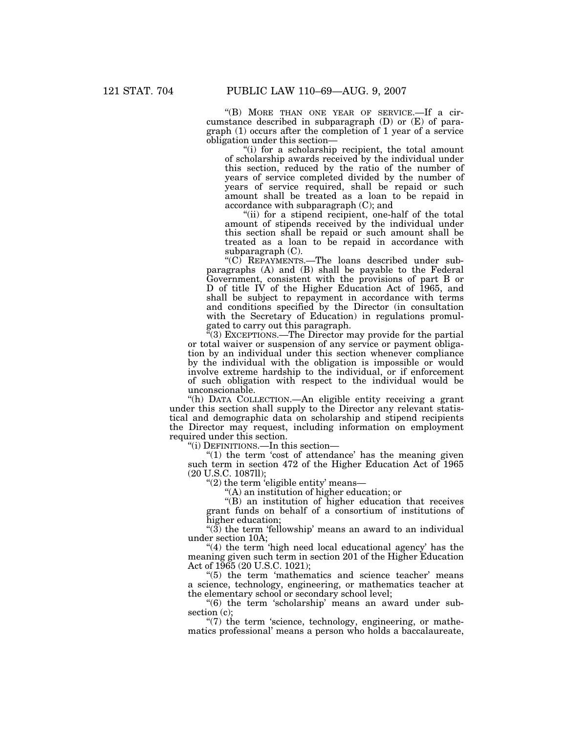''(B) MORE THAN ONE YEAR OF SERVICE.—If a circumstance described in subparagraph (D) or (E) of paragraph (1) occurs after the completion of 1 year of a service obligation under this section—

''(i) for a scholarship recipient, the total amount of scholarship awards received by the individual under this section, reduced by the ratio of the number of years of service completed divided by the number of years of service required, shall be repaid or such amount shall be treated as a loan to be repaid in accordance with subparagraph (C); and

"(ii) for a stipend recipient, one-half of the total amount of stipends received by the individual under this section shall be repaid or such amount shall be treated as a loan to be repaid in accordance with subparagraph (C).

''(C) REPAYMENTS.—The loans described under subparagraphs (A) and (B) shall be payable to the Federal Government, consistent with the provisions of part B or D of title IV of the Higher Education Act of 1965, and shall be subject to repayment in accordance with terms and conditions specified by the Director (in consultation with the Secretary of Education) in regulations promulgated to carry out this paragraph.

 $E(3)$  EXCEPTIONS.—The Director may provide for the partial or total waiver or suspension of any service or payment obligation by an individual under this section whenever compliance by the individual with the obligation is impossible or would involve extreme hardship to the individual, or if enforcement of such obligation with respect to the individual would be unconscionable.

''(h) DATA COLLECTION.—An eligible entity receiving a grant under this section shall supply to the Director any relevant statistical and demographic data on scholarship and stipend recipients the Director may request, including information on employment required under this section.

''(i) DEFINITIONS.—In this section—

" $(1)$  the term 'cost of attendance' has the meaning given such term in section 472 of the Higher Education Act of 1965 (20 U.S.C. 1087ll);

" $(2)$  the term 'eligible entity' means—

''(A) an institution of higher education; or

''(B) an institution of higher education that receives grant funds on behalf of a consortium of institutions of higher education;

" $(3)$  the term 'fellowship' means an award to an individual under section 10A;

"(4) the term 'high need local educational agency' has the meaning given such term in section 201 of the Higher Education Act of 1965 (20 U.S.C. 1021);

"(5) the term 'mathematics and science teacher' means a science, technology, engineering, or mathematics teacher at the elementary school or secondary school level;

"(6) the term 'scholarship' means an award under subsection (c);

 $\degree$ (7) the term 'science, technology, engineering, or mathematics professional' means a person who holds a baccalaureate,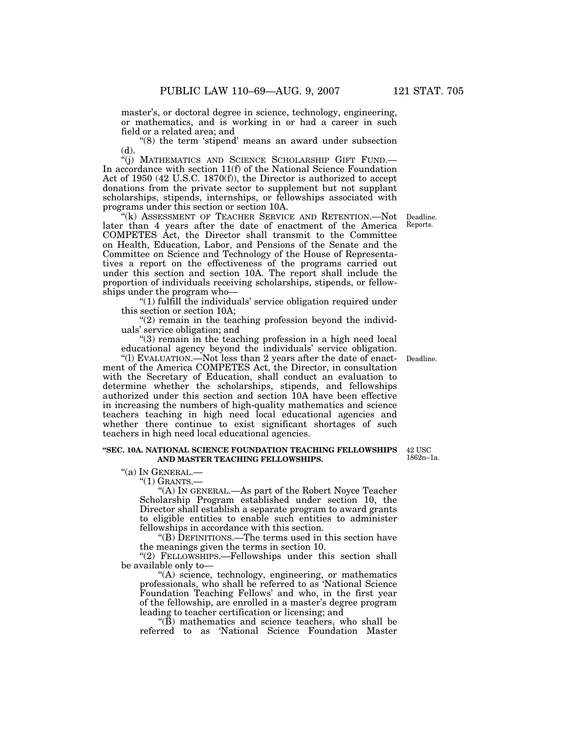master's, or doctoral degree in science, technology, engineering, or mathematics, and is working in or had a career in such field or a related area; and

 $*(8)$  the term 'stipend' means an award under subsection (d).

''(j) MATHEMATICS AND SCIENCE SCHOLARSHIP GIFT FUND.— In accordance with section 11(f) of the National Science Foundation Act of 1950 (42 U.S.C. 1870(f)), the Director is authorized to accept donations from the private sector to supplement but not supplant scholarships, stipends, internships, or fellowships associated with programs under this section or section 10A.

"(k) ASSESSMENT OF TEACHER SERVICE AND RETENTION.—Not Deadline. later than 4 years after the date of enactment of the America COMPETES Act, the Director shall transmit to the Committee on Health, Education, Labor, and Pensions of the Senate and the Committee on Science and Technology of the House of Representatives a report on the effectiveness of the programs carried out under this section and section 10A. The report shall include the proportion of individuals receiving scholarships, stipends, or fellowships under the program who—

''(1) fulfill the individuals' service obligation required under this section or section 10A;

 $(2)$  remain in the teaching profession beyond the individuals' service obligation; and

''(3) remain in the teaching profession in a high need local educational agency beyond the individuals' service obligation.

''(l) EVALUATION.—Not less than 2 years after the date of enactment of the America COMPETES Act, the Director, in consultation with the Secretary of Education, shall conduct an evaluation to determine whether the scholarships, stipends, and fellowships authorized under this section and section 10A have been effective in increasing the numbers of high-quality mathematics and science teachers teaching in high need local educational agencies and whether there continue to exist significant shortages of such teachers in high need local educational agencies.

### **''SEC. 10A. NATIONAL SCIENCE FOUNDATION TEACHING FELLOWSHIPS AND MASTER TEACHING FELLOWSHIPS.**

''(a) IN GENERAL.—

 $"(1)$  GRANTS.—

''(A) IN GENERAL.—As part of the Robert Noyce Teacher Scholarship Program established under section 10, the Director shall establish a separate program to award grants to eligible entities to enable such entities to administer fellowships in accordance with this section.

''(B) DEFINITIONS.—The terms used in this section have the meanings given the terms in section 10.

"(2) FELLOWSHIPS.—Fellowships under this section shall be available only to—

"(A) science, technology, engineering, or mathematics professionals, who shall be referred to as 'National Science Foundation Teaching Fellows' and who, in the first year of the fellowship, are enrolled in a master's degree program leading to teacher certification or licensing; and

 $\mathcal{L}(\mathbf{B})$  mathematics and science teachers, who shall be referred to as 'National Science Foundation Master

42 USC 1862n–1a.

Deadline.

Reports.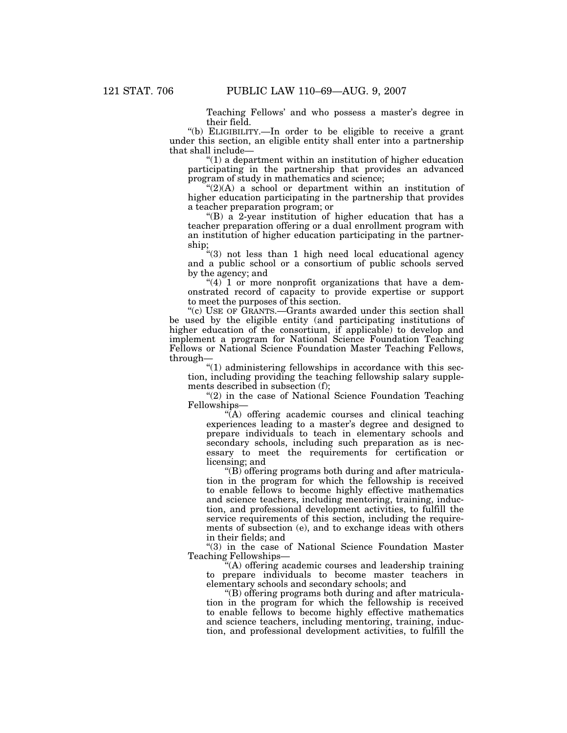Teaching Fellows' and who possess a master's degree in their field.

''(b) ELIGIBILITY.—In order to be eligible to receive a grant under this section, an eligible entity shall enter into a partnership that shall include—

 $(1)$  a department within an institution of higher education participating in the partnership that provides an advanced program of study in mathematics and science;

 $C'(2)$ (A) a school or department within an institution of higher education participating in the partnership that provides a teacher preparation program; or

 $H(B)$  a 2-year institution of higher education that has a teacher preparation offering or a dual enrollment program with an institution of higher education participating in the partnership;

''(3) not less than 1 high need local educational agency and a public school or a consortium of public schools served by the agency; and

 $"(4)$  1 or more nonprofit organizations that have a demonstrated record of capacity to provide expertise or support to meet the purposes of this section.

''(c) USE OF GRANTS.—Grants awarded under this section shall be used by the eligible entity (and participating institutions of higher education of the consortium, if applicable) to develop and implement a program for National Science Foundation Teaching Fellows or National Science Foundation Master Teaching Fellows, through—

 $\degree$ (1) administering fellowships in accordance with this section, including providing the teaching fellowship salary supplements described in subsection (f);

" $(2)$  in the case of National Science Foundation Teaching Fellowships—

 $\sqrt{\hat{A}}$  offering academic courses and clinical teaching experiences leading to a master's degree and designed to prepare individuals to teach in elementary schools and secondary schools, including such preparation as is necessary to meet the requirements for certification or licensing; and

''(B) offering programs both during and after matriculation in the program for which the fellowship is received to enable fellows to become highly effective mathematics and science teachers, including mentoring, training, induction, and professional development activities, to fulfill the service requirements of this section, including the requirements of subsection (e), and to exchange ideas with others in their fields; and

''(3) in the case of National Science Foundation Master Teaching Fellowships—

''(A) offering academic courses and leadership training to prepare individuals to become master teachers in elementary schools and secondary schools; and

''(B) offering programs both during and after matriculation in the program for which the fellowship is received to enable fellows to become highly effective mathematics and science teachers, including mentoring, training, induction, and professional development activities, to fulfill the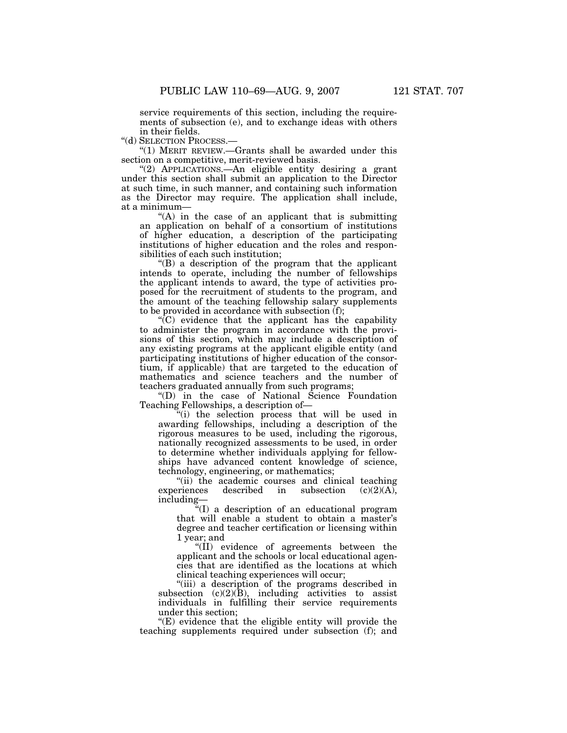service requirements of this section, including the requirements of subsection (e), and to exchange ideas with others in their fields.

''(d) SELECTION PROCESS.—

''(1) MERIT REVIEW.—Grants shall be awarded under this section on a competitive, merit-reviewed basis.

''(2) APPLICATIONS.—An eligible entity desiring a grant under this section shall submit an application to the Director at such time, in such manner, and containing such information as the Director may require. The application shall include, at a minimum—

 $(A)$  in the case of an applicant that is submitting an application on behalf of a consortium of institutions of higher education, a description of the participating institutions of higher education and the roles and responsibilities of each such institution;

''(B) a description of the program that the applicant intends to operate, including the number of fellowships the applicant intends to award, the type of activities proposed for the recruitment of students to the program, and the amount of the teaching fellowship salary supplements to be provided in accordance with subsection (f);

 $\sqrt{\text{C}}$  evidence that the applicant has the capability to administer the program in accordance with the provisions of this section, which may include a description of any existing programs at the applicant eligible entity (and participating institutions of higher education of the consortium, if applicable) that are targeted to the education of mathematics and science teachers and the number of teachers graduated annually from such programs;

''(D) in the case of National Science Foundation Teaching Fellowships, a description of—

''(i) the selection process that will be used in awarding fellowships, including a description of the rigorous measures to be used, including the rigorous, nationally recognized assessments to be used, in order to determine whether individuals applying for fellowships have advanced content knowledge of science, technology, engineering, or mathematics;

''(ii) the academic courses and clinical teaching experiences described in subsection  $(c)(2)(A)$ , including—

''(I) a description of an educational program that will enable a student to obtain a master's degree and teacher certification or licensing within 1 year; and

''(II) evidence of agreements between the applicant and the schools or local educational agencies that are identified as the locations at which clinical teaching experiences will occur;

''(iii) a description of the programs described in subsection  $(c)(2)(B)$ , including activities to assist individuals in fulfilling their service requirements under this section;

''(E) evidence that the eligible entity will provide the teaching supplements required under subsection (f); and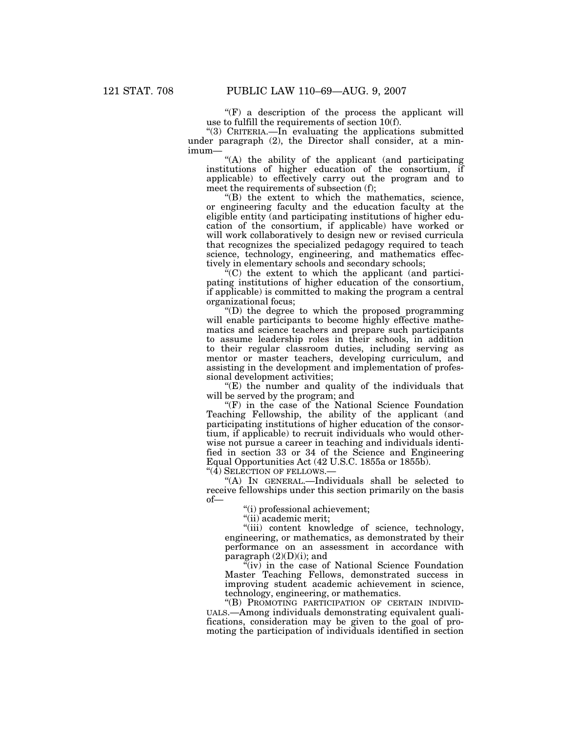" $(F)$  a description of the process the applicant will use to fulfill the requirements of section 10(f).

''(3) CRITERIA.—In evaluating the applications submitted under paragraph (2), the Director shall consider, at a minimum—

"(A) the ability of the applicant (and participating institutions of higher education of the consortium, if applicable) to effectively carry out the program and to meet the requirements of subsection (f);

''(B) the extent to which the mathematics, science, or engineering faculty and the education faculty at the eligible entity (and participating institutions of higher education of the consortium, if applicable) have worked or will work collaboratively to design new or revised curricula that recognizes the specialized pedagogy required to teach science, technology, engineering, and mathematics effectively in elementary schools and secondary schools;

 $E^{\alpha}(C)$  the extent to which the applicant (and participating institutions of higher education of the consortium, if applicable) is committed to making the program a central organizational focus;

''(D) the degree to which the proposed programming will enable participants to become highly effective mathematics and science teachers and prepare such participants to assume leadership roles in their schools, in addition to their regular classroom duties, including serving as mentor or master teachers, developing curriculum, and assisting in the development and implementation of professional development activities;

" $(E)$  the number and quality of the individuals that will be served by the program; and

"(F) in the case of the National Science Foundation Teaching Fellowship, the ability of the applicant (and participating institutions of higher education of the consortium, if applicable) to recruit individuals who would otherwise not pursue a career in teaching and individuals identified in section 33 or 34 of the Science and Engineering Equal Opportunities Act (42 U.S.C. 1855a or 1855b).

 $\cdot$ "(4) SELECTION OF FELLOWS.-

''(A) IN GENERAL.—Individuals shall be selected to receive fellowships under this section primarily on the basis of—

''(i) professional achievement;

''(ii) academic merit;

"(iii) content knowledge of science, technology, engineering, or mathematics, as demonstrated by their performance on an assessment in accordance with paragraph  $(2)(D)(i)$ ; and

 $\tilde{f}(iv)$  in the case of National Science Foundation Master Teaching Fellows, demonstrated success in improving student academic achievement in science, technology, engineering, or mathematics.

''(B) PROMOTING PARTICIPATION OF CERTAIN INDIVID-UALS.—Among individuals demonstrating equivalent qualifications, consideration may be given to the goal of promoting the participation of individuals identified in section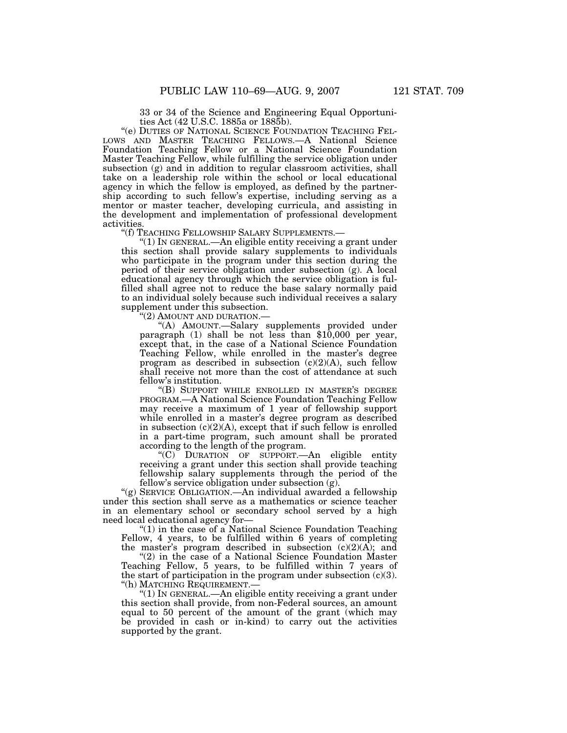33 or 34 of the Science and Engineering Equal Opportunities Act (42 U.S.C. 1885a or 1885b).

''(e) DUTIES OF NATIONAL SCIENCE FOUNDATION TEACHING FEL-LOWS AND MASTER TEACHING FELLOWS.—A National Science Foundation Teaching Fellow or a National Science Foundation Master Teaching Fellow, while fulfilling the service obligation under subsection (g) and in addition to regular classroom activities, shall take on a leadership role within the school or local educational agency in which the fellow is employed, as defined by the partnership according to such fellow's expertise, including serving as a mentor or master teacher, developing curricula, and assisting in the development and implementation of professional development activities.<br>"(f) TEACHING FELLOWSHIP SALARY SUPPLEMENTS.—

" $(1)$  In GENERAL.—An eligible entity receiving a grant under this section shall provide salary supplements to individuals who participate in the program under this section during the period of their service obligation under subsection (g). A local educational agency through which the service obligation is fulfilled shall agree not to reduce the base salary normally paid to an individual solely because such individual receives a salary supplement under this subsection.

''(2) AMOUNT AND DURATION.—

''(A) AMOUNT.—Salary supplements provided under paragraph (1) shall be not less than \$10,000 per year, except that, in the case of a National Science Foundation Teaching Fellow, while enrolled in the master's degree program as described in subsection  $(c)(2)(A)$ , such fellow shall receive not more than the cost of attendance at such fellow's institution.

''(B) SUPPORT WHILE ENROLLED IN MASTER'S DEGREE PROGRAM.—A National Science Foundation Teaching Fellow may receive a maximum of 1 year of fellowship support while enrolled in a master's degree program as described in subsection  $(c)(2)(A)$ , except that if such fellow is enrolled in a part-time program, such amount shall be prorated according to the length of the program.

''(C) DURATION OF SUPPORT.—An eligible entity receiving a grant under this section shall provide teaching fellowship salary supplements through the period of the fellow's service obligation under subsection (g).

''(g) SERVICE OBLIGATION.—An individual awarded a fellowship under this section shall serve as a mathematics or science teacher in an elementary school or secondary school served by a high need local educational agency for—

" $(1)$  in the case of a National Science Foundation Teaching Fellow, 4 years, to be fulfilled within 6 years of completing the master's program described in subsection  $(c)(2)(A)$ ; and

"(2) in the case of a National Science Foundation Master Teaching Fellow, 5 years, to be fulfilled within 7 years of the start of participation in the program under subsection  $(c)(3)$ . ''(h) MATCHING REQUIREMENT.—

''(1) IN GENERAL.—An eligible entity receiving a grant under this section shall provide, from non-Federal sources, an amount equal to 50 percent of the amount of the grant (which may be provided in cash or in-kind) to carry out the activities supported by the grant.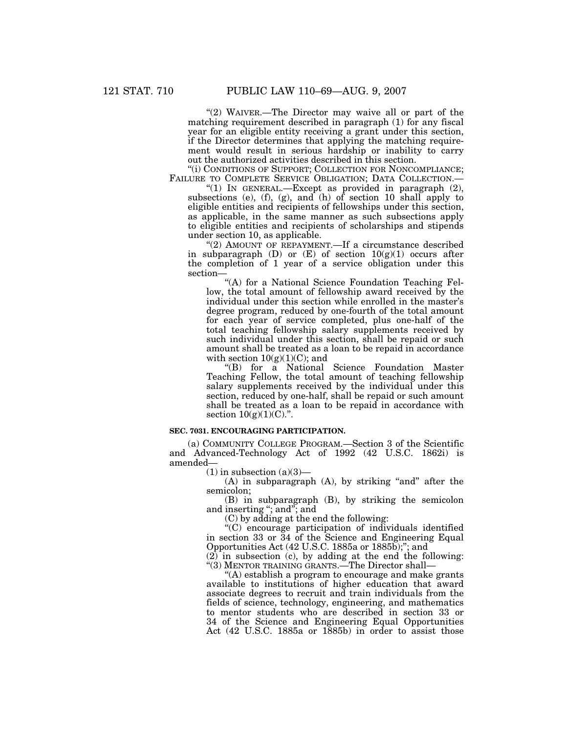"(2) WAIVER.-The Director may waive all or part of the matching requirement described in paragraph (1) for any fiscal year for an eligible entity receiving a grant under this section, if the Director determines that applying the matching requirement would result in serious hardship or inability to carry out the authorized activities described in this section.

''(i) CONDITIONS OF SUPPORT; COLLECTION FOR NONCOMPLIANCE; FAILURE TO COMPLETE SERVICE OBLIGATION; DATA COLLECTION.—

"(1) IN GENERAL.—Except as provided in paragraph  $(2)$ , subsections (e), (f), (g), and (h) of section 10 shall apply to eligible entities and recipients of fellowships under this section, as applicable, in the same manner as such subsections apply to eligible entities and recipients of scholarships and stipends under section 10, as applicable.

"(2) AMOUNT OF REPAYMENT.—If a circumstance described in subparagraph  $(D)$  or  $(E)$  of section  $10(g)(1)$  occurs after the completion of 1 year of a service obligation under this section—

"(A) for a National Science Foundation Teaching Fellow, the total amount of fellowship award received by the individual under this section while enrolled in the master's degree program, reduced by one-fourth of the total amount for each year of service completed, plus one-half of the total teaching fellowship salary supplements received by such individual under this section, shall be repaid or such amount shall be treated as a loan to be repaid in accordance with section  $10(g)(1)(C)$ ; and

''(B) for a National Science Foundation Master Teaching Fellow, the total amount of teaching fellowship salary supplements received by the individual under this section, reduced by one-half, shall be repaid or such amount shall be treated as a loan to be repaid in accordance with section  $10(g)(1)(C)$ .".

### **SEC. 7031. ENCOURAGING PARTICIPATION.**

(a) COMMUNITY COLLEGE PROGRAM.—Section 3 of the Scientific and Advanced-Technology Act of 1992 (42 U.S.C. 1862i) is amended—

 $(1)$  in subsection  $(a)(3)$ —

 $(A)$  in subparagraph  $(A)$ , by striking "and" after the semicolon;

(B) in subparagraph (B), by striking the semicolon and inserting ''; and''; and

(C) by adding at the end the following:

''(C) encourage participation of individuals identified in section 33 or 34 of the Science and Engineering Equal Opportunities Act (42 U.S.C. 1885a or 1885b);''; and

(2) in subsection (c), by adding at the end the following: ''(3) MENTOR TRAINING GRANTS.—The Director shall—

''(A) establish a program to encourage and make grants available to institutions of higher education that award associate degrees to recruit and train individuals from the fields of science, technology, engineering, and mathematics to mentor students who are described in section 33 or 34 of the Science and Engineering Equal Opportunities Act (42 U.S.C. 1885a or 1885b) in order to assist those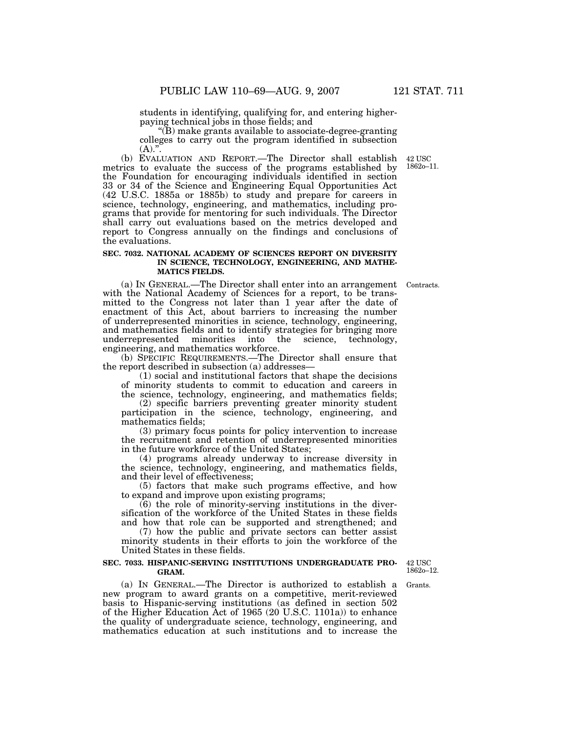students in identifying, qualifying for, and entering higherpaying technical jobs in those fields; and

''(B) make grants available to associate-degree-granting colleges to carry out the program identified in subsection  $(A).".$ 

(b) EVALUATION AND REPORT.—The Director shall establish metrics to evaluate the success of the programs established by the Foundation for encouraging individuals identified in section 33 or 34 of the Science and Engineering Equal Opportunities Act (42 U.S.C. 1885a or 1885b) to study and prepare for careers in science, technology, engineering, and mathematics, including programs that provide for mentoring for such individuals. The Director shall carry out evaluations based on the metrics developed and report to Congress annually on the findings and conclusions of the evaluations.

### **SEC. 7032. NATIONAL ACADEMY OF SCIENCES REPORT ON DIVERSITY IN SCIENCE, TECHNOLOGY, ENGINEERING, AND MATHE-MATICS FIELDS.**

(a) IN GENERAL.—The Director shall enter into an arrangement Contracts. with the National Academy of Sciences for a report, to be transmitted to the Congress not later than 1 year after the date of enactment of this Act, about barriers to increasing the number of underrepresented minorities in science, technology, engineering, and mathematics fields and to identify strategies for bringing more underrepresented minorities into the science, technology, engineering, and mathematics workforce.

(b) SPECIFIC REQUIREMENTS.—The Director shall ensure that the report described in subsection (a) addresses—

(1) social and institutional factors that shape the decisions of minority students to commit to education and careers in the science, technology, engineering, and mathematics fields;

(2) specific barriers preventing greater minority student participation in the science, technology, engineering, and mathematics fields;

(3) primary focus points for policy intervention to increase the recruitment and retention of underrepresented minorities in the future workforce of the United States;

(4) programs already underway to increase diversity in the science, technology, engineering, and mathematics fields, and their level of effectiveness;

(5) factors that make such programs effective, and how to expand and improve upon existing programs;

(6) the role of minority-serving institutions in the diversification of the workforce of the United States in these fields and how that role can be supported and strengthened; and

(7) how the public and private sectors can better assist minority students in their efforts to join the workforce of the United States in these fields.

### **SEC. 7033. HISPANIC-SERVING INSTITUTIONS UNDERGRADUATE PRO-GRAM.**

42 USC 1862o–12.

Grants.

(a) IN GENERAL.—The Director is authorized to establish a new program to award grants on a competitive, merit-reviewed basis to Hispanic-serving institutions (as defined in section 502 of the Higher Education Act of 1965 (20 U.S.C. 1101a)) to enhance the quality of undergraduate science, technology, engineering, and mathematics education at such institutions and to increase the

42 USC 1862o–11.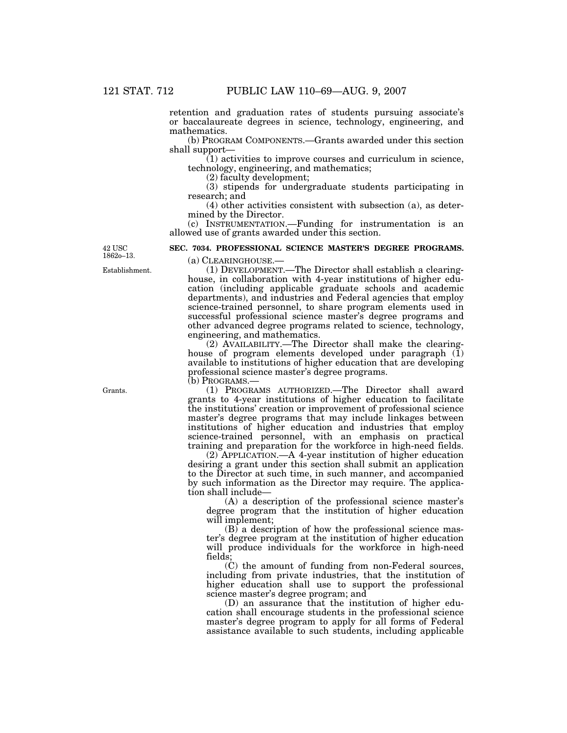retention and graduation rates of students pursuing associate's or baccalaureate degrees in science, technology, engineering, and mathematics.

(b) PROGRAM COMPONENTS.—Grants awarded under this section shall support—

 $(1)$  activities to improve courses and curriculum in science, technology, engineering, and mathematics;

(2) faculty development;

(3) stipends for undergraduate students participating in research; and

(4) other activities consistent with subsection (a), as determined by the Director.

(c) INSTRUMENTATION.—Funding for instrumentation is an allowed use of grants awarded under this section.

**SEC. 7034. PROFESSIONAL SCIENCE MASTER'S DEGREE PROGRAMS.**  (a) CLEARINGHOUSE.—

 $42$  USC 1862o–13.

Establishment.

(1) DEVELOPMENT.—The Director shall establish a clearinghouse, in collaboration with 4-year institutions of higher education (including applicable graduate schools and academic departments), and industries and Federal agencies that employ science-trained personnel, to share program elements used in successful professional science master's degree programs and other advanced degree programs related to science, technology, engineering, and mathematics.

(2) AVAILABILITY.—The Director shall make the clearinghouse of program elements developed under paragraph  $(\tilde{1})$ available to institutions of higher education that are developing professional science master's degree programs.

(b) PROGRAMS.—

(1) PROGRAMS AUTHORIZED.—The Director shall award grants to 4-year institutions of higher education to facilitate the institutions' creation or improvement of professional science master's degree programs that may include linkages between institutions of higher education and industries that employ science-trained personnel, with an emphasis on practical training and preparation for the workforce in high-need fields.

(2) APPLICATION.—A 4-year institution of higher education desiring a grant under this section shall submit an application to the Director at such time, in such manner, and accompanied by such information as the Director may require. The application shall include—

(A) a description of the professional science master's degree program that the institution of higher education will implement;

(B) a description of how the professional science master's degree program at the institution of higher education will produce individuals for the workforce in high-need fields;

(C) the amount of funding from non-Federal sources, including from private industries, that the institution of higher education shall use to support the professional science master's degree program; and

(D) an assurance that the institution of higher education shall encourage students in the professional science master's degree program to apply for all forms of Federal assistance available to such students, including applicable

Grants.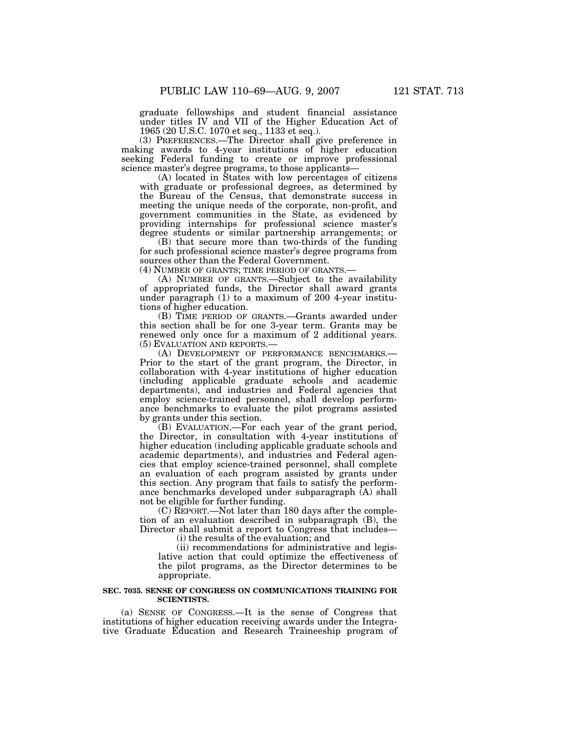graduate fellowships and student financial assistance under titles IV and VII of the Higher Education Act of 1965 (20 U.S.C. 1070 et seq., 1133 et seq.).

(3) PREFERENCES.—The Director shall give preference in making awards to 4-year institutions of higher education seeking Federal funding to create or improve professional science master's degree programs, to those applicants—

(A) located in States with low percentages of citizens with graduate or professional degrees, as determined by the Bureau of the Census, that demonstrate success in meeting the unique needs of the corporate, non-profit, and government communities in the State, as evidenced by providing internships for professional science master's degree students or similar partnership arrangements; or

(B) that secure more than two-thirds of the funding for such professional science master's degree programs from sources other than the Federal Government.

(4) NUMBER OF GRANTS; TIME PERIOD OF GRANTS.—

(A) NUMBER OF GRANTS.—Subject to the availability of appropriated funds, the Director shall award grants under paragraph (1) to a maximum of 200 4-year institutions of higher education.

(B) TIME PERIOD OF GRANTS.—Grants awarded under this section shall be for one 3-year term. Grants may be renewed only once for a maximum of 2 additional years. (5) EVALUATION AND REPORTS.—

(A) DEVELOPMENT OF PERFORMANCE BENCHMARKS.— Prior to the start of the grant program, the Director, in collaboration with 4-year institutions of higher education (including applicable graduate schools and academic departments), and industries and Federal agencies that employ science-trained personnel, shall develop performance benchmarks to evaluate the pilot programs assisted by grants under this section.

(B) EVALUATION.—For each year of the grant period, the Director, in consultation with 4-year institutions of higher education (including applicable graduate schools and academic departments), and industries and Federal agencies that employ science-trained personnel, shall complete an evaluation of each program assisted by grants under this section. Any program that fails to satisfy the performance benchmarks developed under subparagraph (A) shall not be eligible for further funding.

(C) REPORT.—Not later than 180 days after the completion of an evaluation described in subparagraph (B), the Director shall submit a report to Congress that includes—

(i) the results of the evaluation; and

(ii) recommendations for administrative and legislative action that could optimize the effectiveness of the pilot programs, as the Director determines to be appropriate.

### **SEC. 7035. SENSE OF CONGRESS ON COMMUNICATIONS TRAINING FOR SCIENTISTS.**

(a) SENSE OF CONGRESS.—It is the sense of Congress that institutions of higher education receiving awards under the Integrative Graduate Education and Research Traineeship program of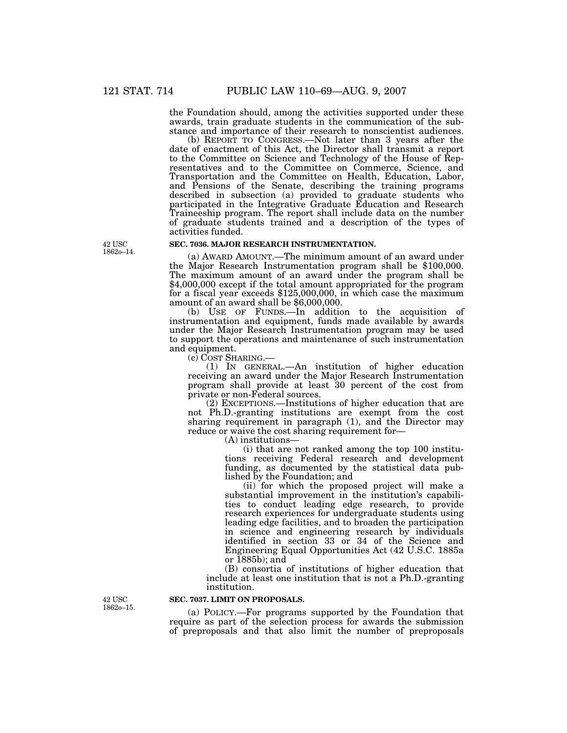the Foundation should, among the activities supported under these awards, train graduate students in the communication of the substance and importance of their research to nonscientist audiences.

(b) REPORT TO CONGRESS.—Not later than 3 years after the date of enactment of this Act, the Director shall transmit a report to the Committee on Science and Technology of the House of Representatives and to the Committee on Commerce, Science, and Transportation and the Committee on Health, Education, Labor, and Pensions of the Senate, describing the training programs described in subsection (a) provided to graduate students who participated in the Integrative Graduate Education and Research Traineeship program. The report shall include data on the number of graduate students trained and a description of the types of activities funded.

# **SEC. 7036. MAJOR RESEARCH INSTRUMENTATION.**

(a) AWARD AMOUNT.—The minimum amount of an award under the Major Research Instrumentation program shall be \$100,000. The maximum amount of an award under the program shall be \$4,000,000 except if the total amount appropriated for the program for a fiscal year exceeds \$125,000,000, in which case the maximum amount of an award shall be \$6,000,000.

(b) USE OF FUNDS.—In addition to the acquisition of instrumentation and equipment, funds made available by awards under the Major Research Instrumentation program may be used to support the operations and maintenance of such instrumentation and equipment.<br>(c) COST SHARING.—

(1) IN GENERAL.—An institution of higher education receiving an award under the Major Research Instrumentation program shall provide at least 30 percent of the cost from private or non-Federal sources.

(2) EXCEPTIONS.—Institutions of higher education that are not Ph.D.-granting institutions are exempt from the cost sharing requirement in paragraph (1), and the Director may reduce or waive the cost sharing requirement for—

(A) institutions—

(i) that are not ranked among the top 100 institutions receiving Federal research and development funding, as documented by the statistical data published by the Foundation; and

(ii) for which the proposed project will make a substantial improvement in the institution's capabilities to conduct leading edge research, to provide research experiences for undergraduate students using leading edge facilities, and to broaden the participation in science and engineering research by individuals identified in section 33 or 34 of the Science and Engineering Equal Opportunities Act (42 U.S.C. 1885a or 1885b); and

(B) consortia of institutions of higher education that include at least one institution that is not a Ph.D.-granting institution.

**42 USC** 1862o–15.

# **SEC. 7037. LIMIT ON PROPOSALS.**

(a) POLICY.—For programs supported by the Foundation that require as part of the selection process for awards the submission of preproposals and that also limit the number of preproposals

42 USC 1862o–14.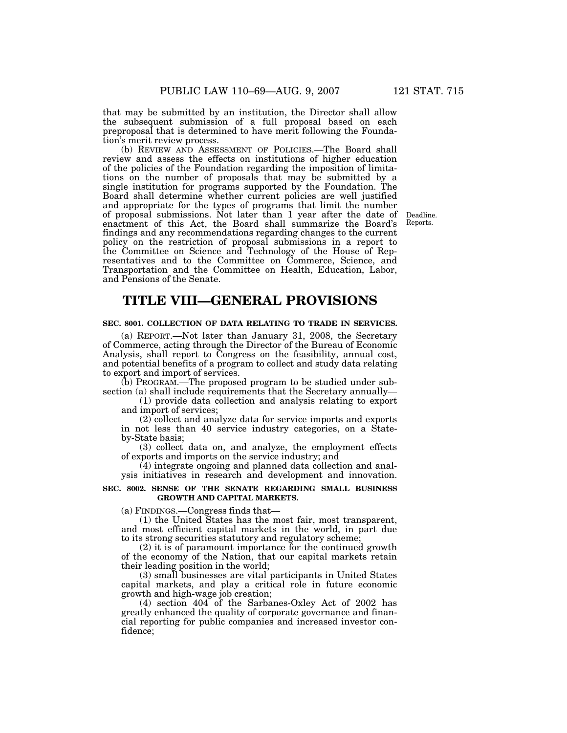that may be submitted by an institution, the Director shall allow the subsequent submission of a full proposal based on each preproposal that is determined to have merit following the Foundation's merit review process.

(b) REVIEW AND ASSESSMENT OF POLICIES.—The Board shall review and assess the effects on institutions of higher education of the policies of the Foundation regarding the imposition of limitations on the number of proposals that may be submitted by a single institution for programs supported by the Foundation. The Board shall determine whether current policies are well justified and appropriate for the types of programs that limit the number of proposal submissions. Not later than 1 year after the date of enactment of this Act, the Board shall summarize the Board's findings and any recommendations regarding changes to the current policy on the restriction of proposal submissions in a report to the Committee on Science and Technology of the House of Representatives and to the Committee on Commerce, Science, and Transportation and the Committee on Health, Education, Labor, and Pensions of the Senate.

Deadline. Reports.

# **TITLE VIII—GENERAL PROVISIONS**

#### **SEC. 8001. COLLECTION OF DATA RELATING TO TRADE IN SERVICES.**

(a) REPORT.—Not later than January 31, 2008, the Secretary of Commerce, acting through the Director of the Bureau of Economic Analysis, shall report to Congress on the feasibility, annual cost, and potential benefits of a program to collect and study data relating to export and import of services.

(b) PROGRAM.—The proposed program to be studied under subsection (a) shall include requirements that the Secretary annually—

(1) provide data collection and analysis relating to export and import of services;

(2) collect and analyze data for service imports and exports in not less than 40 service industry categories, on a Stateby-State basis;

(3) collect data on, and analyze, the employment effects of exports and imports on the service industry; and

(4) integrate ongoing and planned data collection and analysis initiatives in research and development and innovation.

# **SEC. 8002. SENSE OF THE SENATE REGARDING SMALL BUSINESS GROWTH AND CAPITAL MARKETS.**

(a) FINDINGS.—Congress finds that—

(1) the United States has the most fair, most transparent, and most efficient capital markets in the world, in part due to its strong securities statutory and regulatory scheme;

(2) it is of paramount importance for the continued growth of the economy of the Nation, that our capital markets retain their leading position in the world;

(3) small businesses are vital participants in United States capital markets, and play a critical role in future economic growth and high-wage job creation;

(4) section 404 of the Sarbanes-Oxley Act of 2002 has greatly enhanced the quality of corporate governance and financial reporting for public companies and increased investor confidence;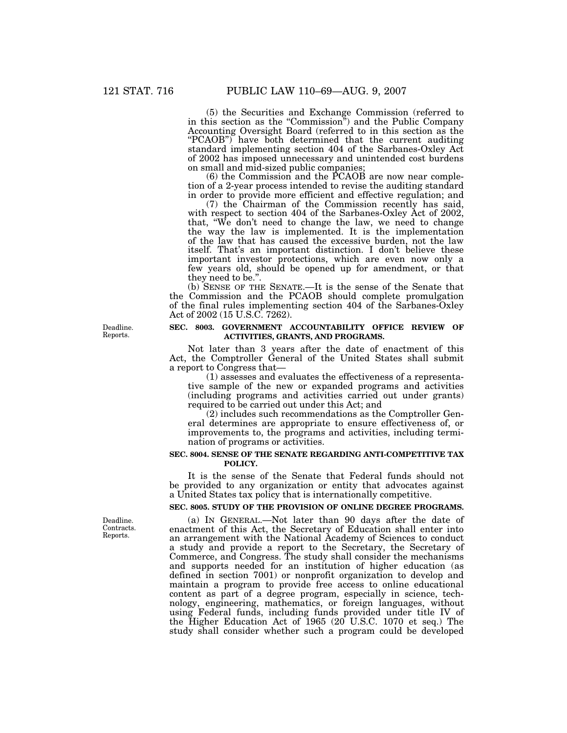(5) the Securities and Exchange Commission (referred to in this section as the "Commission") and the Public Company Accounting Oversight Board (referred to in this section as the "PCAOB") have both determined that the current auditing standard implementing section 404 of the Sarbanes-Oxley Act of 2002 has imposed unnecessary and unintended cost burdens on small and mid-sized public companies;

(6) the Commission and the PCAOB are now near completion of a 2-year process intended to revise the auditing standard in order to provide more efficient and effective regulation; and

(7) the Chairman of the Commission recently has said, with respect to section 404 of the Sarbanes-Oxley Act of 2002, that, ''We don't need to change the law, we need to change the way the law is implemented. It is the implementation of the law that has caused the excessive burden, not the law itself. That's an important distinction. I don't believe these important investor protections, which are even now only a few years old, should be opened up for amendment, or that they need to be.''.

(b) SENSE OF THE SENATE.—It is the sense of the Senate that the Commission and the PCAOB should complete promulgation of the final rules implementing section 404 of the Sarbanes-Oxley Act of 2002 (15 U.S.C. 7262).

Deadline. Reports.

## **SEC. 8003. GOVERNMENT ACCOUNTABILITY OFFICE REVIEW OF ACTIVITIES, GRANTS, AND PROGRAMS.**

Not later than 3 years after the date of enactment of this Act, the Comptroller General of the United States shall submit a report to Congress that—

(1) assesses and evaluates the effectiveness of a representative sample of the new or expanded programs and activities (including programs and activities carried out under grants) required to be carried out under this Act; and

(2) includes such recommendations as the Comptroller General determines are appropriate to ensure effectiveness of, or improvements to, the programs and activities, including termination of programs or activities.

# **SEC. 8004. SENSE OF THE SENATE REGARDING ANTI-COMPETITIVE TAX POLICY.**

It is the sense of the Senate that Federal funds should not be provided to any organization or entity that advocates against a United States tax policy that is internationally competitive.

# **SEC. 8005. STUDY OF THE PROVISION OF ONLINE DEGREE PROGRAMS.**

(a) IN GENERAL.—Not later than 90 days after the date of enactment of this Act, the Secretary of Education shall enter into an arrangement with the National Academy of Sciences to conduct a study and provide a report to the Secretary, the Secretary of Commerce, and Congress. The study shall consider the mechanisms and supports needed for an institution of higher education (as defined in section 7001) or nonprofit organization to develop and maintain a program to provide free access to online educational content as part of a degree program, especially in science, technology, engineering, mathematics, or foreign languages, without using Federal funds, including funds provided under title IV of the Higher Education Act of 1965 (20 U.S.C. 1070 et seq.) The study shall consider whether such a program could be developed

Deadline. Contracts. Reports.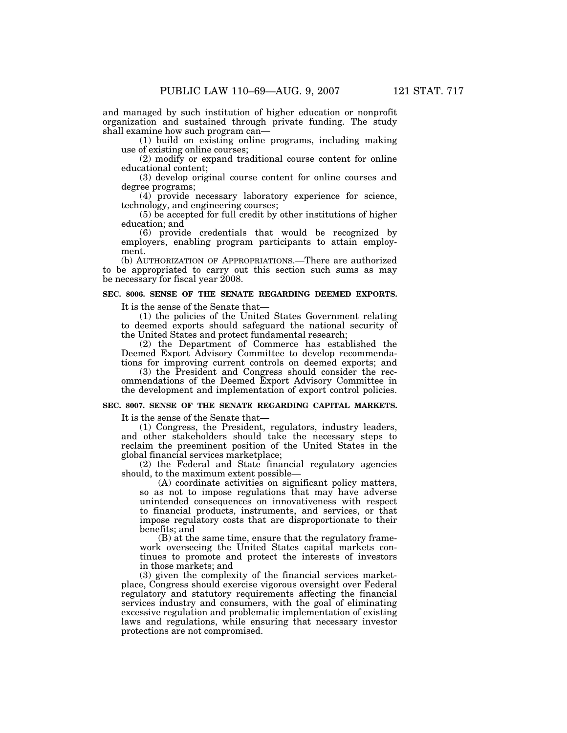and managed by such institution of higher education or nonprofit organization and sustained through private funding. The study shall examine how such program can—

(1) build on existing online programs, including making use of existing online courses;

(2) modify or expand traditional course content for online educational content;

(3) develop original course content for online courses and degree programs;

(4) provide necessary laboratory experience for science, technology, and engineering courses;

(5) be accepted for full credit by other institutions of higher education; and

(6) provide credentials that would be recognized by employers, enabling program participants to attain employment.

(b) AUTHORIZATION OF APPROPRIATIONS.—There are authorized to be appropriated to carry out this section such sums as may be necessary for fiscal year 2008.

# **SEC. 8006. SENSE OF THE SENATE REGARDING DEEMED EXPORTS.**

It is the sense of the Senate that—

(1) the policies of the United States Government relating to deemed exports should safeguard the national security of the United States and protect fundamental research;

(2) the Department of Commerce has established the Deemed Export Advisory Committee to develop recommendations for improving current controls on deemed exports; and

(3) the President and Congress should consider the recommendations of the Deemed Export Advisory Committee in the development and implementation of export control policies.

### **SEC. 8007. SENSE OF THE SENATE REGARDING CAPITAL MARKETS.**

It is the sense of the Senate that—

(1) Congress, the President, regulators, industry leaders, and other stakeholders should take the necessary steps to reclaim the preeminent position of the United States in the global financial services marketplace;

(2) the Federal and State financial regulatory agencies should, to the maximum extent possible—

(A) coordinate activities on significant policy matters, so as not to impose regulations that may have adverse unintended consequences on innovativeness with respect to financial products, instruments, and services, or that impose regulatory costs that are disproportionate to their benefits; and

(B) at the same time, ensure that the regulatory framework overseeing the United States capital markets continues to promote and protect the interests of investors in those markets; and

(3) given the complexity of the financial services marketplace, Congress should exercise vigorous oversight over Federal regulatory and statutory requirements affecting the financial services industry and consumers, with the goal of eliminating excessive regulation and problematic implementation of existing laws and regulations, while ensuring that necessary investor protections are not compromised.